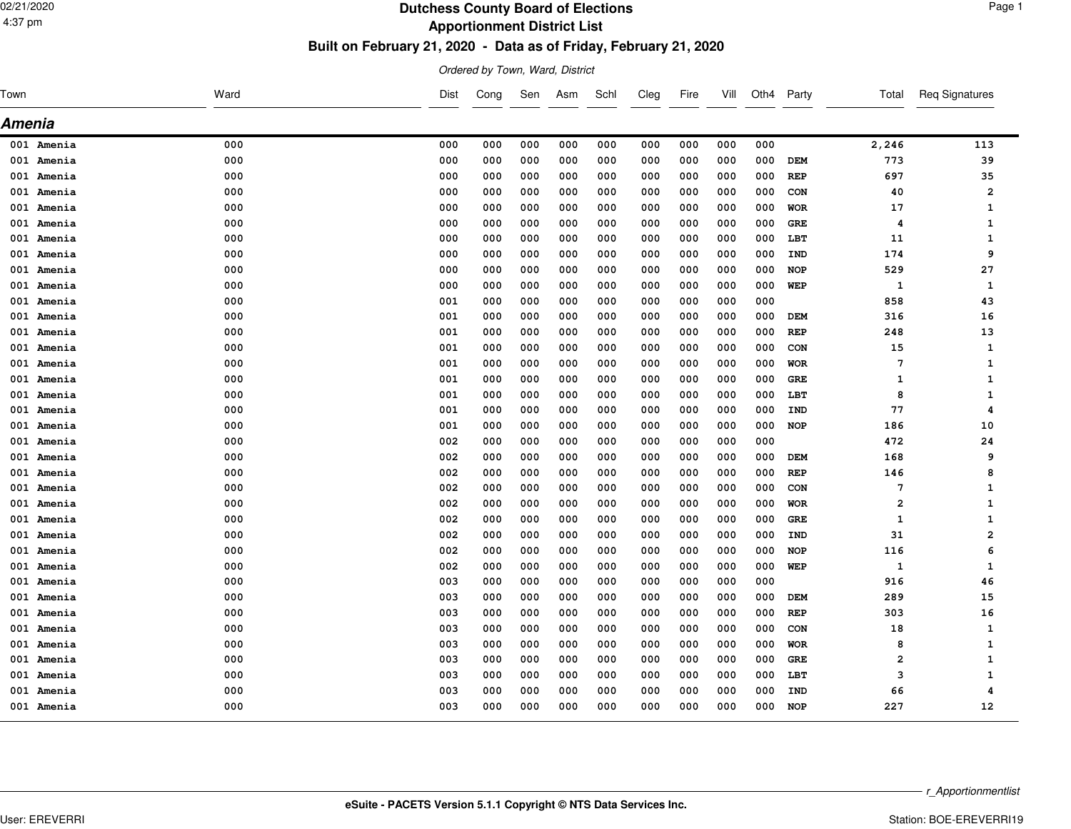#### **Dutchess County Board of Elections**S Page 1 **Apportionment District List**

### **Built on February 21, 2020 - Data as of Friday, February 21, 2020**

Ordered by Town, Ward, District

| Town   |            | Ward | Dist | Cong | Sen | Asm | Schl | Cleg | Fire | Vill | Oth4 Party |            | Total                   | <b>Req Signatures</b> |
|--------|------------|------|------|------|-----|-----|------|------|------|------|------------|------------|-------------------------|-----------------------|
| Amenia |            |      |      |      |     |     |      |      |      |      |            |            |                         |                       |
|        | 001 Amenia | 000  | 000  | 000  | 000 | 000 | 000  | 000  | 000  | 000  | 000        |            | 2,246                   | 113                   |
|        | 001 Amenia | 000  | 000  | 000  | 000 | 000 | 000  | 000  | 000  | 000  | 000        | <b>DEM</b> | 773                     | 39                    |
|        | 001 Amenia | 000  | 000  | 000  | 000 | 000 | 000  | 000  | 000  | 000  | 000        | <b>REP</b> | 697                     | 35                    |
|        | 001 Amenia | 000  | 000  | 000  | 000 | 000 | 000  | 000  | 000  | 000  | 000        | CON        | 40                      | $\mathbf 2$           |
|        | 001 Amenia | 000  | 000  | 000  | 000 | 000 | 000  | 000  | 000  | 000  | 000        | <b>WOR</b> | 17                      | 1                     |
|        | 001 Amenia | 000  | 000  | 000  | 000 | 000 | 000  | 000  | 000  | 000  | 000        | GRE        | 4                       | 1                     |
| 001    | Amenia     | 000  | 000  | 000  | 000 | 000 | 000  | 000  | 000  | 000  | 000        | LBT        | 11                      | $\mathbf{1}$          |
|        | 001 Amenia | 000  | 000  | 000  | 000 | 000 | 000  | 000  | 000  | 000  | 000        | IND        | 174                     | 9                     |
|        | 001 Amenia | 000  | 000  | 000  | 000 | 000 | 000  | 000  | 000  | 000  | 000        | <b>NOP</b> | 529                     | 27                    |
|        | 001 Amenia | 000  | 000  | 000  | 000 | 000 | 000  | 000  | 000  | 000  | 000        | WEP        | 1                       | 1                     |
|        | 001 Amenia | 000  | 001  | 000  | 000 | 000 | 000  | 000  | 000  | 000  | 000        |            | 858                     | 43                    |
|        | 001 Amenia | 000  | 001  | 000  | 000 | 000 | 000  | 000  | 000  | 000  | 000        | <b>DEM</b> | 316                     | 16                    |
|        | 001 Amenia | 000  | 001  | 000  | 000 | 000 | 000  | 000  | 000  | 000  | 000        | <b>REP</b> | 248                     | 13                    |
|        | 001 Amenia | 000  | 001  | 000  | 000 | 000 | 000  | 000  | 000  | 000  | 000        | CON        | 15                      | $\mathbf{1}$          |
|        | 001 Amenia | 000  | 001  | 000  | 000 | 000 | 000  | 000  | 000  | 000  | 000        | <b>WOR</b> | 7                       | 1                     |
|        | 001 Amenia | 000  | 001  | 000  | 000 | 000 | 000  | 000  | 000  | 000  | 000        | <b>GRE</b> | $\mathbf{1}$            | $\mathbf{1}$          |
|        | 001 Amenia | 000  | 001  | 000  | 000 | 000 | 000  | 000  | 000  | 000  | 000        | LBT        | 8                       | $\mathbf{1}$          |
|        | 001 Amenia | 000  | 001  | 000  | 000 | 000 | 000  | 000  | 000  | 000  | 000        | <b>IND</b> | 77                      | 4                     |
| 001    | Amenia     | 000  | 001  | 000  | 000 | 000 | 000  | 000  | 000  | 000  | 000        | <b>NOP</b> | 186                     | 10                    |
| 001    | Amenia     | 000  | 002  | 000  | 000 | 000 | 000  | 000  | 000  | 000  | 000        |            | 472                     | 24                    |
| 001    | Amenia     | 000  | 002  | 000  | 000 | 000 | 000  | 000  | 000  | 000  | 000        | <b>DEM</b> | 168                     | 9                     |
|        | 001 Amenia | 000  | 002  | 000  | 000 | 000 | 000  | 000  | 000  | 000  | 000        | <b>REP</b> | 146                     | 8                     |
|        | 001 Amenia | 000  | 002  | 000  | 000 | 000 | 000  | 000  | 000  | 000  | 000        | <b>CON</b> | $\overline{7}$          | 1                     |
| 001    | Amenia     | 000  | 002  | 000  | 000 | 000 | 000  | 000  | 000  | 000  | 000        | <b>WOR</b> | $\overline{\mathbf{2}}$ | $\mathbf{1}$          |
|        | 001 Amenia | 000  | 002  | 000  | 000 | 000 | 000  | 000  | 000  | 000  | 000        | <b>GRE</b> | $\mathbf 1$             | $\mathbf{1}$          |
|        | 001 Amenia | 000  | 002  | 000  | 000 | 000 | 000  | 000  | 000  | 000  | 000        | IND        | 31                      | $\mathbf{2}$          |
|        | 001 Amenia | 000  | 002  | 000  | 000 | 000 | 000  | 000  | 000  | 000  | 000        | <b>NOP</b> | 116                     | 6                     |
|        | 001 Amenia | 000  | 002  | 000  | 000 | 000 | 000  | 000  | 000  | 000  | 000        | WEP        | 1                       | 1                     |
|        | 001 Amenia | 000  | 003  | 000  | 000 | 000 | 000  | 000  | 000  | 000  | 000        |            | 916                     | 46                    |
| 001    | Amenia     | 000  | 003  | 000  | 000 | 000 | 000  | 000  | 000  | 000  | 000        | <b>DEM</b> | 289                     | 15                    |
|        | 001 Amenia | 000  | 003  | 000  | 000 | 000 | 000  | 000  | 000  | 000  | 000        | <b>REP</b> | 303                     | 16                    |
| 001    | Amenia     | 000  | 003  | 000  | 000 | 000 | 000  | 000  | 000  | 000  | 000        | CON        | 18                      | $\mathbf{1}$          |
|        | 001 Amenia | 000  | 003  | 000  | 000 | 000 | 000  | 000  | 000  | 000  | 000        | <b>WOR</b> | 8                       | $\mathbf{1}$          |
|        | 001 Amenia | 000  | 003  | 000  | 000 | 000 | 000  | 000  | 000  | 000  | 000        | <b>GRE</b> | $\overline{2}$          | $\mathbf{1}$          |
|        | 001 Amenia | 000  | 003  | 000  | 000 | 000 | 000  | 000  | 000  | 000  | 000        | LBT        | 3                       | 1                     |
|        | 001 Amenia | 000  | 003  | 000  | 000 | 000 | 000  | 000  | 000  | 000  | 000        | IND        | 66                      | 4                     |
|        | 001 Amenia | 000  | 003  | 000  | 000 | 000 | 000  | 000  | 000  | 000  | 000        | <b>NOP</b> | 227                     | 12                    |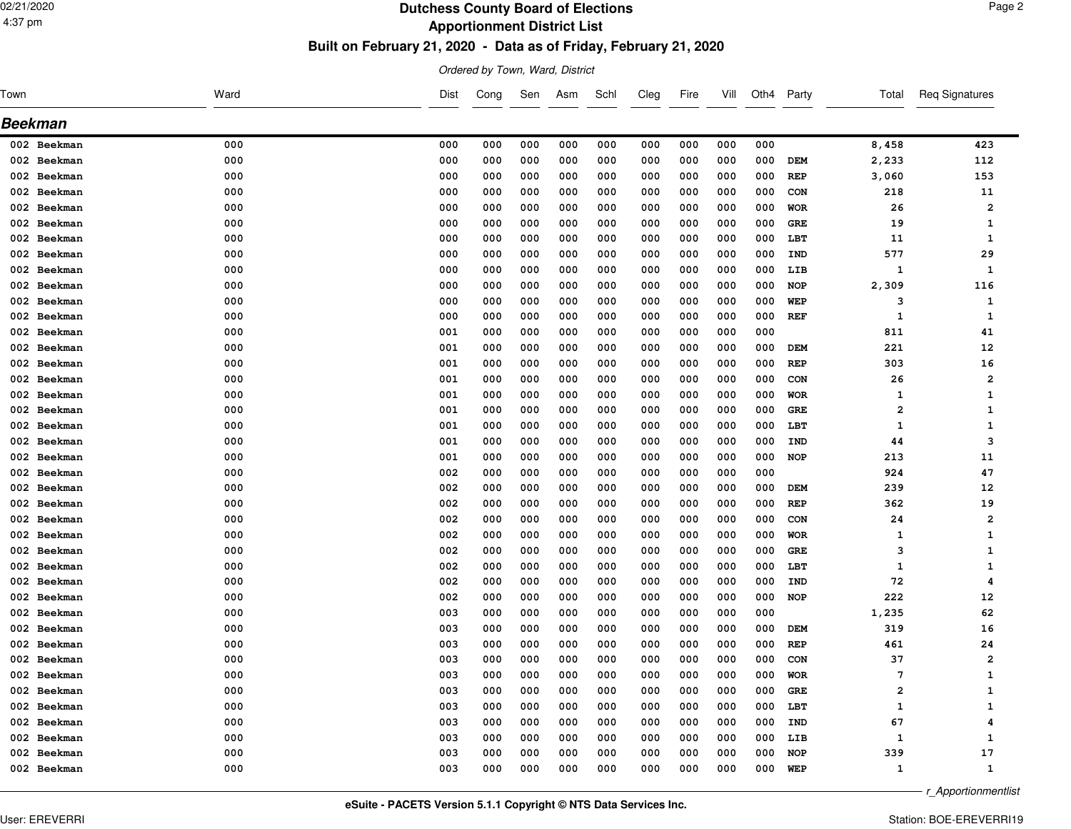#### **Dutchess County Board of Elections**S Page 2 **Apportionment District List**

### **Built on February 21, 2020 - Data as of Friday, February 21, 2020**

Ordered by Town, Ward, District

| -own |             | Ward | Dist | Cong | Sen | Asm | Schl | Cleg | Fire | Vill | Oth4 | Party      | Total                   | <b>Req Signatures</b>   |
|------|-------------|------|------|------|-----|-----|------|------|------|------|------|------------|-------------------------|-------------------------|
|      | Beekman     |      |      |      |     |     |      |      |      |      |      |            |                         |                         |
|      | 002 Beekman | 000  | 000  | 000  | 000 | 000 | 000  | 000  | 000  | 000  | 000  |            | 8,458                   | 423                     |
|      | 002 Beekman | 000  | 000  | 000  | 000 | 000 | 000  | 000  | 000  | 000  | 000  | <b>DEM</b> | 2,233                   | 112                     |
| 002  | Beekman     | 000  | 000  | 000  | 000 | 000 | 000  | 000  | 000  | 000  | 000  | <b>REP</b> | 3,060                   | 153                     |
| 002  | Beekman     | 000  | 000  | 000  | 000 | 000 | 000  | 000  | 000  | 000  | 000  | CON        | 218                     | 11                      |
| 002  | Beekman     | 000  | 000  | 000  | 000 | 000 | 000  | 000  | 000  | 000  | 000  | <b>WOR</b> | 26                      | $\overline{\mathbf{2}}$ |
| 002  | Beekman     | 000  | 000  | 000  | 000 | 000 | 000  | 000  | 000  | 000  | 000  | GRE        | 19                      | 1                       |
| 002  | Beekman     | 000  | 000  | 000  | 000 | 000 | 000  | 000  | 000  | 000  | 000  | LBT        | 11                      | 1                       |
| 002  | Beekman     | 000  | 000  | 000  | 000 | 000 | 000  | 000  | 000  | 000  | 000  | <b>IND</b> | 577                     | 29                      |
| 002  | Beekman     | 000  | 000  | 000  | 000 | 000 | 000  | 000  | 000  | 000  | 000  | LIB        | $\mathbf{1}$            | $\mathbf{1}$            |
| 002  | Beekman     | 000  | 000  | 000  | 000 | 000 | 000  | 000  | 000  | 000  | 000  | <b>NOP</b> | 2,309                   | 116                     |
| 002  | Beekman     | 000  | 000  | 000  | 000 | 000 | 000  | 000  | 000  | 000  | 000  | <b>WEP</b> | 3                       | 1                       |
| 002  | Beekman     | 000  | 000  | 000  | 000 | 000 | 000  | 000  | 000  | 000  | 000  | <b>REF</b> | 1                       | 1                       |
| 002  | Beekman     | 000  | 001  | 000  | 000 | 000 | 000  | 000  | 000  | 000  | 000  |            | 811                     | 41                      |
| 002  | Beekman     | 000  | 001  | 000  | 000 | 000 | 000  | 000  | 000  | 000  | 000  | <b>DEM</b> | 221                     | 12                      |
| 002  | Beekman     | 000  | 001  | 000  | 000 | 000 | 000  | 000  | 000  | 000  | 000  | <b>REP</b> | 303                     | 16                      |
| 002  | Beekman     | 000  | 001  | 000  | 000 | 000 | 000  | 000  | 000  | 000  | 000  | CON        | 26                      | $\overline{\mathbf{2}}$ |
| 002  | Beekman     | 000  | 001  | 000  | 000 | 000 | 000  | 000  | 000  | 000  | 000  | <b>WOR</b> | 1                       | 1                       |
| 002  | Beekman     | 000  | 001  | 000  | 000 | 000 | 000  | 000  | 000  | 000  | 000  | GRE        | $\overline{\mathbf{c}}$ | 1                       |
| 002  | Beekman     | 000  | 001  | 000  | 000 | 000 | 000  | 000  | 000  | 000  | 000  | LBT        | 1                       | 1                       |
| 002  | Beekman     | 000  | 001  | 000  | 000 | 000 | 000  | 000  | 000  | 000  | 000  | <b>IND</b> | 44                      | 3                       |
| 002  | Beekman     | 000  | 001  | 000  | 000 | 000 | 000  | 000  | 000  | 000  | 000  | <b>NOP</b> | 213                     | 11                      |
| 002  | Beekman     | 000  | 002  | 000  | 000 | 000 | 000  | 000  | 000  | 000  | 000  |            | 924                     | 47                      |
|      | 002 Beekman | 000  | 002  | 000  | 000 | 000 | 000  | 000  | 000  | 000  | 000  | <b>DEM</b> | 239                     | 12                      |
| 002  | Beekman     | 000  | 002  | 000  | 000 | 000 | 000  | 000  | 000  | 000  | 000  | <b>REP</b> | 362                     | 19                      |
| 002  | Beekman     | 000  | 002  | 000  | 000 | 000 | 000  | 000  | 000  | 000  | 000  | <b>CON</b> | 24                      | $\mathbf 2$             |
| 002  | Beekman     | 000  | 002  | 000  | 000 | 000 | 000  | 000  | 000  | 000  | 000  | <b>WOR</b> | $\mathbf{1}$            | 1                       |
| 002  | Beekman     | 000  | 002  | 000  | 000 | 000 | 000  | 000  | 000  | 000  | 000  | <b>GRE</b> | 3                       | 1                       |
| 002  | Beekman     | 000  | 002  | 000  | 000 | 000 | 000  | 000  | 000  | 000  | 000  | LBT        | 1                       | 1                       |
| 002  | Beekman     | 000  | 002  | 000  | 000 | 000 | 000  | 000  | 000  | 000  | 000  | <b>IND</b> | 72                      | 4                       |
|      | 002 Beekman | 000  | 002  | 000  | 000 | 000 | 000  | 000  | 000  | 000  | 000  | <b>NOP</b> | 222                     | 12                      |
| 002  | Beekman     | 000  | 003  | 000  | 000 | 000 | 000  | 000  | 000  | 000  | 000  |            | 1,235                   | 62                      |
| 002  | Beekman     | 000  | 003  | 000  | 000 | 000 | 000  | 000  | 000  | 000  | 000  | <b>DEM</b> | 319                     | 16                      |
| 002  | Beekman     | 000  | 003  | 000  | 000 | 000 | 000  | 000  | 000  | 000  | 000  | <b>REP</b> | 461                     | 24                      |
| 002  | Beekman     | 000  | 003  | 000  | 000 | 000 | 000  | 000  | 000  | 000  | 000  | CON        | 37                      | $\overline{\mathbf{2}}$ |
| 002  | Beekman     | 000  | 003  | 000  | 000 | 000 | 000  | 000  | 000  | 000  | 000  | <b>WOR</b> | 7                       | 1                       |
| 002  | Beekman     | 000  | 003  | 000  | 000 | 000 | 000  | 000  | 000  | 000  | 000  | GRE        | $\overline{a}$          | $\mathbf{1}$            |
| 002  | Beekman     | 000  | 003  | 000  | 000 | 000 | 000  | 000  | 000  | 000  | 000  | LBT        | $\mathbf 1$             | 1                       |
| 002  | Beekman     | 000  | 003  | 000  | 000 | 000 | 000  | 000  | 000  | 000  | 000  | <b>IND</b> | 67                      | 4                       |
| 002  | Beekman     | 000  | 003  | 000  | 000 | 000 | 000  | 000  | 000  | 000  | 000  | LIB        | $\mathbf{1}$            | 1                       |
| 002  | Beekman     | 000  | 003  | 000  | 000 | 000 | 000  | 000  | 000  | 000  | 000  | <b>NOP</b> | 339                     | 17                      |
|      | 002 Beekman | 000  | 003  | 000  | 000 | 000 | 000  | 000  | 000  | 000  | 000  | <b>WEP</b> | 1                       | 1                       |

**eSuite - PACETS Version 5.1.1 Copyright © NTS Data Services Inc.**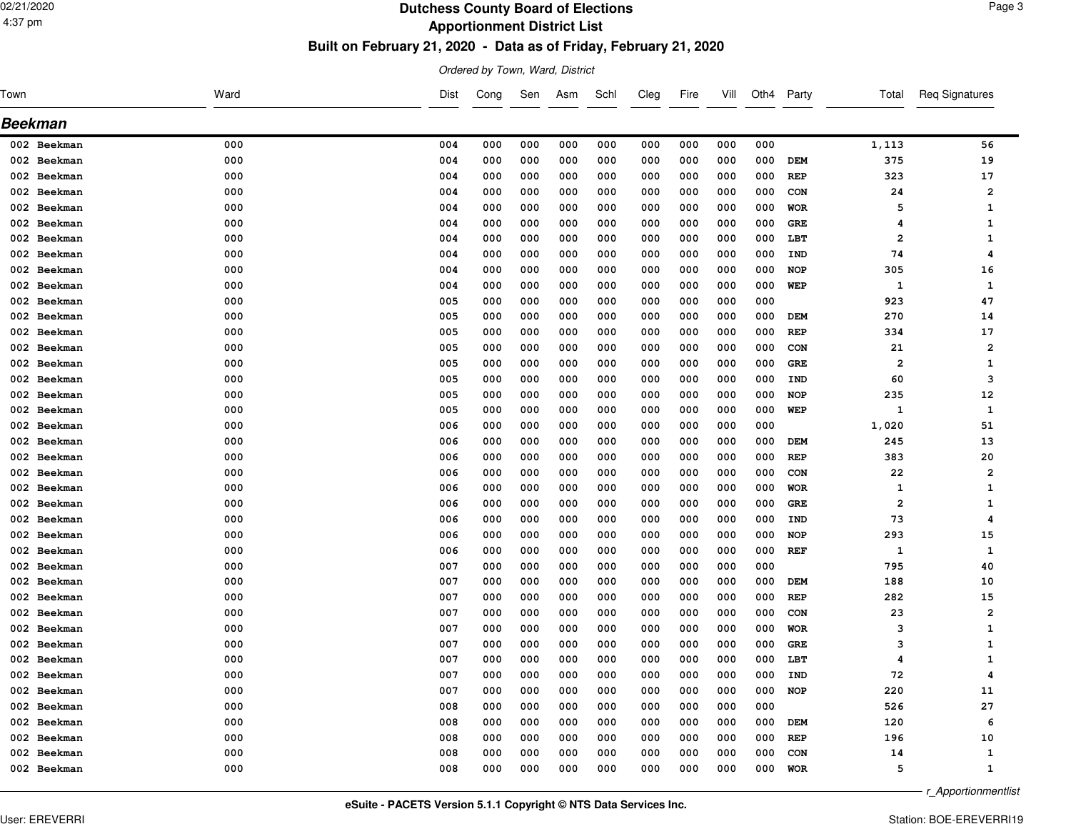#### **Dutchess County Board of Elections** $\mathbf S$  Page 3 **Apportionment District List**

### **Built on February 21, 2020 - Data as of Friday, February 21, 2020**

Ordered by Town, Ward, District

| -<br>own       |             | Ward | Dist | Cong | Sen | Asm | Schl | Cleg | Fire | Vill | Oth4 | Party      | Total        | Req Signatures |
|----------------|-------------|------|------|------|-----|-----|------|------|------|------|------|------------|--------------|----------------|
| <b>Beekman</b> |             |      |      |      |     |     |      |      |      |      |      |            |              |                |
|                | 002 Beekman | 000  | 004  | 000  | 000 | 000 | 000  | 000  | 000  | 000  | 000  |            | 1,113        | 56             |
|                | 002 Beekman | 000  | 004  | 000  | 000 | 000 | 000  | 000  | 000  | 000  | 000  | <b>DEM</b> | 375          | 19             |
| 002            | Beekman     | 000  | 004  | 000  | 000 | 000 | 000  | 000  | 000  | 000  | 000  | <b>REP</b> | 323          | 17             |
|                | 002 Beekman | 000  | 004  | 000  | 000 | 000 | 000  | 000  | 000  | 000  | 000  | CON        | 24           | $\mathbf{2}$   |
| 002            | Beekman     | 000  | 004  | 000  | 000 | 000 | 000  | 000  | 000  | 000  | 000  | <b>WOR</b> | 5            | 1              |
| 002            | Beekman     | 000  | 004  | 000  | 000 | 000 | 000  | 000  | 000  | 000  | 000  | GRE        | 4            | 1              |
| 002            | Beekman     | 000  | 004  | 000  | 000 | 000 | 000  | 000  | 000  | 000  | 000  | LBT        | $\mathbf{2}$ | $\mathbf{1}$   |
|                | 002 Beekman | 000  | 004  | 000  | 000 | 000 | 000  | 000  | 000  | 000  | 000  | IND        | 74           | 4              |
| 002            | Beekman     | 000  | 004  | 000  | 000 | 000 | 000  | 000  | 000  | 000  | 000  | <b>NOP</b> | 305          | 16             |
| 002            | Beekman     | 000  | 004  | 000  | 000 | 000 | 000  | 000  | 000  | 000  | 000  | WEP        | 1            | 1              |
| 002            | Beekman     | 000  | 005  | 000  | 000 | 000 | 000  | 000  | 000  | 000  | 000  |            | 923          | 47             |
| 002            | Beekman     | 000  | 005  | 000  | 000 | 000 | 000  | 000  | 000  | 000  | 000  | <b>DEM</b> | 270          | 14             |
| 002            | Beekman     | 000  | 005  | 000  | 000 | 000 | 000  | 000  | 000  | 000  | 000  | <b>REP</b> | 334          | 17             |
| 002            | Beekman     | 000  | 005  | 000  | 000 | 000 | 000  | 000  | 000  | 000  | 000  | CON        | 21           | $\mathbf{2}$   |
| 002            | Beekman     | 000  | 005  | 000  | 000 | 000 | 000  | 000  | 000  | 000  | 000  | <b>GRE</b> | $\mathbf{2}$ | 1              |
| 002            | Beekman     | 000  | 005  | 000  | 000 | 000 | 000  | 000  | 000  | 000  | 000  | <b>IND</b> | 60           | з              |
| 002            | Beekman     | 000  | 005  | 000  | 000 | 000 | 000  | 000  | 000  | 000  | 000  | <b>NOP</b> | 235          | 12             |
| 002            | Beekman     | 000  | 005  | 000  | 000 | 000 | 000  | 000  | 000  | 000  | 000  | <b>WEP</b> | $\mathbf{1}$ | $\mathbf{1}$   |
| 002            | Beekman     | 000  | 006  | 000  | 000 | 000 | 000  | 000  | 000  | 000  | 000  |            | 1,020        | 51             |
|                | 002 Beekman | 000  | 006  | 000  | 000 | 000 | 000  | 000  | 000  | 000  | 000  | DEM        | 245          | 13             |
| 002            | Beekman     | 000  | 006  | 000  | 000 | 000 | 000  | 000  | 000  | 000  | 000  | <b>REP</b> | 383          | 20             |
| 002            | Beekman     | 000  | 006  | 000  | 000 | 000 | 000  | 000  | 000  | 000  | 000  | CON        | 22           | $\mathbf{2}$   |
| 002            | Beekman     | 000  | 006  | 000  | 000 | 000 | 000  | 000  | 000  | 000  | 000  | <b>WOR</b> | $\mathbf{1}$ | 1              |
| 002            | Beekman     | 000  | 006  | 000  | 000 | 000 | 000  | 000  | 000  | 000  | 000  | <b>GRE</b> | $\mathbf{2}$ | 1              |
| 002            | Beekman     | 000  | 006  | 000  | 000 | 000 | 000  | 000  | 000  | 000  | 000  | IND        | 73           | 4              |
| 002            | Beekman     | 000  | 006  | 000  | 000 | 000 | 000  | 000  | 000  | 000  | 000  | <b>NOP</b> | 293          | 15             |
| 002            | Beekman     | 000  | 006  | 000  | 000 | 000 | 000  | 000  | 000  | 000  | 000  | <b>REF</b> | $\mathbf{1}$ | $\mathbf{1}$   |
| 002            | Beekman     | 000  | 007  | 000  | 000 | 000 | 000  | 000  | 000  | 000  | 000  |            | 795          | 40             |
| 002            | Beekman     | 000  | 007  | 000  | 000 | 000 | 000  | 000  | 000  | 000  | 000  | <b>DEM</b> | 188          | 10             |
| 002            | Beekman     | 000  | 007  | 000  | 000 | 000 | 000  | 000  | 000  | 000  | 000  | <b>REP</b> | 282          | 15             |
| 002            | Beekman     | 000  | 007  | 000  | 000 | 000 | 000  | 000  | 000  | 000  | 000  | CON        | 23           | $\mathbf 2$    |
| 002            | Beekman     | 000  | 007  | 000  | 000 | 000 | 000  | 000  | 000  | 000  | 000  | <b>WOR</b> | 3            | 1              |
| 002            | Beekman     | 000  | 007  | 000  | 000 | 000 | 000  | 000  | 000  | 000  | 000  | <b>GRE</b> | 3            | $\mathbf{1}$   |
| 002            | Beekman     | 000  | 007  | 000  | 000 | 000 | 000  | 000  | 000  | 000  | 000  | LBT        | 4            | 1              |
| 002            | Beekman     | 000  | 007  | 000  | 000 | 000 | 000  | 000  | 000  | 000  | 000  | <b>IND</b> | 72           | 4              |
| 002            | Beekman     | 000  | 007  | 000  | 000 | 000 | 000  | 000  | 000  | 000  | 000  | <b>NOP</b> | 220          | 11             |
| 002            | Beekman     | 000  | 008  | 000  | 000 | 000 | 000  | 000  | 000  | 000  | 000  |            | 526          | 27             |
| 002            | Beekman     | 000  | 008  | 000  | 000 | 000 | 000  | 000  | 000  | 000  | 000  | <b>DEM</b> | 120          | 6              |
|                | 002 Beekman | 000  | 008  | 000  | 000 | 000 | 000  | 000  | 000  | 000  | 000  | <b>REP</b> | 196          | 10             |
| 002            | Beekman     | 000  | 008  | 000  | 000 | 000 | 000  | 000  | 000  | 000  | 000  | CON        | 14           | 1              |
|                | 002 Beekman | 000  | 008  | 000  | 000 | 000 | 000  | 000  | 000  | 000  | 000  | <b>WOR</b> | 5            | 1              |

**eSuite - PACETS Version 5.1.1 Copyright © NTS Data Services Inc.**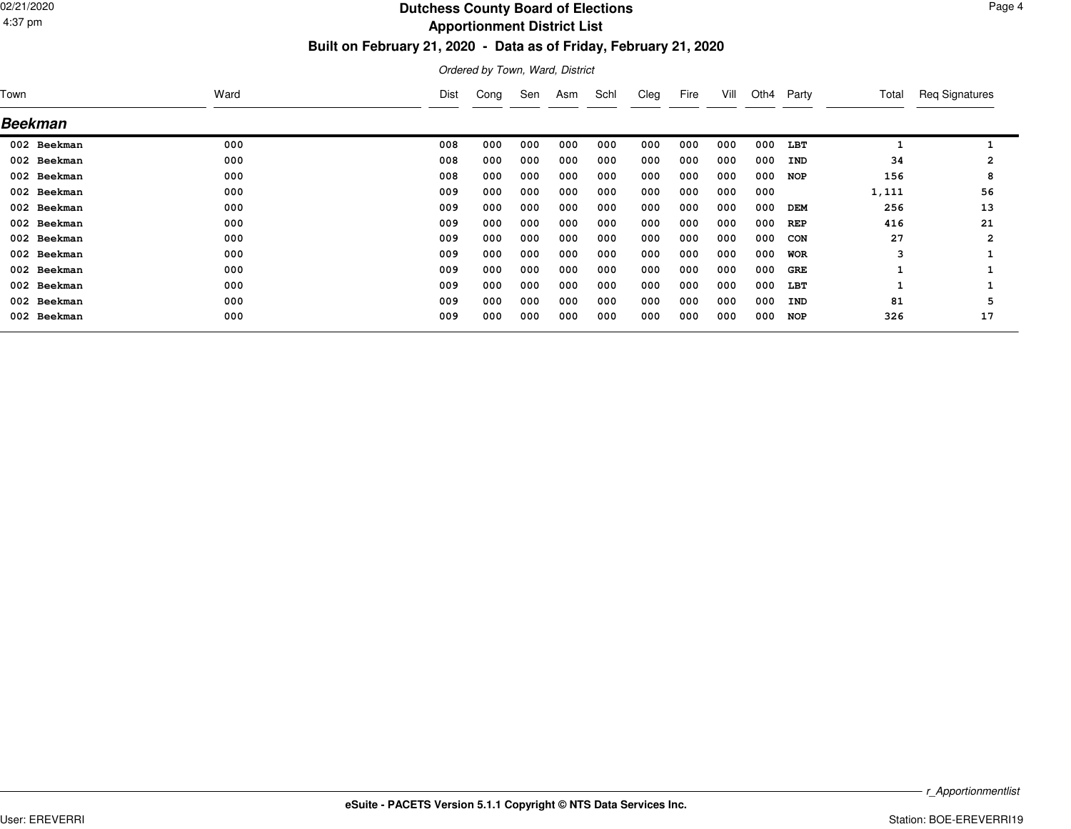#### **Dutchess County Board of Elections** $\bullet$  Page 4 **Apportionment District List**

## **Built on February 21, 2020 - Data as of Friday, February 21, 2020**

Ordered by Town, Ward, District

| Town |                | Ward | Dist | Cong | Sen | Asm | Schl | Cleg | Fire | Vill | Oth4 | Party      | Total | Reg Signatures |
|------|----------------|------|------|------|-----|-----|------|------|------|------|------|------------|-------|----------------|
|      | <b>Beekman</b> |      |      |      |     |     |      |      |      |      |      |            |       |                |
|      | 002 Beekman    | 000  | 008  | 000  | 000 | 000 | 000  | 000  | 000  | 000  | 000  | LBT        |       |                |
|      | 002 Beekman    | 000  | 008  | 000  | 000 | 000 | 000  | 000  | 000  | 000  | 000  | <b>IND</b> | 34    |                |
|      | 002 Beekman    | 000  | 008  | 000  | 000 | 000 | 000  | 000  | 000  | 000  | 000  | <b>NOP</b> | 156   | 8              |
|      | 002 Beekman    | 000  | 009  | 000  | 000 | 000 | 000  | 000  | 000  | 000  | 000  |            | 1,111 | 56             |
|      | 002 Beekman    | 000  | 009  | 000  | 000 | 000 | 000  | 000  | 000  | 000  | 000  | <b>DEM</b> | 256   | 13             |
|      | 002 Beekman    | 000  | 009  | 000  | 000 | 000 | 000  | 000  | 000  | 000  | 000  | <b>REP</b> | 416   | 21             |
|      | 002 Beekman    | 000  | 009  | 000  | 000 | 000 | 000  | 000  | 000  | 000  | 000  | CON        | 27    |                |
|      | 002 Beekman    | 000  | 009  | 000  | 000 | 000 | 000  | 000  | 000  | 000  | 000  | <b>WOR</b> | 3     |                |
|      | 002 Beekman    | 000  | 009  | 000  | 000 | 000 | 000  | 000  | 000  | 000  | 000  | <b>GRE</b> |       |                |
|      | 002 Beekman    | 000  | 009  | 000  | 000 | 000 | 000  | 000  | 000  | 000  | 000  | LBT        |       |                |
|      | 002 Beekman    | 000  | 009  | 000  | 000 | 000 | 000  | 000  | 000  | 000  | 000  | <b>IND</b> | 81    |                |
|      | 002 Beekman    | 000  | 009  | 000  | 000 | 000 | 000  | 000  | 000  | 000  | 000  | <b>NOP</b> | 326   | 17             |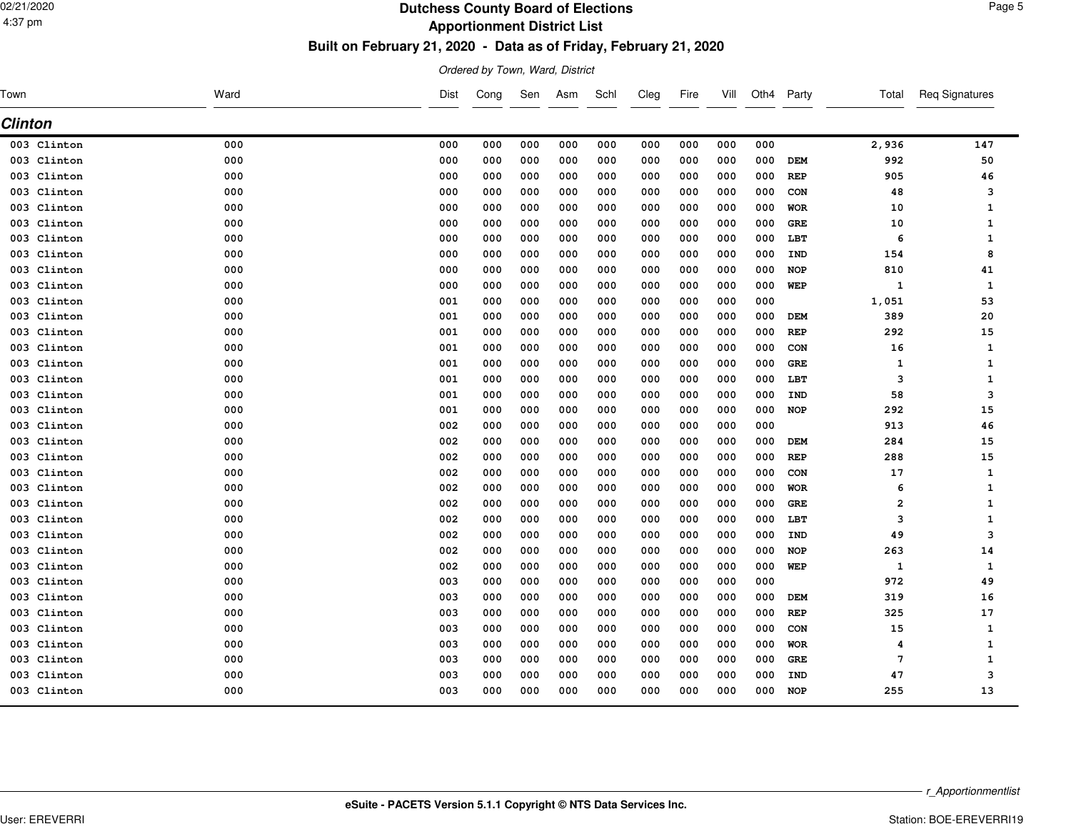#### **Dutchess County Board of Elections** $\mathbf S$  Page 5 **Apportionment District List**

### **Built on February 21, 2020 - Data as of Friday, February 21, 2020**

Ordered by Town, Ward, District

| Town           |             | Ward | Dist | Cong | Sen | Asm | Schl | Cleg | Fire | Vill | Oth4 | Party      | Total          | <b>Req Signatures</b> |
|----------------|-------------|------|------|------|-----|-----|------|------|------|------|------|------------|----------------|-----------------------|
| <b>Clinton</b> |             |      |      |      |     |     |      |      |      |      |      |            |                |                       |
|                | 003 Clinton | 000  | 000  | 000  | 000 | 000 | 000  | 000  | 000  | 000  | 000  |            | 2,936          | 147                   |
|                | 003 Clinton | 000  | 000  | 000  | 000 | 000 | 000  | 000  | 000  | 000  | 000  | <b>DEM</b> | 992            | 50                    |
|                | 003 Clinton | 000  | 000  | 000  | 000 | 000 | 000  | 000  | 000  | 000  | 000  | <b>REP</b> | 905            | 46                    |
|                | 003 Clinton | 000  | 000  | 000  | 000 | 000 | 000  | 000  | 000  | 000  | 000  | CON        | 48             | 3                     |
| 003            | Clinton     | 000  | 000  | 000  | 000 | 000 | 000  | 000  | 000  | 000  | 000  | <b>WOR</b> | 10             | 1                     |
| 003            | Clinton     | 000  | 000  | 000  | 000 | 000 | 000  | 000  | 000  | 000  | 000  | <b>GRE</b> | 10             | 1                     |
|                | 003 Clinton | 000  | 000  | 000  | 000 | 000 | 000  | 000  | 000  | 000  | 000  | LBT        | 6              | 1                     |
|                | 003 Clinton | 000  | 000  | 000  | 000 | 000 | 000  | 000  | 000  | 000  | 000  | <b>IND</b> | 154            | 8                     |
| 003            | Clinton     | 000  | 000  | 000  | 000 | 000 | 000  | 000  | 000  | 000  | 000  | <b>NOP</b> | 810            | 41                    |
|                | 003 Clinton | 000  | 000  | 000  | 000 | 000 | 000  | 000  | 000  | 000  | 000  | WEP        | 1              | 1                     |
|                | 003 Clinton | 000  | 001  | 000  | 000 | 000 | 000  | 000  | 000  | 000  | 000  |            | 1,051          | 53                    |
| 003            | Clinton     | 000  | 001  | 000  | 000 | 000 | 000  | 000  | 000  | 000  | 000  | <b>DEM</b> | 389            | 20                    |
| 003            | Clinton     | 000  | 001  | 000  | 000 | 000 | 000  | 000  | 000  | 000  | 000  | <b>REP</b> | 292            | 15                    |
| 003            | Clinton     | 000  | 001  | 000  | 000 | 000 | 000  | 000  | 000  | 000  | 000  | CON        | 16             | 1                     |
|                | 003 Clinton | 000  | 001  | 000  | 000 | 000 | 000  | 000  | 000  | 000  | 000  | GRE        | 1              | 1                     |
|                | 003 Clinton | 000  | 001  | 000  | 000 | 000 | 000  | 000  | 000  | 000  | 000  | LBT        | 3              | 1                     |
|                | 003 Clinton | 000  | 001  | 000  | 000 | 000 | 000  | 000  | 000  | 000  | 000  | <b>IND</b> | 58             | 3                     |
|                | 003 Clinton | 000  | 001  | 000  | 000 | 000 | 000  | 000  | 000  | 000  | 000  | <b>NOP</b> | 292            | 15                    |
|                | 003 Clinton | 000  | 002  | 000  | 000 | 000 | 000  | 000  | 000  | 000  | 000  |            | 913            | 46                    |
|                | 003 Clinton | 000  | 002  | 000  | 000 | 000 | 000  | 000  | 000  | 000  | 000  | <b>DEM</b> | 284            | 15                    |
| 003            | Clinton     | 000  | 002  | 000  | 000 | 000 | 000  | 000  | 000  | 000  | 000  | <b>REP</b> | 288            | 15                    |
| 003            | Clinton     | 000  | 002  | 000  | 000 | 000 | 000  | 000  | 000  | 000  | 000  | CON        | 17             | 1                     |
| 003            | Clinton     | 000  | 002  | 000  | 000 | 000 | 000  | 000  | 000  | 000  | 000  | <b>WOR</b> | 6              | 1                     |
|                | 003 Clinton | 000  | 002  | 000  | 000 | 000 | 000  | 000  | 000  | 000  | 000  | <b>GRE</b> | $\overline{2}$ | 1                     |
|                | 003 Clinton | 000  | 002  | 000  | 000 | 000 | 000  | 000  | 000  | 000  | 000  | LBT        | 3              | 1                     |
|                | 003 Clinton | 000  | 002  | 000  | 000 | 000 | 000  | 000  | 000  | 000  | 000  | <b>IND</b> | 49             | 3                     |
| 003            | Clinton     | 000  | 002  | 000  | 000 | 000 | 000  | 000  | 000  | 000  | 000  | <b>NOP</b> | 263            | 14                    |
|                | 003 Clinton | 000  | 002  | 000  | 000 | 000 | 000  | 000  | 000  | 000  | 000  | <b>WEP</b> | $\mathbf{1}$   | 1                     |
| 003            | Clinton     | 000  | 003  | 000  | 000 | 000 | 000  | 000  | 000  | 000  | 000  |            | 972            | 49                    |
| 003            | Clinton     | 000  | 003  | 000  | 000 | 000 | 000  | 000  | 000  | 000  | 000  | <b>DEM</b> | 319            | 16                    |
| 003            | Clinton     | 000  | 003  | 000  | 000 | 000 | 000  | 000  | 000  | 000  | 000  | <b>REP</b> | 325            | 17                    |
|                | 003 Clinton | 000  | 003  | 000  | 000 | 000 | 000  | 000  | 000  | 000  | 000  | CON        | 15             | 1                     |
|                | 003 Clinton | 000  | 003  | 000  | 000 | 000 | 000  | 000  | 000  | 000  | 000  | <b>WOR</b> | 4              | 1                     |
|                | 003 Clinton | 000  | 003  | 000  | 000 | 000 | 000  | 000  | 000  | 000  | 000  | <b>GRE</b> | 7              | $\mathbf{1}$          |
|                | 003 Clinton | 000  | 003  | 000  | 000 | 000 | 000  | 000  | 000  | 000  | 000  | <b>IND</b> | 47             | 3                     |
|                | 003 Clinton | 000  | 003  | 000  | 000 | 000 | 000  | 000  | 000  | 000  | 000  | <b>NOP</b> | 255            | 13                    |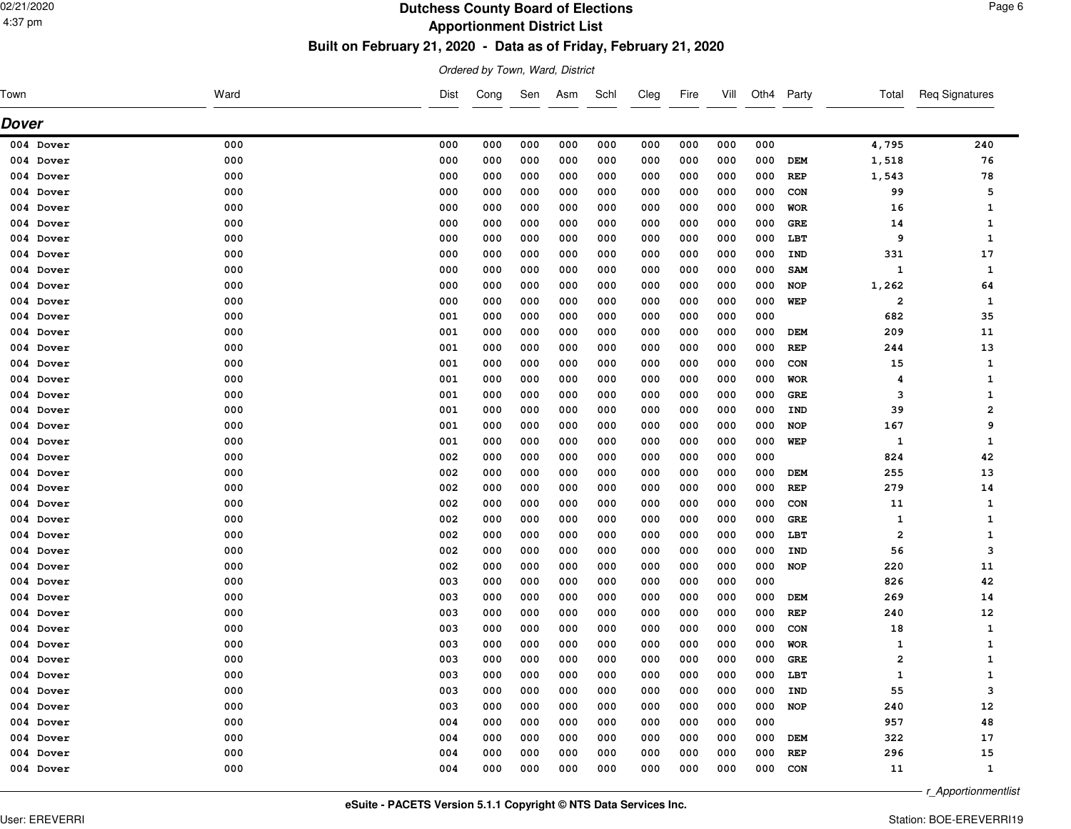#### **Dutchess County Board of Elections** $\mathbf S$  Page 6 **Apportionment District List**

### **Built on February 21, 2020 - Data as of Friday, February 21, 2020**

Ordered by Town, Ward, District

| Town  |           | Ward | Dist | Cong | Sen | Asm | Schl | Cleg | Fire |     | Vill Oth4 Party |            |                         | Total Req Signatures |
|-------|-----------|------|------|------|-----|-----|------|------|------|-----|-----------------|------------|-------------------------|----------------------|
| Dover |           |      |      |      |     |     |      |      |      |     |                 |            |                         |                      |
|       | 004 Dover | 000  | 000  | 000  | 000 | 000 | 000  | 000  | 000  | 000 | 000             |            | 4,795                   | 240                  |
|       | 004 Dover | 000  | 000  | 000  | 000 | 000 | 000  | 000  | 000  | 000 | 000             | <b>DEM</b> | 1,518                   | 76                   |
|       | 004 Dover | 000  | 000  | 000  | 000 | 000 | 000  | 000  | 000  | 000 | 000             | <b>REP</b> | 1,543                   | 78                   |
|       | 004 Dover | 000  | 000  | 000  | 000 | 000 | 000  | 000  | 000  | 000 | 000             | CON        | 99                      | 5                    |
|       | 004 Dover | 000  | 000  | 000  | 000 | 000 | 000  | 000  | 000  | 000 | 000             | <b>WOR</b> | 16                      | 1                    |
|       | 004 Dover | 000  | 000  | 000  | 000 | 000 | 000  | 000  | 000  | 000 | 000             | <b>GRE</b> | 14                      | $\mathbf{1}$         |
|       | 004 Dover | 000  | 000  | 000  | 000 | 000 | 000  | 000  | 000  | 000 | 000             | LBT        | 9                       | 1                    |
|       | 004 Dover | 000  | 000  | 000  | 000 | 000 | 000  | 000  | 000  | 000 | 000             | IND        | 331                     | 17                   |
|       | 004 Dover | 000  | 000  | 000  | 000 | 000 | 000  | 000  | 000  | 000 | 000             | <b>SAM</b> | $\mathbf{1}$            | $\mathbf{1}$         |
|       | 004 Dover | 000  | 000  | 000  | 000 | 000 | 000  | 000  | 000  | 000 | 000             | <b>NOP</b> | 1,262                   | 64                   |
|       | 004 Dover | 000  | 000  | 000  | 000 | 000 | 000  | 000  | 000  | 000 | 000             | <b>WEP</b> | $\overline{\mathbf{2}}$ | 1                    |
|       | 004 Dover | 000  | 001  | 000  | 000 | 000 | 000  | 000  | 000  | 000 | 000             |            | 682                     | 35                   |
|       | 004 Dover | 000  | 001  | 000  | 000 | 000 | 000  | 000  | 000  | 000 | 000             | DEM        | 209                     | 11                   |
|       | 004 Dover | 000  | 001  | 000  | 000 | 000 | 000  | 000  | 000  | 000 | 000             | REP        | 244                     | 13                   |
|       | 004 Dover | 000  | 001  | 000  | 000 | 000 | 000  | 000  | 000  | 000 | 000             | CON        | 15                      | 1                    |
|       | 004 Dover | 000  | 001  | 000  | 000 | 000 | 000  | 000  | 000  | 000 | 000             | <b>WOR</b> | 4                       | 1                    |
|       | 004 Dover | 000  | 001  | 000  | 000 | 000 | 000  | 000  | 000  | 000 | 000             | GRE        | 3                       | $\mathbf{1}$         |
|       | 004 Dover | 000  | 001  | 000  | 000 | 000 | 000  | 000  | 000  | 000 | 000             | IND        | 39                      | $\overline{2}$       |
|       | 004 Dover | 000  | 001  | 000  | 000 | 000 | 000  | 000  | 000  | 000 | 000             | <b>NOP</b> | 167                     | 9                    |
|       | 004 Dover | 000  | 001  | 000  | 000 | 000 | 000  | 000  | 000  | 000 | 000             | <b>WEP</b> | $\mathbf{1}$            | 1                    |
|       | 004 Dover | 000  | 002  | 000  | 000 | 000 | 000  | 000  | 000  | 000 | 000             |            | 824                     | 42                   |
|       | 004 Dover | 000  | 002  | 000  | 000 | 000 | 000  | 000  | 000  | 000 | 000             | DEM        | 255                     | 13                   |
|       | 004 Dover | 000  | 002  | 000  | 000 | 000 | 000  | 000  | 000  | 000 | 000             | <b>REP</b> | 279                     | 14                   |
|       | 004 Dover | 000  | 002  | 000  | 000 | 000 | 000  | 000  | 000  | 000 | 000             | <b>CON</b> | 11                      | 1                    |
|       | 004 Dover | 000  | 002  | 000  | 000 | 000 | 000  | 000  | 000  | 000 | 000             | <b>GRE</b> | $\mathbf{1}$            | 1                    |
|       | 004 Dover | 000  | 002  | 000  | 000 | 000 | 000  | 000  | 000  | 000 | 000             | LBT        | $\overline{\mathbf{2}}$ | $\mathbf{1}$         |
|       | 004 Dover | 000  | 002  | 000  | 000 | 000 | 000  | 000  | 000  | 000 | 000             | IND        | 56                      | 3                    |
| 004   | Dover     | 000  | 002  | 000  | 000 | 000 | 000  | 000  | 000  | 000 | 000             | <b>NOP</b> | 220                     | 11                   |
|       | 004 Dover | 000  | 003  | 000  | 000 | 000 | 000  | 000  | 000  | 000 | 000             |            | 826                     | 42                   |
|       | 004 Dover | 000  | 003  | 000  | 000 | 000 | 000  | 000  | 000  | 000 | 000             | <b>DEM</b> | 269                     | 14                   |
|       | 004 Dover | 000  | 003  | 000  | 000 | 000 | 000  | 000  | 000  | 000 | 000             | <b>REP</b> | 240                     | 12                   |
|       | 004 Dover | 000  | 003  | 000  | 000 | 000 | 000  | 000  | 000  | 000 | 000             | CON        | 18                      | $\mathbf 1$          |
|       | 004 Dover | 000  | 003  | 000  | 000 | 000 | 000  | 000  | 000  | 000 | 000             | <b>WOR</b> | $\mathbf{1}$            | 1                    |
| 004   | Dover     | 000  | 003  | 000  | 000 | 000 | 000  | 000  | 000  | 000 | 000             | GRE        | $\overline{\mathbf{2}}$ | $\mathbf{1}$         |
|       | 004 Dover | 000  | 003  | 000  | 000 | 000 | 000  | 000  | 000  | 000 | 000             | LBT        | 1                       | 1                    |
|       | 004 Dover | 000  | 003  | 000  | 000 | 000 | 000  | 000  | 000  | 000 | 000             | IND        | 55                      | 3                    |
|       | 004 Dover | 000  | 003  | 000  | 000 | 000 | 000  | 000  | 000  | 000 | 000             | <b>NOP</b> | 240                     | 12                   |
|       | 004 Dover | 000  | 004  | 000  | 000 | 000 | 000  | 000  | 000  | 000 | 000             |            | 957                     | 48                   |
|       | 004 Dover | 000  | 004  | 000  | 000 | 000 | 000  | 000  | 000  | 000 | 000             | <b>DEM</b> | 322                     | 17                   |
|       | 004 Dover | 000  | 004  | 000  | 000 | 000 | 000  | 000  | 000  | 000 | 000             | <b>REP</b> | 296                     | 15                   |
|       | 004 Dover | 000  | 004  | 000  | 000 | 000 | 000  | 000  | 000  | 000 | 000             | <b>CON</b> | 11                      | 1                    |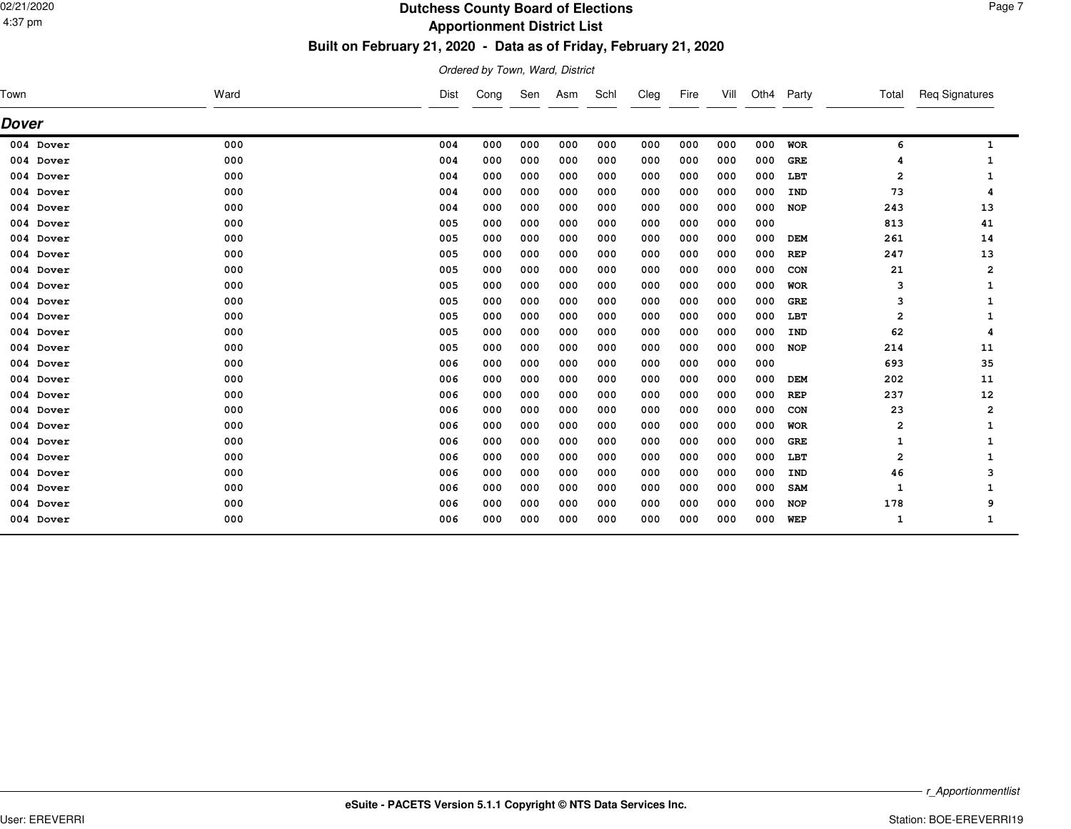# **Dutchess County Board of ElectionsApportionment District List**

## **Built on February 21, 2020 - Data as of Friday, February 21, 2020**

Ordered by Town, Ward, District

| Town         |           | Ward | Dist | Cong | Sen | Asm | Schl | Cleg | Fire | Vill | Oth4 Party |            | Total                   | <b>Req Signatures</b> |
|--------------|-----------|------|------|------|-----|-----|------|------|------|------|------------|------------|-------------------------|-----------------------|
| <b>Dover</b> |           |      |      |      |     |     |      |      |      |      |            |            |                         |                       |
|              | 004 Dover | 000  | 004  | 000  | 000 | 000 | 000  | 000  | 000  | 000  | 000        | <b>WOR</b> | 6                       |                       |
|              | 004 Dover | 000  | 004  | 000  | 000 | 000 | 000  | 000  | 000  | 000  | 000        | <b>GRE</b> |                         |                       |
|              | 004 Dover | 000  | 004  | 000  | 000 | 000 | 000  | 000  | 000  | 000  | 000        | LBT        | 2                       |                       |
|              | 004 Dover | 000  | 004  | 000  | 000 | 000 | 000  | 000  | 000  | 000  | 000        | <b>IND</b> | 73                      |                       |
|              | 004 Dover | 000  | 004  | 000  | 000 | 000 | 000  | 000  | 000  | 000  | 000        | <b>NOP</b> | 243                     | 13                    |
|              | 004 Dover | 000  | 005  | 000  | 000 | 000 | 000  | 000  | 000  | 000  | 000        |            | 813                     | 41                    |
|              | 004 Dover | 000  | 005  | 000  | 000 | 000 | 000  | 000  | 000  | 000  | 000        | <b>DEM</b> | 261                     | 14                    |
|              | 004 Dover | 000  | 005  | 000  | 000 | 000 | 000  | 000  | 000  | 000  | 000        | <b>REP</b> | 247                     | 13                    |
|              | 004 Dover | 000  | 005  | 000  | 000 | 000 | 000  | 000  | 000  | 000  | 000        | CON        | 21                      | 2                     |
|              | 004 Dover | 000  | 005  | 000  | 000 | 000 | 000  | 000  | 000  | 000  | 000        | <b>WOR</b> |                         |                       |
|              | 004 Dover | 000  | 005  | 000  | 000 | 000 | 000  | 000  | 000  | 000  | 000        | <b>GRE</b> | 3                       |                       |
|              | 004 Dover | 000  | 005  | 000  | 000 | 000 | 000  | 000  | 000  | 000  | 000        | LBT        | $\mathbf{2}$            |                       |
|              | 004 Dover | 000  | 005  | 000  | 000 | 000 | 000  | 000  | 000  | 000  | 000        | <b>IND</b> | 62                      |                       |
|              | 004 Dover | 000  | 005  | 000  | 000 | 000 | 000  | 000  | 000  | 000  | 000        | <b>NOP</b> | 214                     | 11                    |
|              | 004 Dover | 000  | 006  | 000  | 000 | 000 | 000  | 000  | 000  | 000  | 000        |            | 693                     | 35                    |
|              | 004 Dover | 000  | 006  | 000  | 000 | 000 | 000  | 000  | 000  | 000  | 000        | <b>DEM</b> | 202                     | 11                    |
|              | 004 Dover | 000  | 006  | 000  | 000 | 000 | 000  | 000  | 000  | 000  | 000        | <b>REP</b> | 237                     | 12                    |
|              | 004 Dover | 000  | 006  | 000  | 000 | 000 | 000  | 000  | 000  | 000  | 000        | CON        | 23                      | 2                     |
|              | 004 Dover | 000  | 006  | 000  | 000 | 000 | 000  | 000  | 000  | 000  | 000        | <b>WOR</b> | 2                       |                       |
|              | 004 Dover | 000  | 006  | 000  | 000 | 000 | 000  | 000  | 000  | 000  | 000        | <b>GRE</b> |                         |                       |
|              | 004 Dover | 000  | 006  | 000  | 000 | 000 | 000  | 000  | 000  | 000  | 000        | LBT        | $\overline{\mathbf{2}}$ |                       |
|              | 004 Dover | 000  | 006  | 000  | 000 | 000 | 000  | 000  | 000  | 000  | 000        | <b>IND</b> | 46                      |                       |
|              | 004 Dover | 000  | 006  | 000  | 000 | 000 | 000  | 000  | 000  | 000  | 000        | <b>SAM</b> |                         |                       |
|              | 004 Dover | 000  | 006  | 000  | 000 | 000 | 000  | 000  | 000  | 000  | 000        | <b>NOP</b> | 178                     |                       |
|              | 004 Dover | 000  | 006  | 000  | 000 | 000 | 000  | 000  | 000  | 000  | 000        | <b>WEP</b> | 1                       |                       |
|              |           |      |      |      |     |     |      |      |      |      |            |            |                         |                       |

S Page 7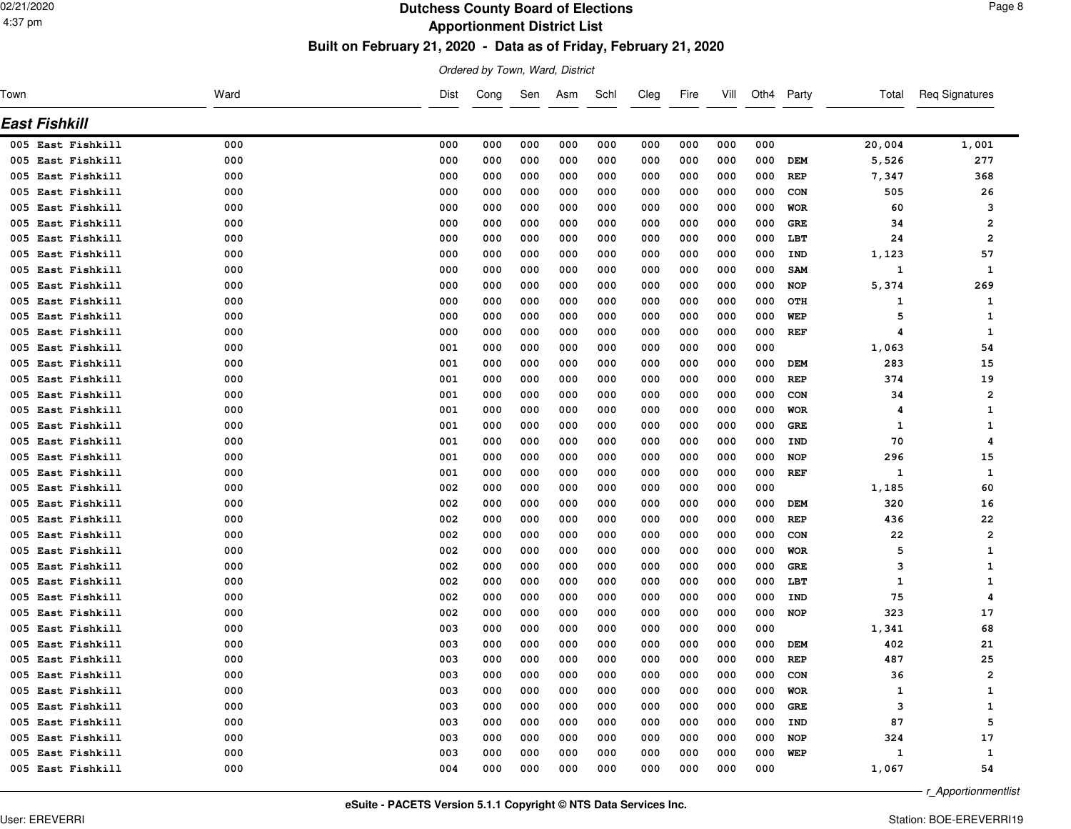#### **Dutchess County Board of Elections** $\mathbf S$  Page 8 **Apportionment District List**

### **Built on February 21, 2020 - Data as of Friday, February 21, 2020**

Ordered by Town, Ward, District

| Гоwn                 | Ward | Dist | Cong | Sen | Asm | Schl | Cleg | Fire | Vill | Oth4 | Party      | Total        | <b>Req Signatures</b> |
|----------------------|------|------|------|-----|-----|------|------|------|------|------|------------|--------------|-----------------------|
| East Fishkill        |      |      |      |     |     |      |      |      |      |      |            |              |                       |
| 005 East Fishkill    | 000  | 000  | 000  | 000 | 000 | 000  | 000  | 000  | 000  | 000  |            | 20,004       | 1,001                 |
| 005 East Fishkill    | 000  | 000  | 000  | 000 | 000 | 000  | 000  | 000  | 000  | 000  | <b>DEM</b> | 5,526        | 277                   |
| 005 East Fishkill    | 000  | 000  | 000  | 000 | 000 | 000  | 000  | 000  | 000  | 000  | <b>REP</b> | 7,347        | 368                   |
| 005 East Fishkill    | 000  | 000  | 000  | 000 | 000 | 000  | 000  | 000  | 000  | 000  | CON        | 505          | 26                    |
| 005 East Fishkill    | 000  | 000  | 000  | 000 | 000 | 000  | 000  | 000  | 000  | 000  | <b>WOR</b> | 60           | 3                     |
| East Fishkill<br>005 | 000  | 000  | 000  | 000 | 000 | 000  | 000  | 000  | 000  | 000  | <b>GRE</b> | 34           | $\overline{2}$        |
| 005 East Fishkill    | 000  | 000  | 000  | 000 | 000 | 000  | 000  | 000  | 000  | 000  | LBT        | 24           | $\overline{2}$        |
| 005 East Fishkill    | 000  | 000  | 000  | 000 | 000 | 000  | 000  | 000  | 000  | 000  | <b>IND</b> | 1,123        | 57                    |
| 005 East Fishkill    | 000  | 000  | 000  | 000 | 000 | 000  | 000  | 000  | 000  | 000  | <b>SAM</b> | 1            | 1                     |
| East Fishkill<br>005 | 000  | 000  | 000  | 000 | 000 | 000  | 000  | 000  | 000  | 000  | <b>NOP</b> | 5,374        | 269                   |
| 005 East Fishkill    | 000  | 000  | 000  | 000 | 000 | 000  | 000  | 000  | 000  | 000  | OTH        | 1            | 1                     |
| East Fishkill<br>005 | 000  | 000  | 000  | 000 | 000 | 000  | 000  | 000  | 000  | 000  | <b>WEP</b> | 5            | 1                     |
| East Fishkill<br>005 | 000  | 000  | 000  | 000 | 000 | 000  | 000  | 000  | 000  | 000  | <b>REF</b> | 4            | 1                     |
| 005 East Fishkill    | 000  | 001  | 000  | 000 | 000 | 000  | 000  | 000  | 000  | 000  |            | 1,063        | 54                    |
| 005 East Fishkill    | 000  | 001  | 000  | 000 | 000 | 000  | 000  | 000  | 000  | 000  | <b>DEM</b> | 283          | 15                    |
| East Fishkill<br>005 | 000  | 001  | 000  | 000 | 000 | 000  | 000  | 000  | 000  | 000  | <b>REP</b> | 374          | 19                    |
| 005 East Fishkill    | 000  | 001  | 000  | 000 | 000 | 000  | 000  | 000  | 000  | 000  | <b>CON</b> | 34           | $\mathbf{2}$          |
| 005 East Fishkill    | 000  | 001  | 000  | 000 | 000 | 000  | 000  | 000  | 000  | 000  | <b>WOR</b> | 4            | -1                    |
| 005 East Fishkill    | 000  | 001  | 000  | 000 | 000 | 000  | 000  | 000  | 000  | 000  | <b>GRE</b> | 1            | 1                     |
| 005 East Fishkill    | 000  | 001  | 000  | 000 | 000 | 000  | 000  | 000  | 000  | 000  | <b>IND</b> | 70           | 4                     |
| 005 East Fishkill    | 000  | 001  | 000  | 000 | 000 | 000  | 000  | 000  | 000  | 000  | <b>NOP</b> | 296          | 15                    |
| 005 East Fishkill    | 000  | 001  | 000  | 000 | 000 | 000  | 000  | 000  | 000  | 000  | <b>REF</b> | $\mathbf{1}$ | 1                     |
| 005 East Fishkill    | 000  | 002  | 000  | 000 | 000 | 000  | 000  | 000  | 000  | 000  |            | 1,185        | 60                    |
| 005 East Fishkill    | 000  | 002  | 000  | 000 | 000 | 000  | 000  | 000  | 000  | 000  | <b>DEM</b> | 320          | 16                    |
| East Fishkill<br>005 | 000  | 002  | 000  | 000 | 000 | 000  | 000  | 000  | 000  | 000  | <b>REP</b> | 436          | 22                    |
| 005 East Fishkill    | 000  | 002  | 000  | 000 | 000 | 000  | 000  | 000  | 000  | 000  | CON        | 22           | $\mathbf{2}$          |
| 005 East Fishkill    | 000  | 002  | 000  | 000 | 000 | 000  | 000  | 000  | 000  | 000  | <b>WOR</b> | 5            | 1                     |
| 005 East Fishkill    | 000  | 002  | 000  | 000 | 000 | 000  | 000  | 000  | 000  | 000  | GRE        | 3            | 1                     |
| East Fishkill<br>005 | 000  | 002  | 000  | 000 | 000 | 000  | 000  | 000  | 000  | 000  | LBT        | $\mathbf{1}$ | -1                    |
| 005 East Fishkill    | 000  | 002  | 000  | 000 | 000 | 000  | 000  | 000  | 000  | 000  | <b>IND</b> | 75           | 4                     |
| 005 East Fishkill    | 000  | 002  | 000  | 000 | 000 | 000  | 000  | 000  | 000  | 000  | <b>NOP</b> | 323          | 17                    |
| 005 East Fishkill    | 000  | 003  | 000  | 000 | 000 | 000  | 000  | 000  | 000  | 000  |            | 1,341        | 68                    |
| 005 East Fishkill    | 000  | 003  | 000  | 000 | 000 | 000  | 000  | 000  | 000  | 000  | <b>DEM</b> | 402          | 21                    |
| 005 East Fishkill    | 000  | 003  | 000  | 000 | 000 | 000  | 000  | 000  | 000  | 000  | <b>REP</b> | 487          | 25                    |
| 005 East Fishkill    | 000  | 003  | 000  | 000 | 000 | 000  | 000  | 000  | 000  | 000  | CON        | 36           | $\overline{2}$        |
| 005 East Fishkill    | 000  | 003  | 000  | 000 | 000 | 000  | 000  | 000  | 000  | 000  | <b>WOR</b> | $\mathbf{1}$ | 1                     |
| East Fishkill<br>005 | 000  | 003  | 000  | 000 | 000 | 000  | 000  | 000  | 000  | 000  | <b>GRE</b> | 3            | 1                     |
| 005 East Fishkill    | 000  | 003  | 000  | 000 | 000 | 000  | 000  | 000  | 000  | 000  | <b>IND</b> | 87           | 5                     |
| 005 East Fishkill    | 000  | 003  | 000  | 000 | 000 | 000  | 000  | 000  | 000  | 000  | <b>NOP</b> | 324          | 17                    |
| 005 East Fishkill    | 000  | 003  | 000  | 000 | 000 | 000  | 000  | 000  | 000  | 000  | <b>WEP</b> | 1            | 1                     |
| 005 East Fishkill    | 000  | 004  | 000  | 000 | 000 | 000  | 000  | 000  | 000  | 000  |            | 1,067        | 54                    |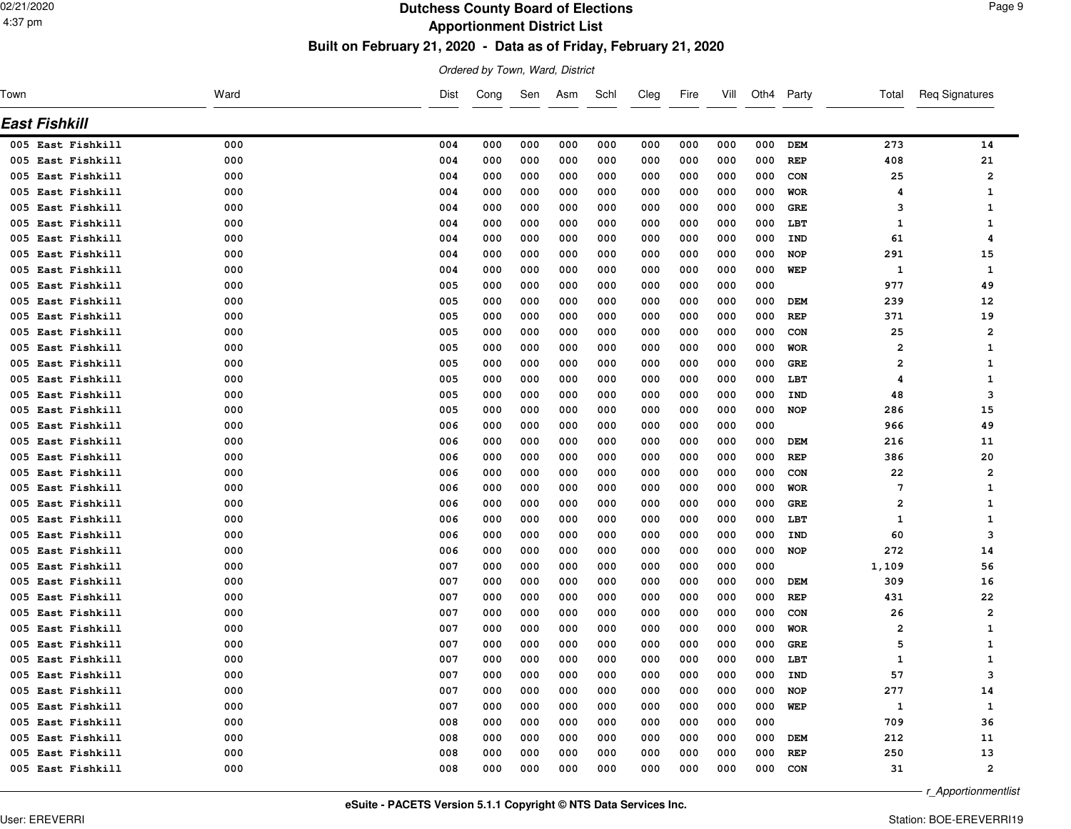#### **Dutchess County Board of Elections**S Page 9 **Apportionment District List**

### **Built on February 21, 2020 - Data as of Friday, February 21, 2020**

Ordered by Town, Ward, District

| Town                 | Ward | Dist | Cong | Sen | Asm | Schl | Cleg | Fire | Vill | Oth4 | Party      | Total                   | <b>Req Signatures</b> |
|----------------------|------|------|------|-----|-----|------|------|------|------|------|------------|-------------------------|-----------------------|
| East Fishkill        |      |      |      |     |     |      |      |      |      |      |            |                         |                       |
| 005 East Fishkill    | 000  | 004  | 000  | 000 | 000 | 000  | 000  | 000  | 000  | 000  | DEM        | 273                     | 14                    |
| 005 East Fishkill    | 000  | 004  | 000  | 000 | 000 | 000  | 000  | 000  | 000  | 000  | <b>REP</b> | 408                     | 21                    |
| East Fishkill<br>005 | 000  | 004  | 000  | 000 | 000 | 000  | 000  | 000  | 000  | 000  | CON        | 25                      | $\overline{2}$        |
| East Fishkill<br>005 | 000  | 004  | 000  | 000 | 000 | 000  | 000  | 000  | 000  | 000  | <b>WOR</b> | 4                       | 1                     |
| 005 East Fishkill    | 000  | 004  | 000  | 000 | 000 | 000  | 000  | 000  | 000  | 000  | <b>GRE</b> | 3                       | 1                     |
| East Fishkill<br>005 | 000  | 004  | 000  | 000 | 000 | 000  | 000  | 000  | 000  | 000  | LBT        | $\mathbf{1}$            | 1                     |
| East Fishkill<br>005 | 000  | 004  | 000  | 000 | 000 | 000  | 000  | 000  | 000  | 000  | IND        | 61                      | 4                     |
| 005 East Fishkill    | 000  | 004  | 000  | 000 | 000 | 000  | 000  | 000  | 000  | 000  | <b>NOP</b> | 291                     | 15                    |
| East Fishkill<br>005 | 000  | 004  | 000  | 000 | 000 | 000  | 000  | 000  | 000  | 000  | <b>WEP</b> | 1                       | 1                     |
| East Fishkill<br>005 | 000  | 005  | 000  | 000 | 000 | 000  | 000  | 000  | 000  | 000  |            | 977                     | 49                    |
| 005 East Fishkill    | 000  | 005  | 000  | 000 | 000 | 000  | 000  | 000  | 000  | 000  | <b>DEM</b> | 239                     | 12                    |
| East Fishkill<br>005 | 000  | 005  | 000  | 000 | 000 | 000  | 000  | 000  | 000  | 000  | <b>REP</b> | 371                     | 19                    |
| East Fishkill<br>005 | 000  | 005  | 000  | 000 | 000 | 000  | 000  | 000  | 000  | 000  | CON        | 25                      | $\overline{2}$        |
| 005 East Fishkill    | 000  | 005  | 000  | 000 | 000 | 000  | 000  | 000  | 000  | 000  | <b>WOR</b> | $\overline{\mathbf{2}}$ | 1                     |
| East Fishkill<br>005 | 000  | 005  | 000  | 000 | 000 | 000  | 000  | 000  | 000  | 000  | <b>GRE</b> | $\overline{2}$          | 1                     |
| East Fishkill<br>005 | 000  | 005  | 000  | 000 | 000 | 000  | 000  | 000  | 000  | 000  | LBT        | 4                       | 1                     |
| 005 East Fishkill    | 000  | 005  | 000  | 000 | 000 | 000  | 000  | 000  | 000  | 000  | <b>IND</b> | 48                      | 3                     |
| East Fishkill<br>005 | 000  | 005  | 000  | 000 | 000 | 000  | 000  | 000  | 000  | 000  | <b>NOP</b> | 286                     | 15                    |
| East Fishkill<br>005 | 000  | 006  | 000  | 000 | 000 | 000  | 000  | 000  | 000  | 000  |            | 966                     | 49                    |
| East Fishkill<br>005 | 000  | 006  | 000  | 000 | 000 | 000  | 000  | 000  | 000  | 000  | <b>DEM</b> | 216                     | 11                    |
| East Fishkill<br>005 | 000  | 006  | 000  | 000 | 000 | 000  | 000  | 000  | 000  | 000  | <b>REP</b> | 386                     | 20                    |
| East Fishkill<br>005 | 000  | 006  | 000  | 000 | 000 | 000  | 000  | 000  | 000  | 000  | CON        | 22                      | $\mathbf{2}$          |
| East Fishkill<br>005 | 000  | 006  | 000  | 000 | 000 | 000  | 000  | 000  | 000  | 000  | <b>WOR</b> | $7\phantom{.0}$         | $\mathbf{1}$          |
| East Fishkill<br>005 | 000  | 006  | 000  | 000 | 000 | 000  | 000  | 000  | 000  | 000  | <b>GRE</b> | $\overline{2}$          | 1                     |
| East Fishkill<br>005 | 000  | 006  | 000  | 000 | 000 | 000  | 000  | 000  | 000  | 000  | LBT        | $\mathbf{1}$            | 1                     |
| 005 East Fishkill    | 000  | 006  | 000  | 000 | 000 | 000  | 000  | 000  | 000  | 000  | <b>IND</b> | 60                      | 3                     |
| 005 East Fishkill    | 000  | 006  | 000  | 000 | 000 | 000  | 000  | 000  | 000  | 000  | <b>NOP</b> | 272                     | 14                    |
| East Fishkill<br>005 | 000  | 007  | 000  | 000 | 000 | 000  | 000  | 000  | 000  | 000  |            | 1,109                   | 56                    |
| East Fishkill<br>005 | 000  | 007  | 000  | 000 | 000 | 000  | 000  | 000  | 000  | 000  | <b>DEM</b> | 309                     | 16                    |
| 005 East Fishkill    | 000  | 007  | 000  | 000 | 000 | 000  | 000  | 000  | 000  | 000  | <b>REP</b> | 431                     | 22                    |
| 005<br>East Fishkill | 000  | 007  | 000  | 000 | 000 | 000  | 000  | 000  | 000  | 000  | CON        | 26                      | $\mathbf{2}$          |
| East Fishkill<br>005 | 000  | 007  | 000  | 000 | 000 | 000  | 000  | 000  | 000  | 000  | <b>WOR</b> | $\overline{\mathbf{2}}$ | -1                    |
| 005 East Fishkill    | 000  | 007  | 000  | 000 | 000 | 000  | 000  | 000  | 000  | 000  | <b>GRE</b> | 5                       | 1                     |
| East Fishkill<br>005 | 000  | 007  | 000  | 000 | 000 | 000  | 000  | 000  | 000  | 000  | LBT        | $\mathbf{1}$            | $\mathbf{1}$          |
| East Fishkill<br>005 | 000  | 007  | 000  | 000 | 000 | 000  | 000  | 000  | 000  | 000  | <b>IND</b> | 57                      | 3                     |
| 005 East Fishkill    | 000  | 007  | 000  | 000 | 000 | 000  | 000  | 000  | 000  | 000  | <b>NOP</b> | 277                     | 14                    |
| 005 East Fishkill    | 000  | 007  | 000  | 000 | 000 | 000  | 000  | 000  | 000  | 000  | <b>WEP</b> | 1                       | 1                     |
| East Fishkill<br>005 | 000  | 008  | 000  | 000 | 000 | 000  | 000  | 000  | 000  | 000  |            | 709                     | 36                    |
| 005 East Fishkill    | 000  | 008  | 000  | 000 | 000 | 000  | 000  | 000  | 000  | 000  | <b>DEM</b> | 212                     | 11                    |
| 005 East Fishkill    | 000  | 008  | 000  | 000 | 000 | 000  | 000  | 000  | 000  | 000  | <b>REP</b> | 250                     | 13                    |
| 005 East Fishkill    | 000  | 008  | 000  | 000 | 000 | 000  | 000  | 000  | 000  | 000  | CON        | 31                      | 2                     |

**eSuite - PACETS Version 5.1.1 Copyright © NTS Data Services Inc.**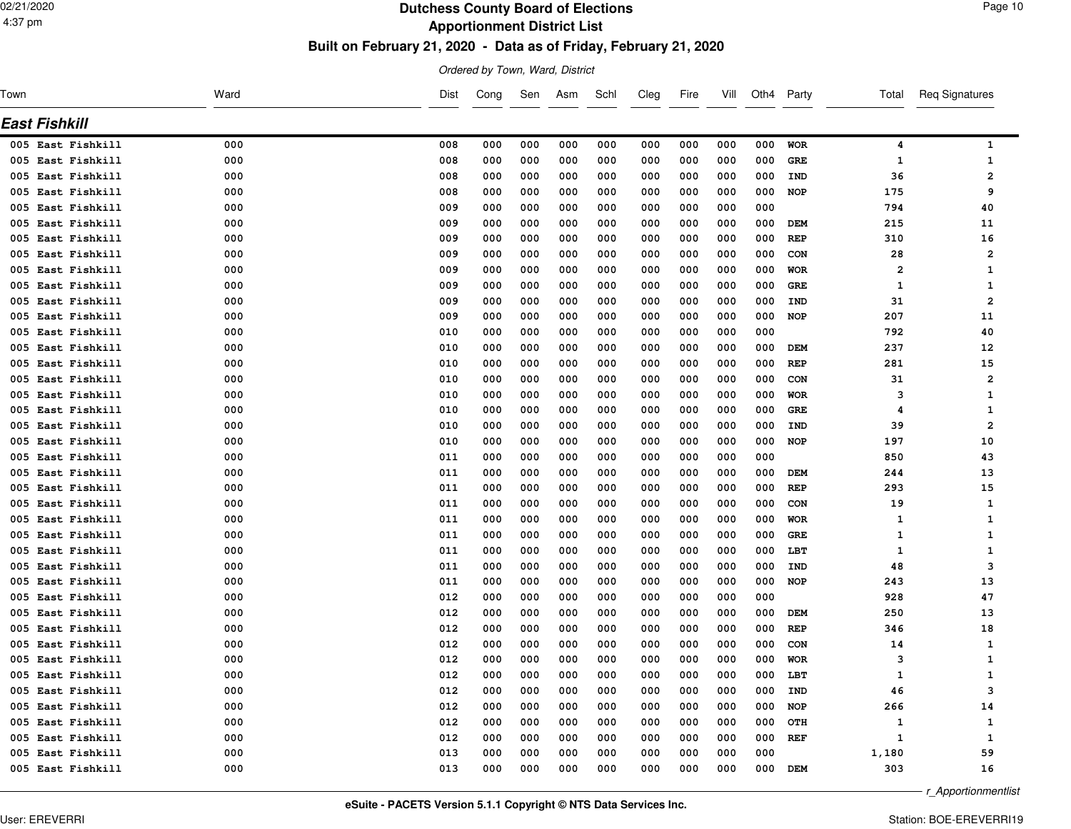# **Dutchess County Board of ElectionsApportionment District List**

### **Built on February 21, 2020 - Data as of Friday, February 21, 2020**

Ordered by Town, Ward, District

| Гоwn                 | Ward | Dist | Cong | Sen | Asm | Schl | Cleg | Fire | Vill | Oth4 | Party      | Total        | <b>Req Signatures</b>   |
|----------------------|------|------|------|-----|-----|------|------|------|------|------|------------|--------------|-------------------------|
| East Fishkill        |      |      |      |     |     |      |      |      |      |      |            |              |                         |
| 005 East Fishkill    | 000  | 008  | 000  | 000 | 000 | 000  | 000  | 000  | 000  | 000  | <b>WOR</b> | 4            | 1                       |
| 005 East Fishkill    | 000  | 008  | 000  | 000 | 000 | 000  | 000  | 000  | 000  | 000  | <b>GRE</b> | 1            | 1                       |
| 005 East Fishkill    | 000  | 008  | 000  | 000 | 000 | 000  | 000  | 000  | 000  | 000  | <b>IND</b> | 36           | $\overline{2}$          |
| 005 East Fishkill    | 000  | 008  | 000  | 000 | 000 | 000  | 000  | 000  | 000  | 000  | <b>NOP</b> | 175          | 9                       |
| 005 East Fishkill    | 000  | 009  | 000  | 000 | 000 | 000  | 000  | 000  | 000  | 000  |            | 794          | 40                      |
| East Fishkill<br>005 | 000  | 009  | 000  | 000 | 000 | 000  | 000  | 000  | 000  | 000  | <b>DEM</b> | 215          | 11                      |
| 005 East Fishkill    | 000  | 009  | 000  | 000 | 000 | 000  | 000  | 000  | 000  | 000  | <b>REP</b> | 310          | 16                      |
| 005 East Fishkill    | 000  | 009  | 000  | 000 | 000 | 000  | 000  | 000  | 000  | 000  | CON        | 28           | $\overline{\mathbf{2}}$ |
| 005 East Fishkill    | 000  | 009  | 000  | 000 | 000 | 000  | 000  | 000  | 000  | 000  | <b>WOR</b> | $\mathbf{2}$ | 1                       |
| 005 East Fishkill    | 000  | 009  | 000  | 000 | 000 | 000  | 000  | 000  | 000  | 000  | <b>GRE</b> | 1            | 1                       |
| 005 East Fishkill    | 000  | 009  | 000  | 000 | 000 | 000  | 000  | 000  | 000  | 000  | <b>IND</b> | 31           | $\overline{2}$          |
| 005 East Fishkill    | 000  | 009  | 000  | 000 | 000 | 000  | 000  | 000  | 000  | 000  | <b>NOP</b> | 207          | 11                      |
| 005 East Fishkill    | 000  | 010  | 000  | 000 | 000 | 000  | 000  | 000  | 000  | 000  |            | 792          | 40                      |
| 005 East Fishkill    | 000  | 010  | 000  | 000 | 000 | 000  | 000  | 000  | 000  | 000  | <b>DEM</b> | 237          | 12                      |
| 005 East Fishkill    | 000  | 010  | 000  | 000 | 000 | 000  | 000  | 000  | 000  | 000  | <b>REP</b> | 281          | 15                      |
| 005 East Fishkill    | 000  | 010  | 000  | 000 | 000 | 000  | 000  | 000  | 000  | 000  | CON        | 31           | $\overline{\mathbf{2}}$ |
| 005 East Fishkill    | 000  | 010  | 000  | 000 | 000 | 000  | 000  | 000  | 000  | 000  | <b>WOR</b> | 3            | $\mathbf{1}$            |
| 005 East Fishkill    | 000  | 010  | 000  | 000 | 000 | 000  | 000  | 000  | 000  | 000  | <b>GRE</b> | 4            | $\mathbf{1}$            |
| 005 East Fishkill    | 000  | 010  | 000  | 000 | 000 | 000  | 000  | 000  | 000  | 000  | <b>IND</b> | 39           | $\overline{\mathbf{2}}$ |
| 005 East Fishkill    | 000  | 010  | 000  | 000 | 000 | 000  | 000  | 000  | 000  | 000  | <b>NOP</b> | 197          | 10                      |
| 005 East Fishkill    | 000  | 011  | 000  | 000 | 000 | 000  | 000  | 000  | 000  | 000  |            | 850          | 43                      |
| 005 East Fishkill    | 000  | 011  | 000  | 000 | 000 | 000  | 000  | 000  | 000  | 000  | <b>DEM</b> | 244          | 13                      |
| 005 East Fishkill    | 000  | 011  | 000  | 000 | 000 | 000  | 000  | 000  | 000  | 000  | <b>REP</b> | 293          | 15                      |
| 005 East Fishkill    | 000  | 011  | 000  | 000 | 000 | 000  | 000  | 000  | 000  | 000  | CON        | 19           | 1                       |
| 005 East Fishkill    | 000  | 011  | 000  | 000 | 000 | 000  | 000  | 000  | 000  | 000  | <b>WOR</b> | 1            | 1                       |
| 005 East Fishkill    | 000  | 011  | 000  | 000 | 000 | 000  | 000  | 000  | 000  | 000  | <b>GRE</b> | 1            | 1                       |
| 005 East Fishkill    | 000  | 011  | 000  | 000 | 000 | 000  | 000  | 000  | 000  | 000  | LBT        | 1            | 1                       |
| 005 East Fishkill    | 000  | 011  | 000  | 000 | 000 | 000  | 000  | 000  | 000  | 000  | IND        | 48           | 3                       |
| 005 East Fishkill    | 000  | 011  | 000  | 000 | 000 | 000  | 000  | 000  | 000  | 000  | <b>NOP</b> | 243          | 13                      |
| 005 East Fishkill    | 000  | 012  | 000  | 000 | 000 | 000  | 000  | 000  | 000  | 000  |            | 928          | 47                      |
| 005 East Fishkill    | 000  | 012  | 000  | 000 | 000 | 000  | 000  | 000  | 000  | 000  | <b>DEM</b> | 250          | 13                      |
| 005 East Fishkill    | 000  | 012  | 000  | 000 | 000 | 000  | 000  | 000  | 000  | 000  | <b>REP</b> | 346          | 18                      |
| 005 East Fishkill    | 000  | 012  | 000  | 000 | 000 | 000  | 000  | 000  | 000  | 000  | CON        | 14           | 1                       |
| 005 East Fishkill    | 000  | 012  | 000  | 000 | 000 | 000  | 000  | 000  | 000  | 000  | <b>WOR</b> | 3            | $\mathbf{1}$            |
| 005 East Fishkill    | 000  | 012  | 000  | 000 | 000 | 000  | 000  | 000  | 000  | 000  | LBT        | 1            | 1                       |
| 005 East Fishkill    | 000  | 012  | 000  | 000 | 000 | 000  | 000  | 000  | 000  | 000  | <b>IND</b> | 46           | 3                       |
| 005 East Fishkill    | 000  | 012  | 000  | 000 | 000 | 000  | 000  | 000  | 000  | 000  | <b>NOP</b> | 266          | 14                      |
| 005 East Fishkill    | 000  | 012  | 000  | 000 | 000 | 000  | 000  | 000  | 000  | 000  | OTH        | $\mathbf{1}$ | $\mathbf{1}$            |
| 005 East Fishkill    | 000  | 012  | 000  | 000 | 000 | 000  | 000  | 000  | 000  | 000  | <b>REF</b> | $\mathbf{1}$ | $\mathbf{1}$            |
| 005 East Fishkill    | 000  | 013  | 000  | 000 | 000 | 000  | 000  | 000  | 000  | 000  |            | 1,180        | 59                      |
| 005 East Fishkill    | 000  | 013  | 000  | 000 | 000 | 000  | 000  | 000  | 000  | 000  | <b>DEM</b> | 303          | 16                      |

**eSuite - PACETS Version 5.1.1 Copyright © NTS Data Services Inc.**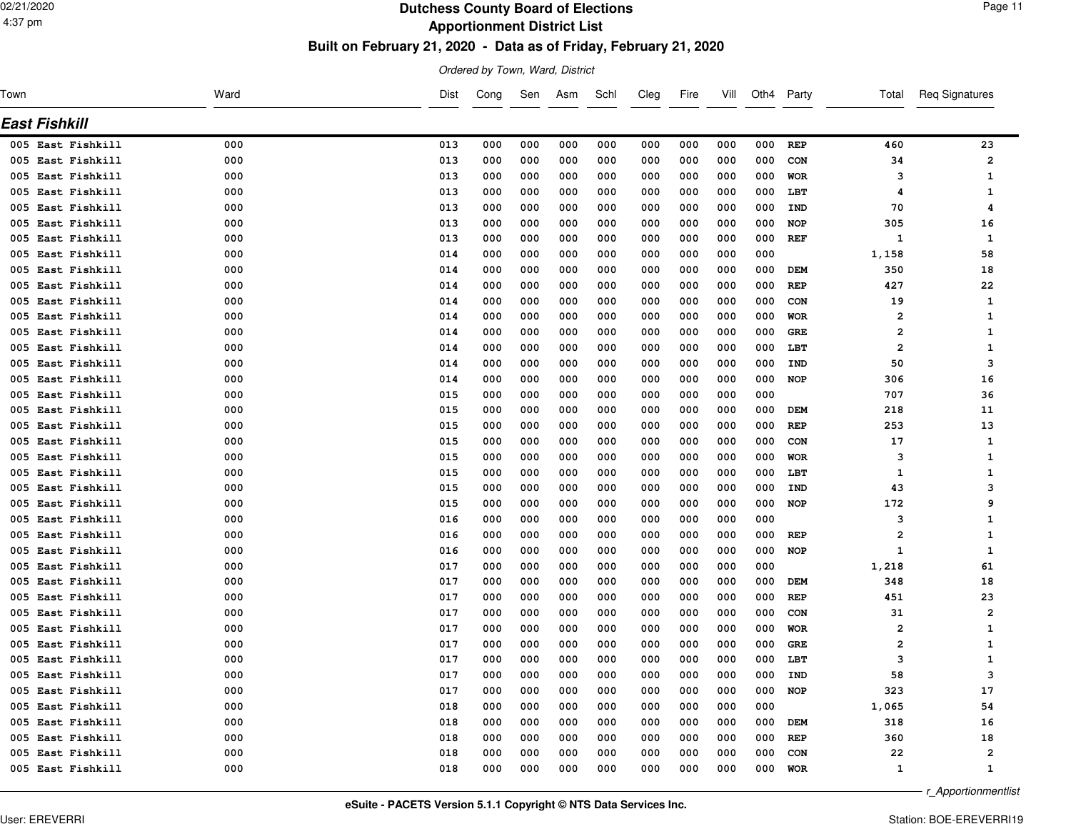# **Dutchess County Board of ElectionsApportionment District List**

### **Built on February 21, 2020 - Data as of Friday, February 21, 2020**

Ordered by Town, Ward, District

| Town                 | Ward | Dist | Cong | Sen | Asm | Schl | Cleg | Fire | Vill | Oth4 | Party      | Total                   | <b>Req Signatures</b>   |
|----------------------|------|------|------|-----|-----|------|------|------|------|------|------------|-------------------------|-------------------------|
| East Fishkill        |      |      |      |     |     |      |      |      |      |      |            |                         |                         |
| 005 East Fishkill    | 000  | 013  | 000  | 000 | 000 | 000  | 000  | 000  | 000  | 000  | <b>REP</b> | 460                     | 23                      |
| 005 East Fishkill    | 000  | 013  | 000  | 000 | 000 | 000  | 000  | 000  | 000  | 000  | CON        | 34                      | $\overline{\mathbf{2}}$ |
| 005 East Fishkill    | 000  | 013  | 000  | 000 | 000 | 000  | 000  | 000  | 000  | 000  | <b>WOR</b> | 3                       | $\mathbf{1}$            |
| 005 East Fishkill    | 000  | 013  | 000  | 000 | 000 | 000  | 000  | 000  | 000  | 000  | LBT        | $\boldsymbol{A}$        | $\mathbf{1}$            |
| 005 East Fishkill    | 000  | 013  | 000  | 000 | 000 | 000  | 000  | 000  | 000  | 000  | <b>IND</b> | 70                      | 4                       |
| East Fishkill<br>005 | 000  | 013  | 000  | 000 | 000 | 000  | 000  | 000  | 000  | 000  | <b>NOP</b> | 305                     | 16                      |
| East Fishkill<br>005 | 000  | 013  | 000  | 000 | 000 | 000  | 000  | 000  | 000  | 000  | <b>REF</b> | 1                       | 1                       |
| 005 East Fishkill    | 000  | 014  | 000  | 000 | 000 | 000  | 000  | 000  | 000  | 000  |            | 1,158                   | 58                      |
| East Fishkill<br>005 | 000  | 014  | 000  | 000 | 000 | 000  | 000  | 000  | 000  | 000  | <b>DEM</b> | 350                     | 18                      |
| East Fishkill<br>005 | 000  | 014  | 000  | 000 | 000 | 000  | 000  | 000  | 000  | 000  | <b>REP</b> | 427                     | 22                      |
| 005 East Fishkill    | 000  | 014  | 000  | 000 | 000 | 000  | 000  | 000  | 000  | 000  | CON        | 19                      | $\mathbf{1}$            |
| East Fishkill<br>005 | 000  | 014  | 000  | 000 | 000 | 000  | 000  | 000  | 000  | 000  | <b>WOR</b> | $\overline{\mathbf{2}}$ | $\mathbf{1}$            |
| East Fishkill<br>005 | 000  | 014  | 000  | 000 | 000 | 000  | 000  | 000  | 000  | 000  | GRE        | $\overline{\mathbf{2}}$ | 1                       |
| 005 East Fishkill    | 000  | 014  | 000  | 000 | 000 | 000  | 000  | 000  | 000  | 000  | LBT        | $\overline{2}$          | 1                       |
| 005 East Fishkill    | 000  | 014  | 000  | 000 | 000 | 000  | 000  | 000  | 000  | 000  | <b>IND</b> | 50                      | 3                       |
| East Fishkill<br>005 | 000  | 014  | 000  | 000 | 000 | 000  | 000  | 000  | 000  | 000  | <b>NOP</b> | 306                     | 16                      |
| East Fishkill<br>005 | 000  | 015  | 000  | 000 | 000 | 000  | 000  | 000  | 000  | 000  |            | 707                     | 36                      |
| East Fishkill<br>005 | 000  | 015  | 000  | 000 | 000 | 000  | 000  | 000  | 000  | 000  | <b>DEM</b> | 218                     | 11                      |
| East Fishkill<br>005 | 000  | 015  | 000  | 000 | 000 | 000  | 000  | 000  | 000  | 000  | <b>REP</b> | 253                     | 13                      |
| 005 East Fishkill    | 000  | 015  | 000  | 000 | 000 | 000  | 000  | 000  | 000  | 000  | CON        | 17                      | 1                       |
| East Fishkill<br>005 | 000  | 015  | 000  | 000 | 000 | 000  | 000  | 000  | 000  | 000  | <b>WOR</b> | 3                       | $\mathbf{1}$            |
| East Fishkill<br>005 | 000  | 015  | 000  | 000 | 000 | 000  | 000  | 000  | 000  | 000  | LBT        | $\mathbf{1}$            | $\mathbf{1}$            |
| East Fishkill<br>005 | 000  | 015  | 000  | 000 | 000 | 000  | 000  | 000  | 000  | 000  | IND        | 43                      | 3                       |
| 005 East Fishkill    | 000  | 015  | 000  | 000 | 000 | 000  | 000  | 000  | 000  | 000  | <b>NOP</b> | 172                     | 9                       |
| East Fishkill<br>005 | 000  | 016  | 000  | 000 | 000 | 000  | 000  | 000  | 000  | 000  |            | 3                       | $\mathbf{1}$            |
| 005 East Fishkill    | 000  | 016  | 000  | 000 | 000 | 000  | 000  | 000  | 000  | 000  | <b>REP</b> | $\overline{2}$          | $\mathbf{1}$            |
| 005 East Fishkill    | 000  | 016  | 000  | 000 | 000 | 000  | 000  | 000  | 000  | 000  | <b>NOP</b> | 1                       | 1                       |
| 005<br>East Fishkill | 000  | 017  | 000  | 000 | 000 | 000  | 000  | 000  | 000  | 000  |            | 1,218                   | 61                      |
| East Fishkill<br>005 | 000  | 017  | 000  | 000 | 000 | 000  | 000  | 000  | 000  | 000  | <b>DEM</b> | 348                     | 18                      |
| 005 East Fishkill    | 000  | 017  | 000  | 000 | 000 | 000  | 000  | 000  | 000  | 000  | <b>REP</b> | 451                     | 23                      |
| East Fishkill<br>005 | 000  | 017  | 000  | 000 | 000 | 000  | 000  | 000  | 000  | 000  | CON        | 31                      | $\overline{\mathbf{2}}$ |
| East Fishkill<br>005 | 000  | 017  | 000  | 000 | 000 | 000  | 000  | 000  | 000  | 000  | <b>WOR</b> | $\overline{2}$          | $\mathbf{1}$            |
| 005 East Fishkill    | 000  | 017  | 000  | 000 | 000 | 000  | 000  | 000  | 000  | 000  | GRE        | $\overline{2}$          | 1                       |
| 005 East Fishkill    | 000  | 017  | 000  | 000 | 000 | 000  | 000  | 000  | 000  | 000  | LBT        | 3                       | 1                       |
| East Fishkill<br>005 | 000  | 017  | 000  | 000 | 000 | 000  | 000  | 000  | 000  | 000  | IND        | 58                      | 3                       |
| East Fishkill<br>005 | 000  | 017  | 000  | 000 | 000 | 000  | 000  | 000  | 000  | 000  | <b>NOP</b> | 323                     | 17                      |
| East Fishkill<br>005 | 000  | 018  | 000  | 000 | 000 | 000  | 000  | 000  | 000  | 000  |            | 1,065                   | 54                      |
| East Fishkill<br>005 | 000  | 018  | 000  | 000 | 000 | 000  | 000  | 000  | 000  | 000  | <b>DEM</b> | 318                     | 16                      |
| 005 East Fishkill    | 000  | 018  | 000  | 000 | 000 | 000  | 000  | 000  | 000  | 000  | <b>REP</b> | 360                     | 18                      |
| 005 East Fishkill    | 000  | 018  | 000  | 000 | 000 | 000  | 000  | 000  | 000  | 000  | CON        | 22                      | $\overline{\mathbf{2}}$ |
| 005 East Fishkill    | 000  | 018  | 000  | 000 | 000 | 000  | 000  | 000  | 000  | 000  | <b>WOR</b> | $\mathbf{1}$            | $\mathbf{1}$            |

**eSuite - PACETS Version 5.1.1 Copyright © NTS Data Services Inc.**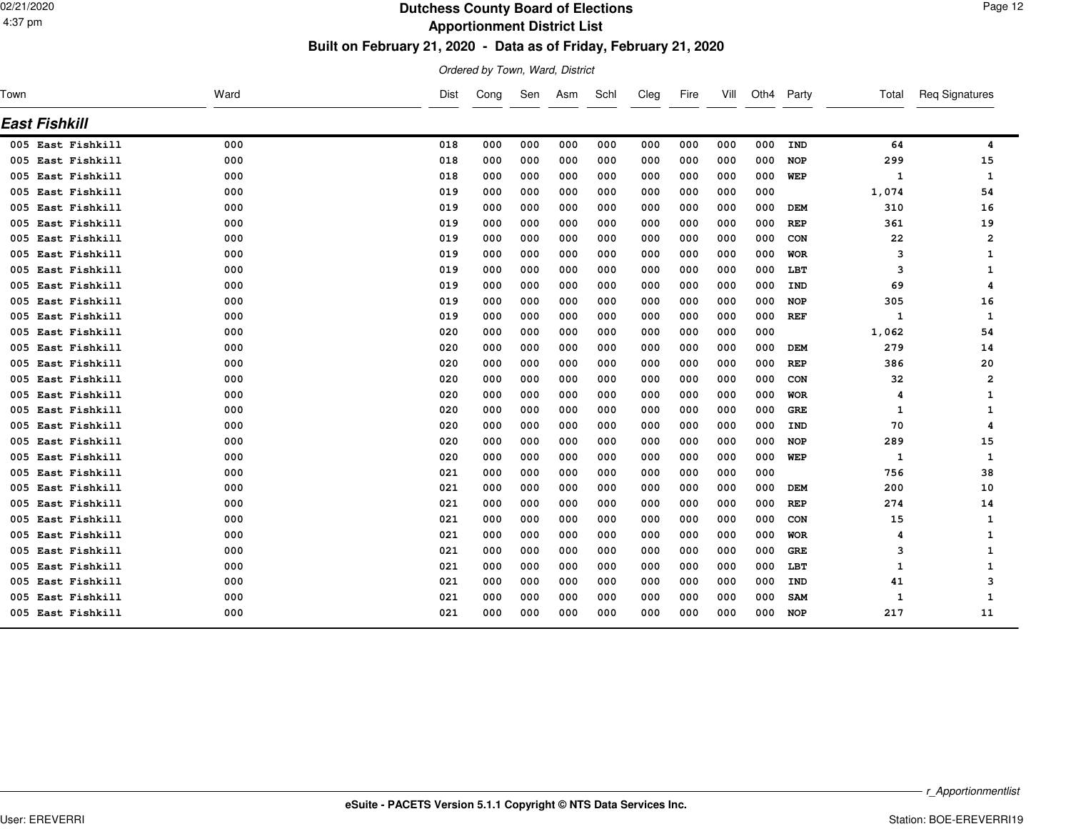#### **Dutchess County Board of Elections** $\mathbf S$  Page 12 **Apportionment District List**

### **Built on February 21, 2020 - Data as of Friday, February 21, 2020**

Ordered by Town, Ward, District

| ⊺own                 | Ward | Dist | Cong | Sen | Asm | Schl | Cleg | Fire | Vill | Oth4 | Party      | Total | <b>Req Signatures</b> |
|----------------------|------|------|------|-----|-----|------|------|------|------|------|------------|-------|-----------------------|
| East Fishkill        |      |      |      |     |     |      |      |      |      |      |            |       |                       |
| 005 East Fishkill    | 000  | 018  | 000  | 000 | 000 | 000  | 000  | 000  | 000  | 000  | <b>IND</b> | 64    | 4                     |
| 005 East Fishkill    | 000  | 018  | 000  | 000 | 000 | 000  | 000  | 000  | 000  | 000  | <b>NOP</b> | 299   | 15                    |
| East Fishkill<br>005 | 000  | 018  | 000  | 000 | 000 | 000  | 000  | 000  | 000  | 000  | WEP        | 1     | 1                     |
| East Fishkill<br>005 | 000  | 019  | 000  | 000 | 000 | 000  | 000  | 000  | 000  | 000  |            | 1,074 | 54                    |
| East Fishkill<br>005 | 000  | 019  | 000  | 000 | 000 | 000  | 000  | 000  | 000  | 000  | <b>DEM</b> | 310   | 16                    |
| 005 East Fishkill    | 000  | 019  | 000  | 000 | 000 | 000  | 000  | 000  | 000  | 000  | <b>REP</b> | 361   | 19                    |
| East Fishkill<br>005 | 000  | 019  | 000  | 000 | 000 | 000  | 000  | 000  | 000  | 000  | CON        | 22    | 2                     |
| East Fishkill<br>005 | 000  | 019  | 000  | 000 | 000 | 000  | 000  | 000  | 000  | 000  | <b>WOR</b> | 3     | 1                     |
| East Fishkill<br>005 | 000  | 019  | 000  | 000 | 000 | 000  | 000  | 000  | 000  | 000  | LBT        | 3     | 1                     |
| East Fishkill<br>005 | 000  | 019  | 000  | 000 | 000 | 000  | 000  | 000  | 000  | 000  | <b>IND</b> | 69    | 4                     |
| East Fishkill<br>005 | 000  | 019  | 000  | 000 | 000 | 000  | 000  | 000  | 000  | 000  | <b>NOP</b> | 305   | 16                    |
| East Fishkill<br>005 | 000  | 019  | 000  | 000 | 000 | 000  | 000  | 000  | 000  | 000  | REF        | 1     | 1                     |
| East Fishkill<br>005 | 000  | 020  | 000  | 000 | 000 | 000  | 000  | 000  | 000  | 000  |            | 1,062 | 54                    |
| East Fishkill<br>005 | 000  | 020  | 000  | 000 | 000 | 000  | 000  | 000  | 000  | 000  | <b>DEM</b> | 279   | 14                    |
| East Fishkill<br>005 | 000  | 020  | 000  | 000 | 000 | 000  | 000  | 000  | 000  | 000  | <b>REP</b> | 386   | 20                    |
| East Fishkill<br>005 | 000  | 020  | 000  | 000 | 000 | 000  | 000  | 000  | 000  | 000  | CON        | 32    | $\overline{2}$        |
| East Fishkill<br>005 | 000  | 020  | 000  | 000 | 000 | 000  | 000  | 000  | 000  | 000  | <b>WOR</b> | 4     | 1                     |
| 005 East Fishkill    | 000  | 020  | 000  | 000 | 000 | 000  | 000  | 000  | 000  | 000  | GRE        | 1     | 1                     |
| 005 East Fishkill    | 000  | 020  | 000  | 000 | 000 | 000  | 000  | 000  | 000  | 000  | <b>IND</b> | 70    | 4                     |
| East Fishkill<br>005 | 000  | 020  | 000  | 000 | 000 | 000  | 000  | 000  | 000  | 000  | <b>NOP</b> | 289   | 15                    |
| East Fishkill<br>005 | 000  | 020  | 000  | 000 | 000 | 000  | 000  | 000  | 000  | 000  | <b>WEP</b> | 1     | 1                     |
| East Fishkill<br>005 | 000  | 021  | 000  | 000 | 000 | 000  | 000  | 000  | 000  | 000  |            | 756   | 38                    |
| 005<br>East Fishkill | 000  | 021  | 000  | 000 | 000 | 000  | 000  | 000  | 000  | 000  | <b>DEM</b> | 200   | 10                    |
| East Fishkill<br>005 | 000  | 021  | 000  | 000 | 000 | 000  | 000  | 000  | 000  | 000  | <b>REP</b> | 274   | 14                    |
| East Fishkill<br>005 | 000  | 021  | 000  | 000 | 000 | 000  | 000  | 000  | 000  | 000  | <b>CON</b> | 15    | 1                     |
| East Fishkill<br>005 | 000  | 021  | 000  | 000 | 000 | 000  | 000  | 000  | 000  | 000  | <b>WOR</b> | 4     | 1                     |
| East Fishkill<br>005 | 000  | 021  | 000  | 000 | 000 | 000  | 000  | 000  | 000  | 000  | GRE        | 3     | 1                     |
| East Fishkill<br>005 | 000  | 021  | 000  | 000 | 000 | 000  | 000  | 000  | 000  | 000  | LBT        | 1     | $\mathbf{1}$          |
| East Fishkill<br>005 | 000  | 021  | 000  | 000 | 000 | 000  | 000  | 000  | 000  | 000  | <b>IND</b> | 41    | 3                     |
| East Fishkill<br>005 | 000  | 021  | 000  | 000 | 000 | 000  | 000  | 000  | 000  | 000  | <b>SAM</b> | 1     | 1                     |
| 005 East Fishkill    | 000  | 021  | 000  | 000 | 000 | 000  | 000  | 000  | 000  | 000  | <b>NOP</b> | 217   | 11                    |

Station: BOE-EREVERRI19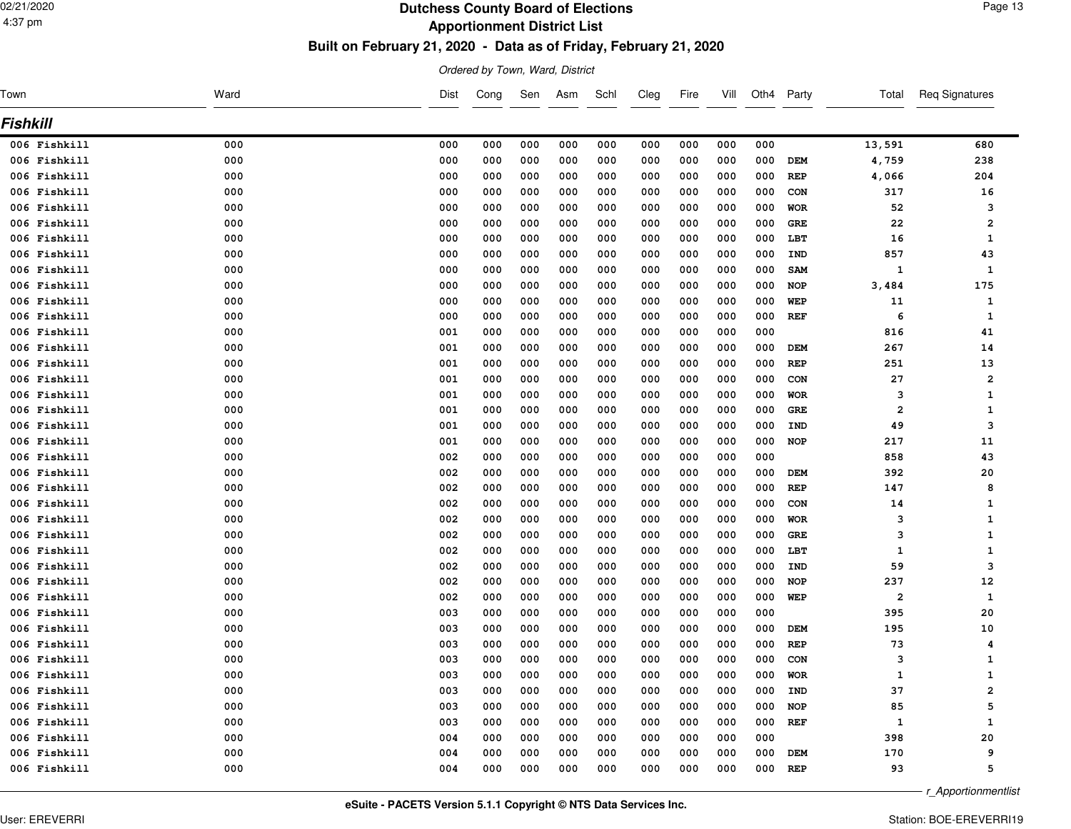#### **Dutchess County Board of Elections** $\mathbf S$  Page 13 **Apportionment District List**

### **Built on February 21, 2020 - Data as of Friday, February 21, 2020**

Ordered by Town, Ward, District

| Гоwn     |              | Ward | Dist | Cong | Sen | Asm | Schl | Cleg | Fire | Vill |     | Oth4 Party | Total        | <b>Req Signatures</b>   |
|----------|--------------|------|------|------|-----|-----|------|------|------|------|-----|------------|--------------|-------------------------|
| Fishkill |              |      |      |      |     |     |      |      |      |      |     |            |              |                         |
|          | 006 Fishkill | 000  | 000  | 000  | 000 | 000 | 000  | 000  | 000  | 000  | 000 |            | 13,591       | 680                     |
|          | 006 Fishkill | 000  | 000  | 000  | 000 | 000 | 000  | 000  | 000  | 000  | 000 | <b>DEM</b> | 4,759        | 238                     |
|          | 006 Fishkill | 000  | 000  | 000  | 000 | 000 | 000  | 000  | 000  | 000  | 000 | <b>REP</b> | 4,066        | 204                     |
|          | 006 Fishkill | 000  | 000  | 000  | 000 | 000 | 000  | 000  | 000  | 000  | 000 | CON        | 317          | 16                      |
|          | 006 Fishkill | 000  | 000  | 000  | 000 | 000 | 000  | 000  | 000  | 000  | 000 | <b>WOR</b> | 52           | 3                       |
|          | 006 Fishkill | 000  | 000  | 000  | 000 | 000 | 000  | 000  | 000  | 000  | 000 | GRE        | 22           | $\overline{2}$          |
|          | 006 Fishkill | 000  | 000  | 000  | 000 | 000 | 000  | 000  | 000  | 000  | 000 | LBT        | 16           | 1                       |
|          | 006 Fishkill | 000  | 000  | 000  | 000 | 000 | 000  | 000  | 000  | 000  | 000 | <b>IND</b> | 857          | 43                      |
|          | 006 Fishkill | 000  | 000  | 000  | 000 | 000 | 000  | 000  | 000  | 000  | 000 | <b>SAM</b> | 1            | 1                       |
|          | 006 Fishkill | 000  | 000  | 000  | 000 | 000 | 000  | 000  | 000  | 000  | 000 | <b>NOP</b> | 3,484        | 175                     |
|          | 006 Fishkill | 000  | 000  | 000  | 000 | 000 | 000  | 000  | 000  | 000  | 000 | <b>WEP</b> | 11           | 1                       |
|          | 006 Fishkill | 000  | 000  | 000  | 000 | 000 | 000  | 000  | 000  | 000  | 000 | <b>REF</b> | 6            | 1                       |
|          | 006 Fishkill | 000  | 001  | 000  | 000 | 000 | 000  | 000  | 000  | 000  | 000 |            | 816          | 41                      |
|          | 006 Fishkill | 000  | 001  | 000  | 000 | 000 | 000  | 000  | 000  | 000  | 000 | <b>DEM</b> | 267          | 14                      |
|          | 006 Fishkill | 000  | 001  | 000  | 000 | 000 | 000  | 000  | 000  | 000  | 000 | <b>REP</b> | 251          | 13                      |
|          | 006 Fishkill | 000  | 001  | 000  | 000 | 000 | 000  | 000  | 000  | 000  | 000 | CON        | 27           | $\overline{\mathbf{2}}$ |
|          | 006 Fishkill | 000  | 001  | 000  | 000 | 000 | 000  | 000  | 000  | 000  | 000 | <b>WOR</b> | 3            | $\mathbf{1}$            |
|          | 006 Fishkill | 000  | 001  | 000  | 000 | 000 | 000  | 000  | 000  | 000  | 000 | <b>GRE</b> | $\mathbf{2}$ | 1                       |
|          | 006 Fishkill | 000  | 001  | 000  | 000 | 000 | 000  | 000  | 000  | 000  | 000 | <b>IND</b> | 49           | 3                       |
|          | 006 Fishkill | 000  | 001  | 000  | 000 | 000 | 000  | 000  | 000  | 000  | 000 | <b>NOP</b> | 217          | 11                      |
|          | 006 Fishkill | 000  | 002  | 000  | 000 | 000 | 000  | 000  | 000  | 000  | 000 |            | 858          | 43                      |
|          | 006 Fishkill | 000  | 002  | 000  | 000 | 000 | 000  | 000  | 000  | 000  | 000 | <b>DEM</b> | 392          | 20                      |
|          | 006 Fishkill | 000  | 002  | 000  | 000 | 000 | 000  | 000  | 000  | 000  | 000 | <b>REP</b> | 147          | 8                       |
|          | 006 Fishkill | 000  | 002  | 000  | 000 | 000 | 000  | 000  | 000  | 000  | 000 | CON        | 14           | 1                       |
|          | 006 Fishkill | 000  | 002  | 000  | 000 | 000 | 000  | 000  | 000  | 000  | 000 | <b>WOR</b> | 3            | 1                       |
|          | 006 Fishkill | 000  | 002  | 000  | 000 | 000 | 000  | 000  | 000  | 000  | 000 | <b>GRE</b> | 3            | 1                       |
|          | 006 Fishkill | 000  | 002  | 000  | 000 | 000 | 000  | 000  | 000  | 000  | 000 | LBT        | 1            | 1                       |
|          | 006 Fishkill | 000  | 002  | 000  | 000 | 000 | 000  | 000  | 000  | 000  | 000 | <b>IND</b> | 59           | 3                       |
|          | 006 Fishkill | 000  | 002  | 000  | 000 | 000 | 000  | 000  | 000  | 000  | 000 | <b>NOP</b> | 237          | 12                      |
|          | 006 Fishkill | 000  | 002  | 000  | 000 | 000 | 000  | 000  | 000  | 000  | 000 | <b>WEP</b> | $\mathbf{2}$ | 1                       |
|          | 006 Fishkill | 000  | 003  | 000  | 000 | 000 | 000  | 000  | 000  | 000  | 000 |            | 395          | 20                      |
|          | 006 Fishkill | 000  | 003  | 000  | 000 | 000 | 000  | 000  | 000  | 000  | 000 | <b>DEM</b> | 195          | 10                      |
|          | 006 Fishkill | 000  | 003  | 000  | 000 | 000 | 000  | 000  | 000  | 000  | 000 | <b>REP</b> | 73           | 4                       |
|          | 006 Fishkill | 000  | 003  | 000  | 000 | 000 | 000  | 000  | 000  | 000  | 000 | CON        | 3            | 1                       |
|          | 006 Fishkill | 000  | 003  | 000  | 000 | 000 | 000  | 000  | 000  | 000  | 000 | <b>WOR</b> | 1            | 1                       |
|          | 006 Fishkill | 000  | 003  | 000  | 000 | 000 | 000  | 000  | 000  | 000  | 000 | <b>IND</b> | 37           | $\overline{2}$          |
|          | 006 Fishkill | 000  | 003  | 000  | 000 | 000 | 000  | 000  | 000  | 000  | 000 | <b>NOP</b> | 85           | 5                       |
|          | 006 Fishkill | 000  | 003  | 000  | 000 | 000 | 000  | 000  | 000  | 000  | 000 | <b>REF</b> | $\mathbf{1}$ | 1                       |
|          | 006 Fishkill | 000  | 004  | 000  | 000 | 000 | 000  | 000  | 000  | 000  | 000 |            | 398          | 20                      |
|          | 006 Fishkill | 000  | 004  | 000  | 000 | 000 | 000  | 000  | 000  | 000  | 000 | <b>DEM</b> | 170          | 9                       |
|          | 006 Fishkill | 000  | 004  | 000  | 000 | 000 | 000  | 000  | 000  | 000  | 000 | <b>REP</b> | 93           | 5                       |

**eSuite - PACETS Version 5.1.1 Copyright © NTS Data Services Inc.**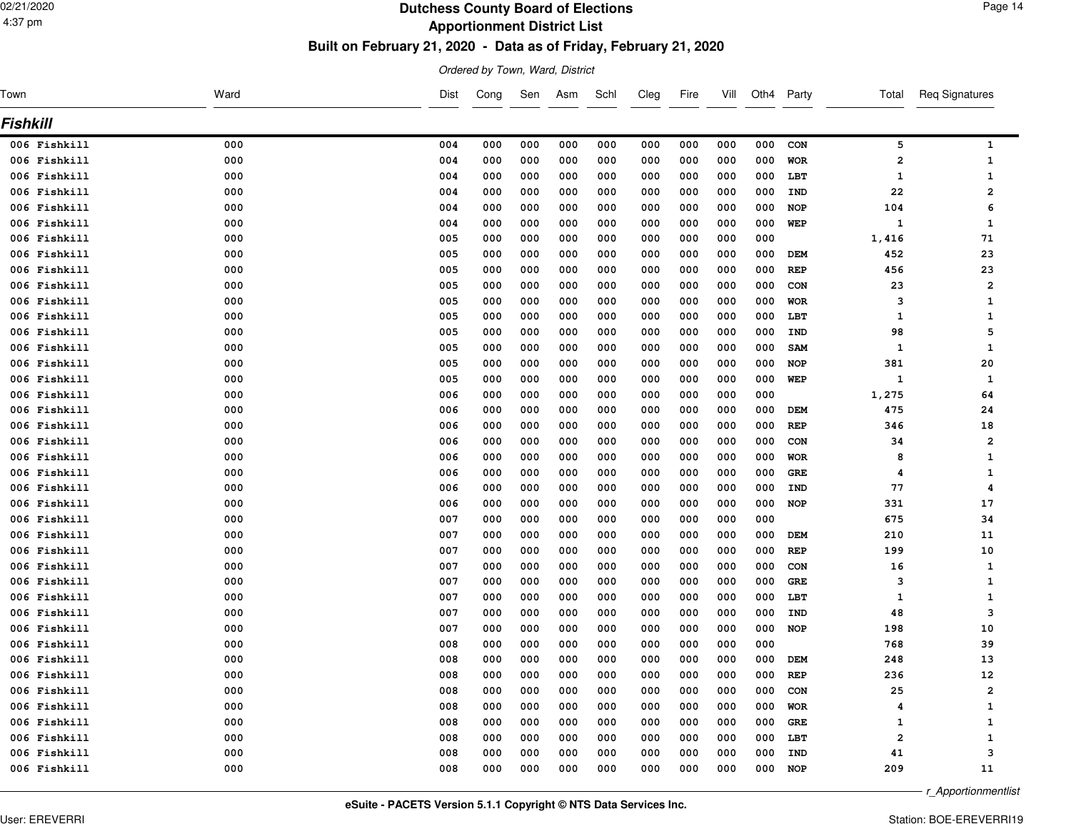#### **Dutchess County Board of Elections** $\mathbf S$  Page 14 **Apportionment District List**

### **Built on February 21, 2020 - Data as of Friday, February 21, 2020**

Ordered by Town, Ward, District

| Гоwn     |              | Ward | Dist | Cong | Sen | Asm | Schl | Cleg | Fire | Vill | Oth4 Party |            | Total                   | <b>Req Signatures</b> |
|----------|--------------|------|------|------|-----|-----|------|------|------|------|------------|------------|-------------------------|-----------------------|
| Fishkill |              |      |      |      |     |     |      |      |      |      |            |            |                         |                       |
|          | 006 Fishkill | 000  | 004  | 000  | 000 | 000 | 000  | 000  | 000  | 000  | 000        | CON        | 5                       | $\mathbf{1}$          |
|          | 006 Fishkill | 000  | 004  | 000  | 000 | 000 | 000  | 000  | 000  | 000  | 000        | <b>WOR</b> | $\mathbf{2}$            | $\mathbf{1}$          |
|          | 006 Fishkill | 000  | 004  | 000  | 000 | 000 | 000  | 000  | 000  | 000  | 000        | LBT        | 1                       | $\mathbf{1}$          |
|          | 006 Fishkill | 000  | 004  | 000  | 000 | 000 | 000  | 000  | 000  | 000  | 000        | IND        | 22                      | $\overline{a}$        |
|          | 006 Fishkill | 000  | 004  | 000  | 000 | 000 | 000  | 000  | 000  | 000  | 000        | <b>NOP</b> | 104                     | 6                     |
|          | 006 Fishkill | 000  | 004  | 000  | 000 | 000 | 000  | 000  | 000  | 000  | 000        | <b>WEP</b> | $\mathbf{1}$            | $\mathbf{1}$          |
|          | 006 Fishkill | 000  | 005  | 000  | 000 | 000 | 000  | 000  | 000  | 000  | 000        |            | 1,416                   | 71                    |
|          | 006 Fishkill | 000  | 005  | 000  | 000 | 000 | 000  | 000  | 000  | 000  | 000        | <b>DEM</b> | 452                     | 23                    |
|          | 006 Fishkill | 000  | 005  | 000  | 000 | 000 | 000  | 000  | 000  | 000  | 000        | <b>REP</b> | 456                     | 23                    |
|          | 006 Fishkill | 000  | 005  | 000  | 000 | 000 | 000  | 000  | 000  | 000  | 000        | CON        | 23                      | $\mathbf{2}$          |
|          | 006 Fishkill | 000  | 005  | 000  | 000 | 000 | 000  | 000  | 000  | 000  | 000        | <b>WOR</b> | 3                       | $\mathbf{1}$          |
|          | 006 Fishkill | 000  | 005  | 000  | 000 | 000 | 000  | 000  | 000  | 000  | 000        | LBT        | $\mathbf 1$             | $\mathbf{1}$          |
|          | 006 Fishkill | 000  | 005  | 000  | 000 | 000 | 000  | 000  | 000  | 000  | 000        | IND        | 98                      | 5                     |
|          | 006 Fishkill | 000  | 005  | 000  | 000 | 000 | 000  | 000  | 000  | 000  | 000        | <b>SAM</b> | 1                       | 1                     |
|          | 006 Fishkill | 000  | 005  | 000  | 000 | 000 | 000  | 000  | 000  | 000  | 000        | <b>NOP</b> | 381                     | 20                    |
|          | 006 Fishkill | 000  | 005  | 000  | 000 | 000 | 000  | 000  | 000  | 000  | 000        | WEP        | $\mathbf{1}$            | $\mathbf{1}$          |
|          | 006 Fishkill | 000  | 006  | 000  | 000 | 000 | 000  | 000  | 000  | 000  | 000        |            | 1,275                   | 64                    |
|          | 006 Fishkill | 000  | 006  | 000  | 000 | 000 | 000  | 000  | 000  | 000  | 000        | <b>DEM</b> | 475                     | 24                    |
|          | 006 Fishkill | 000  | 006  | 000  | 000 | 000 | 000  | 000  | 000  | 000  | 000        | <b>REP</b> | 346                     | 18                    |
|          | 006 Fishkill | 000  | 006  | 000  | 000 | 000 | 000  | 000  | 000  | 000  | 000        | CON        | 34                      | 2                     |
|          | 006 Fishkill | 000  | 006  | 000  | 000 | 000 | 000  | 000  | 000  | 000  | 000        | <b>WOR</b> | 8                       | $\mathbf{1}$          |
|          | 006 Fishkill | 000  | 006  | 000  | 000 | 000 | 000  | 000  | 000  | 000  | 000        | <b>GRE</b> | 4                       | $\mathbf{1}$          |
|          | 006 Fishkill | 000  | 006  | 000  | 000 | 000 | 000  | 000  | 000  | 000  | 000        | IND        | 77                      | 4                     |
|          | 006 Fishkill | 000  | 006  | 000  | 000 | 000 | 000  | 000  | 000  | 000  | 000        | <b>NOP</b> | 331                     | 17                    |
|          | 006 Fishkill | 000  | 007  | 000  | 000 | 000 | 000  | 000  | 000  | 000  | 000        |            | 675                     | 34                    |
|          | 006 Fishkill | 000  | 007  | 000  | 000 | 000 | 000  | 000  | 000  | 000  | 000        | <b>DEM</b> | 210                     | 11                    |
|          | 006 Fishkill | 000  | 007  | 000  | 000 | 000 | 000  | 000  | 000  | 000  | 000        | REP        | 199                     | 10                    |
|          | 006 Fishkill | 000  | 007  | 000  | 000 | 000 | 000  | 000  | 000  | 000  | 000        | CON        | 16                      | $\mathbf{1}$          |
|          | 006 Fishkill | 000  | 007  | 000  | 000 | 000 | 000  | 000  | 000  | 000  | 000        | <b>GRE</b> | 3                       | 1                     |
|          | 006 Fishkill | 000  | 007  | 000  | 000 | 000 | 000  | 000  | 000  | 000  | 000        | LBT        | 1                       | 1                     |
|          | 006 Fishkill | 000  | 007  | 000  | 000 | 000 | 000  | 000  | 000  | 000  | 000        | <b>IND</b> | 48                      | 3                     |
|          | 006 Fishkill | 000  | 007  | 000  | 000 | 000 | 000  | 000  | 000  | 000  | 000        | <b>NOP</b> | 198                     | 10                    |
|          | 006 Fishkill | 000  | 008  | 000  | 000 | 000 | 000  | 000  | 000  | 000  | 000        |            | 768                     | 39                    |
|          | 006 Fishkill | 000  | 008  | 000  | 000 | 000 | 000  | 000  | 000  | 000  | 000        | <b>DEM</b> | 248                     | 13                    |
|          | 006 Fishkill | 000  | 008  | 000  | 000 | 000 | 000  | 000  | 000  | 000  | 000        | <b>REP</b> | 236                     | 12                    |
|          | 006 Fishkill | 000  | 008  | 000  | 000 | 000 | 000  | 000  | 000  | 000  | 000        | CON        | 25                      | $\mathbf{2}$          |
|          | 006 Fishkill | 000  | 008  | 000  | 000 | 000 | 000  | 000  | 000  | 000  | 000        | <b>WOR</b> | 4                       | 1                     |
|          | 006 Fishkill | 000  | 008  | 000  | 000 | 000 | 000  | 000  | 000  | 000  | 000        | <b>GRE</b> | 1                       | $\mathbf{1}$          |
|          | 006 Fishkill | 000  | 008  | 000  | 000 | 000 | 000  | 000  | 000  | 000  | 000        | LBT        | $\overline{\mathbf{2}}$ | 1                     |
|          | 006 Fishkill | 000  | 008  | 000  | 000 | 000 | 000  | 000  | 000  | 000  | 000        | IND        | 41                      | 3                     |
|          | 006 Fishkill | 000  | 008  | 000  | 000 | 000 | 000  | 000  | 000  | 000  | 000        | <b>NOP</b> | 209                     | 11                    |

**eSuite - PACETS Version 5.1.1 Copyright © NTS Data Services Inc.**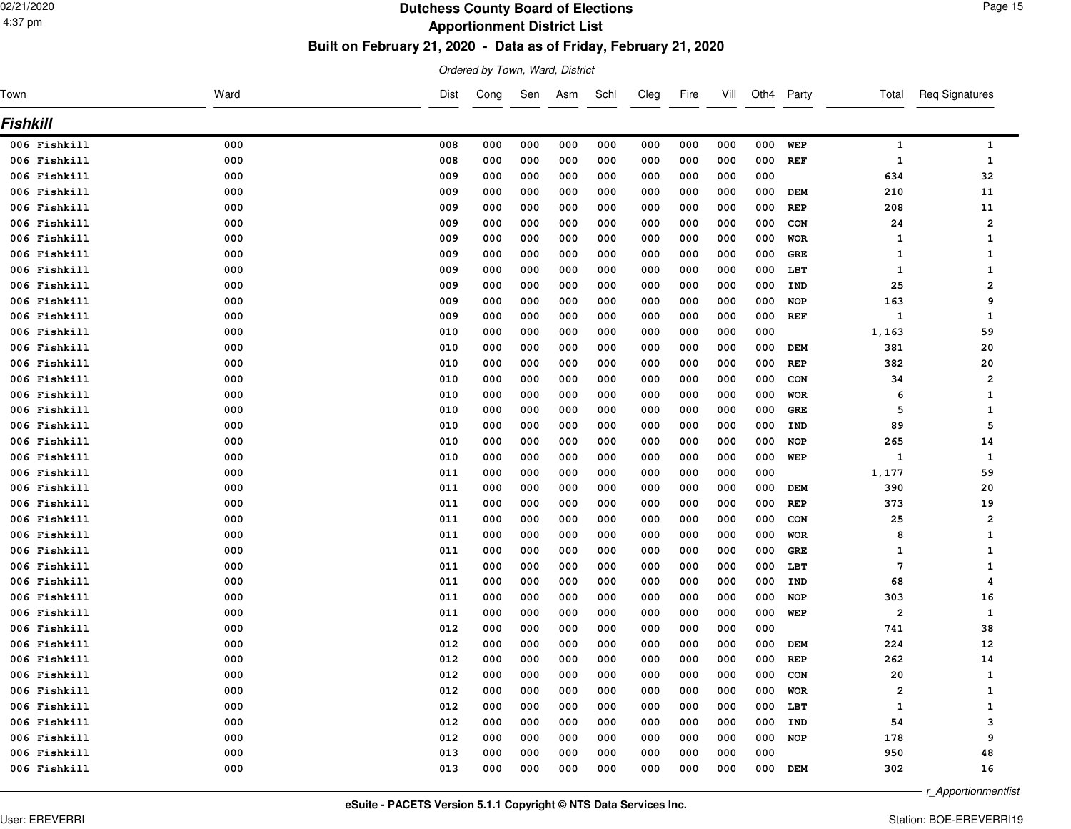# **Dutchess County Board of ElectionsApportionment District List**

### **Built on February 21, 2020 - Data as of Friday, February 21, 2020**

Ordered by Town, Ward, District

| Fishkill<br>006 Fishkill<br>000<br>000<br>000<br>$\mathbf{1}$<br>008<br>000<br>000<br>000<br>000<br>000<br>000<br><b>WEP</b><br>006 Fishkill<br>000<br>000<br>$\mathbf 1$<br>008<br>000<br>000<br>000<br>000<br>000<br>000<br>000<br><b>REF</b><br>000<br>634<br>006 Fishkill<br>009<br>000<br>000<br>000<br>000<br>000<br>000<br>000<br>000<br>006 Fishkill<br>000<br>009<br>000<br>000<br>000<br>000<br>210<br>000<br>000<br>000<br>000<br><b>DEM</b><br>006 Fishkill<br>000<br>208<br>009<br>000<br>000<br>000<br>000<br>000<br>000<br>000<br>000<br><b>REP</b><br>000<br>000<br>000<br>000<br>24<br>006 Fishkill<br>009<br>000<br>000<br>000<br>000<br>000<br>CON<br>006 Fishkill<br>000<br>009<br>000<br>000<br>000<br>000<br>000<br>000<br>000<br>000<br><b>WOR</b><br>1<br>006 Fishkill<br>000<br>009<br>000<br>000<br>000<br>000<br>000<br>000<br><b>GRE</b><br>1<br>000<br>000<br>006 Fishkill<br>000<br>1<br>009<br>000<br>000<br>000<br>000<br>000<br>000<br>000<br>000<br>LBT<br>006 Fishkill<br>000<br>009<br>000<br>000<br>000<br>000<br><b>IND</b><br>25<br>000<br>000<br>000<br>000<br>006 Fishkill<br>000<br>163<br>009<br>000<br>000<br>000<br>000<br>000<br>000<br>000<br>000<br><b>NOP</b><br>$\mathbf 1$<br>006 Fishkill<br>000<br>009<br>000<br>000<br>000<br>000<br>000<br>000<br>000<br>000<br><b>REF</b><br>1,163<br>006 Fishkill<br>000<br>010<br>000<br>000<br>000<br>000<br>000<br>000<br>000<br>000<br>006 Fishkill<br>000<br>010<br>381<br>000<br>000<br>000<br>000<br>000<br>000<br>000<br>000<br><b>DEM</b><br>006 Fishkill<br>000<br>010<br>000<br>000<br>000<br>000<br>382<br>000<br>000<br>000<br>000<br><b>REP</b><br>006 Fishkill<br>34<br>000<br>010<br>000<br>000<br>000<br>000<br>000<br>000<br>000<br>000<br>CON<br>000<br>006 Fishkill<br>010<br>000<br>000<br>000<br>6<br>000<br>000<br>000<br>000<br>000<br><b>WOR</b><br>006 Fishkill<br>000<br>010<br>000<br>000<br>000<br>000<br>000<br>000<br>000<br>000<br><b>GRE</b><br>5<br>006 Fishkill<br>000<br>010<br>000<br>000<br>000<br>000<br>IND<br>89<br>000<br>000<br>000<br>000<br>265<br>006 Fishkill<br>000<br>010<br>000<br>000<br>000<br>000<br><b>NOP</b><br>000<br>000<br>000<br>000<br>000<br>000<br>$\mathbf 1$<br>006 Fishkill<br>010<br>000<br>000<br>000<br>000<br>000<br>000<br>000<br><b>WEP</b><br>000<br>000<br>1,177<br>006 Fishkill<br>011<br>000<br>000<br>000<br>000<br>000<br>000<br>000<br>006 Fishkill<br>000<br>011<br>000<br>000<br>000<br>000<br>390<br>000<br>000<br>000<br>000<br><b>DEM</b><br>373<br>006 Fishkill<br>000<br>000<br>011<br>000<br>000<br>000<br>000<br>000<br>000<br>000<br><b>REP</b><br>006 Fishkill<br>000<br>011<br>000<br>000<br>000<br>000<br>25<br>000<br>000<br>000<br>000<br>CON<br>006 Fishkill<br>000<br>011<br>000<br>000<br>000<br>000<br>000<br>000<br>000<br>000<br><b>WOR</b><br>8<br>006 Fishkill<br>000<br>011<br>000<br>000<br>000<br>000<br>000<br>000<br>000<br><b>GRE</b><br>1<br>000<br>$\overline{7}$<br>006 Fishkill<br>000<br>011<br>000<br>000<br>000<br>000<br>000<br>000<br>000<br>000<br>LBT<br>006 Fishkill<br>000<br>011<br>000<br>000<br>000<br>000<br>000<br><b>IND</b><br>68<br>000<br>000<br>000<br>006 Fishkill<br>000<br>303<br>011<br>000<br>000<br>000<br>000<br>000<br>000<br>000<br>000<br><b>NOP</b><br>$\overline{\mathbf{2}}$<br>006 Fishkill<br>000<br>011<br>000<br>000<br>000<br>000<br>000<br>000<br>000<br>000<br>WEP<br>741<br>006 Fishkill<br>000<br>012<br>000<br>000<br>000<br>000<br>000<br>000<br>000<br>000<br>006 Fishkill<br>224<br>000<br>012<br>000<br>000<br>000<br>000<br>000<br>000<br>000<br>000<br><b>DEM</b><br>006 Fishkill<br>000<br>012<br>000<br>000<br>000<br>000<br>262<br>000<br>000<br>000<br>000<br><b>REP</b><br>000<br>20<br>006 Fishkill<br>012<br>000<br>000<br>000<br>000<br>000<br>CON<br>000<br>000<br>000<br>006 Fishkill<br>000<br>$\overline{\mathbf{2}}$<br>012<br>000<br>000<br>000<br>000<br>000<br>000<br>000<br>000<br><b>WOR</b><br>006 Fishkill<br>000<br>012<br>000<br>000<br>000<br>000<br>000<br>000<br>000<br>000<br>LBT<br>1<br>006 Fishkill<br>000<br>54<br>012<br>000<br>000<br>000<br>000<br>000<br>000<br>000<br>000<br>IND<br>006 Fishkill<br>178<br>000<br>012<br>000<br>000<br>000<br>000<br>000<br>000<br>000<br>000<br><b>NOP</b><br>006 Fishkill<br>000<br>000<br>000<br>000<br>950<br>013<br>000<br>000<br>000<br>000<br>000 | Гоwn         | Ward | Dist | Cong | Sen | Asm | Schl | Cleg | Fire | Vill | Oth4 Party |            | Total | <b>Req Signatures</b> |
|--------------------------------------------------------------------------------------------------------------------------------------------------------------------------------------------------------------------------------------------------------------------------------------------------------------------------------------------------------------------------------------------------------------------------------------------------------------------------------------------------------------------------------------------------------------------------------------------------------------------------------------------------------------------------------------------------------------------------------------------------------------------------------------------------------------------------------------------------------------------------------------------------------------------------------------------------------------------------------------------------------------------------------------------------------------------------------------------------------------------------------------------------------------------------------------------------------------------------------------------------------------------------------------------------------------------------------------------------------------------------------------------------------------------------------------------------------------------------------------------------------------------------------------------------------------------------------------------------------------------------------------------------------------------------------------------------------------------------------------------------------------------------------------------------------------------------------------------------------------------------------------------------------------------------------------------------------------------------------------------------------------------------------------------------------------------------------------------------------------------------------------------------------------------------------------------------------------------------------------------------------------------------------------------------------------------------------------------------------------------------------------------------------------------------------------------------------------------------------------------------------------------------------------------------------------------------------------------------------------------------------------------------------------------------------------------------------------------------------------------------------------------------------------------------------------------------------------------------------------------------------------------------------------------------------------------------------------------------------------------------------------------------------------------------------------------------------------------------------------------------------------------------------------------------------------------------------------------------------------------------------------------------------------------------------------------------------------------------------------------------------------------------------------------------------------------------------------------------------------------------------------------------------------------------------------------------------------------------------------------------------------------------------------------------------------------------------------------------------------------------------------------------------------------------------------------------------------------------------------------------------------------------------------------------------------------------------------------------------------------------------------------------------------------------------------------------------------------------------------------------------------------------------------------------------------------------------------------------------------------------------------------------------------------------------------------------------------------------------------------------------------|--------------|------|------|------|-----|-----|------|------|------|------|------------|------------|-------|-----------------------|
|                                                                                                                                                                                                                                                                                                                                                                                                                                                                                                                                                                                                                                                                                                                                                                                                                                                                                                                                                                                                                                                                                                                                                                                                                                                                                                                                                                                                                                                                                                                                                                                                                                                                                                                                                                                                                                                                                                                                                                                                                                                                                                                                                                                                                                                                                                                                                                                                                                                                                                                                                                                                                                                                                                                                                                                                                                                                                                                                                                                                                                                                                                                                                                                                                                                                                                                                                                                                                                                                                                                                                                                                                                                                                                                                                                                                                                                                                                                                                                                                                                                                                                                                                                                                                                                                                                                                                                                      |              |      |      |      |     |     |      |      |      |      |            |            |       |                       |
|                                                                                                                                                                                                                                                                                                                                                                                                                                                                                                                                                                                                                                                                                                                                                                                                                                                                                                                                                                                                                                                                                                                                                                                                                                                                                                                                                                                                                                                                                                                                                                                                                                                                                                                                                                                                                                                                                                                                                                                                                                                                                                                                                                                                                                                                                                                                                                                                                                                                                                                                                                                                                                                                                                                                                                                                                                                                                                                                                                                                                                                                                                                                                                                                                                                                                                                                                                                                                                                                                                                                                                                                                                                                                                                                                                                                                                                                                                                                                                                                                                                                                                                                                                                                                                                                                                                                                                                      |              |      |      |      |     |     |      |      |      |      |            |            |       | $\mathbf{1}$          |
|                                                                                                                                                                                                                                                                                                                                                                                                                                                                                                                                                                                                                                                                                                                                                                                                                                                                                                                                                                                                                                                                                                                                                                                                                                                                                                                                                                                                                                                                                                                                                                                                                                                                                                                                                                                                                                                                                                                                                                                                                                                                                                                                                                                                                                                                                                                                                                                                                                                                                                                                                                                                                                                                                                                                                                                                                                                                                                                                                                                                                                                                                                                                                                                                                                                                                                                                                                                                                                                                                                                                                                                                                                                                                                                                                                                                                                                                                                                                                                                                                                                                                                                                                                                                                                                                                                                                                                                      |              |      |      |      |     |     |      |      |      |      |            |            |       | $\mathbf{1}$          |
|                                                                                                                                                                                                                                                                                                                                                                                                                                                                                                                                                                                                                                                                                                                                                                                                                                                                                                                                                                                                                                                                                                                                                                                                                                                                                                                                                                                                                                                                                                                                                                                                                                                                                                                                                                                                                                                                                                                                                                                                                                                                                                                                                                                                                                                                                                                                                                                                                                                                                                                                                                                                                                                                                                                                                                                                                                                                                                                                                                                                                                                                                                                                                                                                                                                                                                                                                                                                                                                                                                                                                                                                                                                                                                                                                                                                                                                                                                                                                                                                                                                                                                                                                                                                                                                                                                                                                                                      |              |      |      |      |     |     |      |      |      |      |            |            |       | 32                    |
|                                                                                                                                                                                                                                                                                                                                                                                                                                                                                                                                                                                                                                                                                                                                                                                                                                                                                                                                                                                                                                                                                                                                                                                                                                                                                                                                                                                                                                                                                                                                                                                                                                                                                                                                                                                                                                                                                                                                                                                                                                                                                                                                                                                                                                                                                                                                                                                                                                                                                                                                                                                                                                                                                                                                                                                                                                                                                                                                                                                                                                                                                                                                                                                                                                                                                                                                                                                                                                                                                                                                                                                                                                                                                                                                                                                                                                                                                                                                                                                                                                                                                                                                                                                                                                                                                                                                                                                      |              |      |      |      |     |     |      |      |      |      |            |            |       | 11                    |
|                                                                                                                                                                                                                                                                                                                                                                                                                                                                                                                                                                                                                                                                                                                                                                                                                                                                                                                                                                                                                                                                                                                                                                                                                                                                                                                                                                                                                                                                                                                                                                                                                                                                                                                                                                                                                                                                                                                                                                                                                                                                                                                                                                                                                                                                                                                                                                                                                                                                                                                                                                                                                                                                                                                                                                                                                                                                                                                                                                                                                                                                                                                                                                                                                                                                                                                                                                                                                                                                                                                                                                                                                                                                                                                                                                                                                                                                                                                                                                                                                                                                                                                                                                                                                                                                                                                                                                                      |              |      |      |      |     |     |      |      |      |      |            |            |       | 11                    |
|                                                                                                                                                                                                                                                                                                                                                                                                                                                                                                                                                                                                                                                                                                                                                                                                                                                                                                                                                                                                                                                                                                                                                                                                                                                                                                                                                                                                                                                                                                                                                                                                                                                                                                                                                                                                                                                                                                                                                                                                                                                                                                                                                                                                                                                                                                                                                                                                                                                                                                                                                                                                                                                                                                                                                                                                                                                                                                                                                                                                                                                                                                                                                                                                                                                                                                                                                                                                                                                                                                                                                                                                                                                                                                                                                                                                                                                                                                                                                                                                                                                                                                                                                                                                                                                                                                                                                                                      |              |      |      |      |     |     |      |      |      |      |            |            |       | $\mathbf{2}$          |
|                                                                                                                                                                                                                                                                                                                                                                                                                                                                                                                                                                                                                                                                                                                                                                                                                                                                                                                                                                                                                                                                                                                                                                                                                                                                                                                                                                                                                                                                                                                                                                                                                                                                                                                                                                                                                                                                                                                                                                                                                                                                                                                                                                                                                                                                                                                                                                                                                                                                                                                                                                                                                                                                                                                                                                                                                                                                                                                                                                                                                                                                                                                                                                                                                                                                                                                                                                                                                                                                                                                                                                                                                                                                                                                                                                                                                                                                                                                                                                                                                                                                                                                                                                                                                                                                                                                                                                                      |              |      |      |      |     |     |      |      |      |      |            |            |       | 1                     |
|                                                                                                                                                                                                                                                                                                                                                                                                                                                                                                                                                                                                                                                                                                                                                                                                                                                                                                                                                                                                                                                                                                                                                                                                                                                                                                                                                                                                                                                                                                                                                                                                                                                                                                                                                                                                                                                                                                                                                                                                                                                                                                                                                                                                                                                                                                                                                                                                                                                                                                                                                                                                                                                                                                                                                                                                                                                                                                                                                                                                                                                                                                                                                                                                                                                                                                                                                                                                                                                                                                                                                                                                                                                                                                                                                                                                                                                                                                                                                                                                                                                                                                                                                                                                                                                                                                                                                                                      |              |      |      |      |     |     |      |      |      |      |            |            |       | 1                     |
|                                                                                                                                                                                                                                                                                                                                                                                                                                                                                                                                                                                                                                                                                                                                                                                                                                                                                                                                                                                                                                                                                                                                                                                                                                                                                                                                                                                                                                                                                                                                                                                                                                                                                                                                                                                                                                                                                                                                                                                                                                                                                                                                                                                                                                                                                                                                                                                                                                                                                                                                                                                                                                                                                                                                                                                                                                                                                                                                                                                                                                                                                                                                                                                                                                                                                                                                                                                                                                                                                                                                                                                                                                                                                                                                                                                                                                                                                                                                                                                                                                                                                                                                                                                                                                                                                                                                                                                      |              |      |      |      |     |     |      |      |      |      |            |            |       | $\mathbf 1$           |
|                                                                                                                                                                                                                                                                                                                                                                                                                                                                                                                                                                                                                                                                                                                                                                                                                                                                                                                                                                                                                                                                                                                                                                                                                                                                                                                                                                                                                                                                                                                                                                                                                                                                                                                                                                                                                                                                                                                                                                                                                                                                                                                                                                                                                                                                                                                                                                                                                                                                                                                                                                                                                                                                                                                                                                                                                                                                                                                                                                                                                                                                                                                                                                                                                                                                                                                                                                                                                                                                                                                                                                                                                                                                                                                                                                                                                                                                                                                                                                                                                                                                                                                                                                                                                                                                                                                                                                                      |              |      |      |      |     |     |      |      |      |      |            |            |       | $\overline{2}$        |
|                                                                                                                                                                                                                                                                                                                                                                                                                                                                                                                                                                                                                                                                                                                                                                                                                                                                                                                                                                                                                                                                                                                                                                                                                                                                                                                                                                                                                                                                                                                                                                                                                                                                                                                                                                                                                                                                                                                                                                                                                                                                                                                                                                                                                                                                                                                                                                                                                                                                                                                                                                                                                                                                                                                                                                                                                                                                                                                                                                                                                                                                                                                                                                                                                                                                                                                                                                                                                                                                                                                                                                                                                                                                                                                                                                                                                                                                                                                                                                                                                                                                                                                                                                                                                                                                                                                                                                                      |              |      |      |      |     |     |      |      |      |      |            |            |       | 9                     |
|                                                                                                                                                                                                                                                                                                                                                                                                                                                                                                                                                                                                                                                                                                                                                                                                                                                                                                                                                                                                                                                                                                                                                                                                                                                                                                                                                                                                                                                                                                                                                                                                                                                                                                                                                                                                                                                                                                                                                                                                                                                                                                                                                                                                                                                                                                                                                                                                                                                                                                                                                                                                                                                                                                                                                                                                                                                                                                                                                                                                                                                                                                                                                                                                                                                                                                                                                                                                                                                                                                                                                                                                                                                                                                                                                                                                                                                                                                                                                                                                                                                                                                                                                                                                                                                                                                                                                                                      |              |      |      |      |     |     |      |      |      |      |            |            |       | 1                     |
|                                                                                                                                                                                                                                                                                                                                                                                                                                                                                                                                                                                                                                                                                                                                                                                                                                                                                                                                                                                                                                                                                                                                                                                                                                                                                                                                                                                                                                                                                                                                                                                                                                                                                                                                                                                                                                                                                                                                                                                                                                                                                                                                                                                                                                                                                                                                                                                                                                                                                                                                                                                                                                                                                                                                                                                                                                                                                                                                                                                                                                                                                                                                                                                                                                                                                                                                                                                                                                                                                                                                                                                                                                                                                                                                                                                                                                                                                                                                                                                                                                                                                                                                                                                                                                                                                                                                                                                      |              |      |      |      |     |     |      |      |      |      |            |            |       | 59                    |
|                                                                                                                                                                                                                                                                                                                                                                                                                                                                                                                                                                                                                                                                                                                                                                                                                                                                                                                                                                                                                                                                                                                                                                                                                                                                                                                                                                                                                                                                                                                                                                                                                                                                                                                                                                                                                                                                                                                                                                                                                                                                                                                                                                                                                                                                                                                                                                                                                                                                                                                                                                                                                                                                                                                                                                                                                                                                                                                                                                                                                                                                                                                                                                                                                                                                                                                                                                                                                                                                                                                                                                                                                                                                                                                                                                                                                                                                                                                                                                                                                                                                                                                                                                                                                                                                                                                                                                                      |              |      |      |      |     |     |      |      |      |      |            |            |       | 20                    |
|                                                                                                                                                                                                                                                                                                                                                                                                                                                                                                                                                                                                                                                                                                                                                                                                                                                                                                                                                                                                                                                                                                                                                                                                                                                                                                                                                                                                                                                                                                                                                                                                                                                                                                                                                                                                                                                                                                                                                                                                                                                                                                                                                                                                                                                                                                                                                                                                                                                                                                                                                                                                                                                                                                                                                                                                                                                                                                                                                                                                                                                                                                                                                                                                                                                                                                                                                                                                                                                                                                                                                                                                                                                                                                                                                                                                                                                                                                                                                                                                                                                                                                                                                                                                                                                                                                                                                                                      |              |      |      |      |     |     |      |      |      |      |            |            |       | 20                    |
|                                                                                                                                                                                                                                                                                                                                                                                                                                                                                                                                                                                                                                                                                                                                                                                                                                                                                                                                                                                                                                                                                                                                                                                                                                                                                                                                                                                                                                                                                                                                                                                                                                                                                                                                                                                                                                                                                                                                                                                                                                                                                                                                                                                                                                                                                                                                                                                                                                                                                                                                                                                                                                                                                                                                                                                                                                                                                                                                                                                                                                                                                                                                                                                                                                                                                                                                                                                                                                                                                                                                                                                                                                                                                                                                                                                                                                                                                                                                                                                                                                                                                                                                                                                                                                                                                                                                                                                      |              |      |      |      |     |     |      |      |      |      |            |            |       | $\overline{a}$        |
|                                                                                                                                                                                                                                                                                                                                                                                                                                                                                                                                                                                                                                                                                                                                                                                                                                                                                                                                                                                                                                                                                                                                                                                                                                                                                                                                                                                                                                                                                                                                                                                                                                                                                                                                                                                                                                                                                                                                                                                                                                                                                                                                                                                                                                                                                                                                                                                                                                                                                                                                                                                                                                                                                                                                                                                                                                                                                                                                                                                                                                                                                                                                                                                                                                                                                                                                                                                                                                                                                                                                                                                                                                                                                                                                                                                                                                                                                                                                                                                                                                                                                                                                                                                                                                                                                                                                                                                      |              |      |      |      |     |     |      |      |      |      |            |            |       | 1                     |
|                                                                                                                                                                                                                                                                                                                                                                                                                                                                                                                                                                                                                                                                                                                                                                                                                                                                                                                                                                                                                                                                                                                                                                                                                                                                                                                                                                                                                                                                                                                                                                                                                                                                                                                                                                                                                                                                                                                                                                                                                                                                                                                                                                                                                                                                                                                                                                                                                                                                                                                                                                                                                                                                                                                                                                                                                                                                                                                                                                                                                                                                                                                                                                                                                                                                                                                                                                                                                                                                                                                                                                                                                                                                                                                                                                                                                                                                                                                                                                                                                                                                                                                                                                                                                                                                                                                                                                                      |              |      |      |      |     |     |      |      |      |      |            |            |       | 1                     |
|                                                                                                                                                                                                                                                                                                                                                                                                                                                                                                                                                                                                                                                                                                                                                                                                                                                                                                                                                                                                                                                                                                                                                                                                                                                                                                                                                                                                                                                                                                                                                                                                                                                                                                                                                                                                                                                                                                                                                                                                                                                                                                                                                                                                                                                                                                                                                                                                                                                                                                                                                                                                                                                                                                                                                                                                                                                                                                                                                                                                                                                                                                                                                                                                                                                                                                                                                                                                                                                                                                                                                                                                                                                                                                                                                                                                                                                                                                                                                                                                                                                                                                                                                                                                                                                                                                                                                                                      |              |      |      |      |     |     |      |      |      |      |            |            |       | 5                     |
|                                                                                                                                                                                                                                                                                                                                                                                                                                                                                                                                                                                                                                                                                                                                                                                                                                                                                                                                                                                                                                                                                                                                                                                                                                                                                                                                                                                                                                                                                                                                                                                                                                                                                                                                                                                                                                                                                                                                                                                                                                                                                                                                                                                                                                                                                                                                                                                                                                                                                                                                                                                                                                                                                                                                                                                                                                                                                                                                                                                                                                                                                                                                                                                                                                                                                                                                                                                                                                                                                                                                                                                                                                                                                                                                                                                                                                                                                                                                                                                                                                                                                                                                                                                                                                                                                                                                                                                      |              |      |      |      |     |     |      |      |      |      |            |            |       | 14                    |
|                                                                                                                                                                                                                                                                                                                                                                                                                                                                                                                                                                                                                                                                                                                                                                                                                                                                                                                                                                                                                                                                                                                                                                                                                                                                                                                                                                                                                                                                                                                                                                                                                                                                                                                                                                                                                                                                                                                                                                                                                                                                                                                                                                                                                                                                                                                                                                                                                                                                                                                                                                                                                                                                                                                                                                                                                                                                                                                                                                                                                                                                                                                                                                                                                                                                                                                                                                                                                                                                                                                                                                                                                                                                                                                                                                                                                                                                                                                                                                                                                                                                                                                                                                                                                                                                                                                                                                                      |              |      |      |      |     |     |      |      |      |      |            |            |       | 1                     |
|                                                                                                                                                                                                                                                                                                                                                                                                                                                                                                                                                                                                                                                                                                                                                                                                                                                                                                                                                                                                                                                                                                                                                                                                                                                                                                                                                                                                                                                                                                                                                                                                                                                                                                                                                                                                                                                                                                                                                                                                                                                                                                                                                                                                                                                                                                                                                                                                                                                                                                                                                                                                                                                                                                                                                                                                                                                                                                                                                                                                                                                                                                                                                                                                                                                                                                                                                                                                                                                                                                                                                                                                                                                                                                                                                                                                                                                                                                                                                                                                                                                                                                                                                                                                                                                                                                                                                                                      |              |      |      |      |     |     |      |      |      |      |            |            |       | 59                    |
|                                                                                                                                                                                                                                                                                                                                                                                                                                                                                                                                                                                                                                                                                                                                                                                                                                                                                                                                                                                                                                                                                                                                                                                                                                                                                                                                                                                                                                                                                                                                                                                                                                                                                                                                                                                                                                                                                                                                                                                                                                                                                                                                                                                                                                                                                                                                                                                                                                                                                                                                                                                                                                                                                                                                                                                                                                                                                                                                                                                                                                                                                                                                                                                                                                                                                                                                                                                                                                                                                                                                                                                                                                                                                                                                                                                                                                                                                                                                                                                                                                                                                                                                                                                                                                                                                                                                                                                      |              |      |      |      |     |     |      |      |      |      |            |            |       | 20                    |
|                                                                                                                                                                                                                                                                                                                                                                                                                                                                                                                                                                                                                                                                                                                                                                                                                                                                                                                                                                                                                                                                                                                                                                                                                                                                                                                                                                                                                                                                                                                                                                                                                                                                                                                                                                                                                                                                                                                                                                                                                                                                                                                                                                                                                                                                                                                                                                                                                                                                                                                                                                                                                                                                                                                                                                                                                                                                                                                                                                                                                                                                                                                                                                                                                                                                                                                                                                                                                                                                                                                                                                                                                                                                                                                                                                                                                                                                                                                                                                                                                                                                                                                                                                                                                                                                                                                                                                                      |              |      |      |      |     |     |      |      |      |      |            |            |       | 19                    |
|                                                                                                                                                                                                                                                                                                                                                                                                                                                                                                                                                                                                                                                                                                                                                                                                                                                                                                                                                                                                                                                                                                                                                                                                                                                                                                                                                                                                                                                                                                                                                                                                                                                                                                                                                                                                                                                                                                                                                                                                                                                                                                                                                                                                                                                                                                                                                                                                                                                                                                                                                                                                                                                                                                                                                                                                                                                                                                                                                                                                                                                                                                                                                                                                                                                                                                                                                                                                                                                                                                                                                                                                                                                                                                                                                                                                                                                                                                                                                                                                                                                                                                                                                                                                                                                                                                                                                                                      |              |      |      |      |     |     |      |      |      |      |            |            |       | $\mathbf{2}$          |
|                                                                                                                                                                                                                                                                                                                                                                                                                                                                                                                                                                                                                                                                                                                                                                                                                                                                                                                                                                                                                                                                                                                                                                                                                                                                                                                                                                                                                                                                                                                                                                                                                                                                                                                                                                                                                                                                                                                                                                                                                                                                                                                                                                                                                                                                                                                                                                                                                                                                                                                                                                                                                                                                                                                                                                                                                                                                                                                                                                                                                                                                                                                                                                                                                                                                                                                                                                                                                                                                                                                                                                                                                                                                                                                                                                                                                                                                                                                                                                                                                                                                                                                                                                                                                                                                                                                                                                                      |              |      |      |      |     |     |      |      |      |      |            |            |       | $\mathbf{1}$          |
|                                                                                                                                                                                                                                                                                                                                                                                                                                                                                                                                                                                                                                                                                                                                                                                                                                                                                                                                                                                                                                                                                                                                                                                                                                                                                                                                                                                                                                                                                                                                                                                                                                                                                                                                                                                                                                                                                                                                                                                                                                                                                                                                                                                                                                                                                                                                                                                                                                                                                                                                                                                                                                                                                                                                                                                                                                                                                                                                                                                                                                                                                                                                                                                                                                                                                                                                                                                                                                                                                                                                                                                                                                                                                                                                                                                                                                                                                                                                                                                                                                                                                                                                                                                                                                                                                                                                                                                      |              |      |      |      |     |     |      |      |      |      |            |            |       | 1                     |
|                                                                                                                                                                                                                                                                                                                                                                                                                                                                                                                                                                                                                                                                                                                                                                                                                                                                                                                                                                                                                                                                                                                                                                                                                                                                                                                                                                                                                                                                                                                                                                                                                                                                                                                                                                                                                                                                                                                                                                                                                                                                                                                                                                                                                                                                                                                                                                                                                                                                                                                                                                                                                                                                                                                                                                                                                                                                                                                                                                                                                                                                                                                                                                                                                                                                                                                                                                                                                                                                                                                                                                                                                                                                                                                                                                                                                                                                                                                                                                                                                                                                                                                                                                                                                                                                                                                                                                                      |              |      |      |      |     |     |      |      |      |      |            |            |       | 1                     |
|                                                                                                                                                                                                                                                                                                                                                                                                                                                                                                                                                                                                                                                                                                                                                                                                                                                                                                                                                                                                                                                                                                                                                                                                                                                                                                                                                                                                                                                                                                                                                                                                                                                                                                                                                                                                                                                                                                                                                                                                                                                                                                                                                                                                                                                                                                                                                                                                                                                                                                                                                                                                                                                                                                                                                                                                                                                                                                                                                                                                                                                                                                                                                                                                                                                                                                                                                                                                                                                                                                                                                                                                                                                                                                                                                                                                                                                                                                                                                                                                                                                                                                                                                                                                                                                                                                                                                                                      |              |      |      |      |     |     |      |      |      |      |            |            |       | 4                     |
|                                                                                                                                                                                                                                                                                                                                                                                                                                                                                                                                                                                                                                                                                                                                                                                                                                                                                                                                                                                                                                                                                                                                                                                                                                                                                                                                                                                                                                                                                                                                                                                                                                                                                                                                                                                                                                                                                                                                                                                                                                                                                                                                                                                                                                                                                                                                                                                                                                                                                                                                                                                                                                                                                                                                                                                                                                                                                                                                                                                                                                                                                                                                                                                                                                                                                                                                                                                                                                                                                                                                                                                                                                                                                                                                                                                                                                                                                                                                                                                                                                                                                                                                                                                                                                                                                                                                                                                      |              |      |      |      |     |     |      |      |      |      |            |            |       | 16                    |
|                                                                                                                                                                                                                                                                                                                                                                                                                                                                                                                                                                                                                                                                                                                                                                                                                                                                                                                                                                                                                                                                                                                                                                                                                                                                                                                                                                                                                                                                                                                                                                                                                                                                                                                                                                                                                                                                                                                                                                                                                                                                                                                                                                                                                                                                                                                                                                                                                                                                                                                                                                                                                                                                                                                                                                                                                                                                                                                                                                                                                                                                                                                                                                                                                                                                                                                                                                                                                                                                                                                                                                                                                                                                                                                                                                                                                                                                                                                                                                                                                                                                                                                                                                                                                                                                                                                                                                                      |              |      |      |      |     |     |      |      |      |      |            |            |       | $\mathbf{1}$          |
|                                                                                                                                                                                                                                                                                                                                                                                                                                                                                                                                                                                                                                                                                                                                                                                                                                                                                                                                                                                                                                                                                                                                                                                                                                                                                                                                                                                                                                                                                                                                                                                                                                                                                                                                                                                                                                                                                                                                                                                                                                                                                                                                                                                                                                                                                                                                                                                                                                                                                                                                                                                                                                                                                                                                                                                                                                                                                                                                                                                                                                                                                                                                                                                                                                                                                                                                                                                                                                                                                                                                                                                                                                                                                                                                                                                                                                                                                                                                                                                                                                                                                                                                                                                                                                                                                                                                                                                      |              |      |      |      |     |     |      |      |      |      |            |            |       | 38                    |
|                                                                                                                                                                                                                                                                                                                                                                                                                                                                                                                                                                                                                                                                                                                                                                                                                                                                                                                                                                                                                                                                                                                                                                                                                                                                                                                                                                                                                                                                                                                                                                                                                                                                                                                                                                                                                                                                                                                                                                                                                                                                                                                                                                                                                                                                                                                                                                                                                                                                                                                                                                                                                                                                                                                                                                                                                                                                                                                                                                                                                                                                                                                                                                                                                                                                                                                                                                                                                                                                                                                                                                                                                                                                                                                                                                                                                                                                                                                                                                                                                                                                                                                                                                                                                                                                                                                                                                                      |              |      |      |      |     |     |      |      |      |      |            |            |       | 12                    |
|                                                                                                                                                                                                                                                                                                                                                                                                                                                                                                                                                                                                                                                                                                                                                                                                                                                                                                                                                                                                                                                                                                                                                                                                                                                                                                                                                                                                                                                                                                                                                                                                                                                                                                                                                                                                                                                                                                                                                                                                                                                                                                                                                                                                                                                                                                                                                                                                                                                                                                                                                                                                                                                                                                                                                                                                                                                                                                                                                                                                                                                                                                                                                                                                                                                                                                                                                                                                                                                                                                                                                                                                                                                                                                                                                                                                                                                                                                                                                                                                                                                                                                                                                                                                                                                                                                                                                                                      |              |      |      |      |     |     |      |      |      |      |            |            |       | 14                    |
|                                                                                                                                                                                                                                                                                                                                                                                                                                                                                                                                                                                                                                                                                                                                                                                                                                                                                                                                                                                                                                                                                                                                                                                                                                                                                                                                                                                                                                                                                                                                                                                                                                                                                                                                                                                                                                                                                                                                                                                                                                                                                                                                                                                                                                                                                                                                                                                                                                                                                                                                                                                                                                                                                                                                                                                                                                                                                                                                                                                                                                                                                                                                                                                                                                                                                                                                                                                                                                                                                                                                                                                                                                                                                                                                                                                                                                                                                                                                                                                                                                                                                                                                                                                                                                                                                                                                                                                      |              |      |      |      |     |     |      |      |      |      |            |            |       | $\mathbf{1}$          |
|                                                                                                                                                                                                                                                                                                                                                                                                                                                                                                                                                                                                                                                                                                                                                                                                                                                                                                                                                                                                                                                                                                                                                                                                                                                                                                                                                                                                                                                                                                                                                                                                                                                                                                                                                                                                                                                                                                                                                                                                                                                                                                                                                                                                                                                                                                                                                                                                                                                                                                                                                                                                                                                                                                                                                                                                                                                                                                                                                                                                                                                                                                                                                                                                                                                                                                                                                                                                                                                                                                                                                                                                                                                                                                                                                                                                                                                                                                                                                                                                                                                                                                                                                                                                                                                                                                                                                                                      |              |      |      |      |     |     |      |      |      |      |            |            |       | 1                     |
|                                                                                                                                                                                                                                                                                                                                                                                                                                                                                                                                                                                                                                                                                                                                                                                                                                                                                                                                                                                                                                                                                                                                                                                                                                                                                                                                                                                                                                                                                                                                                                                                                                                                                                                                                                                                                                                                                                                                                                                                                                                                                                                                                                                                                                                                                                                                                                                                                                                                                                                                                                                                                                                                                                                                                                                                                                                                                                                                                                                                                                                                                                                                                                                                                                                                                                                                                                                                                                                                                                                                                                                                                                                                                                                                                                                                                                                                                                                                                                                                                                                                                                                                                                                                                                                                                                                                                                                      |              |      |      |      |     |     |      |      |      |      |            |            |       | 1                     |
|                                                                                                                                                                                                                                                                                                                                                                                                                                                                                                                                                                                                                                                                                                                                                                                                                                                                                                                                                                                                                                                                                                                                                                                                                                                                                                                                                                                                                                                                                                                                                                                                                                                                                                                                                                                                                                                                                                                                                                                                                                                                                                                                                                                                                                                                                                                                                                                                                                                                                                                                                                                                                                                                                                                                                                                                                                                                                                                                                                                                                                                                                                                                                                                                                                                                                                                                                                                                                                                                                                                                                                                                                                                                                                                                                                                                                                                                                                                                                                                                                                                                                                                                                                                                                                                                                                                                                                                      |              |      |      |      |     |     |      |      |      |      |            |            |       | 3                     |
|                                                                                                                                                                                                                                                                                                                                                                                                                                                                                                                                                                                                                                                                                                                                                                                                                                                                                                                                                                                                                                                                                                                                                                                                                                                                                                                                                                                                                                                                                                                                                                                                                                                                                                                                                                                                                                                                                                                                                                                                                                                                                                                                                                                                                                                                                                                                                                                                                                                                                                                                                                                                                                                                                                                                                                                                                                                                                                                                                                                                                                                                                                                                                                                                                                                                                                                                                                                                                                                                                                                                                                                                                                                                                                                                                                                                                                                                                                                                                                                                                                                                                                                                                                                                                                                                                                                                                                                      |              |      |      |      |     |     |      |      |      |      |            |            |       | 9                     |
|                                                                                                                                                                                                                                                                                                                                                                                                                                                                                                                                                                                                                                                                                                                                                                                                                                                                                                                                                                                                                                                                                                                                                                                                                                                                                                                                                                                                                                                                                                                                                                                                                                                                                                                                                                                                                                                                                                                                                                                                                                                                                                                                                                                                                                                                                                                                                                                                                                                                                                                                                                                                                                                                                                                                                                                                                                                                                                                                                                                                                                                                                                                                                                                                                                                                                                                                                                                                                                                                                                                                                                                                                                                                                                                                                                                                                                                                                                                                                                                                                                                                                                                                                                                                                                                                                                                                                                                      |              |      |      |      |     |     |      |      |      |      |            |            |       | 48                    |
|                                                                                                                                                                                                                                                                                                                                                                                                                                                                                                                                                                                                                                                                                                                                                                                                                                                                                                                                                                                                                                                                                                                                                                                                                                                                                                                                                                                                                                                                                                                                                                                                                                                                                                                                                                                                                                                                                                                                                                                                                                                                                                                                                                                                                                                                                                                                                                                                                                                                                                                                                                                                                                                                                                                                                                                                                                                                                                                                                                                                                                                                                                                                                                                                                                                                                                                                                                                                                                                                                                                                                                                                                                                                                                                                                                                                                                                                                                                                                                                                                                                                                                                                                                                                                                                                                                                                                                                      | 006 Fishkill | 000  | 013  | 000  | 000 | 000 | 000  | 000  | 000  | 000  | 000        | <b>DEM</b> | 302   | 16                    |

**eSuite - PACETS Version 5.1.1 Copyright © NTS Data Services Inc.**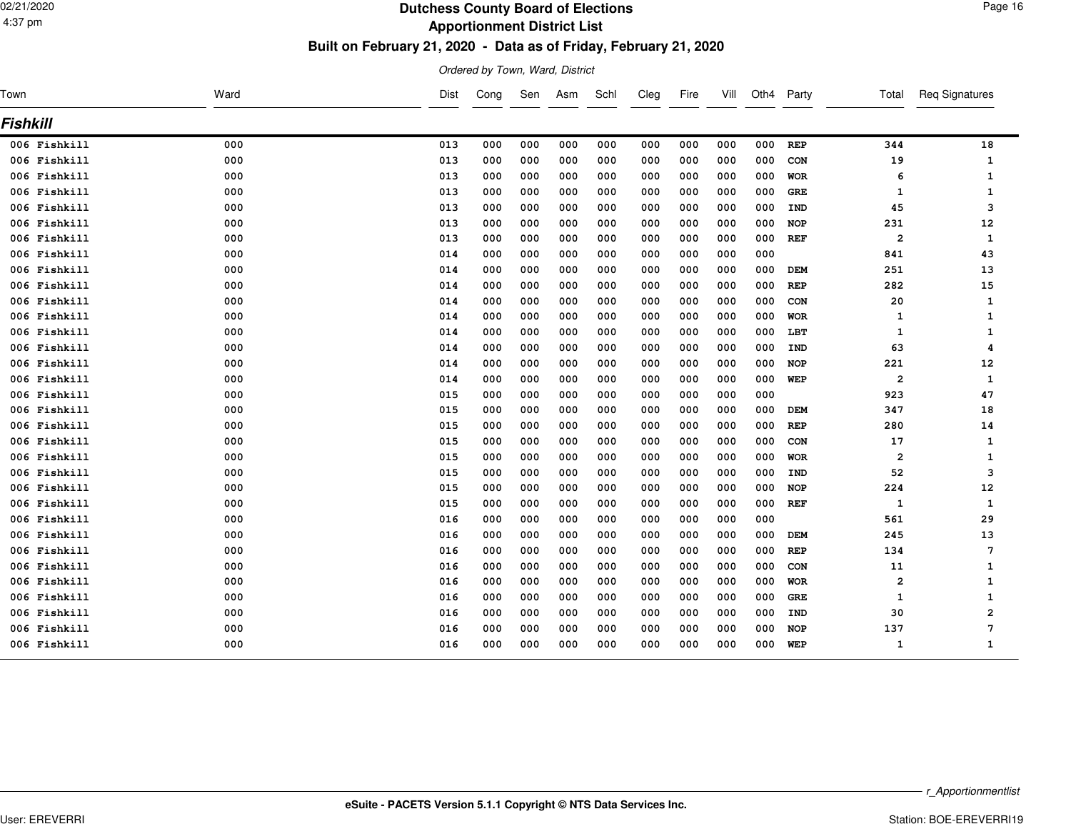#### **Dutchess County Board of Elections** $\mathbf S$  Page 16 **Apportionment District List**

### **Built on February 21, 2020 - Data as of Friday, February 21, 2020**

Ordered by Town, Ward, District

| Town            | Ward | Dist | Cong | Sen | Asm | Schl | Cleg | Fire | Vill | Oth4 | Party      | Total                   | <b>Req Signatures</b> |
|-----------------|------|------|------|-----|-----|------|------|------|------|------|------------|-------------------------|-----------------------|
| <b>Fishkill</b> |      |      |      |     |     |      |      |      |      |      |            |                         |                       |
| 006 Fishkill    | 000  | 013  | 000  | 000 | 000 | 000  | 000  | 000  | 000  | 000  | <b>REP</b> | 344                     | 18                    |
| 006 Fishkill    | 000  | 013  | 000  | 000 | 000 | 000  | 000  | 000  | 000  | 000  | CON        | 19                      | 1                     |
| 006 Fishkill    | 000  | 013  | 000  | 000 | 000 | 000  | 000  | 000  | 000  | 000  | <b>WOR</b> | 6                       | 1                     |
| 006 Fishkill    | 000  | 013  | 000  | 000 | 000 | 000  | 000  | 000  | 000  | 000  | <b>GRE</b> | 1                       | 1                     |
| 006 Fishkill    | 000  | 013  | 000  | 000 | 000 | 000  | 000  | 000  | 000  | 000  | IND        | 45                      | 3                     |
| 006 Fishkill    | 000  | 013  | 000  | 000 | 000 | 000  | 000  | 000  | 000  | 000  | <b>NOP</b> | 231                     | 12                    |
| 006 Fishkill    | 000  | 013  | 000  | 000 | 000 | 000  | 000  | 000  | 000  | 000  | <b>REF</b> | $\overline{\mathbf{2}}$ | 1                     |
| 006 Fishkill    | 000  | 014  | 000  | 000 | 000 | 000  | 000  | 000  | 000  | 000  |            | 841                     | 43                    |
| 006 Fishkill    | 000  | 014  | 000  | 000 | 000 | 000  | 000  | 000  | 000  | 000  | <b>DEM</b> | 251                     | 13                    |
| 006 Fishkill    | 000  | 014  | 000  | 000 | 000 | 000  | 000  | 000  | 000  | 000  | <b>REP</b> | 282                     | 15                    |
| 006 Fishkill    | 000  | 014  | 000  | 000 | 000 | 000  | 000  | 000  | 000  | 000  | CON        | 20                      | 1                     |
| 006 Fishkill    | 000  | 014  | 000  | 000 | 000 | 000  | 000  | 000  | 000  | 000  | <b>WOR</b> | 1                       | 1                     |
| 006 Fishkill    | 000  | 014  | 000  | 000 | 000 | 000  | 000  | 000  | 000  | 000  | LBT        | 1                       | 1                     |
| 006 Fishkill    | 000  | 014  | 000  | 000 | 000 | 000  | 000  | 000  | 000  | 000  | IND        | 63                      | 4                     |
| 006 Fishkill    | 000  | 014  | 000  | 000 | 000 | 000  | 000  | 000  | 000  | 000  | <b>NOP</b> | 221                     | 12                    |
| 006 Fishkill    | 000  | 014  | 000  | 000 | 000 | 000  | 000  | 000  | 000  | 000  | WEP        | 2                       | 1                     |
| 006 Fishkill    | 000  | 015  | 000  | 000 | 000 | 000  | 000  | 000  | 000  | 000  |            | 923                     | 47                    |
| Fishkill<br>006 | 000  | 015  | 000  | 000 | 000 | 000  | 000  | 000  | 000  | 000  | <b>DEM</b> | 347                     | 18                    |
| Fishkill<br>006 | 000  | 015  | 000  | 000 | 000 | 000  | 000  | 000  | 000  | 000  | <b>REP</b> | 280                     | 14                    |
| Fishkill<br>006 | 000  | 015  | 000  | 000 | 000 | 000  | 000  | 000  | 000  | 000  | CON        | 17                      | 1                     |
| Fishkill<br>006 | 000  | 015  | 000  | 000 | 000 | 000  | 000  | 000  | 000  | 000  | <b>WOR</b> | 2                       | 1                     |
| 006 Fishkill    | 000  | 015  | 000  | 000 | 000 | 000  | 000  | 000  | 000  | 000  | IND        | 52                      | 3                     |
| 006 Fishkill    | 000  | 015  | 000  | 000 | 000 | 000  | 000  | 000  | 000  | 000  | <b>NOP</b> | 224                     | 12                    |
| 006 Fishkill    | 000  | 015  | 000  | 000 | 000 | 000  | 000  | 000  | 000  | 000  | <b>REF</b> | 1                       | 1                     |
| 006 Fishkill    | 000  | 016  | 000  | 000 | 000 | 000  | 000  | 000  | 000  | 000  |            | 561                     | 29                    |
| 006 Fishkill    | 000  | 016  | 000  | 000 | 000 | 000  | 000  | 000  | 000  | 000  | <b>DEM</b> | 245                     | 13                    |
| 006 Fishkill    | 000  | 016  | 000  | 000 | 000 | 000  | 000  | 000  | 000  | 000  | <b>REP</b> | 134                     | 7                     |
| 006 Fishkill    | 000  | 016  | 000  | 000 | 000 | 000  | 000  | 000  | 000  | 000  | CON        | 11                      | 1                     |
| 006 Fishkill    | 000  | 016  | 000  | 000 | 000 | 000  | 000  | 000  | 000  | 000  | <b>WOR</b> | $\overline{\mathbf{2}}$ | 1                     |
| 006 Fishkill    | 000  | 016  | 000  | 000 | 000 | 000  | 000  | 000  | 000  | 000  | <b>GRE</b> | 1                       | 1                     |
| 006 Fishkill    | 000  | 016  | 000  | 000 | 000 | 000  | 000  | 000  | 000  | 000  | <b>IND</b> | 30                      | $\overline{2}$        |
| 006 Fishkill    | 000  | 016  | 000  | 000 | 000 | 000  | 000  | 000  | 000  | 000  | <b>NOP</b> | 137                     | $7\phantom{.0}$       |
| 006 Fishkill    | 000  | 016  | 000  | 000 | 000 | 000  | 000  | 000  | 000  | 000  | <b>WEP</b> | 1                       | 1                     |
|                 |      |      |      |     |     |      |      |      |      |      |            |                         |                       |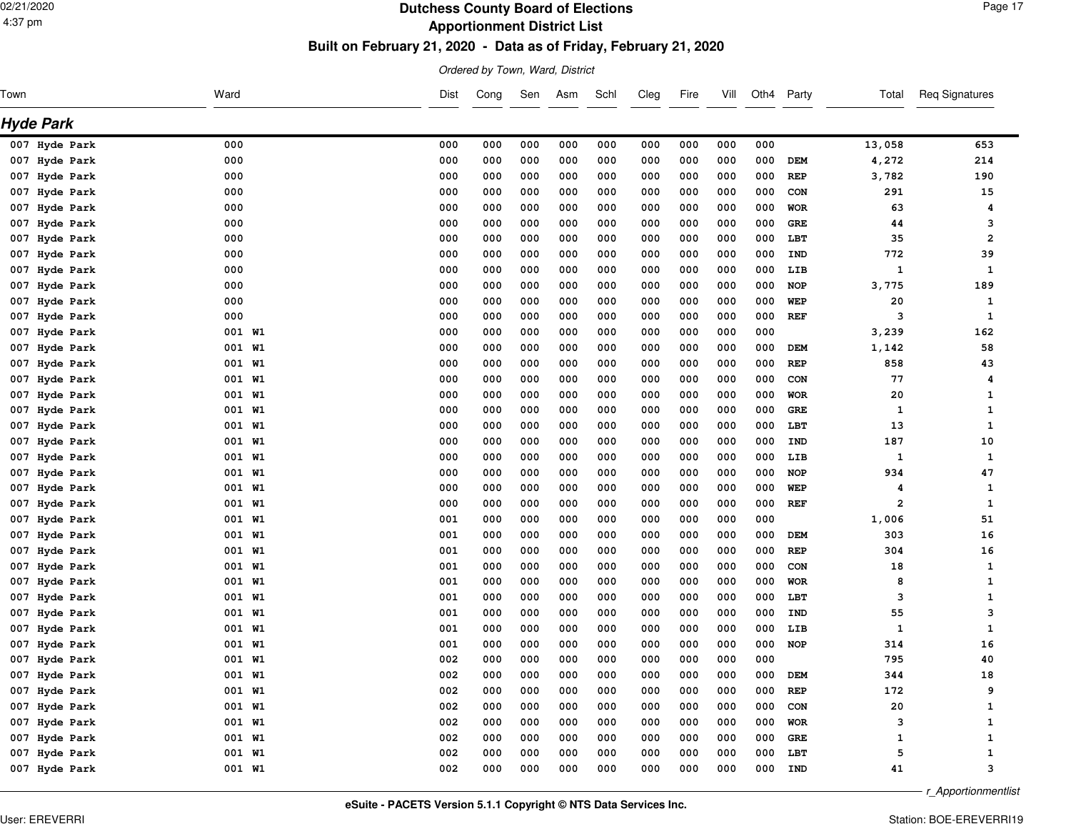#### **Dutchess County Board of Elections**S Page 17 **Apportionment District List**

### **Built on February 21, 2020 - Data as of Friday, February 21, 2020**

Ordered by Town, Ward, District

| Гоwn             | Ward      | Dist | Cong | Sen | Asm | Schl | Cleg | Fire | Vill | Oth4 | Party      | Total                   | <b>Req Signatures</b> |
|------------------|-----------|------|------|-----|-----|------|------|------|------|------|------------|-------------------------|-----------------------|
| <b>Hyde Park</b> |           |      |      |     |     |      |      |      |      |      |            |                         |                       |
| 007 Hyde Park    | 000       | 000  | 000  | 000 | 000 | 000  | 000  | 000  | 000  | 000  |            | 13,058                  | 653                   |
| 007 Hyde Park    | 000       | 000  | 000  | 000 | 000 | 000  | 000  | 000  | 000  | 000  | <b>DEM</b> | 4,272                   | 214                   |
| Hyde Park<br>007 | 000       | 000  | 000  | 000 | 000 | 000  | 000  | 000  | 000  | 000  | <b>REP</b> | 3,782                   | 190                   |
| Hyde Park<br>007 | 000       | 000  | 000  | 000 | 000 | 000  | 000  | 000  | 000  | 000  | CON        | 291                     | 15                    |
| Hyde Park<br>007 | 000       | 000  | 000  | 000 | 000 | 000  | 000  | 000  | 000  | 000  | <b>WOR</b> | 63                      | 4                     |
| Hyde Park<br>007 | 000       | 000  | 000  | 000 | 000 | 000  | 000  | 000  | 000  | 000  | GRE        | 44                      | 3                     |
| Hyde Park<br>007 | 000       | 000  | 000  | 000 | 000 | 000  | 000  | 000  | 000  | 000  | LBT        | 35                      | $\overline{2}$        |
| Hyde Park<br>007 | 000       | 000  | 000  | 000 | 000 | 000  | 000  | 000  | 000  | 000  | IND        | 772                     | 39                    |
| Hyde Park<br>007 | 000       | 000  | 000  | 000 | 000 | 000  | 000  | 000  | 000  | 000  | LIB        | $\mathbf 1$             | 1                     |
| Hyde Park<br>007 | 000       | 000  | 000  | 000 | 000 | 000  | 000  | 000  | 000  | 000  | <b>NOP</b> | 3,775                   | 189                   |
| Hyde Park<br>007 | 000       | 000  | 000  | 000 | 000 | 000  | 000  | 000  | 000  | 000  | <b>WEP</b> | 20                      | 1                     |
| Hyde Park<br>007 | 000       | 000  | 000  | 000 | 000 | 000  | 000  | 000  | 000  | 000  | <b>REF</b> | 3                       | $\mathbf{1}$          |
| Hyde Park<br>007 | 001 W1    | 000  | 000  | 000 | 000 | 000  | 000  | 000  | 000  | 000  |            | 3,239                   | 162                   |
| 007<br>Hyde Park | W1<br>001 | 000  | 000  | 000 | 000 | 000  | 000  | 000  | 000  | 000  | <b>DEM</b> | 1,142                   | 58                    |
| Hyde Park<br>007 | 001 W1    | 000  | 000  | 000 | 000 | 000  | 000  | 000  | 000  | 000  | <b>REP</b> | 858                     | 43                    |
| Hyde Park<br>007 | 001<br>W1 | 000  | 000  | 000 | 000 | 000  | 000  | 000  | 000  | 000  | CON        | 77                      | 4                     |
| Hyde Park<br>007 | W1<br>001 | 000  | 000  | 000 | 000 | 000  | 000  | 000  | 000  | 000  | <b>WOR</b> | 20                      | $\mathbf{1}$          |
| Hyde Park<br>007 | 001 W1    | 000  | 000  | 000 | 000 | 000  | 000  | 000  | 000  | 000  | <b>GRE</b> | $\mathbf 1$             | 1                     |
| Hyde Park<br>007 | 001 W1    | 000  | 000  | 000 | 000 | 000  | 000  | 000  | 000  | 000  | LBT        | 13                      | 1                     |
| 007<br>Hyde Park | 001 W1    | 000  | 000  | 000 | 000 | 000  | 000  | 000  | 000  | 000  | <b>IND</b> | 187                     | 10                    |
| Hyde Park<br>007 | 001 W1    | 000  | 000  | 000 | 000 | 000  | 000  | 000  | 000  | 000  | LIB        | $\mathbf 1$             | 1                     |
| Hyde Park<br>007 | 001 W1    | 000  | 000  | 000 | 000 | 000  | 000  | 000  | 000  | 000  | <b>NOP</b> | 934                     | 47                    |
| Hyde Park<br>007 | 001 W1    | 000  | 000  | 000 | 000 | 000  | 000  | 000  | 000  | 000  | <b>WEP</b> | 4                       | 1                     |
| Hyde Park<br>007 | 001 W1    | 000  | 000  | 000 | 000 | 000  | 000  | 000  | 000  | 000  | <b>REF</b> | $\overline{\mathbf{2}}$ | 1                     |
| 007<br>Hyde Park | 001<br>W1 | 001  | 000  | 000 | 000 | 000  | 000  | 000  | 000  | 000  |            | 1,006                   | 51                    |
| Hyde Park<br>007 | 001 W1    | 001  | 000  | 000 | 000 | 000  | 000  | 000  | 000  | 000  | <b>DEM</b> | 303                     | 16                    |
| 007<br>Hyde Park | W1<br>001 | 001  | 000  | 000 | 000 | 000  | 000  | 000  | 000  | 000  | <b>REP</b> | 304                     | 16                    |
| Hyde Park<br>007 | 001 W1    | 001  | 000  | 000 | 000 | 000  | 000  | 000  | 000  | 000  | CON        | 18                      | 1                     |
| Hyde Park<br>007 | 001 W1    | 001  | 000  | 000 | 000 | 000  | 000  | 000  | 000  | 000  | <b>WOR</b> | 8                       | $\mathbf{1}$          |
| Hyde Park<br>007 | W1<br>001 | 001  | 000  | 000 | 000 | 000  | 000  | 000  | 000  | 000  | LBT        | 3                       | 1                     |
| 007<br>Hyde Park | 001 W1    | 001  | 000  | 000 | 000 | 000  | 000  | 000  | 000  | 000  | <b>IND</b> | 55                      | 3                     |
| Hyde Park<br>007 | 001 W1    | 001  | 000  | 000 | 000 | 000  | 000  | 000  | 000  | 000  | LIB        | $\mathbf 1$             | 1                     |
| Hyde Park<br>007 | 001 W1    | 001  | 000  | 000 | 000 | 000  | 000  | 000  | 000  | 000  | <b>NOP</b> | 314                     | 16                    |
| Hyde Park<br>007 | 001 W1    | 002  | 000  | 000 | 000 | 000  | 000  | 000  | 000  | 000  |            | 795                     | 40                    |
| 007<br>Hyde Park | 001 W1    | 002  | 000  | 000 | 000 | 000  | 000  | 000  | 000  | 000  | <b>DEM</b> | 344                     | 18                    |
| Hyde Park<br>007 | 001<br>W1 | 002  | 000  | 000 | 000 | 000  | 000  | 000  | 000  | 000  | <b>REP</b> | 172                     | 9                     |
| Hyde Park<br>007 | 001 W1    | 002  | 000  | 000 | 000 | 000  | 000  | 000  | 000  | 000  | CON        | 20                      | 1                     |
| Hyde Park<br>007 | W1<br>001 | 002  | 000  | 000 | 000 | 000  | 000  | 000  | 000  | 000  | <b>WOR</b> | 3                       | $\mathbf{1}$          |
| Hyde Park<br>007 | 001<br>W1 | 002  | 000  | 000 | 000 | 000  | 000  | 000  | 000  | 000  | <b>GRE</b> | $\mathbf 1$             | $\mathbf{1}$          |
| Hyde Park<br>007 | W1<br>001 | 002  | 000  | 000 | 000 | 000  | 000  | 000  | 000  | 000  | LBT        | 5                       | 1                     |
| 007 Hyde Park    | 001 W1    | 002  | 000  | 000 | 000 | 000  | 000  | 000  | 000  | 000  | <b>IND</b> | 41                      | з                     |

**eSuite - PACETS Version 5.1.1 Copyright © NTS Data Services Inc.**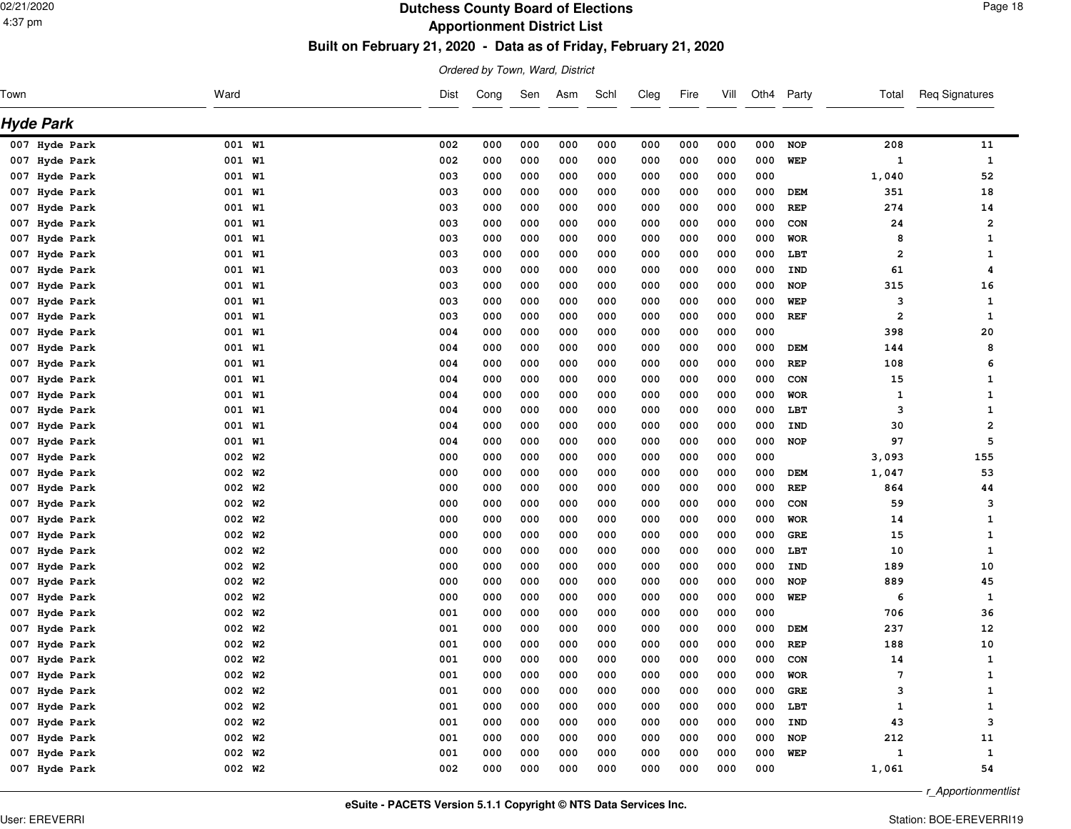#### **Dutchess County Board of Elections** $\mathbf S$  Page 18 **Apportionment District List**

### **Built on February 21, 2020 - Data as of Friday, February 21, 2020**

Ordered by Town, Ward, District

| Town                    | Ward               | Dist | Cong | Sen | Asm | Schl | Cleg | Fire | Vill |     | Oth4 Party | Total                   | <b>Req Signatures</b>   |
|-------------------------|--------------------|------|------|-----|-----|------|------|------|------|-----|------------|-------------------------|-------------------------|
| <b>Hyde Park</b>        |                    |      |      |     |     |      |      |      |      |     |            |                         |                         |
| 007 Hyde Park           | 001 W1             | 002  | 000  | 000 | 000 | 000  | 000  | 000  | 000  | 000 | <b>NOP</b> | 208                     | 11                      |
| 007 Hyde Park           | 001 W1             | 002  | 000  | 000 | 000 | 000  | 000  | 000  | 000  | 000 | <b>WEP</b> | $\mathbf{1}$            | $\mathbf{1}$            |
| 007 Hyde Park           | 001 W1             | 003  | 000  | 000 | 000 | 000  | 000  | 000  | 000  | 000 |            | 1,040                   | 52                      |
| 007 Hyde Park           | 001 W1             | 003  | 000  | 000 | 000 | 000  | 000  | 000  | 000  | 000 | <b>DEM</b> | 351                     | 18                      |
| 007 Hyde Park           | 001 W1             | 003  | 000  | 000 | 000 | 000  | 000  | 000  | 000  | 000 | <b>REP</b> | 274                     | 14                      |
| 007 Hyde Park           | 001 W1             | 003  | 000  | 000 | 000 | 000  | 000  | 000  | 000  | 000 | CON        | 24                      | $\overline{a}$          |
| 007 Hyde Park           | 001 W1             | 003  | 000  | 000 | 000 | 000  | 000  | 000  | 000  | 000 | <b>WOR</b> | 8                       | $\mathbf{1}$            |
| 007 Hyde Park           | 001 W1             | 003  | 000  | 000 | 000 | 000  | 000  | 000  | 000  | 000 | LBT        | $\overline{\mathbf{2}}$ | $\mathbf{1}$            |
| 007 Hyde Park           | 001 W1             | 003  | 000  | 000 | 000 | 000  | 000  | 000  | 000  | 000 | IND        | 61                      | 4                       |
| 007 Hyde Park           | 001 W1             | 003  | 000  | 000 | 000 | 000  | 000  | 000  | 000  | 000 | <b>NOP</b> | 315                     | 16                      |
| 007 Hyde Park           | 001 W1             | 003  | 000  | 000 | 000 | 000  | 000  | 000  | 000  | 000 | WEP        | 3                       | 1                       |
| Hyde Park<br>007        | 001 W1             | 003  | 000  | 000 | 000 | 000  | 000  | 000  | 000  | 000 | <b>REF</b> | $\overline{\mathbf{2}}$ | $\mathbf{1}$            |
| 007 Hyde Park           | 001 W1             | 004  | 000  | 000 | 000 | 000  | 000  | 000  | 000  | 000 |            | 398                     | 20                      |
| 007 Hyde Park           | 001<br>W1          | 004  | 000  | 000 | 000 | 000  | 000  | 000  | 000  | 000 | <b>DEM</b> | 144                     | 8                       |
| 007 Hyde Park           | 001 W1             | 004  | 000  | 000 | 000 | 000  | 000  | 000  | 000  | 000 | <b>REP</b> | 108                     | 6                       |
| 007 Hyde Park           | 001 W1             | 004  | 000  | 000 | 000 | 000  | 000  | 000  | 000  | 000 | CON        | 15                      | $\mathbf{1}$            |
| 007 Hyde Park           | 001 W1             | 004  | 000  | 000 | 000 | 000  | 000  | 000  | 000  | 000 | <b>WOR</b> | $\mathbf{1}$            | $\mathbf{1}$            |
| 007 Hyde Park           | 001 W1             | 004  | 000  | 000 | 000 | 000  | 000  | 000  | 000  | 000 | LBT        | 3                       | $\mathbf{1}$            |
| 007 Hyde Park           | 001 W1             | 004  | 000  | 000 | 000 | 000  | 000  | 000  | 000  | 000 | IND        | 30                      | $\overline{\mathbf{2}}$ |
| 007 Hyde Park           | 001 W1             | 004  | 000  | 000 | 000 | 000  | 000  | 000  | 000  | 000 | <b>NOP</b> | 97                      | 5                       |
| 007 Hyde Park           | 002 W2             | 000  | 000  | 000 | 000 | 000  | 000  | 000  | 000  | 000 |            | 3,093                   | 155                     |
| 007 Hyde Park           | 002 W <sub>2</sub> | 000  | 000  | 000 | 000 | 000  | 000  | 000  | 000  | 000 | <b>DEM</b> | 1,047                   | 53                      |
| 007 Hyde Park           | 002 W2             | 000  | 000  | 000 | 000 | 000  | 000  | 000  | 000  | 000 | <b>REP</b> | 864                     | 44                      |
| 007 Hyde Park           | 002 W2             | 000  | 000  | 000 | 000 | 000  | 000  | 000  | 000  | 000 | CON        | 59                      | 3                       |
| 007<br><b>Hyde Park</b> | 002 W2             | 000  | 000  | 000 | 000 | 000  | 000  | 000  | 000  | 000 | <b>WOR</b> | 14                      | $\mathbf{1}$            |
| 007 Hyde Park           | 002 W2             | 000  | 000  | 000 | 000 | 000  | 000  | 000  | 000  | 000 | <b>GRE</b> | 15                      | 1                       |
| 007 Hyde Park           | 002 W2             | 000  | 000  | 000 | 000 | 000  | 000  | 000  | 000  | 000 | LBT        | 10                      | $\mathbf{1}$            |
| 007 Hyde Park           | <b>W2</b><br>002   | 000  | 000  | 000 | 000 | 000  | 000  | 000  | 000  | 000 | <b>IND</b> | 189                     | 10                      |
| 007 Hyde Park           | 002 W2             | 000  | 000  | 000 | 000 | 000  | 000  | 000  | 000  | 000 | <b>NOP</b> | 889                     | 45                      |
| 007 Hyde Park           | 002 W2             | 000  | 000  | 000 | 000 | 000  | 000  | 000  | 000  | 000 | <b>WEP</b> | 6                       | $\mathbf{1}$            |
| 007 Hyde Park           | 002 W2             | 001  | 000  | 000 | 000 | 000  | 000  | 000  | 000  | 000 |            | 706                     | 36                      |
| 007 Hyde Park           | 002 W2             | 001  | 000  | 000 | 000 | 000  | 000  | 000  | 000  | 000 | <b>DEM</b> | 237                     | 12                      |
| 007 Hyde Park           | 002 W2             | 001  | 000  | 000 | 000 | 000  | 000  | 000  | 000  | 000 | <b>REP</b> | 188                     | 10                      |
| 007 Hyde Park           | 002 W2             | 001  | 000  | 000 | 000 | 000  | 000  | 000  | 000  | 000 | CON        | 14                      | $\mathbf{1}$            |
| 007 Hyde Park           | 002 W2             | 001  | 000  | 000 | 000 | 000  | 000  | 000  | 000  | 000 | <b>WOR</b> | $7\phantom{.0}$         | $\mathbf{1}$            |
| 007 Hyde Park           | 002 W2             | 001  | 000  | 000 | 000 | 000  | 000  | 000  | 000  | 000 | <b>GRE</b> | 3                       | $\mathbf{1}$            |
| 007 Hyde Park           | 002 W2             | 001  | 000  | 000 | 000 | 000  | 000  | 000  | 000  | 000 | LBT        | $\mathbf{1}$            | $\mathbf{1}$            |
| 007 Hyde Park           | 002 W2             | 001  | 000  | 000 | 000 | 000  | 000  | 000  | 000  | 000 | <b>IND</b> | 43                      | 3                       |
| 007 Hyde Park           | 002 W2             | 001  | 000  | 000 | 000 | 000  | 000  | 000  | 000  | 000 | <b>NOP</b> | 212                     | 11                      |
| 007 Hyde Park           | 002 W2             | 001  | 000  | 000 | 000 | 000  | 000  | 000  | 000  | 000 | <b>WEP</b> | $\mathbf{1}$            | $\mathbf{1}$            |
| 007 Hyde Park           | 002 W2             | 002  | 000  | 000 | 000 | 000  | 000  | 000  | 000  | 000 |            | 1,061                   | 54                      |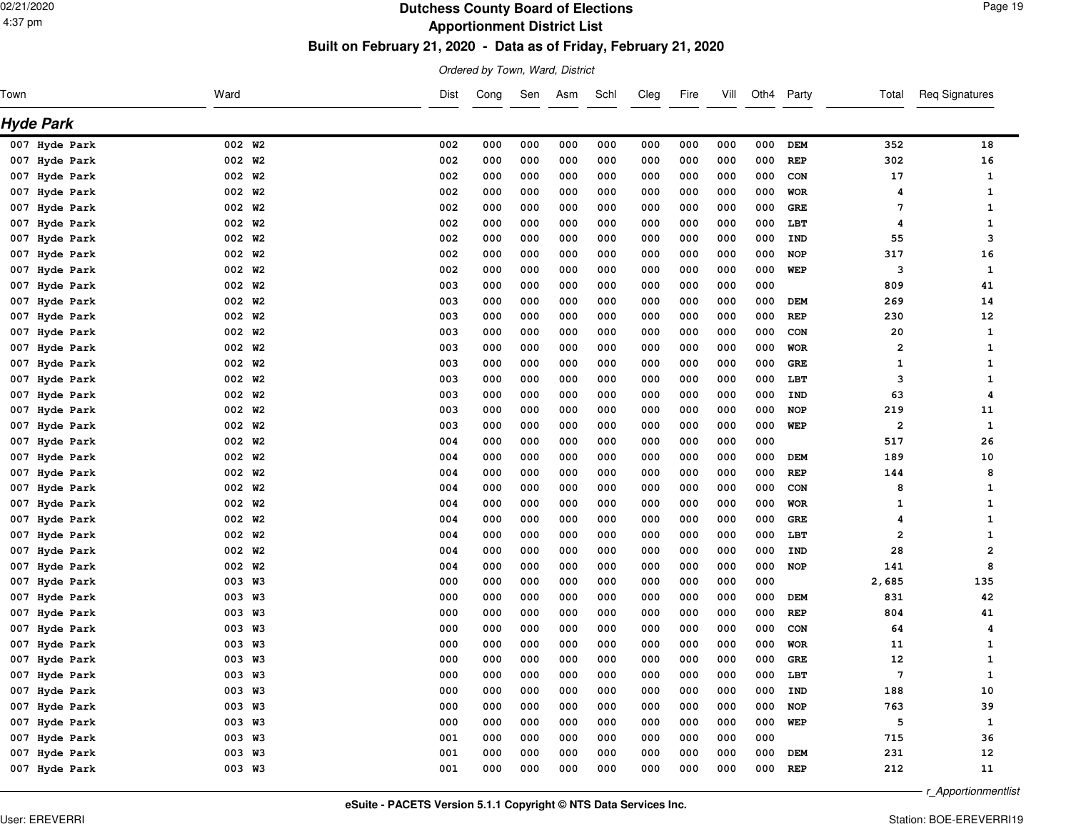#### **Dutchess County Board of Elections**S Page 19 **Apportionment District List**

### **Built on February 21, 2020 - Data as of Friday, February 21, 2020**

Ordered by Town, Ward, District

| <b>Hyde Park</b><br>002 W2<br>007 Hyde Park<br>002<br>000<br>000<br>000<br>352<br>18<br>000<br>000<br>000<br>000<br>000<br><b>DEM</b><br>302<br>002<br><b>W2</b><br>002<br>000<br>000<br>000<br>000<br>007 Hyde Park<br>000<br>000<br>000<br>000<br><b>REP</b><br>16<br>W <sub>2</sub><br>002<br>000<br>17<br>Hyde Park<br>002<br>000<br>000<br>000<br>000<br>000<br>000<br>000<br>CON<br>1<br>007<br>Hyde Park<br>002 W2<br>002<br>000<br>000<br>000<br>000<br>000<br>000<br>000<br><b>WOR</b><br>4<br>$\mathbf{1}$<br>007<br>000<br>Hyde Park<br>002 W2<br>002<br>000<br>000<br>000<br>000<br><b>GRE</b><br>7<br>000<br>000<br>000<br>000<br>1<br>007<br>002 W2<br>002<br>000<br>000<br>000<br>000<br>000<br>000<br>LBT<br>4<br>$\mathbf{1}$<br>Hyde Park<br>000<br>000<br>007<br>002 W2<br>002<br>000<br>000<br>3<br>Hyde Park<br>000<br>000<br>000<br>000<br>000<br>000<br>IND<br>55<br>007<br>317<br>Hyde Park<br>002<br>W2<br>002<br>000<br>000<br>000<br>000<br>000<br>000<br>000<br>000<br><b>NOP</b><br>16<br>007<br>002 W <sub>2</sub><br>002<br>000<br>000<br>000<br>000<br>000<br>000<br><b>WEP</b><br>3<br>1<br>007<br>Hyde Park<br>000<br>000<br>809<br>002 W2<br>003<br>000<br>000<br>000<br>000<br>000<br>000<br>000<br>000<br>41<br>Hyde Park<br>007<br>002<br>W <sub>2</sub><br>003<br>000<br>000<br>000<br>000<br>269<br>007 Hyde Park<br>000<br>000<br>000<br>000<br><b>DEM</b><br>14<br>000<br>230<br>Hyde Park<br>002 W2<br>003<br>000<br>000<br>000<br>000<br>000<br>000<br>000<br><b>REP</b><br>12<br>007<br>002 W2<br>003<br>000<br>20<br>$\mathbf{1}$<br>000<br>000<br>000<br>000<br>000<br>000<br>000<br>CON<br>Hyde Park<br>007<br>002 W2<br>003<br>000<br>000<br>000<br>000<br>000<br>000<br>000<br>000<br><b>WOR</b><br>2<br>1<br>007 Hyde Park<br>Hyde Park<br>002 W2<br>003<br>000<br>000<br>000<br>000<br>000<br>000<br>000<br>000<br><b>GRE</b><br>1<br>$\mathbf{1}$<br>007<br>002 W2<br>003<br>000<br>000<br>000<br>3<br>Hyde Park<br>000<br>000<br>000<br>000<br>000<br>LBT<br>1<br>007<br>W <sub>2</sub><br>003<br>000<br>000<br>000<br>63<br>Hyde Park<br>002<br>000<br>000<br>000<br>000<br>000<br>IND<br>4<br>007<br>002 W2<br>003<br>000<br>000<br>000<br>219<br>Hyde Park<br>000<br>000<br>000<br>000<br>000<br><b>NOP</b><br>11<br>007<br>$\mathbf{2}$<br>Hyde Park<br>002 W2<br>003<br>000<br>000<br>000<br>000<br>000<br>000<br>000<br>000<br><b>WEP</b><br>1<br>007<br>W2<br>004<br>000<br>000<br>000<br>517<br>26<br>Hyde Park<br>002<br>000<br>000<br>000<br>000<br>000<br>007<br>189<br>002 W2<br>004<br>000<br>000<br>000<br>000<br>000<br>000<br>000<br>000<br><b>DEM</b><br>10<br>Hyde Park<br>007<br>002<br>W2<br>004<br>000<br>000<br>000<br>000<br><b>REP</b><br>144<br>8<br>Hyde Park<br>000<br>000<br>000<br>000<br>007<br>004<br>Hyde Park<br>002 W2<br>000<br>000<br>000<br>000<br>000<br>000<br>000<br>000<br>CON<br>8<br>1<br>007<br>002 W2<br>004<br>000<br>000<br>000<br>000<br>000<br><b>WOR</b><br>$\mathbf{1}$<br>1<br>007 | own       | Ward | Dist | Cong | Sen | Asm | Schl | Cleg | Fire | Vill | Oth4 Party | Total | <b>Req Signatures</b> |
|----------------------------------------------------------------------------------------------------------------------------------------------------------------------------------------------------------------------------------------------------------------------------------------------------------------------------------------------------------------------------------------------------------------------------------------------------------------------------------------------------------------------------------------------------------------------------------------------------------------------------------------------------------------------------------------------------------------------------------------------------------------------------------------------------------------------------------------------------------------------------------------------------------------------------------------------------------------------------------------------------------------------------------------------------------------------------------------------------------------------------------------------------------------------------------------------------------------------------------------------------------------------------------------------------------------------------------------------------------------------------------------------------------------------------------------------------------------------------------------------------------------------------------------------------------------------------------------------------------------------------------------------------------------------------------------------------------------------------------------------------------------------------------------------------------------------------------------------------------------------------------------------------------------------------------------------------------------------------------------------------------------------------------------------------------------------------------------------------------------------------------------------------------------------------------------------------------------------------------------------------------------------------------------------------------------------------------------------------------------------------------------------------------------------------------------------------------------------------------------------------------------------------------------------------------------------------------------------------------------------------------------------------------------------------------------------------------------------------------------------------------------------------------------------------------------------------------------------------------------------------------------------------------------------------------------------------------------------------------------------|-----------|------|------|------|-----|-----|------|------|------|------|------------|-------|-----------------------|
|                                                                                                                                                                                                                                                                                                                                                                                                                                                                                                                                                                                                                                                                                                                                                                                                                                                                                                                                                                                                                                                                                                                                                                                                                                                                                                                                                                                                                                                                                                                                                                                                                                                                                                                                                                                                                                                                                                                                                                                                                                                                                                                                                                                                                                                                                                                                                                                                                                                                                                                                                                                                                                                                                                                                                                                                                                                                                                                                                                                              |           |      |      |      |     |     |      |      |      |      |            |       |                       |
|                                                                                                                                                                                                                                                                                                                                                                                                                                                                                                                                                                                                                                                                                                                                                                                                                                                                                                                                                                                                                                                                                                                                                                                                                                                                                                                                                                                                                                                                                                                                                                                                                                                                                                                                                                                                                                                                                                                                                                                                                                                                                                                                                                                                                                                                                                                                                                                                                                                                                                                                                                                                                                                                                                                                                                                                                                                                                                                                                                                              |           |      |      |      |     |     |      |      |      |      |            |       |                       |
|                                                                                                                                                                                                                                                                                                                                                                                                                                                                                                                                                                                                                                                                                                                                                                                                                                                                                                                                                                                                                                                                                                                                                                                                                                                                                                                                                                                                                                                                                                                                                                                                                                                                                                                                                                                                                                                                                                                                                                                                                                                                                                                                                                                                                                                                                                                                                                                                                                                                                                                                                                                                                                                                                                                                                                                                                                                                                                                                                                                              |           |      |      |      |     |     |      |      |      |      |            |       |                       |
|                                                                                                                                                                                                                                                                                                                                                                                                                                                                                                                                                                                                                                                                                                                                                                                                                                                                                                                                                                                                                                                                                                                                                                                                                                                                                                                                                                                                                                                                                                                                                                                                                                                                                                                                                                                                                                                                                                                                                                                                                                                                                                                                                                                                                                                                                                                                                                                                                                                                                                                                                                                                                                                                                                                                                                                                                                                                                                                                                                                              |           |      |      |      |     |     |      |      |      |      |            |       |                       |
|                                                                                                                                                                                                                                                                                                                                                                                                                                                                                                                                                                                                                                                                                                                                                                                                                                                                                                                                                                                                                                                                                                                                                                                                                                                                                                                                                                                                                                                                                                                                                                                                                                                                                                                                                                                                                                                                                                                                                                                                                                                                                                                                                                                                                                                                                                                                                                                                                                                                                                                                                                                                                                                                                                                                                                                                                                                                                                                                                                                              |           |      |      |      |     |     |      |      |      |      |            |       |                       |
|                                                                                                                                                                                                                                                                                                                                                                                                                                                                                                                                                                                                                                                                                                                                                                                                                                                                                                                                                                                                                                                                                                                                                                                                                                                                                                                                                                                                                                                                                                                                                                                                                                                                                                                                                                                                                                                                                                                                                                                                                                                                                                                                                                                                                                                                                                                                                                                                                                                                                                                                                                                                                                                                                                                                                                                                                                                                                                                                                                                              |           |      |      |      |     |     |      |      |      |      |            |       |                       |
|                                                                                                                                                                                                                                                                                                                                                                                                                                                                                                                                                                                                                                                                                                                                                                                                                                                                                                                                                                                                                                                                                                                                                                                                                                                                                                                                                                                                                                                                                                                                                                                                                                                                                                                                                                                                                                                                                                                                                                                                                                                                                                                                                                                                                                                                                                                                                                                                                                                                                                                                                                                                                                                                                                                                                                                                                                                                                                                                                                                              |           |      |      |      |     |     |      |      |      |      |            |       |                       |
|                                                                                                                                                                                                                                                                                                                                                                                                                                                                                                                                                                                                                                                                                                                                                                                                                                                                                                                                                                                                                                                                                                                                                                                                                                                                                                                                                                                                                                                                                                                                                                                                                                                                                                                                                                                                                                                                                                                                                                                                                                                                                                                                                                                                                                                                                                                                                                                                                                                                                                                                                                                                                                                                                                                                                                                                                                                                                                                                                                                              |           |      |      |      |     |     |      |      |      |      |            |       |                       |
|                                                                                                                                                                                                                                                                                                                                                                                                                                                                                                                                                                                                                                                                                                                                                                                                                                                                                                                                                                                                                                                                                                                                                                                                                                                                                                                                                                                                                                                                                                                                                                                                                                                                                                                                                                                                                                                                                                                                                                                                                                                                                                                                                                                                                                                                                                                                                                                                                                                                                                                                                                                                                                                                                                                                                                                                                                                                                                                                                                                              |           |      |      |      |     |     |      |      |      |      |            |       |                       |
|                                                                                                                                                                                                                                                                                                                                                                                                                                                                                                                                                                                                                                                                                                                                                                                                                                                                                                                                                                                                                                                                                                                                                                                                                                                                                                                                                                                                                                                                                                                                                                                                                                                                                                                                                                                                                                                                                                                                                                                                                                                                                                                                                                                                                                                                                                                                                                                                                                                                                                                                                                                                                                                                                                                                                                                                                                                                                                                                                                                              |           |      |      |      |     |     |      |      |      |      |            |       |                       |
|                                                                                                                                                                                                                                                                                                                                                                                                                                                                                                                                                                                                                                                                                                                                                                                                                                                                                                                                                                                                                                                                                                                                                                                                                                                                                                                                                                                                                                                                                                                                                                                                                                                                                                                                                                                                                                                                                                                                                                                                                                                                                                                                                                                                                                                                                                                                                                                                                                                                                                                                                                                                                                                                                                                                                                                                                                                                                                                                                                                              |           |      |      |      |     |     |      |      |      |      |            |       |                       |
|                                                                                                                                                                                                                                                                                                                                                                                                                                                                                                                                                                                                                                                                                                                                                                                                                                                                                                                                                                                                                                                                                                                                                                                                                                                                                                                                                                                                                                                                                                                                                                                                                                                                                                                                                                                                                                                                                                                                                                                                                                                                                                                                                                                                                                                                                                                                                                                                                                                                                                                                                                                                                                                                                                                                                                                                                                                                                                                                                                                              |           |      |      |      |     |     |      |      |      |      |            |       |                       |
|                                                                                                                                                                                                                                                                                                                                                                                                                                                                                                                                                                                                                                                                                                                                                                                                                                                                                                                                                                                                                                                                                                                                                                                                                                                                                                                                                                                                                                                                                                                                                                                                                                                                                                                                                                                                                                                                                                                                                                                                                                                                                                                                                                                                                                                                                                                                                                                                                                                                                                                                                                                                                                                                                                                                                                                                                                                                                                                                                                                              |           |      |      |      |     |     |      |      |      |      |            |       |                       |
|                                                                                                                                                                                                                                                                                                                                                                                                                                                                                                                                                                                                                                                                                                                                                                                                                                                                                                                                                                                                                                                                                                                                                                                                                                                                                                                                                                                                                                                                                                                                                                                                                                                                                                                                                                                                                                                                                                                                                                                                                                                                                                                                                                                                                                                                                                                                                                                                                                                                                                                                                                                                                                                                                                                                                                                                                                                                                                                                                                                              |           |      |      |      |     |     |      |      |      |      |            |       |                       |
|                                                                                                                                                                                                                                                                                                                                                                                                                                                                                                                                                                                                                                                                                                                                                                                                                                                                                                                                                                                                                                                                                                                                                                                                                                                                                                                                                                                                                                                                                                                                                                                                                                                                                                                                                                                                                                                                                                                                                                                                                                                                                                                                                                                                                                                                                                                                                                                                                                                                                                                                                                                                                                                                                                                                                                                                                                                                                                                                                                                              |           |      |      |      |     |     |      |      |      |      |            |       |                       |
|                                                                                                                                                                                                                                                                                                                                                                                                                                                                                                                                                                                                                                                                                                                                                                                                                                                                                                                                                                                                                                                                                                                                                                                                                                                                                                                                                                                                                                                                                                                                                                                                                                                                                                                                                                                                                                                                                                                                                                                                                                                                                                                                                                                                                                                                                                                                                                                                                                                                                                                                                                                                                                                                                                                                                                                                                                                                                                                                                                                              |           |      |      |      |     |     |      |      |      |      |            |       |                       |
|                                                                                                                                                                                                                                                                                                                                                                                                                                                                                                                                                                                                                                                                                                                                                                                                                                                                                                                                                                                                                                                                                                                                                                                                                                                                                                                                                                                                                                                                                                                                                                                                                                                                                                                                                                                                                                                                                                                                                                                                                                                                                                                                                                                                                                                                                                                                                                                                                                                                                                                                                                                                                                                                                                                                                                                                                                                                                                                                                                                              |           |      |      |      |     |     |      |      |      |      |            |       |                       |
|                                                                                                                                                                                                                                                                                                                                                                                                                                                                                                                                                                                                                                                                                                                                                                                                                                                                                                                                                                                                                                                                                                                                                                                                                                                                                                                                                                                                                                                                                                                                                                                                                                                                                                                                                                                                                                                                                                                                                                                                                                                                                                                                                                                                                                                                                                                                                                                                                                                                                                                                                                                                                                                                                                                                                                                                                                                                                                                                                                                              |           |      |      |      |     |     |      |      |      |      |            |       |                       |
|                                                                                                                                                                                                                                                                                                                                                                                                                                                                                                                                                                                                                                                                                                                                                                                                                                                                                                                                                                                                                                                                                                                                                                                                                                                                                                                                                                                                                                                                                                                                                                                                                                                                                                                                                                                                                                                                                                                                                                                                                                                                                                                                                                                                                                                                                                                                                                                                                                                                                                                                                                                                                                                                                                                                                                                                                                                                                                                                                                                              |           |      |      |      |     |     |      |      |      |      |            |       |                       |
|                                                                                                                                                                                                                                                                                                                                                                                                                                                                                                                                                                                                                                                                                                                                                                                                                                                                                                                                                                                                                                                                                                                                                                                                                                                                                                                                                                                                                                                                                                                                                                                                                                                                                                                                                                                                                                                                                                                                                                                                                                                                                                                                                                                                                                                                                                                                                                                                                                                                                                                                                                                                                                                                                                                                                                                                                                                                                                                                                                                              |           |      |      |      |     |     |      |      |      |      |            |       |                       |
|                                                                                                                                                                                                                                                                                                                                                                                                                                                                                                                                                                                                                                                                                                                                                                                                                                                                                                                                                                                                                                                                                                                                                                                                                                                                                                                                                                                                                                                                                                                                                                                                                                                                                                                                                                                                                                                                                                                                                                                                                                                                                                                                                                                                                                                                                                                                                                                                                                                                                                                                                                                                                                                                                                                                                                                                                                                                                                                                                                                              |           |      |      |      |     |     |      |      |      |      |            |       |                       |
|                                                                                                                                                                                                                                                                                                                                                                                                                                                                                                                                                                                                                                                                                                                                                                                                                                                                                                                                                                                                                                                                                                                                                                                                                                                                                                                                                                                                                                                                                                                                                                                                                                                                                                                                                                                                                                                                                                                                                                                                                                                                                                                                                                                                                                                                                                                                                                                                                                                                                                                                                                                                                                                                                                                                                                                                                                                                                                                                                                                              |           |      |      |      |     |     |      |      |      |      |            |       |                       |
|                                                                                                                                                                                                                                                                                                                                                                                                                                                                                                                                                                                                                                                                                                                                                                                                                                                                                                                                                                                                                                                                                                                                                                                                                                                                                                                                                                                                                                                                                                                                                                                                                                                                                                                                                                                                                                                                                                                                                                                                                                                                                                                                                                                                                                                                                                                                                                                                                                                                                                                                                                                                                                                                                                                                                                                                                                                                                                                                                                                              |           |      |      |      |     |     |      |      |      |      |            |       |                       |
|                                                                                                                                                                                                                                                                                                                                                                                                                                                                                                                                                                                                                                                                                                                                                                                                                                                                                                                                                                                                                                                                                                                                                                                                                                                                                                                                                                                                                                                                                                                                                                                                                                                                                                                                                                                                                                                                                                                                                                                                                                                                                                                                                                                                                                                                                                                                                                                                                                                                                                                                                                                                                                                                                                                                                                                                                                                                                                                                                                                              |           |      |      |      |     |     |      |      |      |      |            |       |                       |
|                                                                                                                                                                                                                                                                                                                                                                                                                                                                                                                                                                                                                                                                                                                                                                                                                                                                                                                                                                                                                                                                                                                                                                                                                                                                                                                                                                                                                                                                                                                                                                                                                                                                                                                                                                                                                                                                                                                                                                                                                                                                                                                                                                                                                                                                                                                                                                                                                                                                                                                                                                                                                                                                                                                                                                                                                                                                                                                                                                                              | Hyde Park |      |      |      |     | 000 |      | 000  |      |      | 000        |       |                       |
| 002 W <sub>2</sub><br>004<br>000<br>000<br>000<br>000<br>000<br>000<br>000<br>000<br><b>GRE</b><br>4<br>$\mathbf{1}$<br>007<br>Hyde Park                                                                                                                                                                                                                                                                                                                                                                                                                                                                                                                                                                                                                                                                                                                                                                                                                                                                                                                                                                                                                                                                                                                                                                                                                                                                                                                                                                                                                                                                                                                                                                                                                                                                                                                                                                                                                                                                                                                                                                                                                                                                                                                                                                                                                                                                                                                                                                                                                                                                                                                                                                                                                                                                                                                                                                                                                                                     |           |      |      |      |     |     |      |      |      |      |            |       |                       |
| Hyde Park<br>002 W2<br>004<br>000<br>000<br>000<br>000<br>000<br>000<br>000<br>LBT<br>2<br>$\mathbf{1}$<br>007<br>000                                                                                                                                                                                                                                                                                                                                                                                                                                                                                                                                                                                                                                                                                                                                                                                                                                                                                                                                                                                                                                                                                                                                                                                                                                                                                                                                                                                                                                                                                                                                                                                                                                                                                                                                                                                                                                                                                                                                                                                                                                                                                                                                                                                                                                                                                                                                                                                                                                                                                                                                                                                                                                                                                                                                                                                                                                                                        |           |      |      |      |     |     |      |      |      |      |            |       |                       |
| 002 W2<br>004<br>000<br>000<br>000<br>000<br>IND<br>28<br>$\mathbf{2}$<br>Hyde Park<br>000<br>000<br>000<br>000<br>007                                                                                                                                                                                                                                                                                                                                                                                                                                                                                                                                                                                                                                                                                                                                                                                                                                                                                                                                                                                                                                                                                                                                                                                                                                                                                                                                                                                                                                                                                                                                                                                                                                                                                                                                                                                                                                                                                                                                                                                                                                                                                                                                                                                                                                                                                                                                                                                                                                                                                                                                                                                                                                                                                                                                                                                                                                                                       |           |      |      |      |     |     |      |      |      |      |            |       |                       |
| 002<br><b>W2</b><br>004<br>000<br>000<br>000<br>000<br>000<br>000<br><b>NOP</b><br>141<br>8<br>Hyde Park<br>000<br>000<br>007                                                                                                                                                                                                                                                                                                                                                                                                                                                                                                                                                                                                                                                                                                                                                                                                                                                                                                                                                                                                                                                                                                                                                                                                                                                                                                                                                                                                                                                                                                                                                                                                                                                                                                                                                                                                                                                                                                                                                                                                                                                                                                                                                                                                                                                                                                                                                                                                                                                                                                                                                                                                                                                                                                                                                                                                                                                                |           |      |      |      |     |     |      |      |      |      |            |       |                       |
| 000<br>000<br>2,685<br>135<br>Hyde Park<br>003<br>WЗ<br>000<br>000<br>000<br>000<br>000<br>000<br>000<br>007                                                                                                                                                                                                                                                                                                                                                                                                                                                                                                                                                                                                                                                                                                                                                                                                                                                                                                                                                                                                                                                                                                                                                                                                                                                                                                                                                                                                                                                                                                                                                                                                                                                                                                                                                                                                                                                                                                                                                                                                                                                                                                                                                                                                                                                                                                                                                                                                                                                                                                                                                                                                                                                                                                                                                                                                                                                                                 |           |      |      |      |     |     |      |      |      |      |            |       |                       |
| Hyde Park<br>003<br>W3<br>000<br>000<br>000<br>000<br>000<br>000<br>000<br>000<br>000<br><b>DEM</b><br>831<br>42<br>007                                                                                                                                                                                                                                                                                                                                                                                                                                                                                                                                                                                                                                                                                                                                                                                                                                                                                                                                                                                                                                                                                                                                                                                                                                                                                                                                                                                                                                                                                                                                                                                                                                                                                                                                                                                                                                                                                                                                                                                                                                                                                                                                                                                                                                                                                                                                                                                                                                                                                                                                                                                                                                                                                                                                                                                                                                                                      |           |      |      |      |     |     |      |      |      |      |            |       |                       |
| 003 W3<br>000<br>000<br>000<br>000<br>000<br>000<br>000<br>804<br>41<br>Hyde Park<br>000<br>000<br><b>REP</b><br>007                                                                                                                                                                                                                                                                                                                                                                                                                                                                                                                                                                                                                                                                                                                                                                                                                                                                                                                                                                                                                                                                                                                                                                                                                                                                                                                                                                                                                                                                                                                                                                                                                                                                                                                                                                                                                                                                                                                                                                                                                                                                                                                                                                                                                                                                                                                                                                                                                                                                                                                                                                                                                                                                                                                                                                                                                                                                         |           |      |      |      |     |     |      |      |      |      |            |       |                       |
| 003 W3<br>000<br>000<br>000<br>000<br>000<br>000<br>000<br>CON<br>64<br>Hyde Park<br>000<br>000<br>4<br>007                                                                                                                                                                                                                                                                                                                                                                                                                                                                                                                                                                                                                                                                                                                                                                                                                                                                                                                                                                                                                                                                                                                                                                                                                                                                                                                                                                                                                                                                                                                                                                                                                                                                                                                                                                                                                                                                                                                                                                                                                                                                                                                                                                                                                                                                                                                                                                                                                                                                                                                                                                                                                                                                                                                                                                                                                                                                                  |           |      |      |      |     |     |      |      |      |      |            |       |                       |
| W3<br>000<br>000<br>000<br>000<br>000<br>Hyde Park<br>003<br>000<br>000<br>000<br>000<br><b>WOR</b><br>11<br>$\mathbf{1}$<br>007                                                                                                                                                                                                                                                                                                                                                                                                                                                                                                                                                                                                                                                                                                                                                                                                                                                                                                                                                                                                                                                                                                                                                                                                                                                                                                                                                                                                                                                                                                                                                                                                                                                                                                                                                                                                                                                                                                                                                                                                                                                                                                                                                                                                                                                                                                                                                                                                                                                                                                                                                                                                                                                                                                                                                                                                                                                             |           |      |      |      |     |     |      |      |      |      |            |       |                       |
| 12<br>Hyde Park<br>003<br>WЗ<br>000<br>000<br>000<br>000<br>000<br>000<br>000<br>000<br>000<br><b>GRE</b><br>$\mathbf{1}$<br>007                                                                                                                                                                                                                                                                                                                                                                                                                                                                                                                                                                                                                                                                                                                                                                                                                                                                                                                                                                                                                                                                                                                                                                                                                                                                                                                                                                                                                                                                                                                                                                                                                                                                                                                                                                                                                                                                                                                                                                                                                                                                                                                                                                                                                                                                                                                                                                                                                                                                                                                                                                                                                                                                                                                                                                                                                                                             |           |      |      |      |     |     |      |      |      |      |            |       |                       |
| 000<br>$7\phantom{.0}$<br>003 W3<br>000<br>000<br>000<br>000<br>000<br>000<br>000<br>LBT<br>1<br>Hyde Park<br>000<br>007                                                                                                                                                                                                                                                                                                                                                                                                                                                                                                                                                                                                                                                                                                                                                                                                                                                                                                                                                                                                                                                                                                                                                                                                                                                                                                                                                                                                                                                                                                                                                                                                                                                                                                                                                                                                                                                                                                                                                                                                                                                                                                                                                                                                                                                                                                                                                                                                                                                                                                                                                                                                                                                                                                                                                                                                                                                                     |           |      |      |      |     |     |      |      |      |      |            |       |                       |
| 188<br>003<br>WЗ<br>000<br>000<br>000<br>000<br>000<br>000<br>000<br>000<br>000<br>IND<br>10<br>007<br>Hyde Park                                                                                                                                                                                                                                                                                                                                                                                                                                                                                                                                                                                                                                                                                                                                                                                                                                                                                                                                                                                                                                                                                                                                                                                                                                                                                                                                                                                                                                                                                                                                                                                                                                                                                                                                                                                                                                                                                                                                                                                                                                                                                                                                                                                                                                                                                                                                                                                                                                                                                                                                                                                                                                                                                                                                                                                                                                                                             |           |      |      |      |     |     |      |      |      |      |            |       |                       |
| Hyde Park<br>003<br>W3<br>000<br>000<br>000<br>000<br>000<br>000<br>000<br>000<br>000<br><b>NOP</b><br>763<br>39<br>007                                                                                                                                                                                                                                                                                                                                                                                                                                                                                                                                                                                                                                                                                                                                                                                                                                                                                                                                                                                                                                                                                                                                                                                                                                                                                                                                                                                                                                                                                                                                                                                                                                                                                                                                                                                                                                                                                                                                                                                                                                                                                                                                                                                                                                                                                                                                                                                                                                                                                                                                                                                                                                                                                                                                                                                                                                                                      |           |      |      |      |     |     |      |      |      |      |            |       |                       |
| 003<br>000<br>5<br>Hyde Park<br>WЗ<br>000<br>000<br>000<br>000<br>000<br>000<br>000<br><b>WEP</b><br>1<br>007<br>000                                                                                                                                                                                                                                                                                                                                                                                                                                                                                                                                                                                                                                                                                                                                                                                                                                                                                                                                                                                                                                                                                                                                                                                                                                                                                                                                                                                                                                                                                                                                                                                                                                                                                                                                                                                                                                                                                                                                                                                                                                                                                                                                                                                                                                                                                                                                                                                                                                                                                                                                                                                                                                                                                                                                                                                                                                                                         |           |      |      |      |     |     |      |      |      |      |            |       |                       |
| W3<br>001<br>000<br>715<br>Hyde Park<br>003<br>000<br>000<br>000<br>000<br>000<br>000<br>000<br>36<br>007                                                                                                                                                                                                                                                                                                                                                                                                                                                                                                                                                                                                                                                                                                                                                                                                                                                                                                                                                                                                                                                                                                                                                                                                                                                                                                                                                                                                                                                                                                                                                                                                                                                                                                                                                                                                                                                                                                                                                                                                                                                                                                                                                                                                                                                                                                                                                                                                                                                                                                                                                                                                                                                                                                                                                                                                                                                                                    |           |      |      |      |     |     |      |      |      |      |            |       |                       |
| 001<br>000<br>000<br>231<br>Hyde Park<br>003<br>W3<br>000<br>000<br>000<br>000<br>000<br>000<br><b>DEM</b><br>12<br>007                                                                                                                                                                                                                                                                                                                                                                                                                                                                                                                                                                                                                                                                                                                                                                                                                                                                                                                                                                                                                                                                                                                                                                                                                                                                                                                                                                                                                                                                                                                                                                                                                                                                                                                                                                                                                                                                                                                                                                                                                                                                                                                                                                                                                                                                                                                                                                                                                                                                                                                                                                                                                                                                                                                                                                                                                                                                      |           |      |      |      |     |     |      |      |      |      |            |       |                       |
| 007 Hyde Park<br>003 W3<br>001<br>000<br>000<br>000<br>000<br>000<br>000<br>000<br>000<br><b>REP</b><br>212<br>11                                                                                                                                                                                                                                                                                                                                                                                                                                                                                                                                                                                                                                                                                                                                                                                                                                                                                                                                                                                                                                                                                                                                                                                                                                                                                                                                                                                                                                                                                                                                                                                                                                                                                                                                                                                                                                                                                                                                                                                                                                                                                                                                                                                                                                                                                                                                                                                                                                                                                                                                                                                                                                                                                                                                                                                                                                                                            |           |      |      |      |     |     |      |      |      |      |            |       |                       |

**eSuite - PACETS Version 5.1.1 Copyright © NTS Data Services Inc.**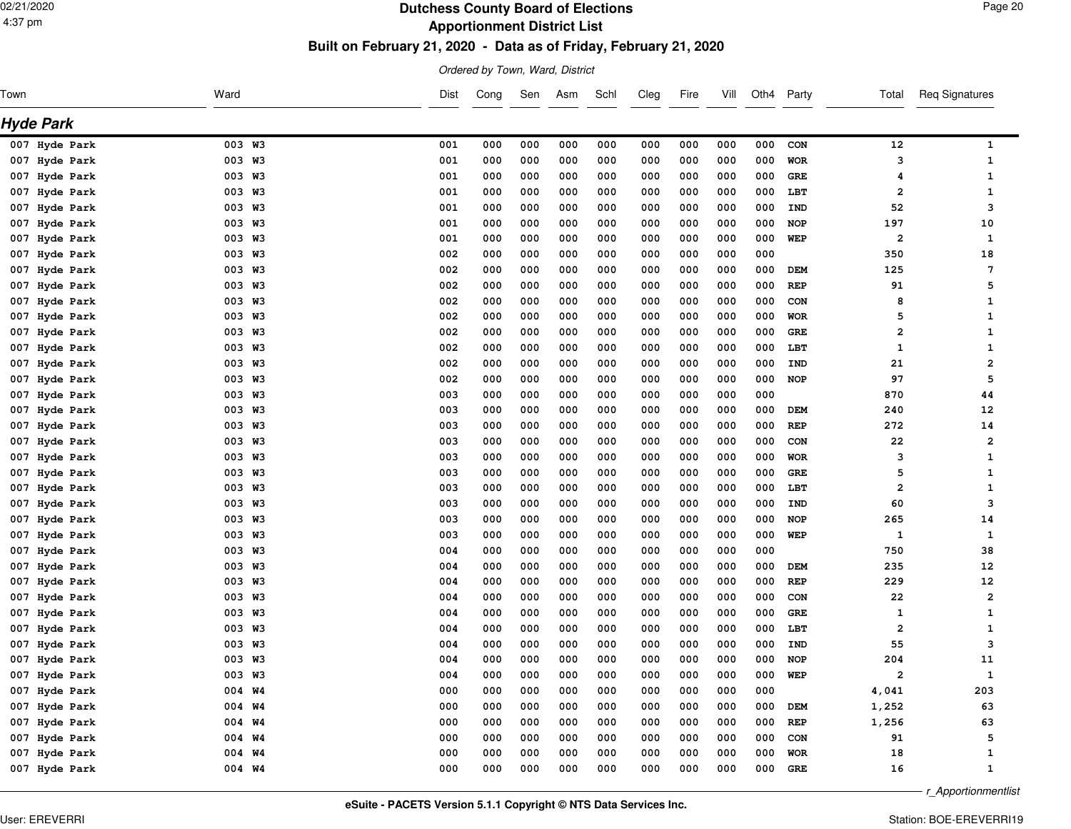#### **Dutchess County Board of Elections** $\mathbf S$ **Apportionment District List**

### **Built on February 21, 2020 - Data as of Friday, February 21, 2020**

Ordered by Town, Ward, District

| own              | Ward      | Dist | Cong | Sen | Asm | Schl | Cleg | Fire | Vill | Oth4 | Party      | Total                   | Req Signatures |
|------------------|-----------|------|------|-----|-----|------|------|------|------|------|------------|-------------------------|----------------|
| <b>Hyde Park</b> |           |      |      |     |     |      |      |      |      |      |            |                         |                |
| 007 Hyde Park    | 003 W3    | 001  | 000  | 000 | 000 | 000  | 000  | 000  | 000  | 000  | CON        | 12                      | $\mathbf{1}$   |
| 007 Hyde Park    | 003<br>W3 | 001  | 000  | 000 | 000 | 000  | 000  | 000  | 000  | 000  | <b>WOR</b> | 3                       | $\mathbf{1}$   |
| 007 Hyde Park    | WЗ<br>003 | 001  | 000  | 000 | 000 | 000  | 000  | 000  | 000  | 000  | <b>GRE</b> | 4                       | 1              |
| 007 Hyde Park    | 003 W3    | 001  | 000  | 000 | 000 | 000  | 000  | 000  | 000  | 000  | LBT        | $\overline{\mathbf{2}}$ | $\mathbf{1}$   |
| Hyde Park<br>007 | WЗ<br>003 | 001  | 000  | 000 | 000 | 000  | 000  | 000  | 000  | 000  | IND        | 52                      | 3              |
| Hyde Park<br>007 | 003 W3    | 001  | 000  | 000 | 000 | 000  | 000  | 000  | 000  | 000  | <b>NOP</b> | 197                     | 10             |
| Hyde Park<br>007 | 003 W3    | 001  | 000  | 000 | 000 | 000  | 000  | 000  | 000  | 000  | <b>WEP</b> | $\overline{\mathbf{2}}$ | $\mathbf{1}$   |
| Hyde Park<br>007 | 003<br>WЗ | 002  | 000  | 000 | 000 | 000  | 000  | 000  | 000  | 000  |            | 350                     | 18             |
| 007<br>Hyde Park | 003<br>WЗ | 002  | 000  | 000 | 000 | 000  | 000  | 000  | 000  | 000  | <b>DEM</b> | 125                     | 7              |
| Hyde Park<br>007 | 003 W3    | 002  | 000  | 000 | 000 | 000  | 000  | 000  | 000  | 000  | <b>REP</b> | 91                      | 5              |
| Hyde Park<br>007 | WЗ<br>003 | 002  | 000  | 000 | 000 | 000  | 000  | 000  | 000  | 000  | CON        | 8                       | $\mathbf{1}$   |
| Hyde Park<br>007 | 003 W3    | 002  | 000  | 000 | 000 | 000  | 000  | 000  | 000  | 000  | <b>WOR</b> | 5                       | $\mathbf{1}$   |
| Hyde Park<br>007 | 003 W3    | 002  | 000  | 000 | 000 | 000  | 000  | 000  | 000  | 000  | <b>GRE</b> | 2                       | $\mathbf{1}$   |
| 007<br>Hyde Park | 003<br>WЗ | 002  | 000  | 000 | 000 | 000  | 000  | 000  | 000  | 000  | LBT        | $\mathbf{1}$            | 1              |
| Hyde Park<br>007 | 003<br>WЗ | 002  | 000  | 000 | 000 | 000  | 000  | 000  | 000  | 000  | IND        | 21                      | 2              |
| Hyde Park<br>007 | 003 W3    | 002  | 000  | 000 | 000 | 000  | 000  | 000  | 000  | 000  | <b>NOP</b> | 97                      | 5              |
| Hyde Park<br>007 | WЗ<br>003 | 003  | 000  | 000 | 000 | 000  | 000  | 000  | 000  | 000  |            | 870                     | 44             |
| Hyde Park<br>007 | 003 W3    | 003  | 000  | 000 | 000 | 000  | 000  | 000  | 000  | 000  | <b>DEM</b> | 240                     | 12             |
| Hyde Park<br>007 | 003 W3    | 003  | 000  | 000 | 000 | 000  | 000  | 000  | 000  | 000  | <b>REP</b> | 272                     | 14             |
| Hyde Park<br>007 | WЗ<br>003 | 003  | 000  | 000 | 000 | 000  | 000  | 000  | 000  | 000  | CON        | 22                      | $\overline{2}$ |
| Hyde Park<br>007 | 003 W3    | 003  | 000  | 000 | 000 | 000  | 000  | 000  | 000  | 000  | <b>WOR</b> | 3                       | $\mathbf{1}$   |
| Hyde Park<br>007 | 003 W3    | 003  | 000  | 000 | 000 | 000  | 000  | 000  | 000  | 000  | <b>GRE</b> | 5                       | 1              |
| 007 Hyde Park    | 003<br>WЗ | 003  | 000  | 000 | 000 | 000  | 000  | 000  | 000  | 000  | LBT        | $\overline{\mathbf{2}}$ | $\mathbf{1}$   |
| Hyde Park<br>007 | 003<br>WЗ | 003  | 000  | 000 | 000 | 000  | 000  | 000  | 000  | 000  | IND        | 60                      | 3              |
| Hyde Park<br>007 | 003 W3    | 003  | 000  | 000 | 000 | 000  | 000  | 000  | 000  | 000  | <b>NOP</b> | 265                     | 14             |
| Hyde Park<br>007 | 003 W3    | 003  | 000  | 000 | 000 | 000  | 000  | 000  | 000  | 000  | WEP        | $\mathbf 1$             | $\mathbf{1}$   |
| Hyde Park<br>007 | WЗ<br>003 | 004  | 000  | 000 | 000 | 000  | 000  | 000  | 000  | 000  |            | 750                     | 38             |
| Hyde Park<br>007 | WЗ<br>003 | 004  | 000  | 000 | 000 | 000  | 000  | 000  | 000  | 000  | <b>DEM</b> | 235                     | 12             |
| Hyde Park<br>007 | 003 W3    | 004  | 000  | 000 | 000 | 000  | 000  | 000  | 000  | 000  | <b>REP</b> | 229                     | 12             |
| Hyde Park<br>007 | 003<br>WЗ | 004  | 000  | 000 | 000 | 000  | 000  | 000  | 000  | 000  | CON        | 22                      | 2              |
| Hyde Park<br>007 | WЗ<br>003 | 004  | 000  | 000 | 000 | 000  | 000  | 000  | 000  | 000  | <b>GRE</b> | 1                       | $\mathbf{1}$   |
| Hyde Park<br>007 | 003 W3    | 004  | 000  | 000 | 000 | 000  | 000  | 000  | 000  | 000  | LBT        | $\mathbf{2}$            | $\mathbf{1}$   |
| Hyde Park<br>007 | WЗ<br>003 | 004  | 000  | 000 | 000 | 000  | 000  | 000  | 000  | 000  | IND        | 55                      | 3              |
| Hyde Park<br>007 | 003<br>WЗ | 004  | 000  | 000 | 000 | 000  | 000  | 000  | 000  | 000  | <b>NOP</b> | 204                     | 11             |
| Hyde Park<br>007 | 003 W3    | 004  | 000  | 000 | 000 | 000  | 000  | 000  | 000  | 000  | <b>WEP</b> | $\overline{\mathbf{2}}$ | 1              |
| Hyde Park<br>007 | W4<br>004 | 000  | 000  | 000 | 000 | 000  | 000  | 000  | 000  | 000  |            | 4,041                   | 203            |
| Hyde Park<br>007 | W4<br>004 | 000  | 000  | 000 | 000 | 000  | 000  | 000  | 000  | 000  | <b>DEM</b> | 1,252                   | 63             |
| Hyde Park<br>007 | 004<br>W4 | 000  | 000  | 000 | 000 | 000  | 000  | 000  | 000  | 000  | <b>REP</b> | 1,256                   | 63             |
| Hyde Park<br>007 | W4<br>004 | 000  | 000  | 000 | 000 | 000  | 000  | 000  | 000  | 000  | CON        | 91                      | 5              |
| Hyde Park<br>007 | 004<br>W4 | 000  | 000  | 000 | 000 | 000  | 000  | 000  | 000  | 000  | <b>WOR</b> | 18                      | $\mathbf{1}$   |
| 007 Hyde Park    | 004 W4    | 000  | 000  | 000 | 000 | 000  | 000  | 000  | 000  | 000  | <b>GRE</b> | 16                      | 1              |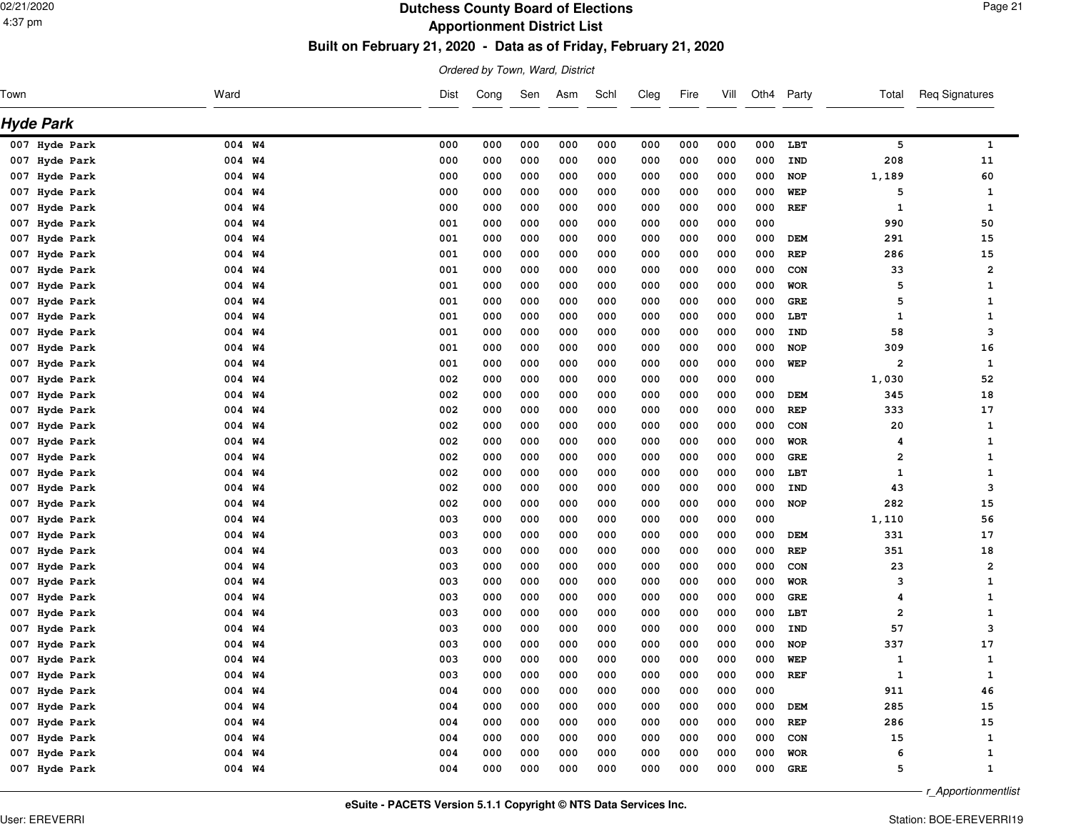#### **Dutchess County Board of Elections**S Page 21 **Apportionment District List**

### **Built on February 21, 2020 - Data as of Friday, February 21, 2020**

Ordered by Town, Ward, District

| Ward<br>⊺own                   | Dist                  | Cong | Sen | Asm | Schl | Cleg | Fire | Vill | Oth4 Party |            | Total        | <b>Req Signatures</b>   |
|--------------------------------|-----------------------|------|-----|-----|------|------|------|------|------------|------------|--------------|-------------------------|
| <b>Hyde Park</b>               |                       |      |     |     |      |      |      |      |            |            |              |                         |
| 007 Hyde Park<br>004 W4        | 000                   | 000  | 000 | 000 | 000  | 000  | 000  | 000  | 000        | LBT        | 5            | $\mathbf{1}$            |
| 007 Hyde Park<br>004           | W4<br>000             | 000  | 000 | 000 | 000  | 000  | 000  | 000  | 000        | <b>IND</b> | 208          | 11                      |
| 004<br>007 Hyde Park           | W4<br>000             | 000  | 000 | 000 | 000  | 000  | 000  | 000  | 000        | <b>NOP</b> | 1,189        | 60                      |
| 007 Hyde Park<br>004           | W4<br>000             | 000  | 000 | 000 | 000  | 000  | 000  | 000  | 000        | <b>WEP</b> | 5            | 1                       |
| 007 Hyde Park<br>004           | W4<br>000             | 000  | 000 | 000 | 000  | 000  | 000  | 000  | 000        | <b>REF</b> | 1            | 1                       |
| Hyde Park<br>004<br>007        | W4<br>001             | 000  | 000 | 000 | 000  | 000  | 000  | 000  | 000        |            | 990          | 50                      |
| Hyde Park<br>004<br>007        | 001<br>W4             | 000  | 000 | 000 | 000  | 000  | 000  | 000  | 000        | <b>DEM</b> | 291          | 15                      |
| 007 Hyde Park<br>004           | W4<br>001             | 000  | 000 | 000 | 000  | 000  | 000  | 000  | 000        | <b>REP</b> | 286          | 15                      |
| 007<br>Hyde Park<br>004        | 001<br>W4             | 000  | 000 | 000 | 000  | 000  | 000  | 000  | 000        | <b>CON</b> | 33           | $\overline{\mathbf{2}}$ |
| Hyde Park<br>004<br>007        | W4<br>001             | 000  | 000 | 000 | 000  | 000  | 000  | 000  | 000        | <b>WOR</b> | 5            | 1                       |
| 007 Hyde Park<br>004           | 001<br>W4             | 000  | 000 | 000 | 000  | 000  | 000  | 000  | 000        | <b>GRE</b> | 5            | 1                       |
| Hyde Park<br>004<br>007        | W4<br>001             | 000  | 000 | 000 | 000  | 000  | 000  | 000  | 000        | LBT        | $\mathbf{1}$ | $\mathbf{1}$            |
| 004<br>Hyde Park<br>007        | 001<br>W4             | 000  | 000 | 000 | 000  | 000  | 000  | 000  | 000        | IND        | 58           | 3                       |
| 007 Hyde Park<br>004           | W4<br>001             | 000  | 000 | 000 | 000  | 000  | 000  | 000  | 000        | <b>NOP</b> | 309          | 16                      |
| 007 Hyde Park<br>004           | W4<br>001             | 000  | 000 | 000 | 000  | 000  | 000  | 000  | 000        | <b>WEP</b> | $\mathbf{2}$ | $\mathbf{1}$            |
| 007 Hyde Park<br>004           | 002<br>W4             | 000  | 000 | 000 | 000  | 000  | 000  | 000  | 000        |            | 1,030        | 52                      |
| 007 Hyde Park<br>004           | 002<br>W4             | 000  | 000 | 000 | 000  | 000  | 000  | 000  | 000        | <b>DEM</b> | 345          | 18                      |
| Hyde Park<br>004<br>007        | W4<br>002             | 000  | 000 | 000 | 000  | 000  | 000  | 000  | 000        | <b>REP</b> | 333          | 17                      |
| 007 Hyde Park<br>004           | W4<br>002             | 000  | 000 | 000 | 000  | 000  | 000  | 000  | 000        | CON        | 20           | $\mathbf{1}$            |
| 007 Hyde Park<br>004           | 002<br>W4             | 000  | 000 | 000 | 000  | 000  | 000  | 000  | 000        | <b>WOR</b> | 4            | 1                       |
| Hyde Park<br>004<br>007        | W <sub>4</sub><br>002 | 000  | 000 | 000 | 000  | 000  | 000  | 000  | 000        | <b>GRE</b> | $\mathbf{2}$ | 1                       |
| 007 Hyde Park<br>004           | 002<br>W4             | 000  | 000 | 000 | 000  | 000  | 000  | 000  | 000        | LBT        | $\mathbf{1}$ | 1                       |
| 007 Hyde Park<br>004           | W4<br>002             | 000  | 000 | 000 | 000  | 000  | 000  | 000  | 000        | IND        | 43           | 3                       |
| Hyde Park<br>004<br>007        | W4<br>002             | 000  | 000 | 000 | 000  | 000  | 000  | 000  | 000        | <b>NOP</b> | 282          | 15                      |
| 004<br>007<br><b>Hyde Park</b> | W4<br>003             | 000  | 000 | 000 | 000  | 000  | 000  | 000  | 000        |            | 1,110        | 56                      |
| 007 Hyde Park<br>004           | W4<br>003             | 000  | 000 | 000 | 000  | 000  | 000  | 000  | 000        | <b>DEM</b> | 331          | 17                      |
| 007 Hyde Park<br>004           | W4<br>003             | 000  | 000 | 000 | 000  | 000  | 000  | 000  | 000        | <b>REP</b> | 351          | 18                      |
| 004<br>007<br>Hyde Park        | 003<br>W4             | 000  | 000 | 000 | 000  | 000  | 000  | 000  | 000        | CON        | 23           | $\overline{\mathbf{2}}$ |
| 007 Hyde Park<br>004           | 003<br>W4             | 000  | 000 | 000 | 000  | 000  | 000  | 000  | 000        | <b>WOR</b> | 3            | 1                       |
| 007 Hyde Park<br>004           | W4<br>003             | 000  | 000 | 000 | 000  | 000  | 000  | 000  | 000        | <b>GRE</b> | 4            | 1                       |
| Hyde Park<br>004<br>007        | 003<br>W4             | 000  | 000 | 000 | 000  | 000  | 000  | 000  | 000        | LBT        | 2            | 1                       |
| Hyde Park<br>004<br>007        | W4<br>003             | 000  | 000 | 000 | 000  | 000  | 000  | 000  | 000        | <b>IND</b> | 57           | 3                       |
| 007 Hyde Park<br>004           | 003<br>W4             | 000  | 000 | 000 | 000  | 000  | 000  | 000  | 000        | <b>NOP</b> | 337          | 17                      |
| Hyde Park<br>004<br>007        | W4<br>003             | 000  | 000 | 000 | 000  | 000  | 000  | 000  | 000        | <b>WEP</b> | $\mathbf{1}$ | 1                       |
| 004<br>Hyde Park<br>007        | 003<br>W4             | 000  | 000 | 000 | 000  | 000  | 000  | 000  | 000        | <b>REF</b> | $\mathbf{1}$ | 1                       |
| 007 Hyde Park<br>004           | W4<br>004             | 000  | 000 | 000 | 000  | 000  | 000  | 000  | 000        |            | 911          | 46                      |
| <b>Hyde Park</b><br>004<br>007 | 004<br>W4             | 000  | 000 | 000 | 000  | 000  | 000  | 000  | 000        | <b>DEM</b> | 285          | 15                      |
| Hyde Park<br>004<br>007        | W4<br>004             | 000  | 000 | 000 | 000  | 000  | 000  | 000  | 000        | <b>REP</b> | 286          | 15                      |
| 007 Hyde Park<br>004           | W4<br>004             | 000  | 000 | 000 | 000  | 000  | 000  | 000  | 000        | CON        | 15           | 1                       |
| 007 Hyde Park<br>004           | W4<br>004             | 000  | 000 | 000 | 000  | 000  | 000  | 000  | 000        | <b>WOR</b> | 6            | 1                       |
| 007 Hyde Park<br>004 W4        | 004                   | 000  | 000 | 000 | 000  | 000  | 000  | 000  | 000        | <b>GRE</b> | 5            | 1                       |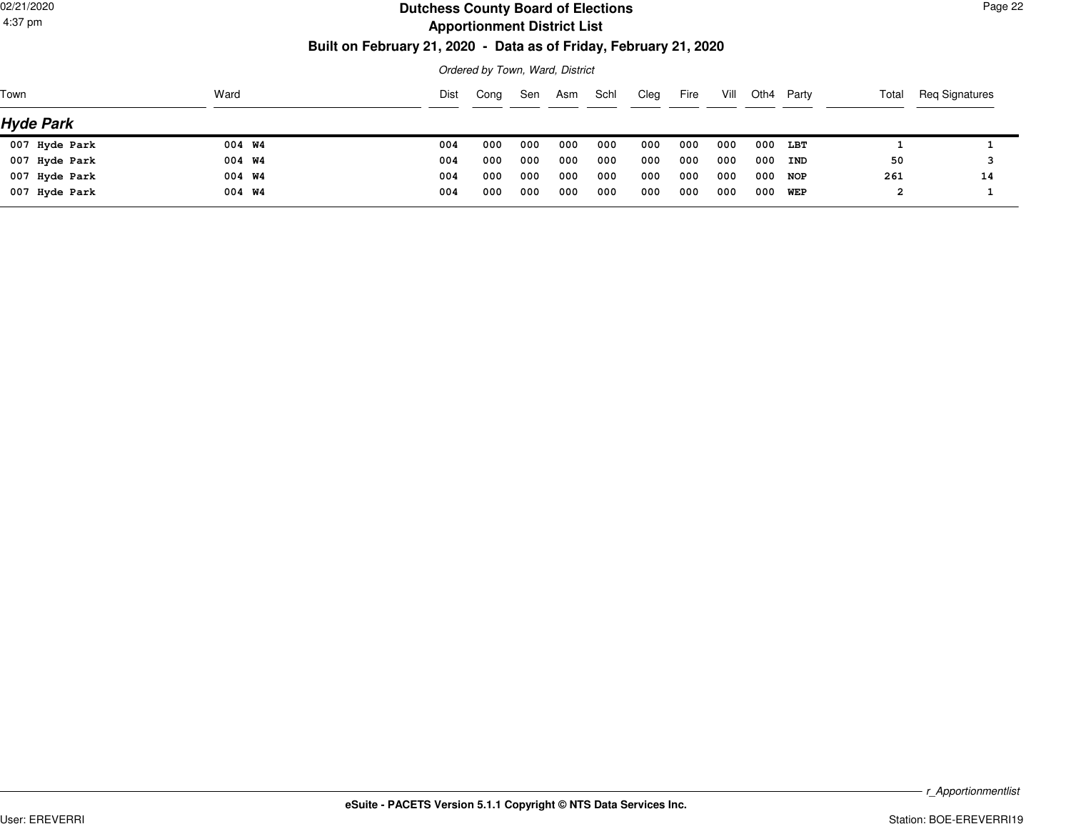#### **Dutchess County Board of Elections** $\mathbf S$ **Apportionment District List**

## **Built on February 21, 2020 - Data as of Friday, February 21, 2020**

| Ordered by Town, Ward, District |  |  |
|---------------------------------|--|--|
|---------------------------------|--|--|

| Town             | Ward   | Dist | Cong | Sen | Asm | Schl | Cleg | Fire | Vill | Oth4 Party |            | Total | Req Signatures |
|------------------|--------|------|------|-----|-----|------|------|------|------|------------|------------|-------|----------------|
| <b>Hyde Park</b> |        |      |      |     |     |      |      |      |      |            |            |       |                |
| 007 Hyde Park    | 004 W4 | 004  | 000  | 000 | 000 | 000  | 000  | 000  | 000  |            | 000 LBT    |       |                |
| 007 Hyde Park    | 004 W4 | 004  | 000  | 000 | 000 | 000  | 000  | 000  | 000  | 000        | IND        | 50    |                |
| 007 Hyde Park    | 004 W4 | 004  | 000  | 000 | 000 | 000  | 000  | 000  | 000  | 000        | <b>NOP</b> | 261   | 14             |
| 007 Hyde Park    | 004 W4 | 004  | 000  | 000 | 000 | 000  | 000  | 000  | 000  | 000        | WEP        | 2     |                |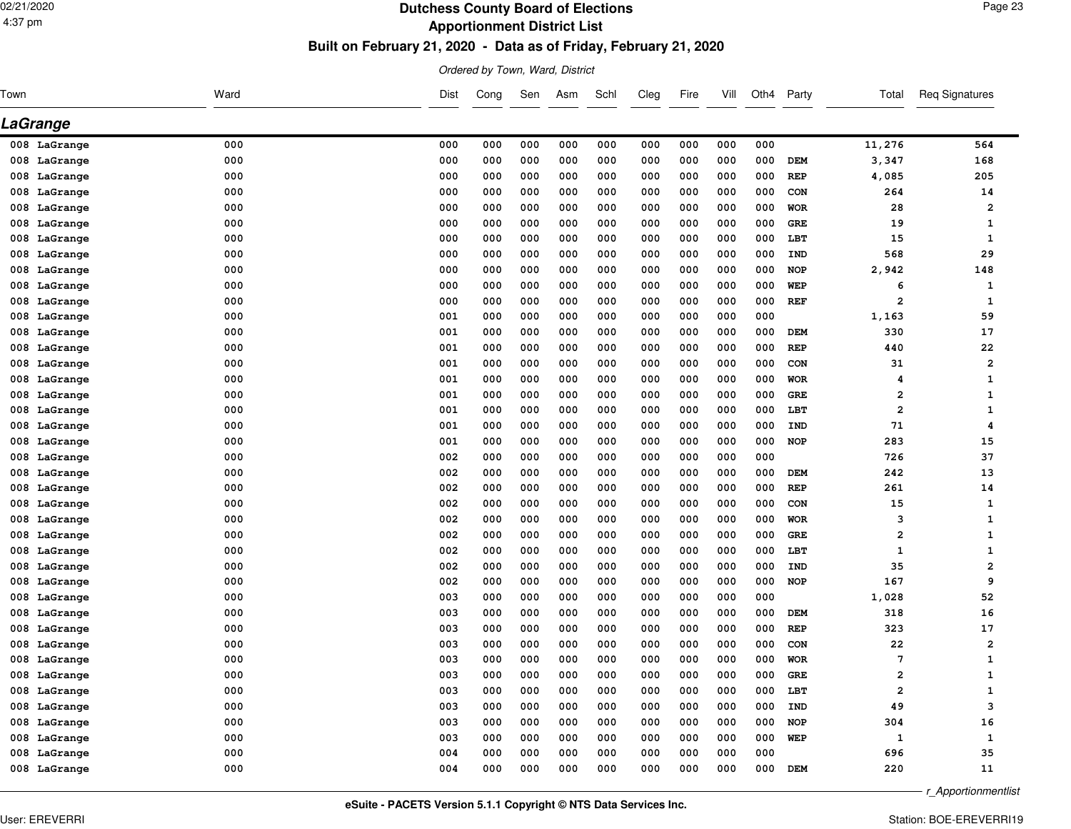# **Dutchess County Board of ElectionsApportionment District List**

### **Built on February 21, 2020 - Data as of Friday, February 21, 2020**

Ordered by Town, Ward, District

| -own |              | Ward | Dist | Cong | Sen | Asm | Schl | Cleg | Fire | Vill | Oth4 | Party      | Total                   | Req Signatures |
|------|--------------|------|------|------|-----|-----|------|------|------|------|------|------------|-------------------------|----------------|
|      | LaGrange     |      |      |      |     |     |      |      |      |      |      |            |                         |                |
|      | 008 LaGrange | 000  | 000  | 000  | 000 | 000 | 000  | 000  | 000  | 000  | 000  |            | 11,276                  | 564            |
|      | 008 LaGrange | 000  | 000  | 000  | 000 | 000 | 000  | 000  | 000  | 000  | 000  | <b>DEM</b> | 3,347                   | 168            |
| 008  | LaGrange     | 000  | 000  | 000  | 000 | 000 | 000  | 000  | 000  | 000  | 000  | <b>REP</b> | 4,085                   | 205            |
| 008  | LaGrange     | 000  | 000  | 000  | 000 | 000 | 000  | 000  | 000  | 000  | 000  | CON        | 264                     | 14             |
| 008  | LaGrange     | 000  | 000  | 000  | 000 | 000 | 000  | 000  | 000  | 000  | 000  | <b>WOR</b> | 28                      | $\overline{a}$ |
| 008  | LaGrange     | 000  | 000  | 000  | 000 | 000 | 000  | 000  | 000  | 000  | 000  | <b>GRE</b> | 19                      | $\mathbf{1}$   |
| 008  | LaGrange     | 000  | 000  | 000  | 000 | 000 | 000  | 000  | 000  | 000  | 000  | LBT        | 15                      | 1              |
| 008  | LaGrange     | 000  | 000  | 000  | 000 | 000 | 000  | 000  | 000  | 000  | 000  | <b>IND</b> | 568                     | 29             |
| 008  | LaGrange     | 000  | 000  | 000  | 000 | 000 | 000  | 000  | 000  | 000  | 000  | <b>NOP</b> | 2,942                   | 148            |
| 800  | LaGrange     | 000  | 000  | 000  | 000 | 000 | 000  | 000  | 000  | 000  | 000  | WEP        | 6                       | $\mathbf{1}$   |
| 008  | LaGrange     | 000  | 000  | 000  | 000 | 000 | 000  | 000  | 000  | 000  | 000  | <b>REF</b> | $\overline{\mathbf{2}}$ | 1              |
| 008  | LaGrange     | 000  | 001  | 000  | 000 | 000 | 000  | 000  | 000  | 000  | 000  |            | 1,163                   | 59             |
| 008  | LaGrange     | 000  | 001  | 000  | 000 | 000 | 000  | 000  | 000  | 000  | 000  | <b>DEM</b> | 330                     | 17             |
| 008  | LaGrange     | 000  | 001  | 000  | 000 | 000 | 000  | 000  | 000  | 000  | 000  | <b>REP</b> | 440                     | 22             |
| 008  | LaGrange     | 000  | 001  | 000  | 000 | 000 | 000  | 000  | 000  | 000  | 000  | CON        | 31                      | $\mathbf{2}$   |
| 800  | LaGrange     | 000  | 001  | 000  | 000 | 000 | 000  | 000  | 000  | 000  | 000  | <b>WOR</b> | 4                       | $\mathbf{1}$   |
| 008  | LaGrange     | 000  | 001  | 000  | 000 | 000 | 000  | 000  | 000  | 000  | 000  | <b>GRE</b> | $\overline{2}$          | $\mathbf{1}$   |
| 008  | LaGrange     | 000  | 001  | 000  | 000 | 000 | 000  | 000  | 000  | 000  | 000  | LBT        | $\overline{\mathbf{2}}$ | $\mathbf{1}$   |
| 008  | LaGrange     | 000  | 001  | 000  | 000 | 000 | 000  | 000  | 000  | 000  | 000  | <b>IND</b> | 71                      | 4              |
| 008  | LaGrange     | 000  | 001  | 000  | 000 | 000 | 000  | 000  | 000  | 000  | 000  | <b>NOP</b> | 283                     | 15             |
| 008  | LaGrange     | 000  | 002  | 000  | 000 | 000 | 000  | 000  | 000  | 000  | 000  |            | 726                     | 37             |
| 008  | LaGrange     | 000  | 002  | 000  | 000 | 000 | 000  | 000  | 000  | 000  | 000  | <b>DEM</b> | 242                     | 13             |
| 800  | LaGrange     | 000  | 002  | 000  | 000 | 000 | 000  | 000  | 000  | 000  | 000  | <b>REP</b> | 261                     | 14             |
| 800  | LaGrange     | 000  | 002  | 000  | 000 | 000 | 000  | 000  | 000  | 000  | 000  | CON        | 15                      | 1              |
| 008  | LaGrange     | 000  | 002  | 000  | 000 | 000 | 000  | 000  | 000  | 000  | 000  | <b>WOR</b> | 3                       | 1              |
| 008  | LaGrange     | 000  | 002  | 000  | 000 | 000 | 000  | 000  | 000  | 000  | 000  | <b>GRE</b> | $\overline{a}$          | 1              |
| 008  | LaGrange     | 000  | 002  | 000  | 000 | 000 | 000  | 000  | 000  | 000  | 000  | LBT        | $\mathbf{1}$            | 1              |
| 008  | LaGrange     | 000  | 002  | 000  | 000 | 000 | 000  | 000  | 000  | 000  | 000  | <b>IND</b> | 35                      | $\overline{2}$ |
| 800  | LaGrange     | 000  | 002  | 000  | 000 | 000 | 000  | 000  | 000  | 000  | 000  | <b>NOP</b> | 167                     | 9              |
| 800  | LaGrange     | 000  | 003  | 000  | 000 | 000 | 000  | 000  | 000  | 000  | 000  |            | 1,028                   | 52             |
| 008  | LaGrange     | 000  | 003  | 000  | 000 | 000 | 000  | 000  | 000  | 000  | 000  | <b>DEM</b> | 318                     | 16             |
| 008  | LaGrange     | 000  | 003  | 000  | 000 | 000 | 000  | 000  | 000  | 000  | 000  | <b>REP</b> | 323                     | 17             |
| 008  | LaGrange     | 000  | 003  | 000  | 000 | 000 | 000  | 000  | 000  | 000  | 000  | CON        | 22                      | $\mathbf{2}$   |
| 008  | LaGrange     | 000  | 003  | 000  | 000 | 000 | 000  | 000  | 000  | 000  | 000  | <b>WOR</b> | 7                       | 1              |
| 008  | LaGrange     | 000  | 003  | 000  | 000 | 000 | 000  | 000  | 000  | 000  | 000  | <b>GRE</b> | $\overline{2}$          | $\mathbf{1}$   |
| 008  | LaGrange     | 000  | 003  | 000  | 000 | 000 | 000  | 000  | 000  | 000  | 000  | LBT        | $\overline{\mathbf{2}}$ | $\mathbf{1}$   |
| 008  | LaGrange     | 000  | 003  | 000  | 000 | 000 | 000  | 000  | 000  | 000  | 000  | IND        | 49                      | 3              |
| 008  | LaGrange     | 000  | 003  | 000  | 000 | 000 | 000  | 000  | 000  | 000  | 000  | <b>NOP</b> | 304                     | 16             |
| 008  | LaGrange     | 000  | 003  | 000  | 000 | 000 | 000  | 000  | 000  | 000  | 000  | <b>WEP</b> | $\mathbf{1}$            | 1              |
| 008  | LaGrange     | 000  | 004  | 000  | 000 | 000 | 000  | 000  | 000  | 000  | 000  |            | 696                     | 35             |
|      | 008 LaGrange | 000  | 004  | 000  | 000 | 000 | 000  | 000  | 000  | 000  | 000  | <b>DEM</b> | 220                     | 11             |

**eSuite - PACETS Version 5.1.1 Copyright © NTS Data Services Inc.**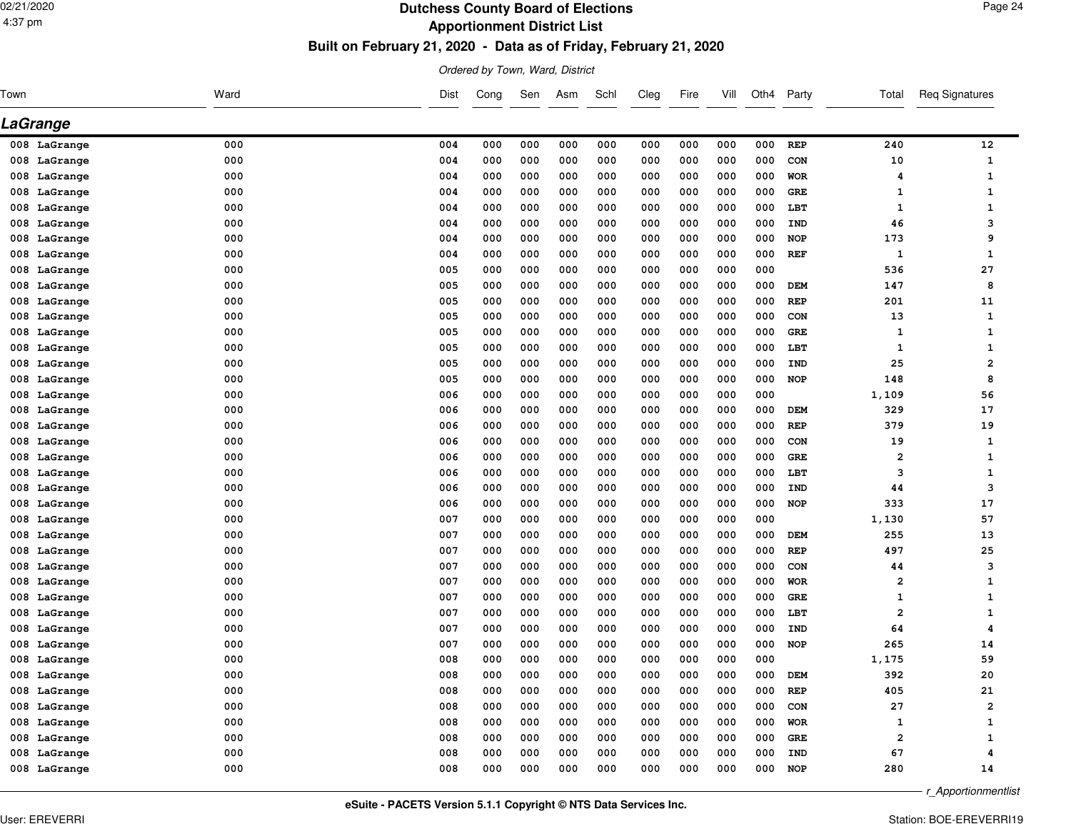#### **Dutchess County Board of Elections** $\bullet$  Page 24 **Apportionment District List**

### **Built on February 21, 2020 - Data as of Friday, February 21, 2020**

Ordered by Town, Ward, District

| -own |              | Ward | Dist | Cong | Sen | Asm | Schl | Cleg | Fire | Vill | Oth4 | Party      | Total          | Req Signatures          |
|------|--------------|------|------|------|-----|-----|------|------|------|------|------|------------|----------------|-------------------------|
|      | LaGrange     |      |      |      |     |     |      |      |      |      |      |            |                |                         |
|      | 008 LaGrange | 000  | 004  | 000  | 000 | 000 | 000  | 000  | 000  | 000  | 000  | <b>REP</b> | 240            | 12                      |
|      | 008 LaGrange | 000  | 004  | 000  | 000 | 000 | 000  | 000  | 000  | 000  | 000  | CON        | 10             | $\mathbf 1$             |
| 008  | LaGrange     | 000  | 004  | 000  | 000 | 000 | 000  | 000  | 000  | 000  | 000  | <b>WOR</b> | 4              | $\mathbf{1}$            |
| 008  | LaGrange     | 000  | 004  | 000  | 000 | 000 | 000  | 000  | 000  | 000  | 000  | <b>GRE</b> | $\mathbf{1}$   | $\mathbf{1}$            |
| 008  | LaGrange     | 000  | 004  | 000  | 000 | 000 | 000  | 000  | 000  | 000  | 000  | LBT        | $\mathbf{1}$   | $\mathbf{1}$            |
| 008  | LaGrange     | 000  | 004  | 000  | 000 | 000 | 000  | 000  | 000  | 000  | 000  | <b>IND</b> | 46             | 3                       |
| 008  | LaGrange     | 000  | 004  | 000  | 000 | 000 | 000  | 000  | 000  | 000  | 000  | <b>NOP</b> | 173            | 9                       |
| 008  | LaGrange     | 000  | 004  | 000  | 000 | 000 | 000  | 000  | 000  | 000  | 000  | <b>REF</b> | $\mathbf{1}$   | $\mathbf{1}$            |
| 008  | LaGrange     | 000  | 005  | 000  | 000 | 000 | 000  | 000  | 000  | 000  | 000  |            | 536            | 27                      |
| 800  | LaGrange     | 000  | 005  | 000  | 000 | 000 | 000  | 000  | 000  | 000  | 000  | <b>DEM</b> | 147            | 8                       |
| 008  | LaGrange     | 000  | 005  | 000  | 000 | 000 | 000  | 000  | 000  | 000  | 000  | <b>REP</b> | 201            | 11                      |
| 008  | LaGrange     | 000  | 005  | 000  | 000 | 000 | 000  | 000  | 000  | 000  | 000  | CON        | 13             | $\mathbf{1}$            |
| 008  | LaGrange     | 000  | 005  | 000  | 000 | 000 | 000  | 000  | 000  | 000  | 000  | <b>GRE</b> | $\mathbf{1}$   | 1                       |
| 008  | LaGrange     | 000  | 005  | 000  | 000 | 000 | 000  | 000  | 000  | 000  | 000  | LBT        | $\mathbf{1}$   | 1                       |
| 008  | LaGrange     | 000  | 005  | 000  | 000 | 000 | 000  | 000  | 000  | 000  | 000  | <b>IND</b> | 25             | $\overline{\mathbf{2}}$ |
| 800  | LaGrange     | 000  | 005  | 000  | 000 | 000 | 000  | 000  | 000  | 000  | 000  | <b>NOP</b> | 148            | 8                       |
| 800  | LaGrange     | 000  | 006  | 000  | 000 | 000 | 000  | 000  | 000  | 000  | 000  |            | 1,109          | 56                      |
| 008  | LaGrange     | 000  | 006  | 000  | 000 | 000 | 000  | 000  | 000  | 000  | 000  | <b>DEM</b> | 329            | 17                      |
| 008  | LaGrange     | 000  | 006  | 000  | 000 | 000 | 000  | 000  | 000  | 000  | 000  | <b>REP</b> | 379            | 19                      |
| 008  | LaGrange     | 000  | 006  | 000  | 000 | 000 | 000  | 000  | 000  | 000  | 000  | CON        | 19             | 1                       |
| 008  | LaGrange     | 000  | 006  | 000  | 000 | 000 | 000  | 000  | 000  | 000  | 000  | <b>GRE</b> | $\overline{2}$ | 1                       |
| 008  | LaGrange     | 000  | 006  | 000  | 000 | 000 | 000  | 000  | 000  | 000  | 000  | LBT        | 3              | $\mathbf 1$             |
| 800  | LaGrange     | 000  | 006  | 000  | 000 | 000 | 000  | 000  | 000  | 000  | 000  | <b>IND</b> | 44             | $\overline{\mathbf{3}}$ |
| 800  | LaGrange     | 000  | 006  | 000  | 000 | 000 | 000  | 000  | 000  | 000  | 000  | <b>NOP</b> | 333            | 17                      |
| 008  | LaGrange     | 000  | 007  | 000  | 000 | 000 | 000  | 000  | 000  | 000  | 000  |            | 1,130          | 57                      |
| 008  | LaGrange     | 000  | 007  | 000  | 000 | 000 | 000  | 000  | 000  | 000  | 000  | <b>DEM</b> | 255            | 13                      |
| 008  | LaGrange     | 000  | 007  | 000  | 000 | 000 | 000  | 000  | 000  | 000  | 000  | <b>REP</b> | 497            | 25                      |
| 008  | LaGrange     | 000  | 007  | 000  | 000 | 000 | 000  | 000  | 000  | 000  | 000  | CON        | 44             | $\overline{\mathbf{3}}$ |
| 800  | LaGrange     | 000  | 007  | 000  | 000 | 000 | 000  | 000  | 000  | 000  | 000  | <b>WOR</b> | 2              | $\mathbf{1}$            |
| 800  | LaGrange     | 000  | 007  | 000  | 000 | 000 | 000  | 000  | 000  | 000  | 000  | <b>GRE</b> | $\mathbf{1}$   | $\mathbf{1}$            |
| 008  | LaGrange     | 000  | 007  | 000  | 000 | 000 | 000  | 000  | 000  | 000  | 000  | LBT        | $\overline{a}$ | $\mathbf{1}$            |
| 008  | LaGrange     | 000  | 007  | 000  | 000 | 000 | 000  | 000  | 000  | 000  | 000  | <b>IND</b> | 64             | 4                       |
| 008  | LaGrange     | 000  | 007  | 000  | 000 | 000 | 000  | 000  | 000  | 000  | 000  | <b>NOP</b> | 265            | 14                      |
| 008  | LaGrange     | 000  | 008  | 000  | 000 | 000 | 000  | 000  | 000  | 000  | 000  |            | 1,175          | 59                      |
| 008  | LaGrange     | 000  | 008  | 000  | 000 | 000 | 000  | 000  | 000  | 000  | 000  | <b>DEM</b> | 392            | 20                      |
| 008  | LaGrange     | 000  | 008  | 000  | 000 | 000 | 000  | 000  | 000  | 000  | 000  | <b>REP</b> | 405            | 21                      |
| 008  | LaGrange     | 000  | 008  | 000  | 000 | 000 | 000  | 000  | 000  | 000  | 000  | CON        | 27             | $\overline{2}$          |
| 008  | LaGrange     | 000  | 008  | 000  | 000 | 000 | 000  | 000  | 000  | 000  | 000  | <b>WOR</b> | $\mathbf{1}$   | 1                       |
| 008  | LaGrange     | 000  | 008  | 000  | 000 | 000 | 000  | 000  | 000  | 000  | 000  | <b>GRE</b> | 2              | 1                       |
| 008  | LaGrange     | 000  | 008  | 000  | 000 | 000 | 000  | 000  | 000  | 000  | 000  | <b>IND</b> | 67             | 4                       |
|      | 008 LaGrange | 000  | 008  | 000  | 000 | 000 | 000  | 000  | 000  | 000  | 000  | <b>NOP</b> | 280            | 14                      |

**eSuite - PACETS Version 5.1.1 Copyright © NTS Data Services Inc.**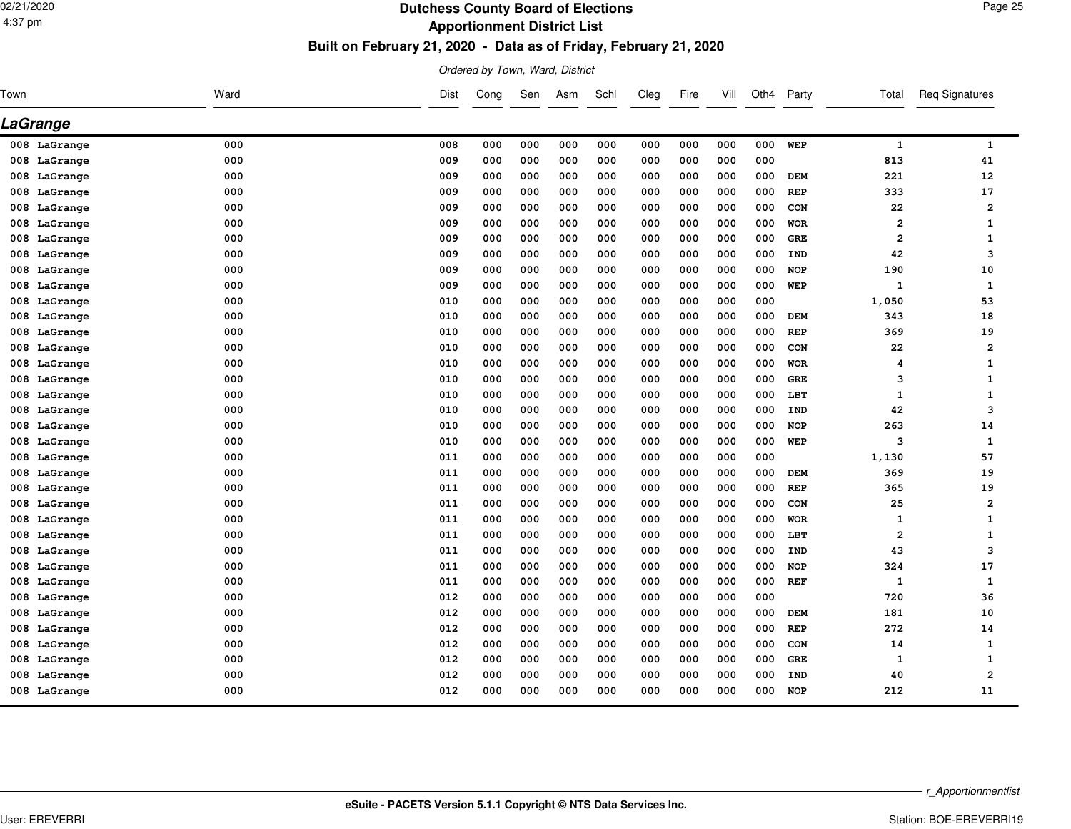#### **Dutchess County Board of Elections** $\mathbf S$ **Apportionment District List**

### **Built on February 21, 2020 - Data as of Friday, February 21, 2020**

Ordered by Town, Ward, District

| ⊺own     |              | Ward | Dist | Cong | Sen | Asm | Schl | Cleg | Fire | Vill | Oth4 | Party      | Total          | <b>Req Signatures</b> |
|----------|--------------|------|------|------|-----|-----|------|------|------|------|------|------------|----------------|-----------------------|
| LaGrange |              |      |      |      |     |     |      |      |      |      |      |            |                |                       |
|          | 008 LaGrange | 000  | 008  | 000  | 000 | 000 | 000  | 000  | 000  | 000  | 000  | <b>WEP</b> | $\mathbf{1}$   | $\mathbf{1}$          |
| 008      | LaGrange     | 000  | 009  | 000  | 000 | 000 | 000  | 000  | 000  | 000  | 000  |            | 813            | 41                    |
| 008      | LaGrange     | 000  | 009  | 000  | 000 | 000 | 000  | 000  | 000  | 000  | 000  | <b>DEM</b> | 221            | 12                    |
| 008      | LaGrange     | 000  | 009  | 000  | 000 | 000 | 000  | 000  | 000  | 000  | 000  | <b>REP</b> | 333            | 17                    |
| 008      | LaGrange     | 000  | 009  | 000  | 000 | 000 | 000  | 000  | 000  | 000  | 000  | CON        | 22             | $\mathbf{2}$          |
| 008      | LaGrange     | 000  | 009  | 000  | 000 | 000 | 000  | 000  | 000  | 000  | 000  | <b>WOR</b> | $\overline{a}$ | $\mathbf{1}$          |
| 008      | LaGrange     | 000  | 009  | 000  | 000 | 000 | 000  | 000  | 000  | 000  | 000  | <b>GRE</b> | $\overline{2}$ | $\mathbf{1}$          |
| 008      | LaGrange     | 000  | 009  | 000  | 000 | 000 | 000  | 000  | 000  | 000  | 000  | <b>IND</b> | 42             | 3                     |
| 008      | LaGrange     | 000  | 009  | 000  | 000 | 000 | 000  | 000  | 000  | 000  | 000  | <b>NOP</b> | 190            | 10                    |
| 008      | LaGrange     | 000  | 009  | 000  | 000 | 000 | 000  | 000  | 000  | 000  | 000  | <b>WEP</b> | 1              | 1                     |
| 008      | LaGrange     | 000  | 010  | 000  | 000 | 000 | 000  | 000  | 000  | 000  | 000  |            | 1,050          | 53                    |
| 008      | LaGrange     | 000  | 010  | 000  | 000 | 000 | 000  | 000  | 000  | 000  | 000  | <b>DEM</b> | 343            | 18                    |
| 008      | LaGrange     | 000  | 010  | 000  | 000 | 000 | 000  | 000  | 000  | 000  | 000  | <b>REP</b> | 369            | 19                    |
| 008      | LaGrange     | 000  | 010  | 000  | 000 | 000 | 000  | 000  | 000  | 000  | 000  | <b>CON</b> | 22             | $\overline{2}$        |
| 008      | LaGrange     | 000  | 010  | 000  | 000 | 000 | 000  | 000  | 000  | 000  | 000  | <b>WOR</b> | 4              | $\mathbf{1}$          |
| 008      | LaGrange     | 000  | 010  | 000  | 000 | 000 | 000  | 000  | 000  | 000  | 000  | <b>GRE</b> | 3              | $\mathbf{1}$          |
| 008      | LaGrange     | 000  | 010  | 000  | 000 | 000 | 000  | 000  | 000  | 000  | 000  | LBT        | 1              | $\mathbf{1}$          |
| 008      | LaGrange     | 000  | 010  | 000  | 000 | 000 | 000  | 000  | 000  | 000  | 000  | <b>IND</b> | 42             | 3                     |
| 008      | LaGrange     | 000  | 010  | 000  | 000 | 000 | 000  | 000  | 000  | 000  | 000  | <b>NOP</b> | 263            | 14                    |
| 008      | LaGrange     | 000  | 010  | 000  | 000 | 000 | 000  | 000  | 000  | 000  | 000  | <b>WEP</b> | 3              | 1                     |
| 008      | LaGrange     | 000  | 011  | 000  | 000 | 000 | 000  | 000  | 000  | 000  | 000  |            | 1,130          | 57                    |
| 008      | LaGrange     | 000  | 011  | 000  | 000 | 000 | 000  | 000  | 000  | 000  | 000  | <b>DEM</b> | 369            | 19                    |
| 008      | LaGrange     | 000  | 011  | 000  | 000 | 000 | 000  | 000  | 000  | 000  | 000  | <b>REP</b> | 365            | 19                    |
| 008      | LaGrange     | 000  | 011  | 000  | 000 | 000 | 000  | 000  | 000  | 000  | 000  | <b>CON</b> | 25             | $\overline{a}$        |
| 008      | LaGrange     | 000  | 011  | 000  | 000 | 000 | 000  | 000  | 000  | 000  | 000  | <b>WOR</b> | $\mathbf{1}$   | $\mathbf{1}$          |
| 008      | LaGrange     | 000  | 011  | 000  | 000 | 000 | 000  | 000  | 000  | 000  | 000  | LBT        | $\overline{2}$ | $\mathbf{1}$          |
| 008      | LaGrange     | 000  | 011  | 000  | 000 | 000 | 000  | 000  | 000  | 000  | 000  | <b>IND</b> | 43             | 3                     |
| 008      | LaGrange     | 000  | 011  | 000  | 000 | 000 | 000  | 000  | 000  | 000  | 000  | <b>NOP</b> | 324            | 17                    |
| 008      | LaGrange     | 000  | 011  | 000  | 000 | 000 | 000  | 000  | 000  | 000  | 000  | <b>REF</b> | $\mathbf{1}$   | $\mathbf{1}$          |
| 008      | LaGrange     | 000  | 012  | 000  | 000 | 000 | 000  | 000  | 000  | 000  | 000  |            | 720            | 36                    |
| 008      | LaGrange     | 000  | 012  | 000  | 000 | 000 | 000  | 000  | 000  | 000  | 000  | <b>DEM</b> | 181            | 10                    |
| 008      | LaGrange     | 000  | 012  | 000  | 000 | 000 | 000  | 000  | 000  | 000  | 000  | <b>REP</b> | 272            | 14                    |
| 008      | LaGrange     | 000  | 012  | 000  | 000 | 000 | 000  | 000  | 000  | 000  | 000  | CON        | 14             | 1                     |
| 008      | LaGrange     | 000  | 012  | 000  | 000 | 000 | 000  | 000  | 000  | 000  | 000  | <b>GRE</b> | 1              | 1                     |
| 008      | LaGrange     | 000  | 012  | 000  | 000 | 000 | 000  | 000  | 000  | 000  | 000  | <b>IND</b> | 40             | $\mathbf{2}$          |
|          | 008 LaGrange | 000  | 012  | 000  | 000 | 000 | 000  | 000  | 000  | 000  | 000  | <b>NOP</b> | 212            | 11                    |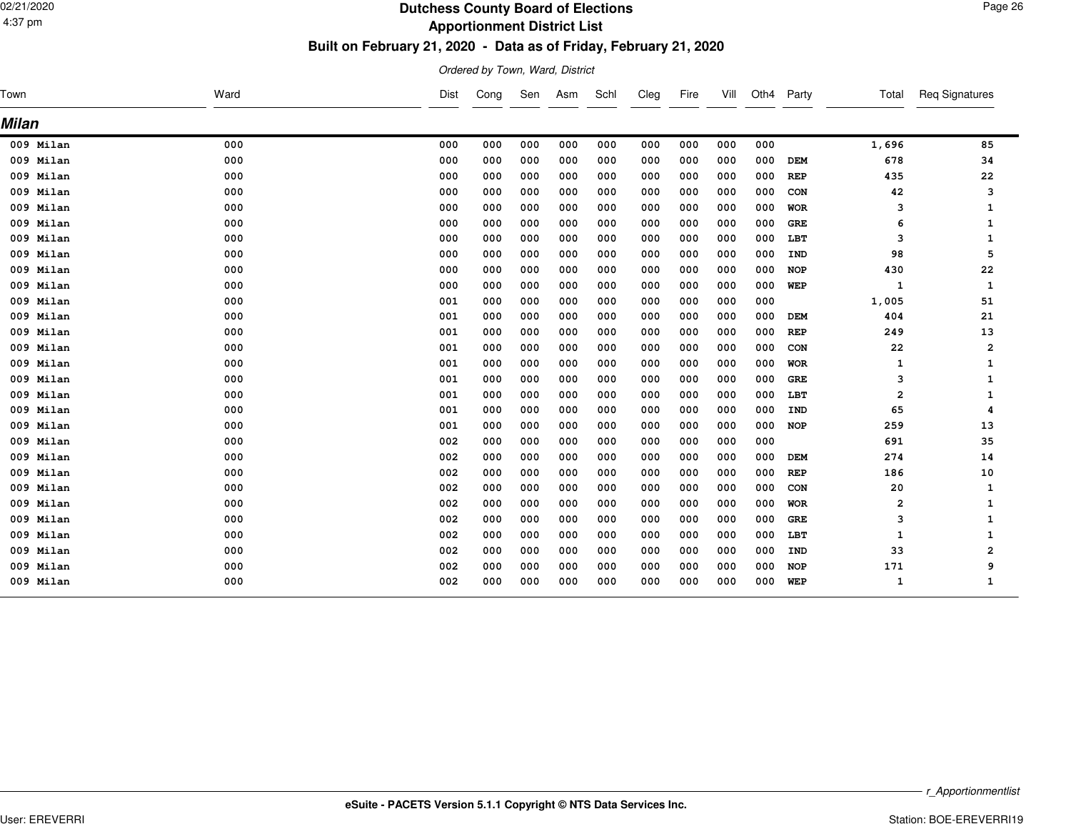#### **Dutchess County Board of Elections** $\mathbf S$ **Apportionment District List**

## **Built on February 21, 2020 - Data as of Friday, February 21, 2020**

Ordered by Town, Ward, District

| Town      | Ward | Dist | Cong | Sen | Asm | Schl | Cleg | Fire | Vill | Oth4 | Party      | Total        | <b>Req Signatures</b> |
|-----------|------|------|------|-----|-----|------|------|------|------|------|------------|--------------|-----------------------|
| Milan     |      |      |      |     |     |      |      |      |      |      |            |              |                       |
| 009 Milan | 000  | 000  | 000  | 000 | 000 | 000  | 000  | 000  | 000  | 000  |            | 1,696        | 85                    |
| 009 Milan | 000  | 000  | 000  | 000 | 000 | 000  | 000  | 000  | 000  | 000  | <b>DEM</b> | 678          | 34                    |
| 009 Milan | 000  | 000  | 000  | 000 | 000 | 000  | 000  | 000  | 000  | 000  | <b>REP</b> | 435          | 22                    |
| 009 Milan | 000  | 000  | 000  | 000 | 000 | 000  | 000  | 000  | 000  | 000  | CON        | 42           | 3                     |
| 009 Milan | 000  | 000  | 000  | 000 | 000 | 000  | 000  | 000  | 000  | 000  | <b>WOR</b> | з            | 1                     |
| 009 Milan | 000  | 000  | 000  | 000 | 000 | 000  | 000  | 000  | 000  | 000  | <b>GRE</b> | 6            | 1                     |
| 009 Milan | 000  | 000  | 000  | 000 | 000 | 000  | 000  | 000  | 000  | 000  | LBT        | 3            | 1                     |
| 009 Milan | 000  | 000  | 000  | 000 | 000 | 000  | 000  | 000  | 000  | 000  | <b>IND</b> | 98           | 5                     |
| 009 Milan | 000  | 000  | 000  | 000 | 000 | 000  | 000  | 000  | 000  | 000  | <b>NOP</b> | 430          | 22                    |
| 009 Milan | 000  | 000  | 000  | 000 | 000 | 000  | 000  | 000  | 000  | 000  | <b>WEP</b> | 1            | 1                     |
| 009 Milan | 000  | 001  | 000  | 000 | 000 | 000  | 000  | 000  | 000  | 000  |            | 1,005        | 51                    |
| 009 Milan | 000  | 001  | 000  | 000 | 000 | 000  | 000  | 000  | 000  | 000  | <b>DEM</b> | 404          | 21                    |
| 009 Milan | 000  | 001  | 000  | 000 | 000 | 000  | 000  | 000  | 000  | 000  | <b>REP</b> | 249          | 13                    |
| 009 Milan | 000  | 001  | 000  | 000 | 000 | 000  | 000  | 000  | 000  | 000  | CON        | 22           | 2                     |
| 009 Milan | 000  | 001  | 000  | 000 | 000 | 000  | 000  | 000  | 000  | 000  | <b>WOR</b> | 1            | 1                     |
| 009 Milan | 000  | 001  | 000  | 000 | 000 | 000  | 000  | 000  | 000  | 000  | <b>GRE</b> | 3            | 1                     |
| 009 Milan | 000  | 001  | 000  | 000 | 000 | 000  | 000  | 000  | 000  | 000  | LBT        | $\mathbf{2}$ | 1                     |
| 009 Milan | 000  | 001  | 000  | 000 | 000 | 000  | 000  | 000  | 000  | 000  | <b>IND</b> | 65           | 4                     |
| 009 Milan | 000  | 001  | 000  | 000 | 000 | 000  | 000  | 000  | 000  | 000  | <b>NOP</b> | 259          | 13                    |
| 009 Milan | 000  | 002  | 000  | 000 | 000 | 000  | 000  | 000  | 000  | 000  |            | 691          | 35                    |
| 009 Milan | 000  | 002  | 000  | 000 | 000 | 000  | 000  | 000  | 000  | 000  | <b>DEM</b> | 274          | 14                    |
| 009 Milan | 000  | 002  | 000  | 000 | 000 | 000  | 000  | 000  | 000  | 000  | REP        | 186          | 10                    |
| 009 Milan | 000  | 002  | 000  | 000 | 000 | 000  | 000  | 000  | 000  | 000  | CON        | 20           | -1                    |
| 009 Milan | 000  | 002  | 000  | 000 | 000 | 000  | 000  | 000  | 000  | 000  | <b>WOR</b> | $\mathbf{2}$ | 1                     |
| 009 Milan | 000  | 002  | 000  | 000 | 000 | 000  | 000  | 000  | 000  | 000  | <b>GRE</b> | 3            | 1                     |
| 009 Milan | 000  | 002  | 000  | 000 | 000 | 000  | 000  | 000  | 000  | 000  | LBT        | 1            |                       |
| 009 Milan | 000  | 002  | 000  | 000 | 000 | 000  | 000  | 000  | 000  | 000  | <b>IND</b> | 33           | 2                     |
| 009 Milan | 000  | 002  | 000  | 000 | 000 | 000  | 000  | 000  | 000  | 000  | <b>NOP</b> | 171          | 9                     |
| 009 Milan | 000  | 002  | 000  | 000 | 000 | 000  | 000  | 000  | 000  | 000  | <b>WEP</b> | 1            | $\mathbf{1}$          |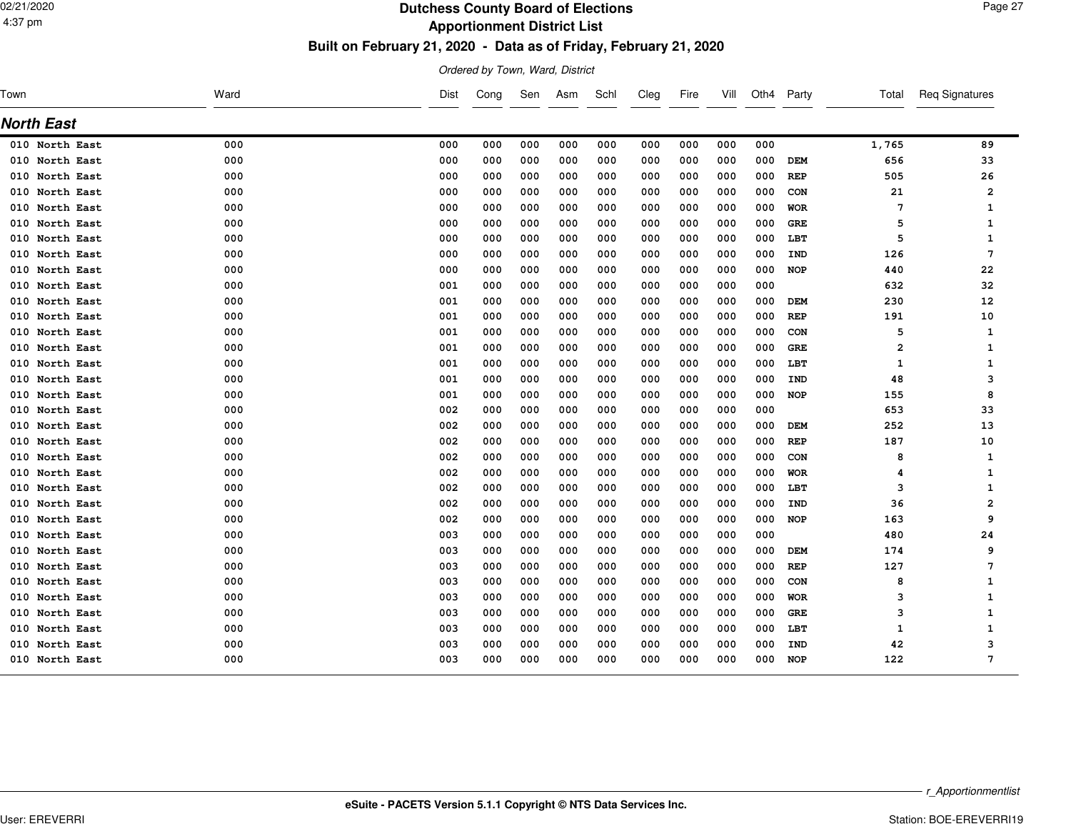#### **Dutchess County Board of Elections** $\mathbf S$ **Apportionment District List**

### **Built on February 21, 2020 - Data as of Friday, February 21, 2020**

Ordered by Town, Ward, District

| Town              | Ward | Dist | Cong | Sen | Asm | Schl | Cleg | Fire | Vill | Oth4 | Party      | Total          | <b>Req Signatures</b> |
|-------------------|------|------|------|-----|-----|------|------|------|------|------|------------|----------------|-----------------------|
| North East        |      |      |      |     |     |      |      |      |      |      |            |                |                       |
| 010 North East    | 000  | 000  | 000  | 000 | 000 | 000  | 000  | 000  | 000  | 000  |            | 1,765          | 89                    |
| 010<br>North East | 000  | 000  | 000  | 000 | 000 | 000  | 000  | 000  | 000  | 000  | <b>DEM</b> | 656            | 33                    |
| North East<br>010 | 000  | 000  | 000  | 000 | 000 | 000  | 000  | 000  | 000  | 000  | <b>REP</b> | 505            | 26                    |
| North East<br>010 | 000  | 000  | 000  | 000 | 000 | 000  | 000  | 000  | 000  | 000  | <b>CON</b> | 21             | $\overline{2}$        |
| North East<br>010 | 000  | 000  | 000  | 000 | 000 | 000  | 000  | 000  | 000  | 000  | <b>WOR</b> | 7              | 1                     |
| North East<br>010 | 000  | 000  | 000  | 000 | 000 | 000  | 000  | 000  | 000  | 000  | <b>GRE</b> | 5              | 1                     |
| North East<br>010 | 000  | 000  | 000  | 000 | 000 | 000  | 000  | 000  | 000  | 000  | LBT        | 5              | 1                     |
| 010<br>North East | 000  | 000  | 000  | 000 | 000 | 000  | 000  | 000  | 000  | 000  | <b>IND</b> | 126            | $7\phantom{.0}$       |
| North East<br>010 | 000  | 000  | 000  | 000 | 000 | 000  | 000  | 000  | 000  | 000  | <b>NOP</b> | 440            | 22                    |
| North East<br>010 | 000  | 001  | 000  | 000 | 000 | 000  | 000  | 000  | 000  | 000  |            | 632            | 32                    |
| North East<br>010 | 000  | 001  | 000  | 000 | 000 | 000  | 000  | 000  | 000  | 000  | <b>DEM</b> | 230            | 12                    |
| North East<br>010 | 000  | 001  | 000  | 000 | 000 | 000  | 000  | 000  | 000  | 000  | <b>REP</b> | 191            | 10                    |
| North East<br>010 | 000  | 001  | 000  | 000 | 000 | 000  | 000  | 000  | 000  | 000  | CON        | 5              | 1                     |
| North East<br>010 | 000  | 001  | 000  | 000 | 000 | 000  | 000  | 000  | 000  | 000  | <b>GRE</b> | $\overline{2}$ | 1                     |
| North East<br>010 | 000  | 001  | 000  | 000 | 000 | 000  | 000  | 000  | 000  | 000  | LBT        | 1              | 1                     |
| North East<br>010 | 000  | 001  | 000  | 000 | 000 | 000  | 000  | 000  | 000  | 000  | <b>IND</b> | 48             | 3                     |
| North East<br>010 | 000  | 001  | 000  | 000 | 000 | 000  | 000  | 000  | 000  | 000  | <b>NOP</b> | 155            | 8                     |
| North East<br>010 | 000  | 002  | 000  | 000 | 000 | 000  | 000  | 000  | 000  | 000  |            | 653            | 33                    |
| 010 North East    | 000  | 002  | 000  | 000 | 000 | 000  | 000  | 000  | 000  | 000  | <b>DEM</b> | 252            | 13                    |
| 010 North East    | 000  | 002  | 000  | 000 | 000 | 000  | 000  | 000  | 000  | 000  | <b>REP</b> | 187            | 10                    |
| 010 North East    | 000  | 002  | 000  | 000 | 000 | 000  | 000  | 000  | 000  | 000  | CON        | 8              | 1                     |
| 010 North East    | 000  | 002  | 000  | 000 | 000 | 000  | 000  | 000  | 000  | 000  | <b>WOR</b> | 4              | 1                     |
| 010 North East    | 000  | 002  | 000  | 000 | 000 | 000  | 000  | 000  | 000  | 000  | LBT        | з              | 1                     |
| 010 North East    | 000  | 002  | 000  | 000 | 000 | 000  | 000  | 000  | 000  | 000  | <b>IND</b> | 36             | 2                     |
| 010 North East    | 000  | 002  | 000  | 000 | 000 | 000  | 000  | 000  | 000  | 000  | <b>NOP</b> | 163            | 9                     |
| 010 North East    | 000  | 003  | 000  | 000 | 000 | 000  | 000  | 000  | 000  | 000  |            | 480            | 24                    |
| 010 North East    | 000  | 003  | 000  | 000 | 000 | 000  | 000  | 000  | 000  | 000  | <b>DEM</b> | 174            | 9                     |
| 010 North East    | 000  | 003  | 000  | 000 | 000 | 000  | 000  | 000  | 000  | 000  | <b>REP</b> | 127            | 7                     |
| 010 North East    | 000  | 003  | 000  | 000 | 000 | 000  | 000  | 000  | 000  | 000  | CON        | 8              | 1                     |
| 010 North East    | 000  | 003  | 000  | 000 | 000 | 000  | 000  | 000  | 000  | 000  | <b>WOR</b> | 3              | 1                     |
| North East<br>010 | 000  | 003  | 000  | 000 | 000 | 000  | 000  | 000  | 000  | 000  | <b>GRE</b> | 3              | 1                     |
| North East<br>010 | 000  | 003  | 000  | 000 | 000 | 000  | 000  | 000  | 000  | 000  | LBT        | 1              | 1                     |
| 010 North East    | 000  | 003  | 000  | 000 | 000 | 000  | 000  | 000  | 000  | 000  | <b>IND</b> | 42             | 3                     |
| 010 North East    | 000  | 003  | 000  | 000 | 000 | 000  | 000  | 000  | 000  | 000  | <b>NOP</b> | 122            | 7                     |
|                   |      |      |      |     |     |      |      |      |      |      |            |                |                       |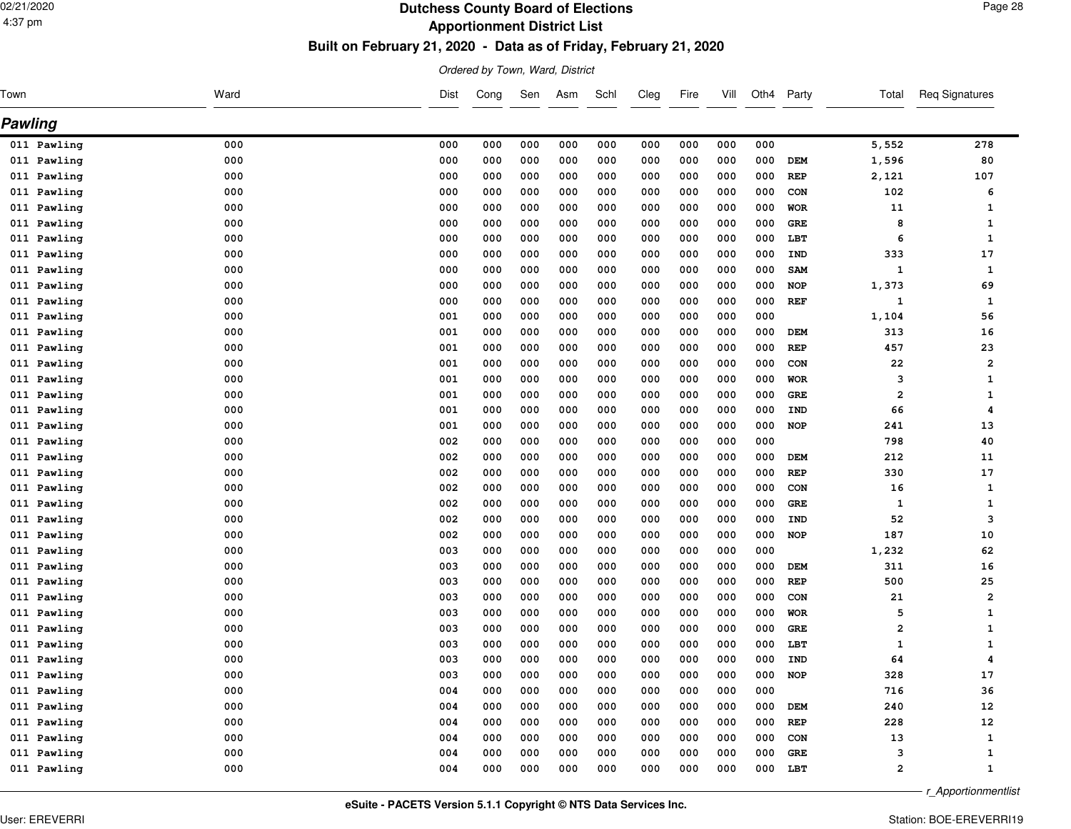#### **Dutchess County Board of Elections** $\mathbf S$ **Apportionment District List**

### **Built on February 21, 2020 - Data as of Friday, February 21, 2020**

Ordered by Town, Ward, District

| -own    |             | Ward | Dist | Cong | Sen | Asm | Schl | Cleg | Fire | Vill | Oth4 Party |            | Total          | Req Signatures          |
|---------|-------------|------|------|------|-----|-----|------|------|------|------|------------|------------|----------------|-------------------------|
| Pawling |             |      |      |      |     |     |      |      |      |      |            |            |                |                         |
|         | 011 Pawling | 000  | 000  | 000  | 000 | 000 | 000  | 000  | 000  | 000  | 000        |            | 5,552          | 278                     |
|         | 011 Pawling | 000  | 000  | 000  | 000 | 000 | 000  | 000  | 000  | 000  | 000        | <b>DEM</b> | 1,596          | 80                      |
|         | 011 Pawling | 000  | 000  | 000  | 000 | 000 | 000  | 000  | 000  | 000  | 000        | <b>REP</b> | 2,121          | 107                     |
|         | 011 Pawling | 000  | 000  | 000  | 000 | 000 | 000  | 000  | 000  | 000  | 000        | CON        | 102            | 6                       |
|         | 011 Pawling | 000  | 000  | 000  | 000 | 000 | 000  | 000  | 000  | 000  | 000        | <b>WOR</b> | 11             | 1                       |
|         | 011 Pawling | 000  | 000  | 000  | 000 | 000 | 000  | 000  | 000  | 000  | 000        | <b>GRE</b> | 8              | $\mathbf{1}$            |
|         | 011 Pawling | 000  | 000  | 000  | 000 | 000 | 000  | 000  | 000  | 000  | 000        | LBT        | 6              | $\mathbf{1}$            |
|         | 011 Pawling | 000  | 000  | 000  | 000 | 000 | 000  | 000  | 000  | 000  | 000        | <b>IND</b> | 333            | 17                      |
|         | 011 Pawling | 000  | 000  | 000  | 000 | 000 | 000  | 000  | 000  | 000  | 000        | <b>SAM</b> | $\mathbf{1}$   | 1                       |
|         | 011 Pawling | 000  | 000  | 000  | 000 | 000 | 000  | 000  | 000  | 000  | 000        | <b>NOP</b> | 1,373          | 69                      |
|         | 011 Pawling | 000  | 000  | 000  | 000 | 000 | 000  | 000  | 000  | 000  | 000        | <b>REF</b> | $\mathbf 1$    | $\mathbf{1}$            |
|         | 011 Pawling | 000  | 001  | 000  | 000 | 000 | 000  | 000  | 000  | 000  | 000        |            | 1,104          | 56                      |
|         | 011 Pawling | 000  | 001  | 000  | 000 | 000 | 000  | 000  | 000  | 000  | 000        | <b>DEM</b> | 313            | 16                      |
|         | 011 Pawling | 000  | 001  | 000  | 000 | 000 | 000  | 000  | 000  | 000  | 000        | <b>REP</b> | 457            | 23                      |
|         | 011 Pawling | 000  | 001  | 000  | 000 | 000 | 000  | 000  | 000  | 000  | 000        | CON        | 22             | $\overline{\mathbf{2}}$ |
|         | 011 Pawling | 000  | 001  | 000  | 000 | 000 | 000  | 000  | 000  | 000  | 000        | <b>WOR</b> | 3              | 1                       |
|         | 011 Pawling | 000  | 001  | 000  | 000 | 000 | 000  | 000  | 000  | 000  | 000        | <b>GRE</b> | $\overline{a}$ | 1                       |
|         | 011 Pawling | 000  | 001  | 000  | 000 | 000 | 000  | 000  | 000  | 000  | 000        | <b>IND</b> | 66             | 4                       |
|         | 011 Pawling | 000  | 001  | 000  | 000 | 000 | 000  | 000  | 000  | 000  | 000        | <b>NOP</b> | 241            | 13                      |
|         | 011 Pawling | 000  | 002  | 000  | 000 | 000 | 000  | 000  | 000  | 000  | 000        |            | 798            | 40                      |
|         | 011 Pawling | 000  | 002  | 000  | 000 | 000 | 000  | 000  | 000  | 000  | 000        | <b>DEM</b> | 212            | 11                      |
|         | 011 Pawling | 000  | 002  | 000  | 000 | 000 | 000  | 000  | 000  | 000  | 000        | <b>REP</b> | 330            | 17                      |
|         | 011 Pawling | 000  | 002  | 000  | 000 | 000 | 000  | 000  | 000  | 000  | 000        | CON        | 16             | $\mathbf{1}$            |
|         | 011 Pawling | 000  | 002  | 000  | 000 | 000 | 000  | 000  | 000  | 000  | 000        | <b>GRE</b> | $\mathbf{1}$   | 1                       |
|         | 011 Pawling | 000  | 002  | 000  | 000 | 000 | 000  | 000  | 000  | 000  | 000        | <b>IND</b> | 52             | 3                       |
|         | 011 Pawling | 000  | 002  | 000  | 000 | 000 | 000  | 000  | 000  | 000  | 000        | <b>NOP</b> | 187            | 10                      |
|         | 011 Pawling | 000  | 003  | 000  | 000 | 000 | 000  | 000  | 000  | 000  | 000        |            | 1,232          | 62                      |
|         | 011 Pawling | 000  | 003  | 000  | 000 | 000 | 000  | 000  | 000  | 000  | 000        | <b>DEM</b> | 311            | 16                      |
|         | 011 Pawling | 000  | 003  | 000  | 000 | 000 | 000  | 000  | 000  | 000  | 000        | <b>REP</b> | 500            | 25                      |
|         | 011 Pawling | 000  | 003  | 000  | 000 | 000 | 000  | 000  | 000  | 000  | 000        | CON        | 21             | $\overline{\mathbf{2}}$ |
|         | 011 Pawling | 000  | 003  | 000  | 000 | 000 | 000  | 000  | 000  | 000  | 000        | <b>WOR</b> | 5              | 1                       |
|         | 011 Pawling | 000  | 003  | 000  | 000 | 000 | 000  | 000  | 000  | 000  | 000        | <b>GRE</b> | $\mathbf 2$    | 1                       |
|         | 011 Pawling | 000  | 003  | 000  | 000 | 000 | 000  | 000  | 000  | 000  | 000        | LBT        | $\mathbf{1}$   | $\mathbf{1}$            |
|         | 011 Pawling | 000  | 003  | 000  | 000 | 000 | 000  | 000  | 000  | 000  | 000        | <b>IND</b> | 64             | 4                       |
|         | 011 Pawling | 000  | 003  | 000  | 000 | 000 | 000  | 000  | 000  | 000  | 000        | <b>NOP</b> | 328            | 17                      |
|         | 011 Pawling | 000  | 004  | 000  | 000 | 000 | 000  | 000  | 000  | 000  | 000        |            | 716            | 36                      |
|         | 011 Pawling | 000  | 004  | 000  | 000 | 000 | 000  | 000  | 000  | 000  | 000        | <b>DEM</b> | 240            | 12                      |
|         | 011 Pawling | 000  | 004  | 000  | 000 | 000 | 000  | 000  | 000  | 000  | 000        | <b>REP</b> | 228            | 12                      |
|         | 011 Pawling | 000  | 004  | 000  | 000 | 000 | 000  | 000  | 000  | 000  | 000        | CON        | 13             | $\mathbf{1}$            |
|         | 011 Pawling | 000  | 004  | 000  | 000 | 000 | 000  | 000  | 000  | 000  | 000        | <b>GRE</b> | 3              | $\mathbf{1}$            |
|         | 011 Pawling | 000  | 004  | 000  | 000 | 000 | 000  | 000  | 000  | 000  | 000        | LBT        | $\mathbf{2}$   | $\mathbf{1}$            |

**eSuite - PACETS Version 5.1.1 Copyright © NTS Data Services Inc.**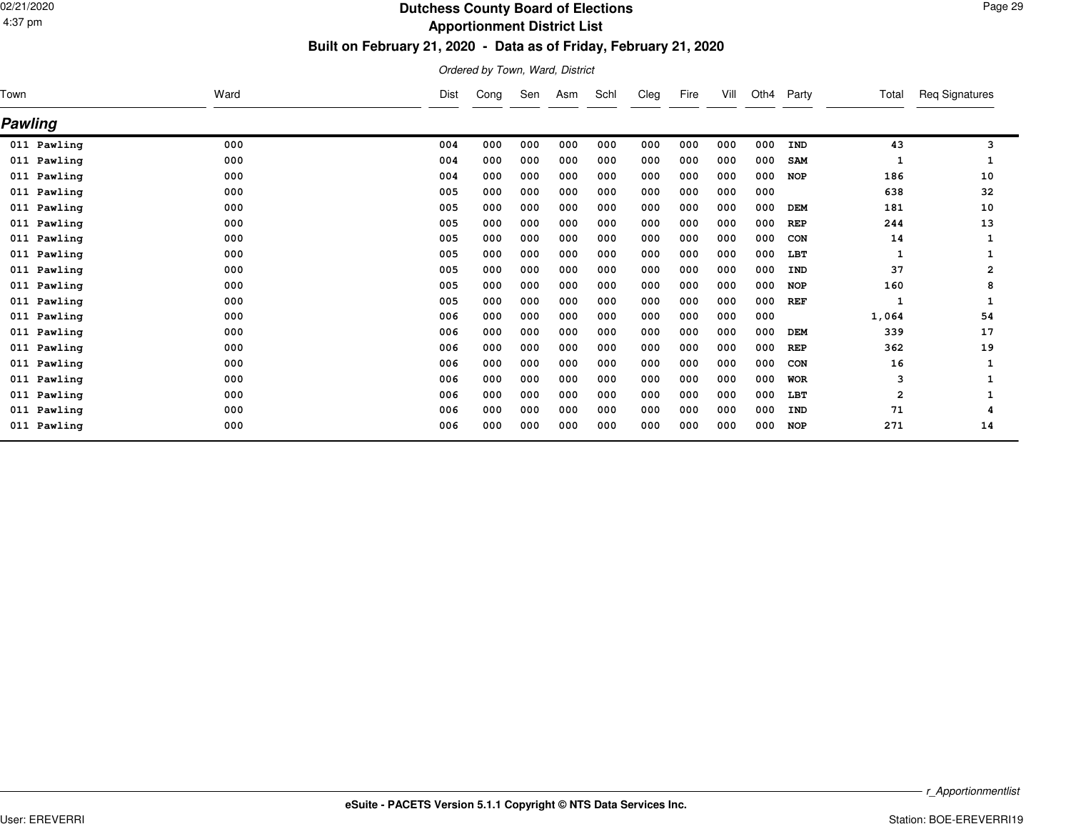# **Dutchess County Board of ElectionsApportionment District List**

## **Built on February 21, 2020 - Data as of Friday, February 21, 2020**

Ordered by Town, Ward, District

| Town           |             | Ward | Dist | Cong | Sen | Asm | Schl | Cleg | Fire | Vill |     | Oth4 Party | Total | <b>Req Signatures</b> |
|----------------|-------------|------|------|------|-----|-----|------|------|------|------|-----|------------|-------|-----------------------|
| <b>Pawling</b> |             |      |      |      |     |     |      |      |      |      |     |            |       |                       |
|                | 011 Pawling | 000  | 004  | 000  | 000 | 000 | 000  | 000  | 000  | 000  | 000 | <b>IND</b> | 43    | 3                     |
|                | 011 Pawling | 000  | 004  | 000  | 000 | 000 | 000  | 000  | 000  | 000  | 000 | <b>SAM</b> |       |                       |
|                | 011 Pawling | 000  | 004  | 000  | 000 | 000 | 000  | 000  | 000  | 000  | 000 | <b>NOP</b> | 186   | 10                    |
|                | 011 Pawling | 000  | 005  | 000  | 000 | 000 | 000  | 000  | 000  | 000  | 000 |            | 638   | 32                    |
|                | 011 Pawling | 000  | 005  | 000  | 000 | 000 | 000  | 000  | 000  | 000  | 000 | <b>DEM</b> | 181   | 10                    |
|                | 011 Pawling | 000  | 005  | 000  | 000 | 000 | 000  | 000  | 000  | 000  | 000 | <b>REP</b> | 244   | 13                    |
|                | 011 Pawling | 000  | 005  | 000  | 000 | 000 | 000  | 000  | 000  | 000  | 000 | CON        | 14    |                       |
|                | 011 Pawling | 000  | 005  | 000  | 000 | 000 | 000  | 000  | 000  | 000  | 000 | LBT        | 1     |                       |
|                | 011 Pawling | 000  | 005  | 000  | 000 | 000 | 000  | 000  | 000  | 000  | 000 | <b>IND</b> | 37    | 2                     |
|                | 011 Pawling | 000  | 005  | 000  | 000 | 000 | 000  | 000  | 000  | 000  | 000 | <b>NOP</b> | 160   | 8                     |
|                | 011 Pawling | 000  | 005  | 000  | 000 | 000 | 000  | 000  | 000  | 000  | 000 | <b>REF</b> |       |                       |
|                | 011 Pawling | 000  | 006  | 000  | 000 | 000 | 000  | 000  | 000  | 000  | 000 |            | 1,064 | 54                    |
|                | 011 Pawling | 000  | 006  | 000  | 000 | 000 | 000  | 000  | 000  | 000  | 000 | <b>DEM</b> | 339   | 17                    |
|                | 011 Pawling | 000  | 006  | 000  | 000 | 000 | 000  | 000  | 000  | 000  | 000 | <b>REP</b> | 362   | 19                    |
|                | 011 Pawling | 000  | 006  | 000  | 000 | 000 | 000  | 000  | 000  | 000  | 000 | CON        | 16    |                       |
|                | 011 Pawling | 000  | 006  | 000  | 000 | 000 | 000  | 000  | 000  | 000  | 000 | <b>WOR</b> |       |                       |
|                | 011 Pawling | 000  | 006  | 000  | 000 | 000 | 000  | 000  | 000  | 000  | 000 | LBT        | 2     |                       |
|                | 011 Pawling | 000  | 006  | 000  | 000 | 000 | 000  | 000  | 000  | 000  | 000 | <b>IND</b> | 71    |                       |
|                | 011 Pawling | 000  | 006  | 000  | 000 | 000 | 000  | 000  | 000  | 000  | 000 | <b>NOP</b> | 271   | 14                    |
|                |             |      |      |      |     |     |      |      |      |      |     |            |       |                       |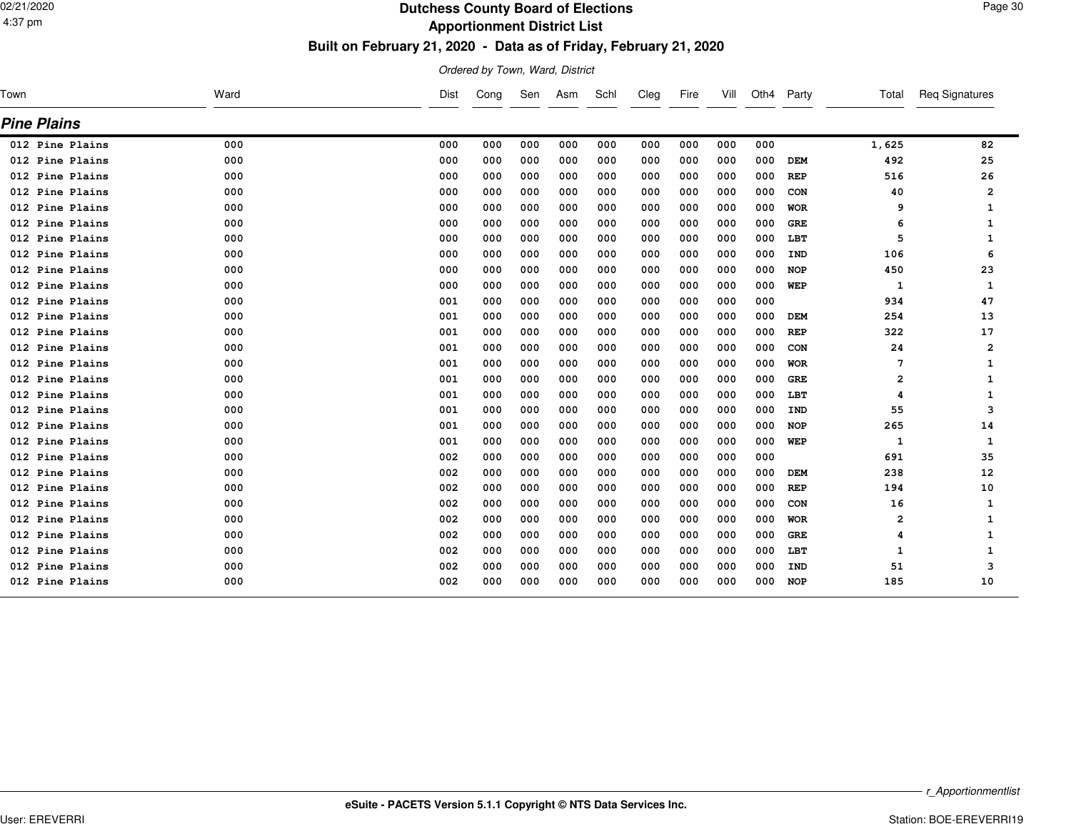#### **Dutchess County Board of Elections** $\mathbf S$ **Apportionment District List**

## **Built on February 21, 2020 - Data as of Friday, February 21, 2020**

Ordered by Town, Ward, District

| Гоwn               | Ward | Dist | Cong | Sen | Asm | Schl | Cleg | Fire | Vill | Oth4 | Party      | Total          | <b>Req Signatures</b> |
|--------------------|------|------|------|-----|-----|------|------|------|------|------|------------|----------------|-----------------------|
| <b>Pine Plains</b> |      |      |      |     |     |      |      |      |      |      |            |                |                       |
| 012 Pine Plains    | 000  | 000  | 000  | 000 | 000 | 000  | 000  | 000  | 000  | 000  |            | 1,625          | 82                    |
| 012 Pine Plains    | 000  | 000  | 000  | 000 | 000 | 000  | 000  | 000  | 000  | 000  | <b>DEM</b> | 492            | 25                    |
| 012 Pine Plains    | 000  | 000  | 000  | 000 | 000 | 000  | 000  | 000  | 000  | 000  | <b>REP</b> | 516            | 26                    |
| 012 Pine Plains    | 000  | 000  | 000  | 000 | 000 | 000  | 000  | 000  | 000  | 000  | CON        | 40             | $\mathbf{2}$          |
| 012 Pine Plains    | 000  | 000  | 000  | 000 | 000 | 000  | 000  | 000  | 000  | 000  | <b>WOR</b> | 9              | 1                     |
| 012 Pine Plains    | 000  | 000  | 000  | 000 | 000 | 000  | 000  | 000  | 000  | 000  | <b>GRE</b> | 6              | 1                     |
| 012 Pine Plains    | 000  | 000  | 000  | 000 | 000 | 000  | 000  | 000  | 000  | 000  | LBT        | 5              | 1                     |
| 012 Pine Plains    | 000  | 000  | 000  | 000 | 000 | 000  | 000  | 000  | 000  | 000  | IND        | 106            | 6                     |
| 012 Pine Plains    | 000  | 000  | 000  | 000 | 000 | 000  | 000  | 000  | 000  | 000  | <b>NOP</b> | 450            | 23                    |
| 012 Pine Plains    | 000  | 000  | 000  | 000 | 000 | 000  | 000  | 000  | 000  | 000  | <b>WEP</b> | 1              | 1                     |
| 012 Pine Plains    | 000  | 001  | 000  | 000 | 000 | 000  | 000  | 000  | 000  | 000  |            | 934            | 47                    |
| 012 Pine Plains    | 000  | 001  | 000  | 000 | 000 | 000  | 000  | 000  | 000  | 000  | <b>DEM</b> | 254            | 13                    |
| 012 Pine Plains    | 000  | 001  | 000  | 000 | 000 | 000  | 000  | 000  | 000  | 000  | <b>REP</b> | 322            | 17                    |
| 012 Pine Plains    | 000  | 001  | 000  | 000 | 000 | 000  | 000  | 000  | 000  | 000  | CON        | 24             | 2                     |
| 012 Pine Plains    | 000  | 001  | 000  | 000 | 000 | 000  | 000  | 000  | 000  | 000  | <b>WOR</b> | 7              | 1                     |
| 012 Pine Plains    | 000  | 001  | 000  | 000 | 000 | 000  | 000  | 000  | 000  | 000  | <b>GRE</b> | 2              | 1                     |
| 012 Pine Plains    | 000  | 001  | 000  | 000 | 000 | 000  | 000  | 000  | 000  | 000  | LBT        | 4              | 1                     |
| 012 Pine Plains    | 000  | 001  | 000  | 000 | 000 | 000  | 000  | 000  | 000  | 000  | <b>IND</b> | 55             | 3                     |
| 012 Pine Plains    | 000  | 001  | 000  | 000 | 000 | 000  | 000  | 000  | 000  | 000  | <b>NOP</b> | 265            | 14                    |
| 012 Pine Plains    | 000  | 001  | 000  | 000 | 000 | 000  | 000  | 000  | 000  | 000  | <b>WEP</b> | 1              | 1                     |
| 012 Pine Plains    | 000  | 002  | 000  | 000 | 000 | 000  | 000  | 000  | 000  | 000  |            | 691            | 35                    |
| 012 Pine Plains    | 000  | 002  | 000  | 000 | 000 | 000  | 000  | 000  | 000  | 000  | <b>DEM</b> | 238            | 12                    |
| 012 Pine Plains    | 000  | 002  | 000  | 000 | 000 | 000  | 000  | 000  | 000  | 000  | <b>REP</b> | 194            | 10                    |
| 012 Pine Plains    | 000  | 002  | 000  | 000 | 000 | 000  | 000  | 000  | 000  | 000  | CON        | 16             | 1                     |
| 012 Pine Plains    | 000  | 002  | 000  | 000 | 000 | 000  | 000  | 000  | 000  | 000  | <b>WOR</b> | $\overline{2}$ | 1                     |
| 012<br>Pine Plains | 000  | 002  | 000  | 000 | 000 | 000  | 000  | 000  | 000  | 000  | <b>GRE</b> | 4              | 1                     |
| 012 Pine Plains    | 000  | 002  | 000  | 000 | 000 | 000  | 000  | 000  | 000  | 000  | LBT        | 1              | 1                     |
| 012 Pine Plains    | 000  | 002  | 000  | 000 | 000 | 000  | 000  | 000  | 000  | 000  | IND        | 51             | 3                     |
| 012 Pine Plains    | 000  | 002  | 000  | 000 | 000 | 000  | 000  | 000  | 000  | 000  | <b>NOP</b> | 185            | 10                    |

Station: BOE-EREVERRI19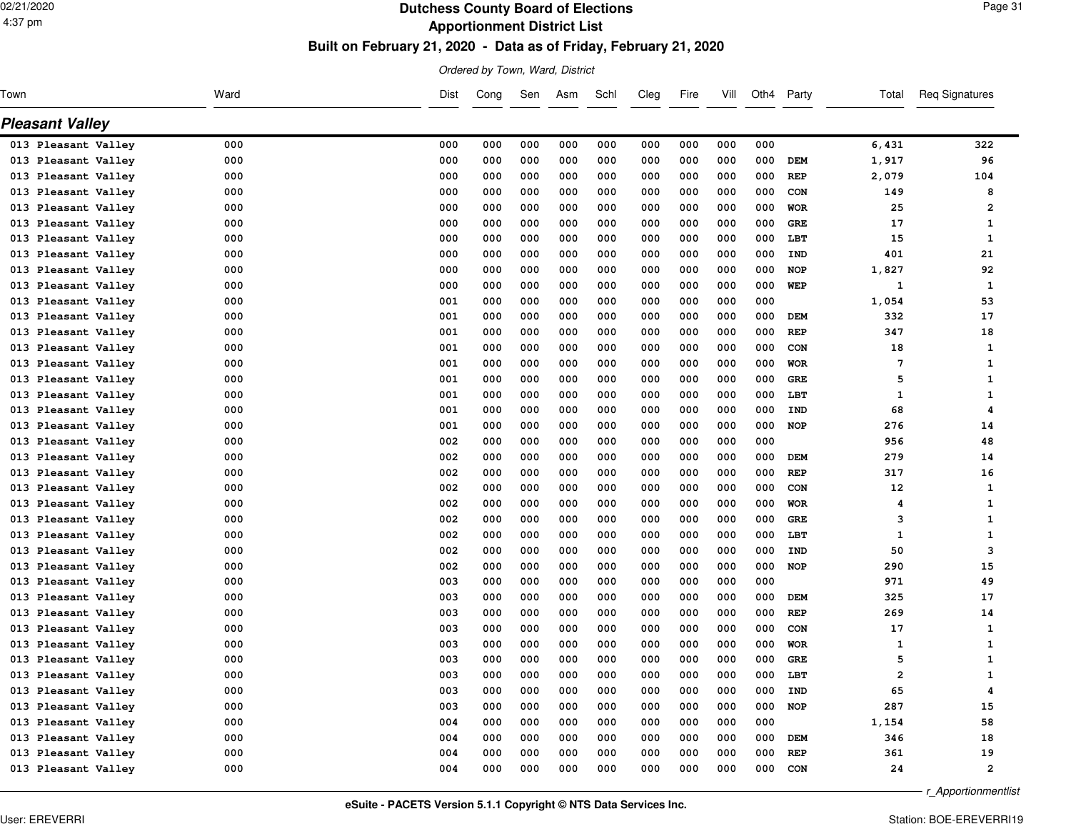#### **Dutchess County Board of Elections**S Page 31 **Apportionment District List**

### **Built on February 21, 2020 - Data as of Friday, February 21, 2020**

Ordered by Town, Ward, District

| Гоwn                | Ward | Dist | Cong | Sen | Asm | Schl | Cleg | Fire | Vill | Oth4 | Party      | Total           | <b>Req Signatures</b>   |
|---------------------|------|------|------|-----|-----|------|------|------|------|------|------------|-----------------|-------------------------|
| Pleasant Valley     |      |      |      |     |     |      |      |      |      |      |            |                 |                         |
| 013 Pleasant Valley | 000  | 000  | 000  | 000 | 000 | 000  | 000  | 000  | 000  | 000  |            | 6,431           | 322                     |
| 013 Pleasant Valley | 000  | 000  | 000  | 000 | 000 | 000  | 000  | 000  | 000  | 000  | <b>DEM</b> | 1,917           | 96                      |
| 013 Pleasant Valley | 000  | 000  | 000  | 000 | 000 | 000  | 000  | 000  | 000  | 000  | <b>REP</b> | 2,079           | 104                     |
| 013 Pleasant Valley | 000  | 000  | 000  | 000 | 000 | 000  | 000  | 000  | 000  | 000  | CON        | 149             | 8                       |
| 013 Pleasant Valley | 000  | 000  | 000  | 000 | 000 | 000  | 000  | 000  | 000  | 000  | <b>WOR</b> | 25              | $\overline{2}$          |
| 013 Pleasant Valley | 000  | 000  | 000  | 000 | 000 | 000  | 000  | 000  | 000  | 000  | <b>GRE</b> | 17              | 1                       |
| 013 Pleasant Valley | 000  | 000  | 000  | 000 | 000 | 000  | 000  | 000  | 000  | 000  | LBT        | 15              | 1                       |
| 013 Pleasant Valley | 000  | 000  | 000  | 000 | 000 | 000  | 000  | 000  | 000  | 000  | IND        | 401             | 21                      |
| 013 Pleasant Valley | 000  | 000  | 000  | 000 | 000 | 000  | 000  | 000  | 000  | 000  | <b>NOP</b> | 1,827           | 92                      |
| 013 Pleasant Valley | 000  | 000  | 000  | 000 | 000 | 000  | 000  | 000  | 000  | 000  | <b>WEP</b> | $\mathbf{1}$    | 1                       |
| 013 Pleasant Valley | 000  | 001  | 000  | 000 | 000 | 000  | 000  | 000  | 000  | 000  |            | 1,054           | 53                      |
| 013 Pleasant Valley | 000  | 001  | 000  | 000 | 000 | 000  | 000  | 000  | 000  | 000  | <b>DEM</b> | 332             | 17                      |
| 013 Pleasant Valley | 000  | 001  | 000  | 000 | 000 | 000  | 000  | 000  | 000  | 000  | <b>REP</b> | 347             | 18                      |
| 013 Pleasant Valley | 000  | 001  | 000  | 000 | 000 | 000  | 000  | 000  | 000  | 000  | CON        | 18              | 1                       |
| 013 Pleasant Valley | 000  | 001  | 000  | 000 | 000 | 000  | 000  | 000  | 000  | 000  | <b>WOR</b> | $7\phantom{.0}$ | 1                       |
| 013 Pleasant Valley | 000  | 001  | 000  | 000 | 000 | 000  | 000  | 000  | 000  | 000  | <b>GRE</b> | 5               | 1                       |
| 013 Pleasant Valley | 000  | 001  | 000  | 000 | 000 | 000  | 000  | 000  | 000  | 000  | LBT        | $\mathbf 1$     | $\mathbf{1}$            |
| 013 Pleasant Valley | 000  | 001  | 000  | 000 | 000 | 000  | 000  | 000  | 000  | 000  | <b>IND</b> | 68              | 4                       |
| 013 Pleasant Valley | 000  | 001  | 000  | 000 | 000 | 000  | 000  | 000  | 000  | 000  | <b>NOP</b> | 276             | 14                      |
| 013 Pleasant Valley | 000  | 002  | 000  | 000 | 000 | 000  | 000  | 000  | 000  | 000  |            | 956             | 48                      |
| 013 Pleasant Valley | 000  | 002  | 000  | 000 | 000 | 000  | 000  | 000  | 000  | 000  | <b>DEM</b> | 279             | 14                      |
| 013 Pleasant Valley | 000  | 002  | 000  | 000 | 000 | 000  | 000  | 000  | 000  | 000  | <b>REP</b> | 317             | 16                      |
| 013 Pleasant Valley | 000  | 002  | 000  | 000 | 000 | 000  | 000  | 000  | 000  | 000  | CON        | 12              | 1                       |
| 013 Pleasant Valley | 000  | 002  | 000  | 000 | 000 | 000  | 000  | 000  | 000  | 000  | <b>WOR</b> | 4               | $\mathbf{1}$            |
| 013 Pleasant Valley | 000  | 002  | 000  | 000 | 000 | 000  | 000  | 000  | 000  | 000  | <b>GRE</b> | 3               | $\mathbf{1}$            |
| 013 Pleasant Valley | 000  | 002  | 000  | 000 | 000 | 000  | 000  | 000  | 000  | 000  | LBT        | $\mathbf{1}$    | $\mathbf{1}$            |
| 013 Pleasant Valley | 000  | 002  | 000  | 000 | 000 | 000  | 000  | 000  | 000  | 000  | <b>IND</b> | 50              | 3                       |
| 013 Pleasant Valley | 000  | 002  | 000  | 000 | 000 | 000  | 000  | 000  | 000  | 000  | <b>NOP</b> | 290             | 15                      |
| 013 Pleasant Valley | 000  | 003  | 000  | 000 | 000 | 000  | 000  | 000  | 000  | 000  |            | 971             | 49                      |
| 013 Pleasant Valley | 000  | 003  | 000  | 000 | 000 | 000  | 000  | 000  | 000  | 000  | <b>DEM</b> | 325             | 17                      |
| 013 Pleasant Valley | 000  | 003  | 000  | 000 | 000 | 000  | 000  | 000  | 000  | 000  | <b>REP</b> | 269             | 14                      |
| 013 Pleasant Valley | 000  | 003  | 000  | 000 | 000 | 000  | 000  | 000  | 000  | 000  | CON        | 17              | 1                       |
| 013 Pleasant Valley | 000  | 003  | 000  | 000 | 000 | 000  | 000  | 000  | 000  | 000  | <b>WOR</b> | $\mathbf{1}$    | 1                       |
| 013 Pleasant Valley | 000  | 003  | 000  | 000 | 000 | 000  | 000  | 000  | 000  | 000  | <b>GRE</b> | 5               | 1                       |
| 013 Pleasant Valley | 000  | 003  | 000  | 000 | 000 | 000  | 000  | 000  | 000  | 000  | LBT        | $\overline{2}$  | $\mathbf{1}$            |
| 013 Pleasant Valley | 000  | 003  | 000  | 000 | 000 | 000  | 000  | 000  | 000  | 000  | IND        | 65              | 4                       |
| 013 Pleasant Valley | 000  | 003  | 000  | 000 | 000 | 000  | 000  | 000  | 000  | 000  | <b>NOP</b> | 287             | 15                      |
| 013 Pleasant Valley | 000  | 004  | 000  | 000 | 000 | 000  | 000  | 000  | 000  | 000  |            | 1,154           | 58                      |
| 013 Pleasant Valley | 000  | 004  | 000  | 000 | 000 | 000  | 000  | 000  | 000  | 000  | <b>DEM</b> | 346             | 18                      |
| 013 Pleasant Valley | 000  | 004  | 000  | 000 | 000 | 000  | 000  | 000  | 000  | 000  | <b>REP</b> | 361             | 19                      |
| 013 Pleasant Valley | 000  | 004  | 000  | 000 | 000 | 000  | 000  | 000  | 000  | 000  | CON        | 24              | $\overline{\mathbf{2}}$ |

**eSuite - PACETS Version 5.1.1 Copyright © NTS Data Services Inc.**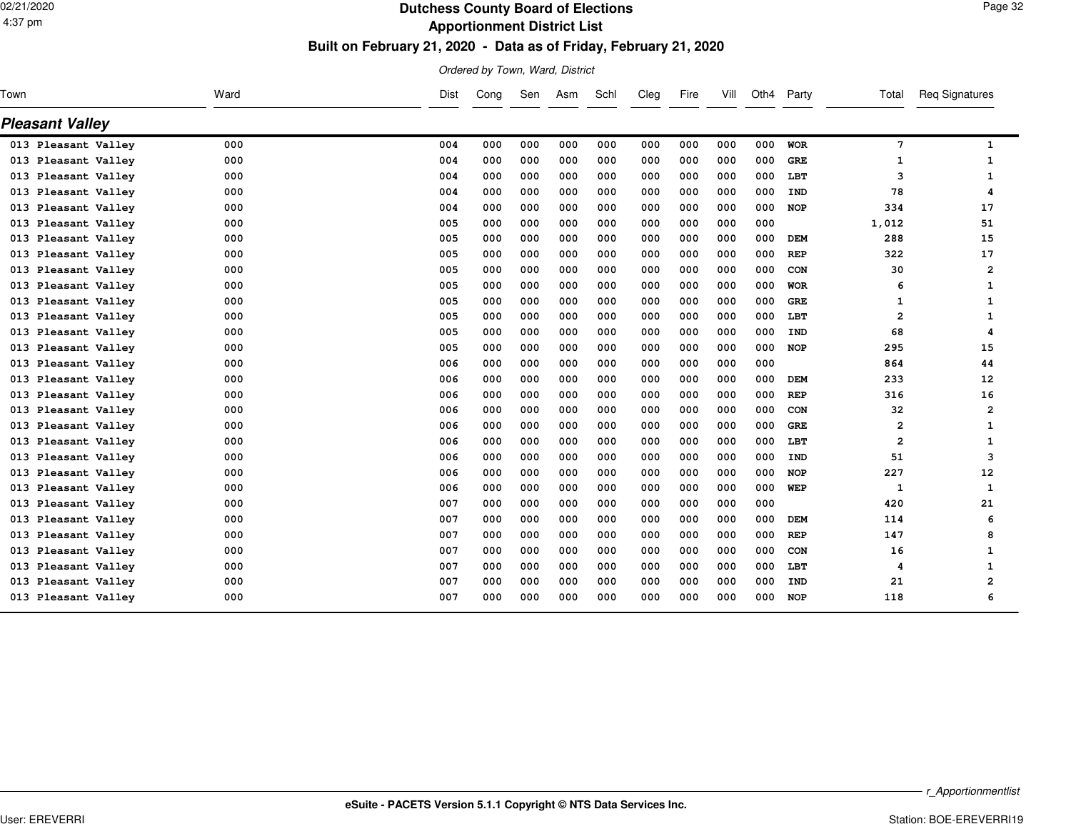#### **Dutchess County Board of Elections** $\mathbf S$ **Apportionment District List**

## **Built on February 21, 2020 - Data as of Friday, February 21, 2020**

Ordered by Town, Ward, District

| Town                | Ward | Dist | Cong | Sen | Asm | Schl | Cleg | Fire | Vill | Oth4 | Party      | Total          | <b>Req Signatures</b> |
|---------------------|------|------|------|-----|-----|------|------|------|------|------|------------|----------------|-----------------------|
| Pleasant Valley     |      |      |      |     |     |      |      |      |      |      |            |                |                       |
| 013 Pleasant Valley | 000  | 004  | 000  | 000 | 000 | 000  | 000  | 000  | 000  | 000  | <b>WOR</b> | 7              | $\mathbf{1}$          |
| 013 Pleasant Valley | 000  | 004  | 000  | 000 | 000 | 000  | 000  | 000  | 000  | 000  | <b>GRE</b> | $\mathbf{1}$   | 1                     |
| 013 Pleasant Valley | 000  | 004  | 000  | 000 | 000 | 000  | 000  | 000  | 000  | 000  | LBT        | 3              | 1                     |
| 013 Pleasant Valley | 000  | 004  | 000  | 000 | 000 | 000  | 000  | 000  | 000  | 000  | <b>IND</b> | 78             | 4                     |
| 013 Pleasant Valley | 000  | 004  | 000  | 000 | 000 | 000  | 000  | 000  | 000  | 000  | <b>NOP</b> | 334            | 17                    |
| 013 Pleasant Valley | 000  | 005  | 000  | 000 | 000 | 000  | 000  | 000  | 000  | 000  |            | 1,012          | 51                    |
| 013 Pleasant Valley | 000  | 005  | 000  | 000 | 000 | 000  | 000  | 000  | 000  | 000  | <b>DEM</b> | 288            | 15                    |
| 013 Pleasant Valley | 000  | 005  | 000  | 000 | 000 | 000  | 000  | 000  | 000  | 000  | <b>REP</b> | 322            | 17                    |
| 013 Pleasant Valley | 000  | 005  | 000  | 000 | 000 | 000  | 000  | 000  | 000  | 000  | <b>CON</b> | 30             | $\overline{2}$        |
| 013 Pleasant Valley | 000  | 005  | 000  | 000 | 000 | 000  | 000  | 000  | 000  | 000  | <b>WOR</b> | 6              | 1                     |
| 013 Pleasant Valley | 000  | 005  | 000  | 000 | 000 | 000  | 000  | 000  | 000  | 000  | <b>GRE</b> | $\mathbf{1}$   | 1                     |
| 013 Pleasant Valley | 000  | 005  | 000  | 000 | 000 | 000  | 000  | 000  | 000  | 000  | LBT        | $\overline{2}$ | 1                     |
| 013 Pleasant Valley | 000  | 005  | 000  | 000 | 000 | 000  | 000  | 000  | 000  | 000  | <b>IND</b> | 68             | 4                     |
| 013 Pleasant Valley | 000  | 005  | 000  | 000 | 000 | 000  | 000  | 000  | 000  | 000  | <b>NOP</b> | 295            | 15                    |
| 013 Pleasant Valley | 000  | 006  | 000  | 000 | 000 | 000  | 000  | 000  | 000  | 000  |            | 864            | 44                    |
| 013 Pleasant Valley | 000  | 006  | 000  | 000 | 000 | 000  | 000  | 000  | 000  | 000  | <b>DEM</b> | 233            | 12                    |
| 013 Pleasant Valley | 000  | 006  | 000  | 000 | 000 | 000  | 000  | 000  | 000  | 000  | <b>REP</b> | 316            | 16                    |
| 013 Pleasant Valley | 000  | 006  | 000  | 000 | 000 | 000  | 000  | 000  | 000  | 000  | CON        | 32             | 2                     |
| 013 Pleasant Valley | 000  | 006  | 000  | 000 | 000 | 000  | 000  | 000  | 000  | 000  | <b>GRE</b> | 2              | 1                     |
| 013 Pleasant Valley | 000  | 006  | 000  | 000 | 000 | 000  | 000  | 000  | 000  | 000  | LBT        | $\overline{2}$ | 1                     |
| 013 Pleasant Valley | 000  | 006  | 000  | 000 | 000 | 000  | 000  | 000  | 000  | 000  | <b>IND</b> | 51             | 3                     |
| 013 Pleasant Valley | 000  | 006  | 000  | 000 | 000 | 000  | 000  | 000  | 000  | 000  | <b>NOP</b> | 227            | 12                    |
| 013 Pleasant Valley | 000  | 006  | 000  | 000 | 000 | 000  | 000  | 000  | 000  | 000  | <b>WEP</b> | $\mathbf{1}$   | $\mathbf{1}$          |
| 013 Pleasant Valley | 000  | 007  | 000  | 000 | 000 | 000  | 000  | 000  | 000  | 000  |            | 420            | 21                    |
| 013 Pleasant Valley | 000  | 007  | 000  | 000 | 000 | 000  | 000  | 000  | 000  | 000  | <b>DEM</b> | 114            | 6                     |
| 013 Pleasant Valley | 000  | 007  | 000  | 000 | 000 | 000  | 000  | 000  | 000  | 000  | <b>REP</b> | 147            | 8                     |
| 013 Pleasant Valley | 000  | 007  | 000  | 000 | 000 | 000  | 000  | 000  | 000  | 000  | <b>CON</b> | 16             | 1                     |
| 013 Pleasant Valley | 000  | 007  | 000  | 000 | 000 | 000  | 000  | 000  | 000  | 000  | LBT        | 4              | 1                     |
| 013 Pleasant Valley | 000  | 007  | 000  | 000 | 000 | 000  | 000  | 000  | 000  | 000  | <b>IND</b> | 21             | 2                     |
| 013 Pleasant Valley | 000  | 007  | 000  | 000 | 000 | 000  | 000  | 000  | 000  | 000  | <b>NOP</b> | 118            | 6                     |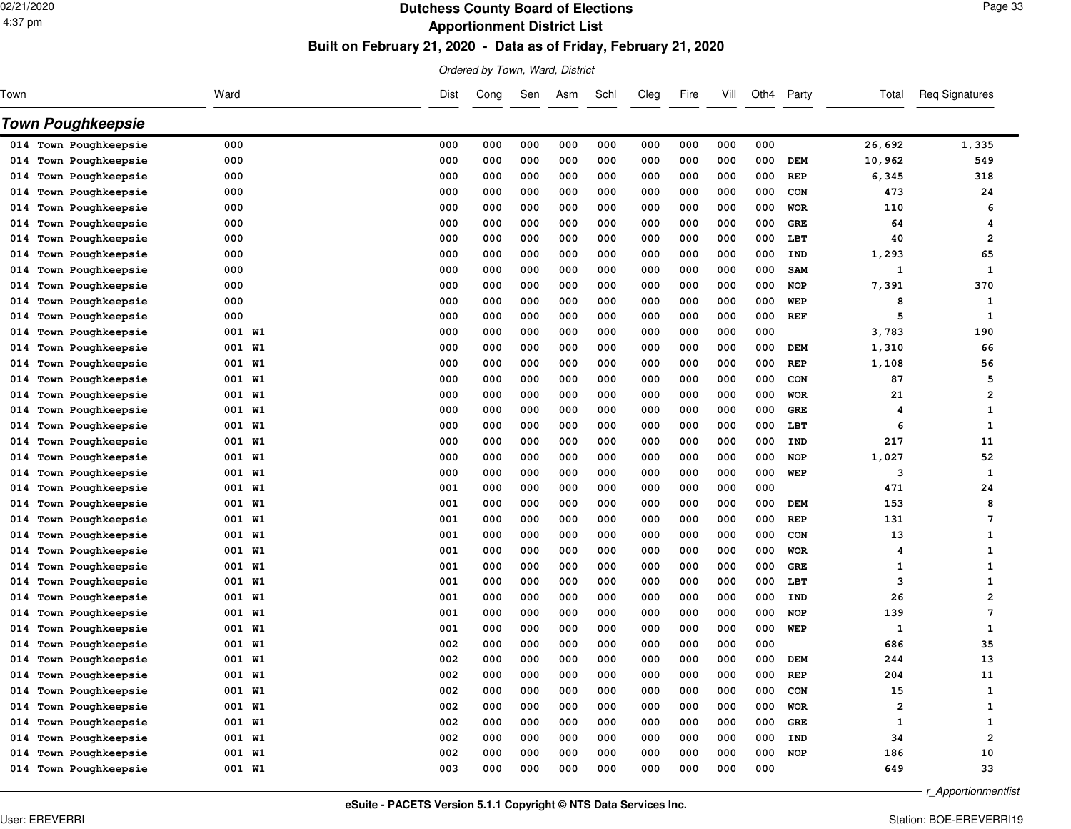#### **Dutchess County Board of Elections** $\mathbf S$  **Apportionment District ListBuilt on February 21, 2020 - Data as of Friday, February 21, 2020**

Ordered by Town, Ward, District

| Гоwn |                       | Ward      | Dist | Cong | Sen | Asm | Schl | Cleg | Fire | Vill |     | Oth4 Party | Total          | <b>Req Signatures</b> |
|------|-----------------------|-----------|------|------|-----|-----|------|------|------|------|-----|------------|----------------|-----------------------|
|      | Town Poughkeepsie     |           |      |      |     |     |      |      |      |      |     |            |                |                       |
|      | 014 Town Poughkeepsie | 000       | 000  | 000  | 000 | 000 | 000  | 000  | 000  | 000  | 000 |            | 26,692         | 1,335                 |
| 014  | Town Poughkeepsie     | 000       | 000  | 000  | 000 | 000 | 000  | 000  | 000  | 000  | 000 | <b>DEM</b> | 10,962         | 549                   |
| 014  | Town Poughkeepsie     | 000       | 000  | 000  | 000 | 000 | 000  | 000  | 000  | 000  | 000 | <b>REP</b> | 6,345          | 318                   |
| 014  | Town Poughkeepsie     | 000       | 000  | 000  | 000 | 000 | 000  | 000  | 000  | 000  | 000 | CON        | 473            | 24                    |
| 014  | Town Poughkeepsie     | 000       | 000  | 000  | 000 | 000 | 000  | 000  | 000  | 000  | 000 | <b>WOR</b> | 110            | 6                     |
| 014  | Town Poughkeepsie     | 000       | 000  | 000  | 000 | 000 | 000  | 000  | 000  | 000  | 000 | <b>GRE</b> | 64             | 4                     |
| 014  | Town Poughkeepsie     | 000       | 000  | 000  | 000 | 000 | 000  | 000  | 000  | 000  | 000 | LBT        | 40             | $\overline{2}$        |
| 014  | Town Poughkeepsie     | 000       | 000  | 000  | 000 | 000 | 000  | 000  | 000  | 000  | 000 | IND        | 1,293          | 65                    |
| 014  | Town Poughkeepsie     | 000       | 000  | 000  | 000 | 000 | 000  | 000  | 000  | 000  | 000 | <b>SAM</b> | 1              | 1                     |
| 014  | Town Poughkeepsie     | 000       | 000  | 000  | 000 | 000 | 000  | 000  | 000  | 000  | 000 | <b>NOP</b> | 7,391          | 370                   |
| 014  | Town Poughkeepsie     | 000       | 000  | 000  | 000 | 000 | 000  | 000  | 000  | 000  | 000 | <b>WEP</b> | 8              | 1                     |
| 014  | Town Poughkeepsie     | 000       | 000  | 000  | 000 | 000 | 000  | 000  | 000  | 000  | 000 | <b>REF</b> | 5              | 1                     |
| 014  | Town Poughkeepsie     | 001<br>W1 | 000  | 000  | 000 | 000 | 000  | 000  | 000  | 000  | 000 |            | 3,783          | 190                   |
| 014  | Town Poughkeepsie     | 001<br>W1 | 000  | 000  | 000 | 000 | 000  | 000  | 000  | 000  | 000 | <b>DEM</b> | 1,310          | 66                    |
| 014  | Town Poughkeepsie     | 001<br>W1 | 000  | 000  | 000 | 000 | 000  | 000  | 000  | 000  | 000 | <b>REP</b> | 1,108          | 56                    |
| 014  | Town Poughkeepsie     | 001<br>W1 | 000  | 000  | 000 | 000 | 000  | 000  | 000  | 000  | 000 | CON        | 87             | 5                     |
| 014  | Town Poughkeepsie     | 001<br>W1 | 000  | 000  | 000 | 000 | 000  | 000  | 000  | 000  | 000 | <b>WOR</b> | 21             | $\mathbf{2}$          |
| 014  | Town Poughkeepsie     | 001<br>W1 | 000  | 000  | 000 | 000 | 000  | 000  | 000  | 000  | 000 | <b>GRE</b> | 4              | $\mathbf{1}$          |
| 014  | Town Poughkeepsie     | 001<br>W1 | 000  | 000  | 000 | 000 | 000  | 000  | 000  | 000  | 000 | LBT        | 6              | 1                     |
| 014  | Town Poughkeepsie     | W1<br>001 | 000  | 000  | 000 | 000 | 000  | 000  | 000  | 000  | 000 | <b>IND</b> | 217            | 11                    |
| 014  | Town Poughkeepsie     | W1<br>001 | 000  | 000  | 000 | 000 | 000  | 000  | 000  | 000  | 000 | <b>NOP</b> | 1,027          | 52                    |
| 014  | Town Poughkeepsie     | 001<br>W1 | 000  | 000  | 000 | 000 | 000  | 000  | 000  | 000  | 000 | <b>WEP</b> | 3              | 1                     |
| 014  | Town Poughkeepsie     | 001<br>W1 | 001  | 000  | 000 | 000 | 000  | 000  | 000  | 000  | 000 |            | 471            | 24                    |
| 014  | Town Poughkeepsie     | 001<br>W1 | 001  | 000  | 000 | 000 | 000  | 000  | 000  | 000  | 000 | <b>DEM</b> | 153            | 8                     |
| 014  | Town Poughkeepsie     | 001<br>W1 | 001  | 000  | 000 | 000 | 000  | 000  | 000  | 000  | 000 | <b>REP</b> | 131            | 7                     |
| 014  | Town Poughkeepsie     | 001<br>W1 | 001  | 000  | 000 | 000 | 000  | 000  | 000  | 000  | 000 | CON        | 13             | $\mathbf{1}$          |
| 014  | Town Poughkeepsie     | W1<br>001 | 001  | 000  | 000 | 000 | 000  | 000  | 000  | 000  | 000 | <b>WOR</b> | 4              | $\mathbf{1}$          |
| 014  | Town Poughkeepsie     | 001<br>W1 | 001  | 000  | 000 | 000 | 000  | 000  | 000  | 000  | 000 | <b>GRE</b> | $\mathbf{1}$   | 1                     |
| 014  | Town Poughkeepsie     | 001<br>W1 | 001  | 000  | 000 | 000 | 000  | 000  | 000  | 000  | 000 | LBT        | 3              | $\mathbf{1}$          |
| 014  | Town Poughkeepsie     | 001<br>W1 | 001  | 000  | 000 | 000 | 000  | 000  | 000  | 000  | 000 | <b>IND</b> | 26             | $\overline{2}$        |
| 014  | Town Poughkeepsie     | 001<br>W1 | 001  | 000  | 000 | 000 | 000  | 000  | 000  | 000  | 000 | <b>NOP</b> | 139            | 7                     |
| 014  | Town Poughkeepsie     | 001<br>W1 | 001  | 000  | 000 | 000 | 000  | 000  | 000  | 000  | 000 | <b>WEP</b> | 1              | $\mathbf{1}$          |
| 014  | Town Poughkeepsie     | 001<br>W1 | 002  | 000  | 000 | 000 | 000  | 000  | 000  | 000  | 000 |            | 686            | 35                    |
| 014  | Town Poughkeepsie     | W1<br>001 | 002  | 000  | 000 | 000 | 000  | 000  | 000  | 000  | 000 | <b>DEM</b> | 244            | 13                    |
| 014  | Town Poughkeepsie     | 001<br>W1 | 002  | 000  | 000 | 000 | 000  | 000  | 000  | 000  | 000 | <b>REP</b> | 204            | 11                    |
| 014  | Town Poughkeepsie     | 001<br>W1 | 002  | 000  | 000 | 000 | 000  | 000  | 000  | 000  | 000 | CON        | 15             | 1                     |
| 014  | Town Poughkeepsie     | 001<br>W1 | 002  | 000  | 000 | 000 | 000  | 000  | 000  | 000  | 000 | <b>WOR</b> | $\overline{2}$ | 1                     |
| 014  | Town Poughkeepsie     | 001<br>W1 | 002  | 000  | 000 | 000 | 000  | 000  | 000  | 000  | 000 | <b>GRE</b> | 1              | $\mathbf{1}$          |
|      | 014 Town Poughkeepsie | 001<br>W1 | 002  | 000  | 000 | 000 | 000  | 000  | 000  | 000  | 000 | IND        | 34             | 2                     |
| 014  | Town Poughkeepsie     | W1<br>001 | 002  | 000  | 000 | 000 | 000  | 000  | 000  | 000  | 000 | <b>NOP</b> | 186            | 10                    |
|      | 014 Town Poughkeepsie | 001 W1    | 003  | 000  | 000 | 000 | 000  | 000  | 000  | 000  | 000 |            | 649            | 33                    |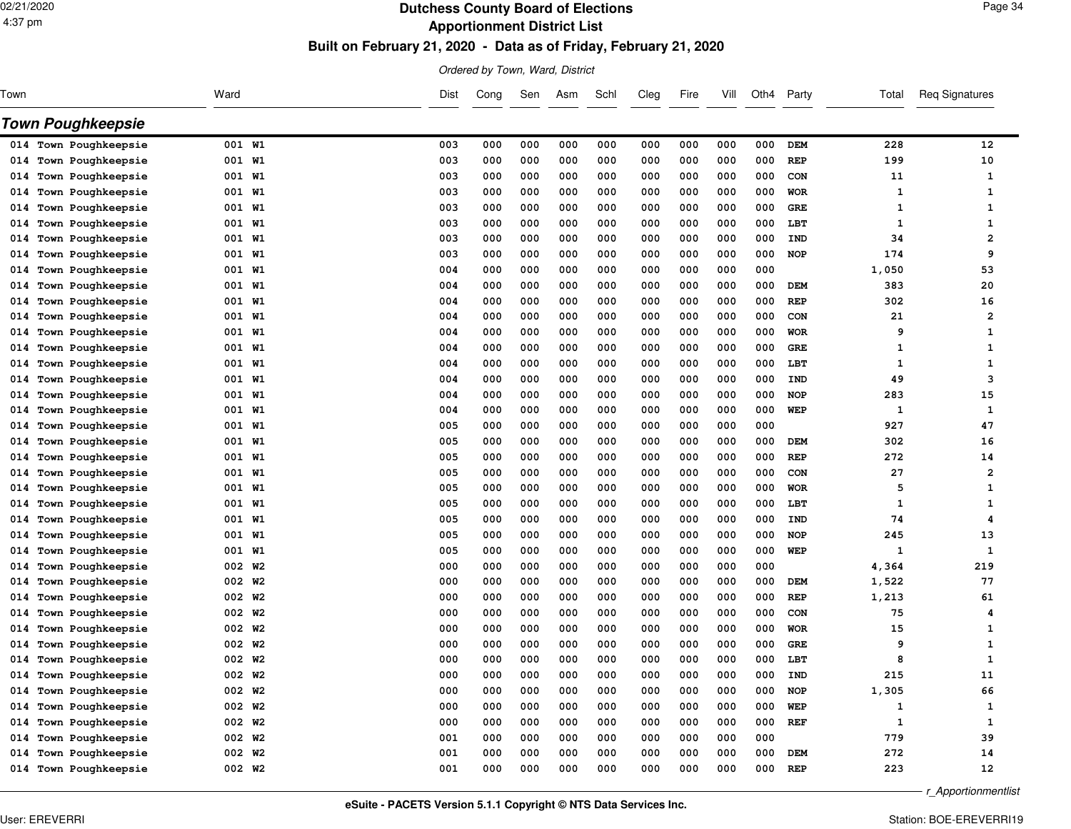#### **Dutchess County Board of Elections** $\mathbf S$ **Apportionment District List**

### **Built on February 21, 2020 - Data as of Friday, February 21, 2020**

Ordered by Town, Ward, District

| Town                     | Ward                  | Dist | Cong | Sen | Asm | Schl | Cleg | Fire | Vill |     | Oth4 Party | Total        | <b>Req Signatures</b> |
|--------------------------|-----------------------|------|------|-----|-----|------|------|------|------|-----|------------|--------------|-----------------------|
| <b>Town Poughkeepsie</b> |                       |      |      |     |     |      |      |      |      |     |            |              |                       |
| Town Poughkeepsie<br>014 | 001<br>W1             | 003  | 000  | 000 | 000 | 000  | 000  | 000  | 000  | 000 | <b>DEM</b> | 228          | 12                    |
| Town Poughkeepsie<br>014 | W1<br>001             | 003  | 000  | 000 | 000 | 000  | 000  | 000  | 000  | 000 | <b>REP</b> | 199          | 10                    |
| Town Poughkeepsie<br>014 | W1<br>001             | 003  | 000  | 000 | 000 | 000  | 000  | 000  | 000  | 000 | CON        | 11           | 1                     |
| Town Poughkeepsie<br>014 | 001<br>W1             | 003  | 000  | 000 | 000 | 000  | 000  | 000  | 000  | 000 | <b>WOR</b> | $\mathbf{1}$ | 1                     |
| Town Poughkeepsie<br>014 | W1<br>001             | 003  | 000  | 000 | 000 | 000  | 000  | 000  | 000  | 000 | <b>GRE</b> | $\mathbf{1}$ | $\mathbf{1}$          |
| Town Poughkeepsie<br>014 | 001<br>W1             | 003  | 000  | 000 | 000 | 000  | 000  | 000  | 000  | 000 | LBT        | 1            | 1                     |
| Town Poughkeepsie<br>014 | W1<br>001             | 003  | 000  | 000 | 000 | 000  | 000  | 000  | 000  | 000 | IND        | 34           | $\overline{2}$        |
| Town Poughkeepsie<br>014 | W1<br>001             | 003  | 000  | 000 | 000 | 000  | 000  | 000  | 000  | 000 | <b>NOP</b> | 174          | 9                     |
| Town Poughkeepsie<br>014 | W1<br>001             | 004  | 000  | 000 | 000 | 000  | 000  | 000  | 000  | 000 |            | 1,050        | 53                    |
| Town Poughkeepsie<br>014 | 001<br>W1             | 004  | 000  | 000 | 000 | 000  | 000  | 000  | 000  | 000 | <b>DEM</b> | 383          | 20                    |
| Town Poughkeepsie<br>014 | 001<br>W1             | 004  | 000  | 000 | 000 | 000  | 000  | 000  | 000  | 000 | <b>REP</b> | 302          | 16                    |
| Town Poughkeepsie<br>014 | 001<br>W1             | 004  | 000  | 000 | 000 | 000  | 000  | 000  | 000  | 000 | CON        | 21           | $\mathbf{2}$          |
| Town Poughkeepsie<br>014 | 001<br>W1             | 004  | 000  | 000 | 000 | 000  | 000  | 000  | 000  | 000 | <b>WOR</b> | 9            | $\mathbf{1}$          |
| Town Poughkeepsie<br>014 | 001<br>W1             | 004  | 000  | 000 | 000 | 000  | 000  | 000  | 000  | 000 | <b>GRE</b> | $\mathbf{1}$ | $\mathbf{1}$          |
| Town Poughkeepsie<br>014 | W1<br>001             | 004  | 000  | 000 | 000 | 000  | 000  | 000  | 000  | 000 | LBT        | 1            | $\mathbf{1}$          |
| Town Poughkeepsie<br>014 | 001<br>W1             | 004  | 000  | 000 | 000 | 000  | 000  | 000  | 000  | 000 | <b>IND</b> | 49           | 3                     |
| Town Poughkeepsie<br>014 | 001<br>W1             | 004  | 000  | 000 | 000 | 000  | 000  | 000  | 000  | 000 | <b>NOP</b> | 283          | 15                    |
| Town Poughkeepsie<br>014 | W1<br>001             | 004  | 000  | 000 | 000 | 000  | 000  | 000  | 000  | 000 | <b>WEP</b> | 1            | 1                     |
| Town Poughkeepsie<br>014 | W1<br>001             | 005  | 000  | 000 | 000 | 000  | 000  | 000  | 000  | 000 |            | 927          | 47                    |
| Town Poughkeepsie<br>014 | 001<br>W1             | 005  | 000  | 000 | 000 | 000  | 000  | 000  | 000  | 000 | <b>DEM</b> | 302          | 16                    |
| Town Poughkeepsie<br>014 | 001<br>W1             | 005  | 000  | 000 | 000 | 000  | 000  | 000  | 000  | 000 | <b>REP</b> | 272          | 14                    |
| Town Poughkeepsie<br>014 | 001<br>W1             | 005  | 000  | 000 | 000 | 000  | 000  | 000  | 000  | 000 | CON        | 27           | $\overline{2}$        |
| Town Poughkeepsie<br>014 | 001<br>W1             | 005  | 000  | 000 | 000 | 000  | 000  | 000  | 000  | 000 | <b>WOR</b> | 5            | $\mathbf{1}$          |
| Town Poughkeepsie<br>014 | 001<br>W1             | 005  | 000  | 000 | 000 | 000  | 000  | 000  | 000  | 000 | LBT        | $\mathbf{1}$ | 1                     |
| Town Poughkeepsie<br>014 | W1<br>001             | 005  | 000  | 000 | 000 | 000  | 000  | 000  | 000  | 000 | IND        | 74           | 4                     |
| Town Poughkeepsie<br>014 | 001<br>W1             | 005  | 000  | 000 | 000 | 000  | 000  | 000  | 000  | 000 | <b>NOP</b> | 245          | 13                    |
| Town Poughkeepsie<br>014 | 001<br>W1             | 005  | 000  | 000 | 000 | 000  | 000  | 000  | 000  | 000 | <b>WEP</b> | 1            | 1                     |
| Town Poughkeepsie<br>014 | W2<br>002             | 000  | 000  | 000 | 000 | 000  | 000  | 000  | 000  | 000 |            | 4,364        | 219                   |
| Town Poughkeepsie<br>014 | 002<br>W2             | 000  | 000  | 000 | 000 | 000  | 000  | 000  | 000  | 000 | <b>DEM</b> | 1,522        | 77                    |
| Town Poughkeepsie<br>014 | 002<br>W2             | 000  | 000  | 000 | 000 | 000  | 000  | 000  | 000  | 000 | <b>REP</b> | 1,213        | 61                    |
| Town Poughkeepsie<br>014 | 002<br>W2             | 000  | 000  | 000 | 000 | 000  | 000  | 000  | 000  | 000 | CON        | 75           | 4                     |
| Town Poughkeepsie<br>014 | 002<br><b>W2</b>      | 000  | 000  | 000 | 000 | 000  | 000  | 000  | 000  | 000 | <b>WOR</b> | 15           | 1                     |
| Town Poughkeepsie<br>014 | W <sub>2</sub><br>002 | 000  | 000  | 000 | 000 | 000  | 000  | 000  | 000  | 000 | <b>GRE</b> | 9            | $\mathbf{1}$          |
| Town Poughkeepsie<br>014 | 002<br>W2             | 000  | 000  | 000 | 000 | 000  | 000  | 000  | 000  | 000 | LBT        | 8            | 1                     |
| Town Poughkeepsie<br>014 | <b>W2</b><br>002      | 000  | 000  | 000 | 000 | 000  | 000  | 000  | 000  | 000 | <b>IND</b> | 215          | 11                    |
| Town Poughkeepsie<br>014 | 002<br>W2             | 000  | 000  | 000 | 000 | 000  | 000  | 000  | 000  | 000 | <b>NOP</b> | 1,305        | 66                    |
| Town Poughkeepsie<br>014 | 002<br>W2             | 000  | 000  | 000 | 000 | 000  | 000  | 000  | 000  | 000 | <b>WEP</b> | $\mathbf{1}$ | 1                     |
| Town Poughkeepsie<br>014 | 002<br>W2             | 000  | 000  | 000 | 000 | 000  | 000  | 000  | 000  | 000 | <b>REF</b> | 1            | 1                     |
| Town Poughkeepsie<br>014 | 002<br>W2             | 001  | 000  | 000 | 000 | 000  | 000  | 000  | 000  | 000 |            | 779          | 39                    |
| Town Poughkeepsie<br>014 | 002<br>W2             | 001  | 000  | 000 | 000 | 000  | 000  | 000  | 000  | 000 | <b>DEM</b> | 272          | 14                    |
| 014 Town Poughkeepsie    | 002 W2                | 001  | 000  | 000 | 000 | 000  | 000  | 000  | 000  | 000 | <b>REP</b> | 223          | 12                    |

**eSuite - PACETS Version 5.1.1 Copyright © NTS Data Services Inc.**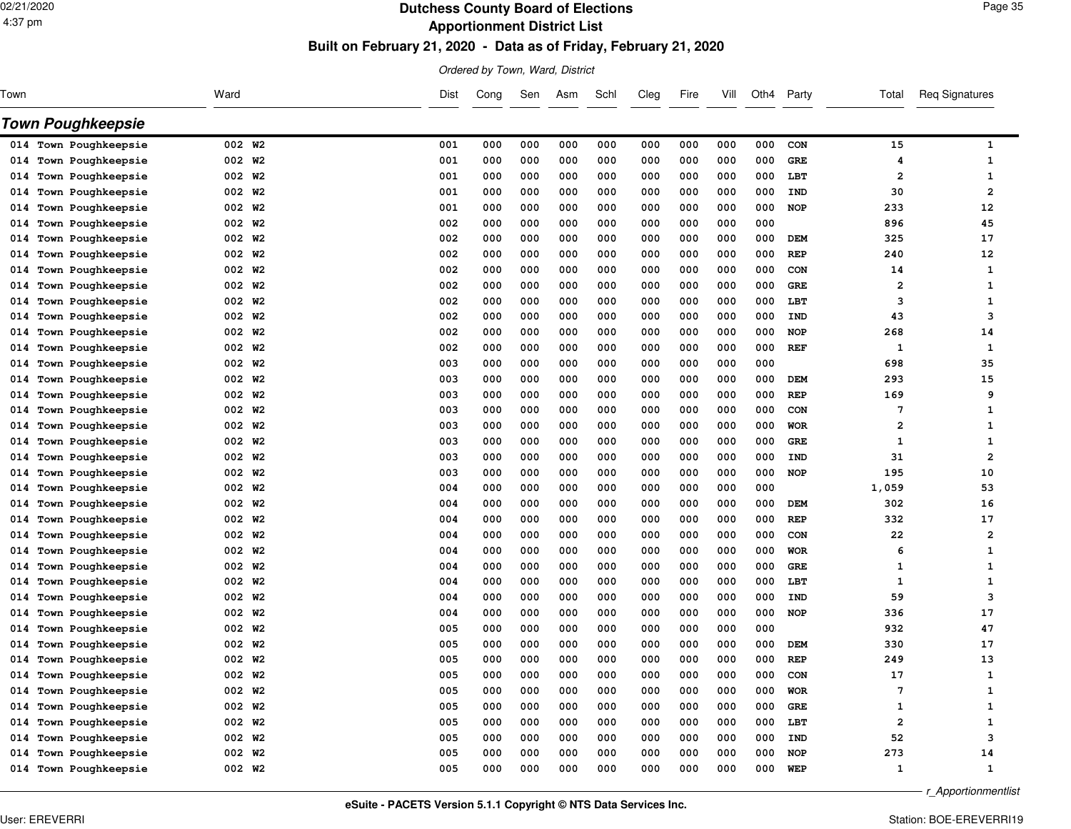#### **Dutchess County Board of Elections** $\mathbf S$ **Apportionment District List**

### **Built on February 21, 2020 - Data as of Friday, February 21, 2020**

Ordered by Town, Ward, District

| Town                     | Ward                  | Dist | Cong | Sen | Asm | Schl | Cleg | Fire | Vill |     | Oth4 Party | Total          | <b>Req Signatures</b>   |
|--------------------------|-----------------------|------|------|-----|-----|------|------|------|------|-----|------------|----------------|-------------------------|
| Town Poughkeepsie        |                       |      |      |     |     |      |      |      |      |     |            |                |                         |
| Town Poughkeepsie<br>014 | 002<br>W <sub>2</sub> | 001  | 000  | 000 | 000 | 000  | 000  | 000  | 000  | 000 | CON        | 15             | 1                       |
| Town Poughkeepsie<br>014 | 002<br>W <sub>2</sub> | 001  | 000  | 000 | 000 | 000  | 000  | 000  | 000  | 000 | <b>GRE</b> | 4              | 1                       |
| Town Poughkeepsie<br>014 | 002<br>W <sub>2</sub> | 001  | 000  | 000 | 000 | 000  | 000  | 000  | 000  | 000 | LBT        | $\overline{a}$ | 1                       |
| Town Poughkeepsie<br>014 | W <sub>2</sub><br>002 | 001  | 000  | 000 | 000 | 000  | 000  | 000  | 000  | 000 | <b>IND</b> | 30             | $\overline{\mathbf{2}}$ |
| Town Poughkeepsie<br>014 | W <sub>2</sub><br>002 | 001  | 000  | 000 | 000 | 000  | 000  | 000  | 000  | 000 | <b>NOP</b> | 233            | 12                      |
| Town Poughkeepsie<br>014 | 002<br>W2             | 002  | 000  | 000 | 000 | 000  | 000  | 000  | 000  | 000 |            | 896            | 45                      |
| Town Poughkeepsie<br>014 | 002<br>W2             | 002  | 000  | 000 | 000 | 000  | 000  | 000  | 000  | 000 | <b>DEM</b> | 325            | 17                      |
| Town Poughkeepsie<br>014 | 002<br>W <sub>2</sub> | 002  | 000  | 000 | 000 | 000  | 000  | 000  | 000  | 000 | <b>REP</b> | 240            | 12                      |
| Town Poughkeepsie<br>014 | W <sub>2</sub><br>002 | 002  | 000  | 000 | 000 | 000  | 000  | 000  | 000  | 000 | CON        | 14             | $\mathbf{1}$            |
| Town Poughkeepsie<br>014 | 002<br>W <sub>2</sub> | 002  | 000  | 000 | 000 | 000  | 000  | 000  | 000  | 000 | <b>GRE</b> | $\overline{a}$ | 1                       |
| Town Poughkeepsie<br>014 | W <sub>2</sub><br>002 | 002  | 000  | 000 | 000 | 000  | 000  | 000  | 000  | 000 | LBT        | 3              | $\mathbf{1}$            |
| Town Poughkeepsie<br>014 | 002<br>W <sub>2</sub> | 002  | 000  | 000 | 000 | 000  | 000  | 000  | 000  | 000 | IND        | 43             | 3                       |
| Town Poughkeepsie<br>014 | W <sub>2</sub><br>002 | 002  | 000  | 000 | 000 | 000  | 000  | 000  | 000  | 000 | <b>NOP</b> | 268            | 14                      |
| Town Poughkeepsie<br>014 | 002<br>W2             | 002  | 000  | 000 | 000 | 000  | 000  | 000  | 000  | 000 | <b>REF</b> | $\mathbf{1}$   | 1                       |
| Town Poughkeepsie<br>014 | W <sub>2</sub><br>002 | 003  | 000  | 000 | 000 | 000  | 000  | 000  | 000  | 000 |            | 698            | 35                      |
| Town Poughkeepsie<br>014 | W <sub>2</sub><br>002 | 003  | 000  | 000 | 000 | 000  | 000  | 000  | 000  | 000 | <b>DEM</b> | 293            | 15                      |
| Town Poughkeepsie<br>014 | 002<br>W <sub>2</sub> | 003  | 000  | 000 | 000 | 000  | 000  | 000  | 000  | 000 | <b>REP</b> | 169            | 9                       |
| Town Poughkeepsie<br>014 | 002<br>W <sub>2</sub> | 003  | 000  | 000 | 000 | 000  | 000  | 000  | 000  | 000 | CON        | $\overline{7}$ | 1                       |
| Town Poughkeepsie<br>014 | W <sub>2</sub><br>002 | 003  | 000  | 000 | 000 | 000  | 000  | 000  | 000  | 000 | <b>WOR</b> | $\overline{a}$ | $\mathbf{1}$            |
| Town Poughkeepsie<br>014 | 002<br>W2             | 003  | 000  | 000 | 000 | 000  | 000  | 000  | 000  | 000 | <b>GRE</b> | $\mathbf{1}$   | 1                       |
| Town Poughkeepsie<br>014 | W <sub>2</sub><br>002 | 003  | 000  | 000 | 000 | 000  | 000  | 000  | 000  | 000 | <b>IND</b> | 31             | $\overline{2}$          |
| Town Poughkeepsie<br>014 | W <sub>2</sub><br>002 | 003  | 000  | 000 | 000 | 000  | 000  | 000  | 000  | 000 | <b>NOP</b> | 195            | 10                      |
| Town Poughkeepsie<br>014 | 002<br>W <sub>2</sub> | 004  | 000  | 000 | 000 | 000  | 000  | 000  | 000  | 000 |            | 1,059          | 53                      |
| Town Poughkeepsie<br>014 | 002<br>W <sub>2</sub> | 004  | 000  | 000 | 000 | 000  | 000  | 000  | 000  | 000 | <b>DEM</b> | 302            | 16                      |
| Town Poughkeepsie<br>014 | 002<br>W2             | 004  | 000  | 000 | 000 | 000  | 000  | 000  | 000  | 000 | <b>REP</b> | 332            | 17                      |
| Town Poughkeepsie<br>014 | 002<br>W <sub>2</sub> | 004  | 000  | 000 | 000 | 000  | 000  | 000  | 000  | 000 | CON        | 22             | $\overline{2}$          |
| Town Poughkeepsie<br>014 | 002<br>W <sub>2</sub> | 004  | 000  | 000 | 000 | 000  | 000  | 000  | 000  | 000 | <b>WOR</b> | 6              | 1                       |
| Town Poughkeepsie<br>014 | W <sub>2</sub><br>002 | 004  | 000  | 000 | 000 | 000  | 000  | 000  | 000  | 000 | <b>GRE</b> | 1              | $\mathbf{1}$            |
| Town Poughkeepsie<br>014 | 002<br>W <sub>2</sub> | 004  | 000  | 000 | 000 | 000  | 000  | 000  | 000  | 000 | LBT        | $\mathbf{1}$   | $\mathbf{1}$            |
| Town Poughkeepsie<br>014 | W <sub>2</sub><br>002 | 004  | 000  | 000 | 000 | 000  | 000  | 000  | 000  | 000 | IND        | 59             | 3                       |
| Town Poughkeepsie<br>014 | 002<br>W <sub>2</sub> | 004  | 000  | 000 | 000 | 000  | 000  | 000  | 000  | 000 | <b>NOP</b> | 336            | 17                      |
| Town Poughkeepsie<br>014 | W <sub>2</sub><br>002 | 005  | 000  | 000 | 000 | 000  | 000  | 000  | 000  | 000 |            | 932            | 47                      |
| Town Poughkeepsie<br>014 | 002<br>W <sub>2</sub> | 005  | 000  | 000 | 000 | 000  | 000  | 000  | 000  | 000 | <b>DEM</b> | 330            | 17                      |
| Town Poughkeepsie<br>014 | 002<br>W2             | 005  | 000  | 000 | 000 | 000  | 000  | 000  | 000  | 000 | <b>REP</b> | 249            | 13                      |
| Town Poughkeepsie<br>014 | W <sub>2</sub><br>002 | 005  | 000  | 000 | 000 | 000  | 000  | 000  | 000  | 000 | CON        | 17             | 1                       |
| Town Poughkeepsie<br>014 | W <sub>2</sub><br>002 | 005  | 000  | 000 | 000 | 000  | 000  | 000  | 000  | 000 | <b>WOR</b> | $\overline{7}$ | 1                       |
| Town Poughkeepsie<br>014 | 002<br>W <sub>2</sub> | 005  | 000  | 000 | 000 | 000  | 000  | 000  | 000  | 000 | <b>GRE</b> | $\mathbf{1}$   | $\mathbf{1}$            |
| Town Poughkeepsie<br>014 | 002<br>W <sub>2</sub> | 005  | 000  | 000 | 000 | 000  | 000  | 000  | 000  | 000 | LBT        | $\overline{a}$ | 1                       |
| Town Poughkeepsie<br>014 | 002<br>W <sub>2</sub> | 005  | 000  | 000 | 000 | 000  | 000  | 000  | 000  | 000 | IND        | 52             | 3                       |
| Town Poughkeepsie<br>014 | W <sub>2</sub><br>002 | 005  | 000  | 000 | 000 | 000  | 000  | 000  | 000  | 000 | <b>NOP</b> | 273            | 14                      |
| 014 Town Poughkeepsie    | 002 W2                | 005  | 000  | 000 | 000 | 000  | 000  | 000  | 000  | 000 | <b>WEP</b> | 1              | $\mathbf{1}$            |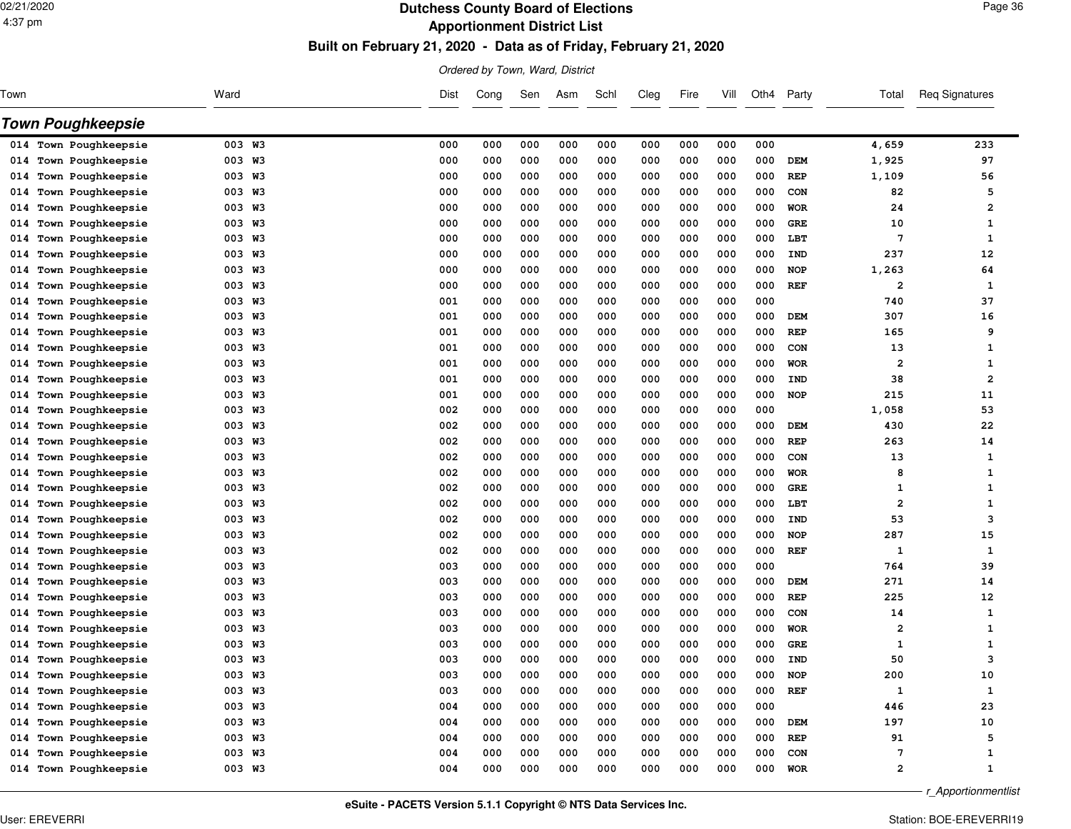#### **Dutchess County Board of Elections** $\mathbf S$ **Apportionment District List**

### **Built on February 21, 2020 - Data as of Friday, February 21, 2020**

Ordered by Town, Ward, District

| Town                     | Ward      | Dist | Cong | Sen | Asm | Schl | Cleg | Fire | Vill |     | Oth4 Party | Total          | <b>Req Signatures</b> |
|--------------------------|-----------|------|------|-----|-----|------|------|------|------|-----|------------|----------------|-----------------------|
| Town Poughkeepsie        |           |      |      |     |     |      |      |      |      |     |            |                |                       |
| 014 Town Poughkeepsie    | 003 W3    | 000  | 000  | 000 | 000 | 000  | 000  | 000  | 000  | 000 |            | 4,659          | 233                   |
| Town Poughkeepsie<br>014 | 003<br>WЗ | 000  | 000  | 000 | 000 | 000  | 000  | 000  | 000  | 000 | <b>DEM</b> | 1,925          | 97                    |
| Town Poughkeepsie<br>014 | 003<br>WЗ | 000  | 000  | 000 | 000 | 000  | 000  | 000  | 000  | 000 | <b>REP</b> | 1,109          | 56                    |
| Town Poughkeepsie<br>014 | WЗ<br>003 | 000  | 000  | 000 | 000 | 000  | 000  | 000  | 000  | 000 | CON        | 82             | 5                     |
| Town Poughkeepsie<br>014 | W3<br>003 | 000  | 000  | 000 | 000 | 000  | 000  | 000  | 000  | 000 | <b>WOR</b> | 24             | $\overline{2}$        |
| Town Poughkeepsie<br>014 | 003<br>WЗ | 000  | 000  | 000 | 000 | 000  | 000  | 000  | 000  | 000 | <b>GRE</b> | 10             | 1                     |
| Town Poughkeepsie<br>014 | 003<br>W3 | 000  | 000  | 000 | 000 | 000  | 000  | 000  | 000  | 000 | LBT        | $\overline{7}$ | $\mathbf{1}$          |
| Town Poughkeepsie<br>014 | 003<br>WЗ | 000  | 000  | 000 | 000 | 000  | 000  | 000  | 000  | 000 | IND        | 237            | 12                    |
| Town Poughkeepsie<br>014 | 003<br>WЗ | 000  | 000  | 000 | 000 | 000  | 000  | 000  | 000  | 000 | <b>NOP</b> | 1,263          | 64                    |
| Town Poughkeepsie<br>014 | 003<br>WЗ | 000  | 000  | 000 | 000 | 000  | 000  | 000  | 000  | 000 | <b>REF</b> | $\overline{2}$ | 1                     |
| Town Poughkeepsie<br>014 | 003<br>WЗ | 001  | 000  | 000 | 000 | 000  | 000  | 000  | 000  | 000 |            | 740            | 37                    |
| Town Poughkeepsie<br>014 | 003<br>WЗ | 001  | 000  | 000 | 000 | 000  | 000  | 000  | 000  | 000 | <b>DEM</b> | 307            | 16                    |
| Town Poughkeepsie<br>014 | 003<br>WЗ | 001  | 000  | 000 | 000 | 000  | 000  | 000  | 000  | 000 | <b>REP</b> | 165            | 9                     |
| Town Poughkeepsie<br>014 | 003<br>WЗ | 001  | 000  | 000 | 000 | 000  | 000  | 000  | 000  | 000 | CON        | 13             | $\mathbf{1}$          |
| Town Poughkeepsie<br>014 | 003<br>WЗ | 001  | 000  | 000 | 000 | 000  | 000  | 000  | 000  | 000 | <b>WOR</b> | $\overline{2}$ | $\mathbf{1}$          |
| Town Poughkeepsie<br>014 | WЗ<br>003 | 001  | 000  | 000 | 000 | 000  | 000  | 000  | 000  | 000 | <b>IND</b> | 38             | $\mathbf{2}$          |
| Town Poughkeepsie<br>014 | 003<br>WЗ | 001  | 000  | 000 | 000 | 000  | 000  | 000  | 000  | 000 | <b>NOP</b> | 215            | 11                    |
| Town Poughkeepsie<br>014 | WЗ<br>003 | 002  | 000  | 000 | 000 | 000  | 000  | 000  | 000  | 000 |            | 1,058          | 53                    |
| Town Poughkeepsie<br>014 | 003<br>WЗ | 002  | 000  | 000 | 000 | 000  | 000  | 000  | 000  | 000 | <b>DEM</b> | 430            | 22                    |
| Town Poughkeepsie<br>014 | 003<br>WЗ | 002  | 000  | 000 | 000 | 000  | 000  | 000  | 000  | 000 | <b>REP</b> | 263            | 14                    |
| Town Poughkeepsie<br>014 | 003<br>WЗ | 002  | 000  | 000 | 000 | 000  | 000  | 000  | 000  | 000 | CON        | 13             | $\mathbf{1}$          |
| Town Poughkeepsie<br>014 | W3<br>003 | 002  | 000  | 000 | 000 | 000  | 000  | 000  | 000  | 000 | <b>WOR</b> | 8              | $\mathbf{1}$          |
| Town Poughkeepsie<br>014 | 003<br>W3 | 002  | 000  | 000 | 000 | 000  | 000  | 000  | 000  | 000 | <b>GRE</b> | $\mathbf{1}$   | $\mathbf{1}$          |
| Town Poughkeepsie<br>014 | 003<br>WЗ | 002  | 000  | 000 | 000 | 000  | 000  | 000  | 000  | 000 | LBT        | $\overline{2}$ | $\mathbf{1}$          |
| Town Poughkeepsie<br>014 | WЗ<br>003 | 002  | 000  | 000 | 000 | 000  | 000  | 000  | 000  | 000 | IND        | 53             | 3                     |
| Town Poughkeepsie<br>014 | 003<br>WЗ | 002  | 000  | 000 | 000 | 000  | 000  | 000  | 000  | 000 | <b>NOP</b> | 287            | 15                    |
| Town Poughkeepsie<br>014 | 003<br>WЗ | 002  | 000  | 000 | 000 | 000  | 000  | 000  | 000  | 000 | <b>REF</b> | 1              | 1                     |
| Town Poughkeepsie<br>014 | 003<br>WЗ | 003  | 000  | 000 | 000 | 000  | 000  | 000  | 000  | 000 |            | 764            | 39                    |
| Town Poughkeepsie<br>014 | W3<br>003 | 003  | 000  | 000 | 000 | 000  | 000  | 000  | 000  | 000 | <b>DEM</b> | 271            | 14                    |
| Town Poughkeepsie<br>014 | W3<br>003 | 003  | 000  | 000 | 000 | 000  | 000  | 000  | 000  | 000 | <b>REP</b> | 225            | 12                    |
| Town Poughkeepsie<br>014 | 003<br>W3 | 003  | 000  | 000 | 000 | 000  | 000  | 000  | 000  | 000 | CON        | 14             | 1                     |
| Town Poughkeepsie<br>014 | 003<br>WЗ | 003  | 000  | 000 | 000 | 000  | 000  | 000  | 000  | 000 | <b>WOR</b> | $\overline{2}$ | $\mathbf{1}$          |
| Town Poughkeepsie<br>014 | 003<br>WЗ | 003  | 000  | 000 | 000 | 000  | 000  | 000  | 000  | 000 | <b>GRE</b> | $\mathbf{1}$   | $\mathbf{1}$          |
| Town Poughkeepsie<br>014 | 003<br>WЗ | 003  | 000  | 000 | 000 | 000  | 000  | 000  | 000  | 000 | IND        | 50             | 3                     |
| Town Poughkeepsie<br>014 | WЗ<br>003 | 003  | 000  | 000 | 000 | 000  | 000  | 000  | 000  | 000 | <b>NOP</b> | 200            | 10                    |
| Town Poughkeepsie<br>014 | W3<br>003 | 003  | 000  | 000 | 000 | 000  | 000  | 000  | 000  | 000 | <b>REF</b> | $\mathbf{1}$   | $\mathbf{1}$          |
| Town Poughkeepsie<br>014 | 003<br>W3 | 004  | 000  | 000 | 000 | 000  | 000  | 000  | 000  | 000 |            | 446            | 23                    |
| Town Poughkeepsie<br>014 | 003<br>W3 | 004  | 000  | 000 | 000 | 000  | 000  | 000  | 000  | 000 | <b>DEM</b> | 197            | 10                    |
| Town Poughkeepsie<br>014 | WЗ<br>003 | 004  | 000  | 000 | 000 | 000  | 000  | 000  | 000  | 000 | <b>REP</b> | 91             | 5                     |
| Town Poughkeepsie<br>014 | 003<br>WЗ | 004  | 000  | 000 | 000 | 000  | 000  | 000  | 000  | 000 | CON        | 7              | $\mathbf{1}$          |
| 014 Town Poughkeepsie    | 003<br>WЗ | 004  | 000  | 000 | 000 | 000  | 000  | 000  | 000  | 000 | <b>WOR</b> | $\overline{2}$ | 1                     |

**eSuite - PACETS Version 5.1.1 Copyright © NTS Data Services Inc.**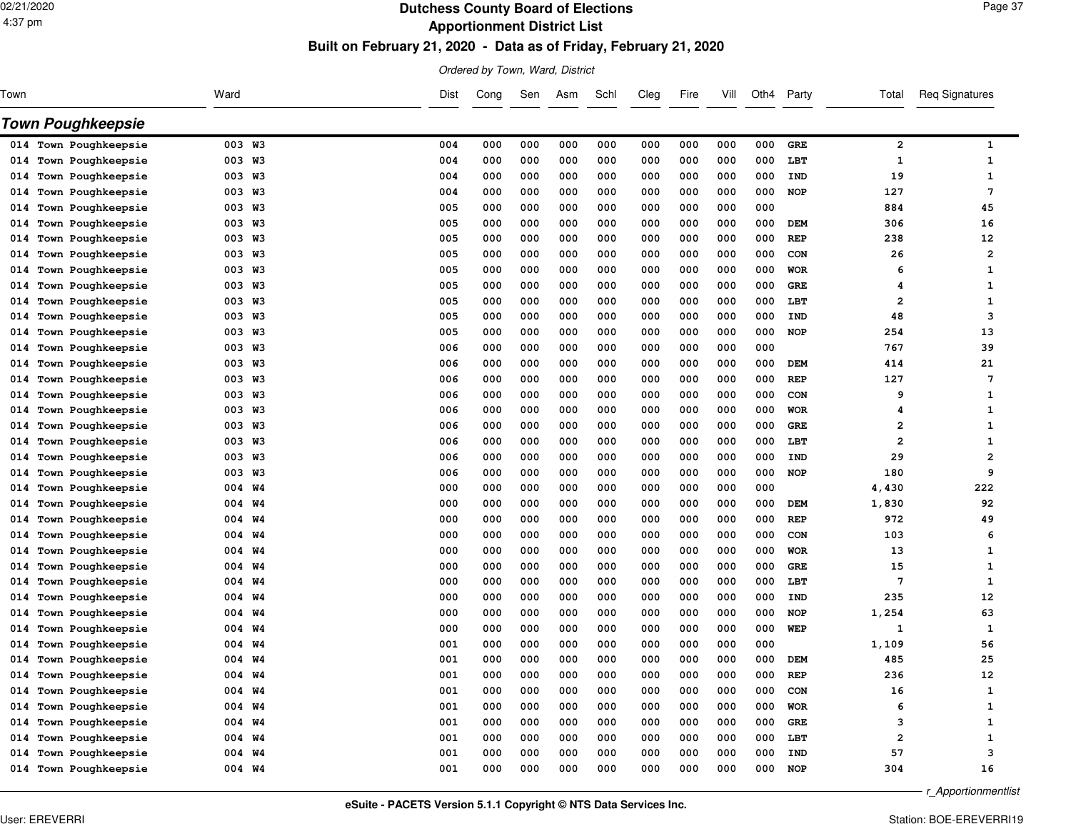#### **Dutchess County Board of Elections** $\mathbf S$ **Apportionment District List**

### **Built on February 21, 2020 - Data as of Friday, February 21, 2020**

Ordered by Town, Ward, District

| Town                     | Ward      | Dist | Cong | Sen | Asm | Schl | Cleg | Fire | Vill |     | Oth4 Party | Total          | <b>Req Signatures</b> |
|--------------------------|-----------|------|------|-----|-----|------|------|------|------|-----|------------|----------------|-----------------------|
| Town Poughkeepsie        |           |      |      |     |     |      |      |      |      |     |            |                |                       |
| Town Poughkeepsie<br>014 | 003 W3    | 004  | 000  | 000 | 000 | 000  | 000  | 000  | 000  | 000 | <b>GRE</b> | $\mathbf{2}$   | 1                     |
| Town Poughkeepsie<br>014 | 003<br>WЗ | 004  | 000  | 000 | 000 | 000  | 000  | 000  | 000  | 000 | LBT        | $\mathbf{1}$   | 1                     |
| Town Poughkeepsie<br>014 | 003<br>WЗ | 004  | 000  | 000 | 000 | 000  | 000  | 000  | 000  | 000 | <b>IND</b> | 19             | 1                     |
| Town Poughkeepsie<br>014 | WЗ<br>003 | 004  | 000  | 000 | 000 | 000  | 000  | 000  | 000  | 000 | <b>NOP</b> | 127            | $7\phantom{.0}$       |
| Town Poughkeepsie<br>014 | W3<br>003 | 005  | 000  | 000 | 000 | 000  | 000  | 000  | 000  | 000 |            | 884            | 45                    |
| Town Poughkeepsie<br>014 | 003<br>WЗ | 005  | 000  | 000 | 000 | 000  | 000  | 000  | 000  | 000 | <b>DEM</b> | 306            | 16                    |
| Town Poughkeepsie<br>014 | 003<br>WЗ | 005  | 000  | 000 | 000 | 000  | 000  | 000  | 000  | 000 | <b>REP</b> | 238            | 12                    |
| Town Poughkeepsie<br>014 | 003<br>WЗ | 005  | 000  | 000 | 000 | 000  | 000  | 000  | 000  | 000 | CON        | 26             | $\overline{2}$        |
| Town Poughkeepsie<br>014 | 003<br>WЗ | 005  | 000  | 000 | 000 | 000  | 000  | 000  | 000  | 000 | <b>WOR</b> | 6              | $\mathbf{1}$          |
| Town Poughkeepsie<br>014 | 003<br>WЗ | 005  | 000  | 000 | 000 | 000  | 000  | 000  | 000  | 000 | <b>GRE</b> | 4              | 1                     |
| Town Poughkeepsie<br>014 | 003<br>WЗ | 005  | 000  | 000 | 000 | 000  | 000  | 000  | 000  | 000 | LBT        | $\overline{a}$ | $\mathbf{1}$          |
| Town Poughkeepsie<br>014 | WЗ<br>003 | 005  | 000  | 000 | 000 | 000  | 000  | 000  | 000  | 000 | IND        | 48             | 3                     |
| Town Poughkeepsie<br>014 | W3<br>003 | 005  | 000  | 000 | 000 | 000  | 000  | 000  | 000  | 000 | <b>NOP</b> | 254            | 13                    |
| Town Poughkeepsie<br>014 | 003<br>WЗ | 006  | 000  | 000 | 000 | 000  | 000  | 000  | 000  | 000 |            | 767            | 39                    |
| Town Poughkeepsie<br>014 | 003<br>WЗ | 006  | 000  | 000 | 000 | 000  | 000  | 000  | 000  | 000 | <b>DEM</b> | 414            | 21                    |
| Town Poughkeepsie<br>014 | W3<br>003 | 006  | 000  | 000 | 000 | 000  | 000  | 000  | 000  | 000 | <b>REP</b> | 127            | $7\phantom{.0}$       |
| Town Poughkeepsie<br>014 | 003<br>WЗ | 006  | 000  | 000 | 000 | 000  | 000  | 000  | 000  | 000 | CON        | 9              | $\mathbf{1}$          |
| Town Poughkeepsie<br>014 | WЗ<br>003 | 006  | 000  | 000 | 000 | 000  | 000  | 000  | 000  | 000 | <b>WOR</b> | 4              | 1                     |
| Town Poughkeepsie<br>014 | 003<br>WЗ | 006  | 000  | 000 | 000 | 000  | 000  | 000  | 000  | 000 | <b>GRE</b> | $\overline{a}$ | $\mathbf{1}$          |
| Town Poughkeepsie<br>014 | 003<br>WЗ | 006  | 000  | 000 | 000 | 000  | 000  | 000  | 000  | 000 | LBT        | $\overline{a}$ | 1                     |
| Town Poughkeepsie<br>014 | 003<br>WЗ | 006  | 000  | 000 | 000 | 000  | 000  | 000  | 000  | 000 | <b>IND</b> | 29             | $\overline{2}$        |
| Town Poughkeepsie<br>014 | W3<br>003 | 006  | 000  | 000 | 000 | 000  | 000  | 000  | 000  | 000 | <b>NOP</b> | 180            | 9                     |
| Town Poughkeepsie<br>014 | 004<br>W4 | 000  | 000  | 000 | 000 | 000  | 000  | 000  | 000  | 000 |            | 4,430          | 222                   |
| Town Poughkeepsie<br>014 | 004<br>W4 | 000  | 000  | 000 | 000 | 000  | 000  | 000  | 000  | 000 | <b>DEM</b> | 1,830          | 92                    |
| Town Poughkeepsie<br>014 | 004<br>W4 | 000  | 000  | 000 | 000 | 000  | 000  | 000  | 000  | 000 | <b>REP</b> | 972            | 49                    |
| Town Poughkeepsie<br>014 | 004<br>W4 | 000  | 000  | 000 | 000 | 000  | 000  | 000  | 000  | 000 | CON        | 103            | 6                     |
| Town Poughkeepsie<br>014 | 004<br>W4 | 000  | 000  | 000 | 000 | 000  | 000  | 000  | 000  | 000 | <b>WOR</b> | 13             | 1                     |
| Town Poughkeepsie<br>014 | 004<br>W4 | 000  | 000  | 000 | 000 | 000  | 000  | 000  | 000  | 000 | <b>GRE</b> | 15             | 1                     |
| Town Poughkeepsie<br>014 | 004<br>W4 | 000  | 000  | 000 | 000 | 000  | 000  | 000  | 000  | 000 | LBT        | $\overline{7}$ | $\mathbf{1}$          |
| Town Poughkeepsie<br>014 | 004<br>W4 | 000  | 000  | 000 | 000 | 000  | 000  | 000  | 000  | 000 | IND        | 235            | 12                    |
| Town Poughkeepsie<br>014 | 004<br>W4 | 000  | 000  | 000 | 000 | 000  | 000  | 000  | 000  | 000 | <b>NOP</b> | 1,254          | 63                    |
| Town Poughkeepsie<br>014 | 004<br>W4 | 000  | 000  | 000 | 000 | 000  | 000  | 000  | 000  | 000 | <b>WEP</b> | 1              | $\mathbf{1}$          |
| Town Poughkeepsie<br>014 | 004<br>W4 | 001  | 000  | 000 | 000 | 000  | 000  | 000  | 000  | 000 |            | 1,109          | 56                    |
| Town Poughkeepsie<br>014 | 004<br>W4 | 001  | 000  | 000 | 000 | 000  | 000  | 000  | 000  | 000 | <b>DEM</b> | 485            | 25                    |
| Town Poughkeepsie<br>014 | 004<br>W4 | 001  | 000  | 000 | 000 | 000  | 000  | 000  | 000  | 000 | <b>REP</b> | 236            | 12                    |
| Town Poughkeepsie<br>014 | 004<br>W4 | 001  | 000  | 000 | 000 | 000  | 000  | 000  | 000  | 000 | CON        | 16             | 1                     |
| Town Poughkeepsie<br>014 | 004<br>W4 | 001  | 000  | 000 | 000 | 000  | 000  | 000  | 000  | 000 | <b>WOR</b> | 6              | $\mathbf{1}$          |
| Town Poughkeepsie<br>014 | 004<br>W4 | 001  | 000  | 000 | 000 | 000  | 000  | 000  | 000  | 000 | <b>GRE</b> | 3              | $\mathbf{1}$          |
| Town Poughkeepsie<br>014 | 004<br>W4 | 001  | 000  | 000 | 000 | 000  | 000  | 000  | 000  | 000 | LBT        | $\overline{a}$ | 1                     |
| Town Poughkeepsie<br>014 | 004<br>W4 | 001  | 000  | 000 | 000 | 000  | 000  | 000  | 000  | 000 | <b>IND</b> | 57             | 3                     |
| 014 Town Poughkeepsie    | 004<br>W4 | 001  | 000  | 000 | 000 | 000  | 000  | 000  | 000  | 000 | <b>NOP</b> | 304            | 16                    |
|                          |           |      |      |     |     |      |      |      |      |     |            |                |                       |

r\_Apportionmentlist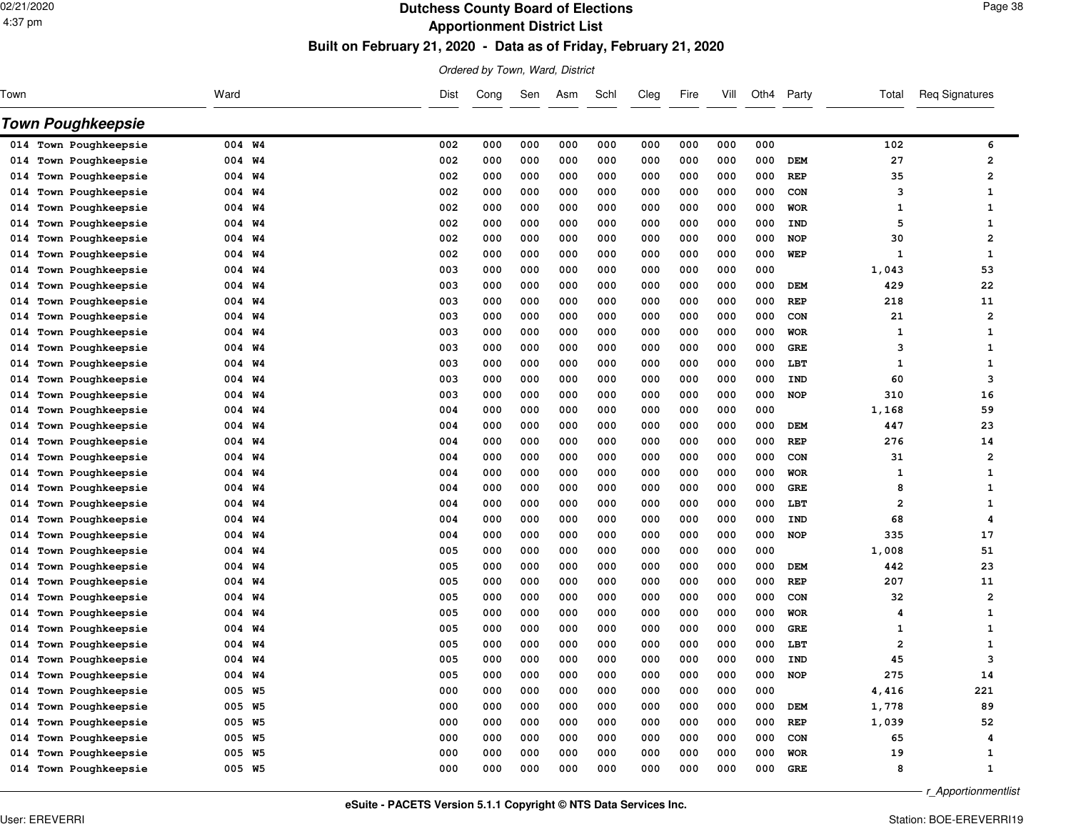# **Dutchess County Board of ElectionsApportionment District List**

### **Built on February 21, 2020 - Data as of Friday, February 21, 2020**

Ordered by Town, Ward, District

| Town                     | Ward                  | Dist | Cong | Sen | Asm | Schl | Cleg | Fire | Vill |     | Oth4 Party | Total          | <b>Req Signatures</b> |
|--------------------------|-----------------------|------|------|-----|-----|------|------|------|------|-----|------------|----------------|-----------------------|
| Town Poughkeepsie        |                       |      |      |     |     |      |      |      |      |     |            |                |                       |
| 014 Town Poughkeepsie    | 004 W4                | 002  | 000  | 000 | 000 | 000  | 000  | 000  | 000  | 000 |            | 102            | 6                     |
| Town Poughkeepsie<br>014 | W4<br>004             | 002  | 000  | 000 | 000 | 000  | 000  | 000  | 000  | 000 | <b>DEM</b> | 27             | $\overline{a}$        |
| Town Poughkeepsie<br>014 | 004<br>W4             | 002  | 000  | 000 | 000 | 000  | 000  | 000  | 000  | 000 | <b>REP</b> | 35             | 2                     |
| Town Poughkeepsie<br>014 | 004<br>W4             | 002  | 000  | 000 | 000 | 000  | 000  | 000  | 000  | 000 | CON        | 3              | $\mathbf{1}$          |
| Town Poughkeepsie<br>014 | 004<br>W4             | 002  | 000  | 000 | 000 | 000  | 000  | 000  | 000  | 000 | <b>WOR</b> | $\mathbf{1}$   | 1                     |
| Town Poughkeepsie<br>014 | 004<br>W4             | 002  | 000  | 000 | 000 | 000  | 000  | 000  | 000  | 000 | <b>IND</b> | 5              | $\mathbf{1}$          |
| Town Poughkeepsie<br>014 | 004<br>W4             | 002  | 000  | 000 | 000 | 000  | 000  | 000  | 000  | 000 | <b>NOP</b> | 30             | $\overline{2}$        |
| Town Poughkeepsie<br>014 | 004<br>W4             | 002  | 000  | 000 | 000 | 000  | 000  | 000  | 000  | 000 | <b>WEP</b> | $\mathbf{1}$   | $\mathbf{1}$          |
| Town Poughkeepsie<br>014 | 004<br>W4             | 003  | 000  | 000 | 000 | 000  | 000  | 000  | 000  | 000 |            | 1,043          | 53                    |
| Town Poughkeepsie<br>014 | 004<br>W4             | 003  | 000  | 000 | 000 | 000  | 000  | 000  | 000  | 000 | <b>DEM</b> | 429            | 22                    |
| Town Poughkeepsie<br>014 | 004<br>W4             | 003  | 000  | 000 | 000 | 000  | 000  | 000  | 000  | 000 | <b>REP</b> | 218            | 11                    |
| Town Poughkeepsie<br>014 | 004<br>W4             | 003  | 000  | 000 | 000 | 000  | 000  | 000  | 000  | 000 | CON        | 21             | $\overline{a}$        |
| Town Poughkeepsie<br>014 | 004<br>W4             | 003  | 000  | 000 | 000 | 000  | 000  | 000  | 000  | 000 | <b>WOR</b> | $\mathbf{1}$   | $\mathbf{1}$          |
| Town Poughkeepsie<br>014 | 004<br>W4             | 003  | 000  | 000 | 000 | 000  | 000  | 000  | 000  | 000 | <b>GRE</b> | 3              | $\mathbf{1}$          |
| Town Poughkeepsie<br>014 | 004<br>W4             | 003  | 000  | 000 | 000 | 000  | 000  | 000  | 000  | 000 | LBT        | $\mathbf{1}$   | 1                     |
| Town Poughkeepsie<br>014 | 004<br>W4             | 003  | 000  | 000 | 000 | 000  | 000  | 000  | 000  | 000 | <b>IND</b> | 60             | 3                     |
| Town Poughkeepsie<br>014 | 004<br>W4             | 003  | 000  | 000 | 000 | 000  | 000  | 000  | 000  | 000 | <b>NOP</b> | 310            | 16                    |
| Town Poughkeepsie<br>014 | 004<br>W4             | 004  | 000  | 000 | 000 | 000  | 000  | 000  | 000  | 000 |            | 1,168          | 59                    |
| Town Poughkeepsie<br>014 | 004<br>W4             | 004  | 000  | 000 | 000 | 000  | 000  | 000  | 000  | 000 | <b>DEM</b> | 447            | 23                    |
| Town Poughkeepsie<br>014 | 004<br>W4             | 004  | 000  | 000 | 000 | 000  | 000  | 000  | 000  | 000 | <b>REP</b> | 276            | 14                    |
| Town Poughkeepsie<br>014 | 004<br>W4             | 004  | 000  | 000 | 000 | 000  | 000  | 000  | 000  | 000 | CON        | 31             | $\overline{2}$        |
| Town Poughkeepsie<br>014 | 004<br>W4             | 004  | 000  | 000 | 000 | 000  | 000  | 000  | 000  | 000 | <b>WOR</b> | $\mathbf{1}$   | $\mathbf{1}$          |
| Town Poughkeepsie<br>014 | 004<br>W4             | 004  | 000  | 000 | 000 | 000  | 000  | 000  | 000  | 000 | <b>GRE</b> | 8              | 1                     |
| Town Poughkeepsie<br>014 | W4<br>004             | 004  | 000  | 000 | 000 | 000  | 000  | 000  | 000  | 000 | LBT        | $\overline{2}$ | 1                     |
| Town Poughkeepsie<br>014 | 004<br>W4             | 004  | 000  | 000 | 000 | 000  | 000  | 000  | 000  | 000 | <b>IND</b> | 68             | 4                     |
| Town Poughkeepsie<br>014 | 004<br>W4             | 004  | 000  | 000 | 000 | 000  | 000  | 000  | 000  | 000 | <b>NOP</b> | 335            | 17                    |
| Town Poughkeepsie<br>014 | W4<br>004             | 005  | 000  | 000 | 000 | 000  | 000  | 000  | 000  | 000 |            | 1,008          | 51                    |
| Town Poughkeepsie<br>014 | 004<br>W4             | 005  | 000  | 000 | 000 | 000  | 000  | 000  | 000  | 000 | <b>DEM</b> | 442            | 23                    |
| Town Poughkeepsie<br>014 | 004<br>W4             | 005  | 000  | 000 | 000 | 000  | 000  | 000  | 000  | 000 | <b>REP</b> | 207            | 11                    |
| Town Poughkeepsie<br>014 | 004<br>W4             | 005  | 000  | 000 | 000 | 000  | 000  | 000  | 000  | 000 | CON        | 32             | $\overline{2}$        |
| Town Poughkeepsie<br>014 | 004<br>W4             | 005  | 000  | 000 | 000 | 000  | 000  | 000  | 000  | 000 | <b>WOR</b> | 4              | 1                     |
| Town Poughkeepsie<br>014 | 004<br>W4             | 005  | 000  | 000 | 000 | 000  | 000  | 000  | 000  | 000 | <b>GRE</b> | $\mathbf{1}$   | 1                     |
| Town Poughkeepsie<br>014 | 004<br>W4             | 005  | 000  | 000 | 000 | 000  | 000  | 000  | 000  | 000 | LBT        | $\overline{a}$ | 1                     |
| Town Poughkeepsie<br>014 | 004<br>W4             | 005  | 000  | 000 | 000 | 000  | 000  | 000  | 000  | 000 | IND        | 45             | 3                     |
| Town Poughkeepsie<br>014 | 004<br>W4             | 005  | 000  | 000 | 000 | 000  | 000  | 000  | 000  | 000 | <b>NOP</b> | 275            | 14                    |
| Town Poughkeepsie<br>014 | W <sub>5</sub><br>005 | 000  | 000  | 000 | 000 | 000  | 000  | 000  | 000  | 000 |            | 4.416          | 221                   |
| Town Poughkeepsie<br>014 | 005<br><b>W5</b>      | 000  | 000  | 000 | 000 | 000  | 000  | 000  | 000  | 000 | <b>DEM</b> | 1,778          | 89                    |
| Town Poughkeepsie<br>014 | 005<br>W5             | 000  | 000  | 000 | 000 | 000  | 000  | 000  | 000  | 000 | <b>REP</b> | 1,039          | 52                    |
| Town Poughkeepsie<br>014 | W5<br>005             | 000  | 000  | 000 | 000 | 000  | 000  | 000  | 000  | 000 | CON        | 65             | 4                     |
| Town Poughkeepsie<br>014 | 005<br>W5             | 000  | 000  | 000 | 000 | 000  | 000  | 000  | 000  | 000 | <b>WOR</b> | 19             | 1                     |
| 014 Town Poughkeepsie    | 005<br>W5             | 000  | 000  | 000 | 000 | 000  | 000  | 000  | 000  | 000 | <b>GRE</b> | 8              | 1                     |

**eSuite - PACETS Version 5.1.1 Copyright © NTS Data Services Inc.**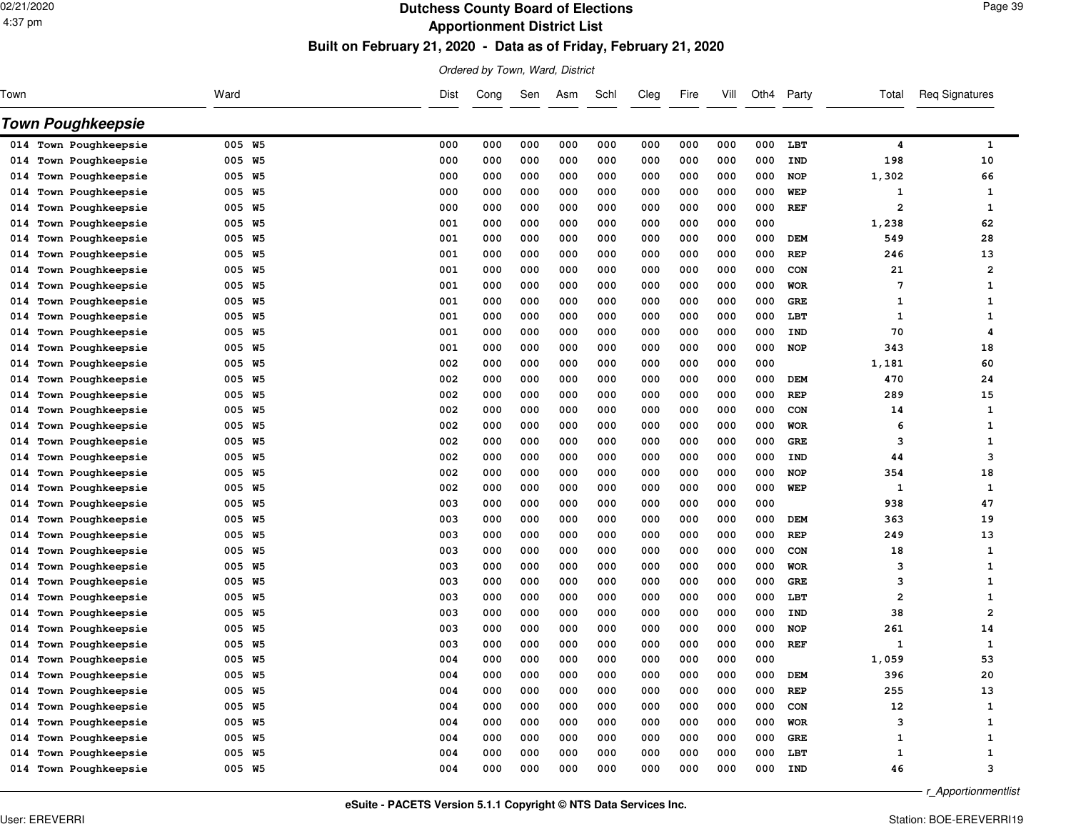#### **Dutchess County Board of Elections**S Page 39 **Apportionment District List**

### **Built on February 21, 2020 - Data as of Friday, February 21, 2020**

Ordered by Town, Ward, District

| Town                     | Ward                  | Dist | Cong | Sen | Asm | Schl | Cleg | Fire | Vill |     | Oth4 Party | Total          | <b>Req Signatures</b>   |
|--------------------------|-----------------------|------|------|-----|-----|------|------|------|------|-----|------------|----------------|-------------------------|
| Town Poughkeepsie        |                       |      |      |     |     |      |      |      |      |     |            |                |                         |
| Town Poughkeepsie<br>014 | 005 W5                | 000  | 000  | 000 | 000 | 000  | 000  | 000  | 000  | 000 | LBT        | 4              | 1                       |
| Town Poughkeepsie<br>014 | 005<br>W <sub>5</sub> | 000  | 000  | 000 | 000 | 000  | 000  | 000  | 000  | 000 | IND        | 198            | 10                      |
| Town Poughkeepsie<br>014 | 005<br>W5             | 000  | 000  | 000 | 000 | 000  | 000  | 000  | 000  | 000 | <b>NOP</b> | 1,302          | 66                      |
| Town Poughkeepsie<br>014 | 005<br>W5             | 000  | 000  | 000 | 000 | 000  | 000  | 000  | 000  | 000 | <b>WEP</b> | 1              | 1                       |
| Town Poughkeepsie<br>014 | W <sub>5</sub><br>005 | 000  | 000  | 000 | 000 | 000  | 000  | 000  | 000  | 000 | <b>REF</b> | $\overline{a}$ | $\mathbf{1}$            |
| Town Poughkeepsie<br>014 | 005<br>W <sub>5</sub> | 001  | 000  | 000 | 000 | 000  | 000  | 000  | 000  | 000 |            | 1,238          | 62                      |
| Town Poughkeepsie<br>014 | 005<br>W5             | 001  | 000  | 000 | 000 | 000  | 000  | 000  | 000  | 000 | <b>DEM</b> | 549            | 28                      |
| Town Poughkeepsie<br>014 | W <sub>5</sub><br>005 | 001  | 000  | 000 | 000 | 000  | 000  | 000  | 000  | 000 | <b>REP</b> | 246            | 13                      |
| Town Poughkeepsie<br>014 | 005<br>W <sub>5</sub> | 001  | 000  | 000 | 000 | 000  | 000  | 000  | 000  | 000 | CON        | 21             | $\overline{2}$          |
| Town Poughkeepsie<br>014 | 005<br>W <sub>5</sub> | 001  | 000  | 000 | 000 | 000  | 000  | 000  | 000  | 000 | <b>WOR</b> | 7              | 1                       |
| Town Poughkeepsie<br>014 | 005<br><b>W5</b>      | 001  | 000  | 000 | 000 | 000  | 000  | 000  | 000  | 000 | GRE        | $\mathbf{1}$   | $\mathbf{1}$            |
| Town Poughkeepsie<br>014 | W <sub>5</sub><br>005 | 001  | 000  | 000 | 000 | 000  | 000  | 000  | 000  | 000 | LBT        | 1              | 1                       |
| Town Poughkeepsie<br>014 | 005<br>W5             | 001  | 000  | 000 | 000 | 000  | 000  | 000  | 000  | 000 | <b>IND</b> | 70             | 4                       |
| Town Poughkeepsie<br>014 | 005<br><b>W5</b>      | 001  | 000  | 000 | 000 | 000  | 000  | 000  | 000  | 000 | <b>NOP</b> | 343            | 18                      |
| Town Poughkeepsie<br>014 | 005<br>W <sub>5</sub> | 002  | 000  | 000 | 000 | 000  | 000  | 000  | 000  | 000 |            | 1,181          | 60                      |
| Town Poughkeepsie<br>014 | W <sub>5</sub><br>005 | 002  | 000  | 000 | 000 | 000  | 000  | 000  | 000  | 000 | <b>DEM</b> | 470            | 24                      |
| Town Poughkeepsie<br>014 | 005<br>W <sub>5</sub> | 002  | 000  | 000 | 000 | 000  | 000  | 000  | 000  | 000 | <b>REP</b> | 289            | 15                      |
| Town Poughkeepsie<br>014 | <b>W5</b><br>005      | 002  | 000  | 000 | 000 | 000  | 000  | 000  | 000  | 000 | CON        | 14             | 1                       |
| Town Poughkeepsie<br>014 | 005<br>W <sub>5</sub> | 002  | 000  | 000 | 000 | 000  | 000  | 000  | 000  | 000 | <b>WOR</b> | 6              | $\mathbf{1}$            |
| Town Poughkeepsie<br>014 | 005<br>W5             | 002  | 000  | 000 | 000 | 000  | 000  | 000  | 000  | 000 | <b>GRE</b> | 3              | 1                       |
| Town Poughkeepsie<br>014 | 005<br><b>W5</b>      | 002  | 000  | 000 | 000 | 000  | 000  | 000  | 000  | 000 | IND        | 44             | 3                       |
| Town Poughkeepsie<br>014 | W <sub>5</sub><br>005 | 002  | 000  | 000 | 000 | 000  | 000  | 000  | 000  | 000 | <b>NOP</b> | 354            | 18                      |
| Town Poughkeepsie<br>014 | W <sub>5</sub><br>005 | 002  | 000  | 000 | 000 | 000  | 000  | 000  | 000  | 000 | <b>WEP</b> | 1              | $\mathbf{1}$            |
| Town Poughkeepsie<br>014 | 005<br>W <sub>5</sub> | 003  | 000  | 000 | 000 | 000  | 000  | 000  | 000  | 000 |            | 938            | 47                      |
| Town Poughkeepsie<br>014 | W <sub>5</sub><br>005 | 003  | 000  | 000 | 000 | 000  | 000  | 000  | 000  | 000 | <b>DEM</b> | 363            | 19                      |
| Town Poughkeepsie<br>014 | 005<br>W <sub>5</sub> | 003  | 000  | 000 | 000 | 000  | 000  | 000  | 000  | 000 | <b>REP</b> | 249            | 13                      |
| Town Poughkeepsie<br>014 | 005<br>W <sub>5</sub> | 003  | 000  | 000 | 000 | 000  | 000  | 000  | 000  | 000 | CON        | 18             | 1                       |
| Town Poughkeepsie<br>014 | 005<br>W5             | 003  | 000  | 000 | 000 | 000  | 000  | 000  | 000  | 000 | <b>WOR</b> | 3              | $\mathbf{1}$            |
| Town Poughkeepsie<br>014 | W <sub>5</sub><br>005 | 003  | 000  | 000 | 000 | 000  | 000  | 000  | 000  | 000 | <b>GRE</b> | 3              | $\mathbf{1}$            |
| Town Poughkeepsie<br>014 | W <sub>5</sub><br>005 | 003  | 000  | 000 | 000 | 000  | 000  | 000  | 000  | 000 | LBT        | $\mathbf{z}$   | $\mathbf{1}$            |
| Town Poughkeepsie<br>014 | 005<br>W <sub>5</sub> | 003  | 000  | 000 | 000 | 000  | 000  | 000  | 000  | 000 | IND        | 38             | $\overline{\mathbf{2}}$ |
| Town Poughkeepsie<br>014 | 005<br><b>W5</b>      | 003  | 000  | 000 | 000 | 000  | 000  | 000  | 000  | 000 | <b>NOP</b> | 261            | 14                      |
| Town Poughkeepsie<br>014 | 005<br>W <sub>5</sub> | 003  | 000  | 000 | 000 | 000  | 000  | 000  | 000  | 000 | <b>REF</b> | 1              | $\mathbf{1}$            |
| Town Poughkeepsie<br>014 | 005<br>W <sub>5</sub> | 004  | 000  | 000 | 000 | 000  | 000  | 000  | 000  | 000 |            | 1,059          | 53                      |
| Town Poughkeepsie<br>014 | 005<br>W5             | 004  | 000  | 000 | 000 | 000  | 000  | 000  | 000  | 000 | <b>DEM</b> | 396            | 20                      |
| Town Poughkeepsie<br>014 | W <sub>5</sub><br>005 | 004  | 000  | 000 | 000 | 000  | 000  | 000  | 000  | 000 | <b>REP</b> | 255            | 13                      |
| Town Poughkeepsie<br>014 | 005<br>W <sub>5</sub> | 004  | 000  | 000 | 000 | 000  | 000  | 000  | 000  | 000 | CON        | 12             | $\mathbf{1}$            |
| Town Poughkeepsie<br>014 | 005<br>W <sub>5</sub> | 004  | 000  | 000 | 000 | 000  | 000  | 000  | 000  | 000 | <b>WOR</b> | 3              | $\mathbf{1}$            |
| Town Poughkeepsie<br>014 | W <sub>5</sub><br>005 | 004  | 000  | 000 | 000 | 000  | 000  | 000  | 000  | 000 | <b>GRE</b> | $\mathbf{1}$   | 1                       |
| Town Poughkeepsie<br>014 | W <sub>5</sub><br>005 | 004  | 000  | 000 | 000 | 000  | 000  | 000  | 000  | 000 | LBT        | $\mathbf{1}$   | $\mathbf{1}$            |
| 014 Town Poughkeepsie    | 005<br>W5             | 004  | 000  | 000 | 000 | 000  | 000  | 000  | 000  | 000 | IND        | 46             | 3                       |
|                          |                       |      |      |     |     |      |      |      |      |     |            |                |                         |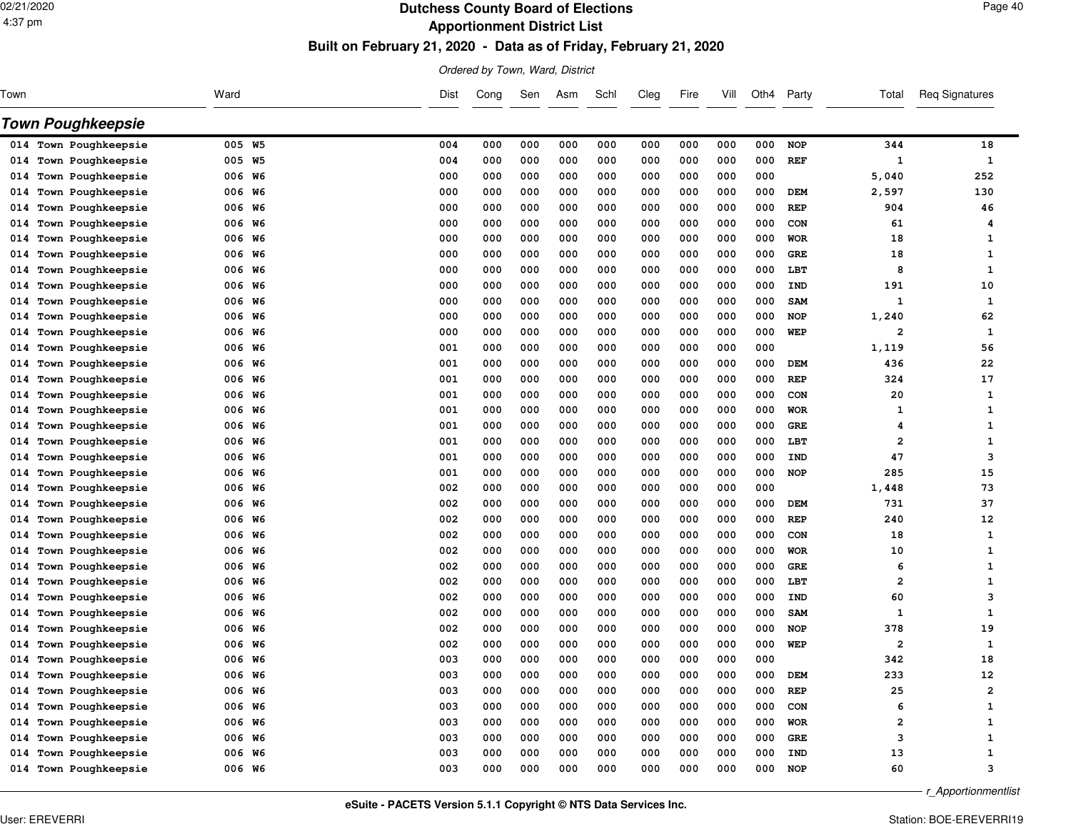#### **Dutchess County Board of Elections** $\mathbf S$ **Apportionment District List**

### **Built on February 21, 2020 - Data as of Friday, February 21, 2020**

Ordered by Town, Ward, District

| Town                     | Ward                  | Dist | Cong | Sen | Asm | Schl | Cleg | Fire | Vill |     | Oth4 Party | Total                   | <b>Req Signatures</b> |
|--------------------------|-----------------------|------|------|-----|-----|------|------|------|------|-----|------------|-------------------------|-----------------------|
| <b>Town Poughkeepsie</b> |                       |      |      |     |     |      |      |      |      |     |            |                         |                       |
| Town Poughkeepsie<br>014 | 005<br>W5             | 004  | 000  | 000 | 000 | 000  | 000  | 000  | 000  | 000 | <b>NOP</b> | 344                     | 18                    |
| Town Poughkeepsie<br>014 | 005<br>W <sub>5</sub> | 004  | 000  | 000 | 000 | 000  | 000  | 000  | 000  | 000 | <b>REF</b> | $\mathbf{1}$            | 1                     |
| Town Poughkeepsie<br>014 | 006<br>W6             | 000  | 000  | 000 | 000 | 000  | 000  | 000  | 000  | 000 |            | 5,040                   | 252                   |
| Town Poughkeepsie<br>014 | 006<br>W6             | 000  | 000  | 000 | 000 | 000  | 000  | 000  | 000  | 000 | <b>DEM</b> | 2,597                   | 130                   |
| Town Poughkeepsie<br>014 | 006<br>W6             | 000  | 000  | 000 | 000 | 000  | 000  | 000  | 000  | 000 | <b>REP</b> | 904                     | 46                    |
| Town Poughkeepsie<br>014 | 006<br>W6             | 000  | 000  | 000 | 000 | 000  | 000  | 000  | 000  | 000 | CON        | 61                      | 4                     |
| Town Poughkeepsie<br>014 | 006<br>W6             | 000  | 000  | 000 | 000 | 000  | 000  | 000  | 000  | 000 | <b>WOR</b> | 18                      | 1                     |
| Town Poughkeepsie<br>014 | 006<br>W6             | 000  | 000  | 000 | 000 | 000  | 000  | 000  | 000  | 000 | <b>GRE</b> | 18                      | 1                     |
| Town Poughkeepsie<br>014 | 006<br>W6             | 000  | 000  | 000 | 000 | 000  | 000  | 000  | 000  | 000 | LBT        | 8                       | 1                     |
| Town Poughkeepsie<br>014 | 006<br>W6             | 000  | 000  | 000 | 000 | 000  | 000  | 000  | 000  | 000 | <b>IND</b> | 191                     | 10                    |
| Town Poughkeepsie<br>014 | 006<br>W6             | 000  | 000  | 000 | 000 | 000  | 000  | 000  | 000  | 000 | <b>SAM</b> | $\mathbf{1}$            | 1                     |
| Town Poughkeepsie<br>014 | W6<br>006             | 000  | 000  | 000 | 000 | 000  | 000  | 000  | 000  | 000 | <b>NOP</b> | 1,240                   | 62                    |
| Town Poughkeepsie<br>014 | 006<br>W6             | 000  | 000  | 000 | 000 | 000  | 000  | 000  | 000  | 000 | <b>WEP</b> | $\overline{2}$          | 1                     |
| Town Poughkeepsie<br>014 | 006<br>W6             | 001  | 000  | 000 | 000 | 000  | 000  | 000  | 000  | 000 |            | 1,119                   | 56                    |
| Town Poughkeepsie<br>014 | 006<br>W6             | 001  | 000  | 000 | 000 | 000  | 000  | 000  | 000  | 000 | <b>DEM</b> | 436                     | 22                    |
| Town Poughkeepsie<br>014 | 006<br>W6             | 001  | 000  | 000 | 000 | 000  | 000  | 000  | 000  | 000 | <b>REP</b> | 324                     | 17                    |
| Town Poughkeepsie<br>014 | 006<br>W6             | 001  | 000  | 000 | 000 | 000  | 000  | 000  | 000  | 000 | CON        | 20                      | $\mathbf{1}$          |
| Town Poughkeepsie<br>014 | 006<br>W6             | 001  | 000  | 000 | 000 | 000  | 000  | 000  | 000  | 000 | <b>WOR</b> | 1                       | $\mathbf{1}$          |
| Town Poughkeepsie<br>014 | 006<br>W6             | 001  | 000  | 000 | 000 | 000  | 000  | 000  | 000  | 000 | <b>GRE</b> | 4                       | $\mathbf{1}$          |
| Town Poughkeepsie<br>014 | 006<br>W6             | 001  | 000  | 000 | 000 | 000  | 000  | 000  | 000  | 000 | LBT        | $\overline{2}$          | $\mathbf{1}$          |
| Town Poughkeepsie<br>014 | 006<br>W6             | 001  | 000  | 000 | 000 | 000  | 000  | 000  | 000  | 000 | <b>IND</b> | 47                      | 3                     |
| Town Poughkeepsie<br>014 | 006<br>W6             | 001  | 000  | 000 | 000 | 000  | 000  | 000  | 000  | 000 | <b>NOP</b> | 285                     | 15                    |
| Town Poughkeepsie<br>014 | 006<br>W6             | 002  | 000  | 000 | 000 | 000  | 000  | 000  | 000  | 000 |            | 1,448                   | 73                    |
| Town Poughkeepsie<br>014 | W6<br>006             | 002  | 000  | 000 | 000 | 000  | 000  | 000  | 000  | 000 | <b>DEM</b> | 731                     | 37                    |
| Town Poughkeepsie<br>014 | 006<br>W6             | 002  | 000  | 000 | 000 | 000  | 000  | 000  | 000  | 000 | <b>REP</b> | 240                     | 12                    |
| Town Poughkeepsie<br>014 | 006<br>W6             | 002  | 000  | 000 | 000 | 000  | 000  | 000  | 000  | 000 | <b>CON</b> | 18                      | $\mathbf{1}$          |
| Town Poughkeepsie<br>014 | 006<br>W6             | 002  | 000  | 000 | 000 | 000  | 000  | 000  | 000  | 000 | <b>WOR</b> | 10                      | 1                     |
| Town Poughkeepsie<br>014 | 006<br>W6             | 002  | 000  | 000 | 000 | 000  | 000  | 000  | 000  | 000 | <b>GRE</b> | 6                       | $\mathbf{1}$          |
| Town Poughkeepsie<br>014 | 006<br>W6             | 002  | 000  | 000 | 000 | 000  | 000  | 000  | 000  | 000 | LBT        | $\overline{2}$          | $\mathbf{1}$          |
| Town Poughkeepsie<br>014 | 006<br>W6             | 002  | 000  | 000 | 000 | 000  | 000  | 000  | 000  | 000 | <b>IND</b> | 60                      | 3                     |
| Town Poughkeepsie<br>014 | 006<br>W6             | 002  | 000  | 000 | 000 | 000  | 000  | 000  | 000  | 000 | <b>SAM</b> | 1                       | 1                     |
| Town Poughkeepsie<br>014 | 006<br>W6             | 002  | 000  | 000 | 000 | 000  | 000  | 000  | 000  | 000 | <b>NOP</b> | 378                     | 19                    |
| Town Poughkeepsie<br>014 | 006<br>W6             | 002  | 000  | 000 | 000 | 000  | 000  | 000  | 000  | 000 | <b>WEP</b> | $\overline{\mathbf{2}}$ | 1                     |
| Town Poughkeepsie<br>014 | 006<br>W6             | 003  | 000  | 000 | 000 | 000  | 000  | 000  | 000  | 000 |            | 342                     | 18                    |
| Town Poughkeepsie<br>014 | 006<br>W6             | 003  | 000  | 000 | 000 | 000  | 000  | 000  | 000  | 000 | <b>DEM</b> | 233                     | 12 <sup>2</sup>       |
| Town Poughkeepsie<br>014 | 006<br>W6             | 003  | 000  | 000 | 000 | 000  | 000  | 000  | 000  | 000 | <b>REP</b> | 25                      | $\overline{2}$        |
| Town Poughkeepsie<br>014 | 006<br>W6             | 003  | 000  | 000 | 000 | 000  | 000  | 000  | 000  | 000 | CON        | 6                       | 1                     |
| Town Poughkeepsie<br>014 | 006<br>W6             | 003  | 000  | 000 | 000 | 000  | 000  | 000  | 000  | 000 | <b>WOR</b> | $\overline{a}$          | 1                     |
| Town Poughkeepsie<br>014 | 006<br>W6             | 003  | 000  | 000 | 000 | 000  | 000  | 000  | 000  | 000 | <b>GRE</b> | 3                       | $\mathbf{1}$          |
| Town Poughkeepsie<br>014 | 006<br>W6             | 003  | 000  | 000 | 000 | 000  | 000  | 000  | 000  | 000 | <b>IND</b> | 13                      | 1                     |
| 014 Town Poughkeepsie    | 006 W6                | 003  | 000  | 000 | 000 | 000  | 000  | 000  | 000  | 000 | <b>NOP</b> | 60                      | 3                     |
|                          |                       |      |      |     |     |      |      |      |      |     |            |                         |                       |

**eSuite - PACETS Version 5.1.1 Copyright © NTS Data Services Inc.**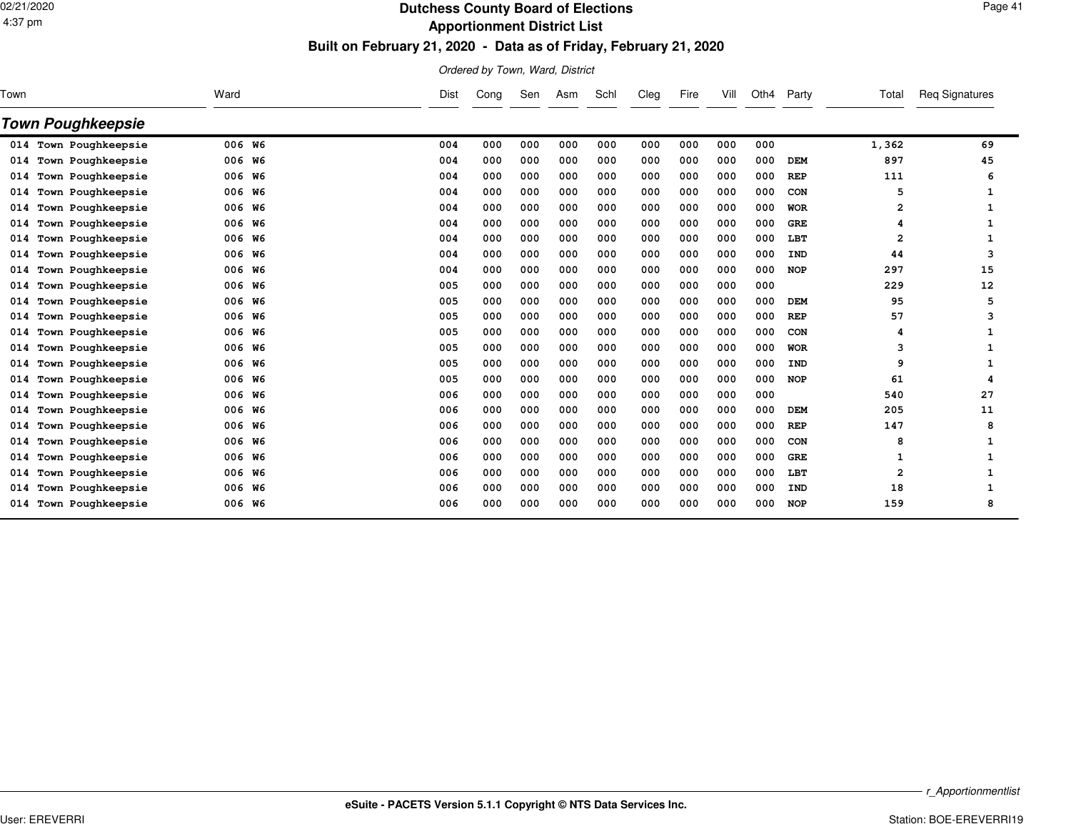#### **Dutchess County Board of Elections**S Page 41 **Apportionment District List**

### **Built on February 21, 2020 - Data as of Friday, February 21, 2020**

Ordered by Town, Ward, District

| Town |                       | Ward             | Dist | Cong | Sen | Asm | Schl | Cleg | Fire | Vill | Oth4 | Party      | Total          | <b>Reg Signatures</b> |
|------|-----------------------|------------------|------|------|-----|-----|------|------|------|------|------|------------|----------------|-----------------------|
|      | Town Poughkeepsie     |                  |      |      |     |     |      |      |      |      |      |            |                |                       |
|      | 014 Town Poughkeepsie | 006 W6           | 004  | 000  | 000 | 000 | 000  | 000  | 000  | 000  | 000  |            | 1,362          | 69                    |
| 014  | Town Poughkeepsie     | 006 W6           | 004  | 000  | 000 | 000 | 000  | 000  | 000  | 000  | 000  | <b>DEM</b> | 897            | 45                    |
| 014  | Town Poughkeepsie     | 006 W6           | 004  | 000  | 000 | 000 | 000  | 000  | 000  | 000  | 000  | <b>REP</b> | 111            | 6                     |
| 014  | Town Poughkeepsie     | 006<br>W6        | 004  | 000  | 000 | 000 | 000  | 000  | 000  | 000  | 000  | CON        | 5              |                       |
| 014  | Town Poughkeepsie     | 006<br>W6        | 004  | 000  | 000 | 000 | 000  | 000  | 000  | 000  | 000  | <b>WOR</b> | 2              |                       |
| 014  | Town Poughkeepsie     | W6<br>006        | 004  | 000  | 000 | 000 | 000  | 000  | 000  | 000  | 000  | <b>GRE</b> |                |                       |
| 014  | Town Poughkeepsie     | 006<br>W6        | 004  | 000  | 000 | 000 | 000  | 000  | 000  | 000  | 000  | LBT        | 2              |                       |
| 014  | Town Poughkeepsie     | 006<br>W6        | 004  | 000  | 000 | 000 | 000  | 000  | 000  | 000  | 000  | <b>IND</b> | 44             | 3                     |
| 014  | Town Poughkeepsie     | 006<br>W6        | 004  | 000  | 000 | 000 | 000  | 000  | 000  | 000  | 000  | <b>NOP</b> | 297            | 15                    |
| 014  | Town Poughkeepsie     | 006<br>W6        | 005  | 000  | 000 | 000 | 000  | 000  | 000  | 000  | 000  |            | 229            | 12                    |
| 014  | Town Poughkeepsie     | 006<br>W6        | 005  | 000  | 000 | 000 | 000  | 000  | 000  | 000  | 000  | <b>DEM</b> | 95             | 5                     |
| 014  | Town Poughkeepsie     | 006<br>W6        | 005  | 000  | 000 | 000 | 000  | 000  | 000  | 000  | 000  | <b>REP</b> | 57             | 3                     |
| 014  | Town Poughkeepsie     | 006 W6           | 005  | 000  | 000 | 000 | 000  | 000  | 000  | 000  | 000  | CON        |                |                       |
| 014  | Town Poughkeepsie     | 006<br>W6        | 005  | 000  | 000 | 000 | 000  | 000  | 000  | 000  | 000  | <b>WOR</b> | 3              |                       |
| 014  | Town Poughkeepsie     | 006<br>W6        | 005  | 000  | 000 | 000 | 000  | 000  | 000  | 000  | 000  | <b>IND</b> | 9              |                       |
| 014  | Town Poughkeepsie     | 006 W6           | 005  | 000  | 000 | 000 | 000  | 000  | 000  | 000  | 000  | <b>NOP</b> | 61             | 4                     |
| 014  | Town Poughkeepsie     | 006<br>W6        | 006  | 000  | 000 | 000 | 000  | 000  | 000  | 000  | 000  |            | 540            | 27                    |
| 014  | Town Poughkeepsie     | 006<br>W6        | 006  | 000  | 000 | 000 | 000  | 000  | 000  | 000  | 000  | <b>DEM</b> | 205            | 11                    |
| 014  | Town Poughkeepsie     | 006 W6           | 006  | 000  | 000 | 000 | 000  | 000  | 000  | 000  | 000  | <b>REP</b> | 147            | 8                     |
| 014  | Town Poughkeepsie     | 006<br>W6        | 006  | 000  | 000 | 000 | 000  | 000  | 000  | 000  | 000  | CON        | 8              |                       |
| 014  | Town Poughkeepsie     | 006<br>W6        | 006  | 000  | 000 | 000 | 000  | 000  | 000  | 000  | 000  | GRE        |                |                       |
| 014  | Town Poughkeepsie     | 006 W6           | 006  | 000  | 000 | 000 | 000  | 000  | 000  | 000  | 000  | LBT        | $\overline{2}$ |                       |
| 014  | Town Poughkeepsie     | 006<br>W6        | 006  | 000  | 000 | 000 | 000  | 000  | 000  | 000  | 000  | <b>IND</b> | 18             |                       |
|      | 014 Town Poughkeepsie | <b>W6</b><br>006 | 006  | 000  | 000 | 000 | 000  | 000  | 000  | 000  | 000  | <b>NOP</b> | 159            | 8                     |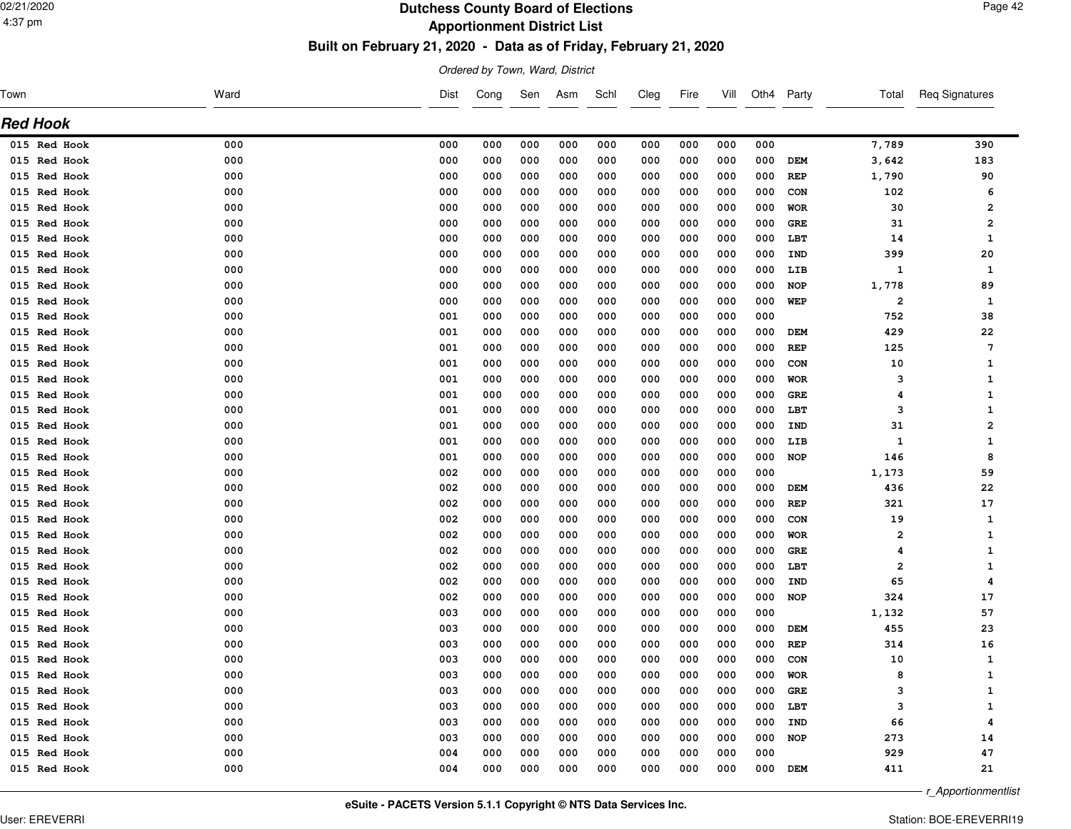#### **Dutchess County Board of Elections** $\mathbf S$ **Apportionment District List**

### **Built on February 21, 2020 - Data as of Friday, February 21, 2020**

Ordered by Town, Ward, District

| Town |              | Ward | Dist | Cong | Sen | Asm | Schl | Cleg | Fire | Vill |     | Oth4 Party | Total          | <b>Req Signatures</b>   |
|------|--------------|------|------|------|-----|-----|------|------|------|------|-----|------------|----------------|-------------------------|
|      | Red Hook     |      |      |      |     |     |      |      |      |      |     |            |                |                         |
|      | 015 Red Hook | 000  | 000  | 000  | 000 | 000 | 000  | 000  | 000  | 000  | 000 |            | 7,789          | 390                     |
|      | 015 Red Hook | 000  | 000  | 000  | 000 | 000 | 000  | 000  | 000  | 000  | 000 | <b>DEM</b> | 3,642          | 183                     |
|      | 015 Red Hook | 000  | 000  | 000  | 000 | 000 | 000  | 000  | 000  | 000  | 000 | <b>REP</b> | 1,790          | 90                      |
|      | 015 Red Hook | 000  | 000  | 000  | 000 | 000 | 000  | 000  | 000  | 000  | 000 | CON        | 102            | 6                       |
|      | 015 Red Hook | 000  | 000  | 000  | 000 | 000 | 000  | 000  | 000  | 000  | 000 | <b>WOR</b> | 30             | $\overline{\mathbf{2}}$ |
| 015  | Red Hook     | 000  | 000  | 000  | 000 | 000 | 000  | 000  | 000  | 000  | 000 | <b>GRE</b> | 31             | $\overline{\mathbf{2}}$ |
|      | 015 Red Hook | 000  | 000  | 000  | 000 | 000 | 000  | 000  | 000  | 000  | 000 | LBT        | 14             | 1                       |
|      | 015 Red Hook | 000  | 000  | 000  | 000 | 000 | 000  | 000  | 000  | 000  | 000 | <b>IND</b> | 399            | 20                      |
|      | 015 Red Hook | 000  | 000  | 000  | 000 | 000 | 000  | 000  | 000  | 000  | 000 | LIB        | 1              | 1                       |
|      | 015 Red Hook | 000  | 000  | 000  | 000 | 000 | 000  | 000  | 000  | 000  | 000 | <b>NOP</b> | 1,778          | 89                      |
|      | 015 Red Hook | 000  | 000  | 000  | 000 | 000 | 000  | 000  | 000  | 000  | 000 | <b>WEP</b> | $\mathbf{2}$   | 1                       |
|      | 015 Red Hook | 000  | 001  | 000  | 000 | 000 | 000  | 000  | 000  | 000  | 000 |            | 752            | 38                      |
|      | 015 Red Hook | 000  | 001  | 000  | 000 | 000 | 000  | 000  | 000  | 000  | 000 | DEM        | 429            | 22                      |
|      | 015 Red Hook | 000  | 001  | 000  | 000 | 000 | 000  | 000  | 000  | 000  | 000 | REP        | 125            | $7\phantom{.0}$         |
|      | 015 Red Hook | 000  | 001  | 000  | 000 | 000 | 000  | 000  | 000  | 000  | 000 | CON        | 10             | 1                       |
|      | 015 Red Hook | 000  | 001  | 000  | 000 | 000 | 000  | 000  | 000  | 000  | 000 | <b>WOR</b> | 3              | 1                       |
|      | 015 Red Hook | 000  | 001  | 000  | 000 | 000 | 000  | 000  | 000  | 000  | 000 | GRE        | 4              | 1                       |
|      | 015 Red Hook | 000  | 001  | 000  | 000 | 000 | 000  | 000  | 000  | 000  | 000 | LBT        | 3              | 1                       |
|      | 015 Red Hook | 000  | 001  | 000  | 000 | 000 | 000  | 000  | 000  | 000  | 000 | <b>IND</b> | 31             | $\overline{\mathbf{2}}$ |
|      | 015 Red Hook | 000  | 001  | 000  | 000 | 000 | 000  | 000  | 000  | 000  | 000 | LIB        | $\mathbf{1}$   | 1                       |
|      | 015 Red Hook | 000  | 001  | 000  | 000 | 000 | 000  | 000  | 000  | 000  | 000 | <b>NOP</b> | 146            | 8                       |
|      | 015 Red Hook | 000  | 002  | 000  | 000 | 000 | 000  | 000  | 000  | 000  | 000 |            | 1,173          | 59                      |
|      | 015 Red Hook | 000  | 002  | 000  | 000 | 000 | 000  | 000  | 000  | 000  | 000 | <b>DEM</b> | 436            | 22                      |
|      | 015 Red Hook | 000  | 002  | 000  | 000 | 000 | 000  | 000  | 000  | 000  | 000 | <b>REP</b> | 321            | 17                      |
| 015  | Red Hook     | 000  | 002  | 000  | 000 | 000 | 000  | 000  | 000  | 000  | 000 | CON        | 19             | 1                       |
|      | 015 Red Hook | 000  | 002  | 000  | 000 | 000 | 000  | 000  | 000  | 000  | 000 | <b>WOR</b> | $\mathbf{2}$   | 1                       |
|      | 015 Red Hook | 000  | 002  | 000  | 000 | 000 | 000  | 000  | 000  | 000  | 000 | <b>GRE</b> | 4              | 1                       |
|      | 015 Red Hook | 000  | 002  | 000  | 000 | 000 | 000  | 000  | 000  | 000  | 000 | LBT        | $\overline{2}$ | 1                       |
|      | 015 Red Hook | 000  | 002  | 000  | 000 | 000 | 000  | 000  | 000  | 000  | 000 | IND        | 65             | 4                       |
|      | 015 Red Hook | 000  | 002  | 000  | 000 | 000 | 000  | 000  | 000  | 000  | 000 | <b>NOP</b> | 324            | 17                      |
| 015  | Red Hook     | 000  | 003  | 000  | 000 | 000 | 000  | 000  | 000  | 000  | 000 |            | 1,132          | 57                      |
|      | 015 Red Hook | 000  | 003  | 000  | 000 | 000 | 000  | 000  | 000  | 000  | 000 | DEM        | 455            | 23                      |
|      | 015 Red Hook | 000  | 003  | 000  | 000 | 000 | 000  | 000  | 000  | 000  | 000 | <b>REP</b> | 314            | 16                      |
|      | 015 Red Hook | 000  | 003  | 000  | 000 | 000 | 000  | 000  | 000  | 000  | 000 | CON        | 10             | $\mathbf{1}$            |
|      | 015 Red Hook | 000  | 003  | 000  | 000 | 000 | 000  | 000  | 000  | 000  | 000 | <b>WOR</b> | 8              | 1                       |
|      | 015 Red Hook | 000  | 003  | 000  | 000 | 000 | 000  | 000  | 000  | 000  | 000 | <b>GRE</b> | 3              | 1                       |
|      | 015 Red Hook | 000  | 003  | 000  | 000 | 000 | 000  | 000  | 000  | 000  | 000 | LBT        | 3              | 1                       |
|      | 015 Red Hook | 000  | 003  | 000  | 000 | 000 | 000  | 000  | 000  | 000  | 000 | <b>IND</b> | 66             | 4                       |
|      | 015 Red Hook | 000  | 003  | 000  | 000 | 000 | 000  | 000  | 000  | 000  | 000 | <b>NOP</b> | 273            | 14                      |
|      | 015 Red Hook | 000  | 004  | 000  | 000 | 000 | 000  | 000  | 000  | 000  | 000 |            | 929            | 47                      |
|      | 015 Red Hook | 000  | 004  | 000  | 000 | 000 | 000  | 000  | 000  | 000  | 000 | <b>DEM</b> | 411            | 21                      |

r\_Apportionmentlist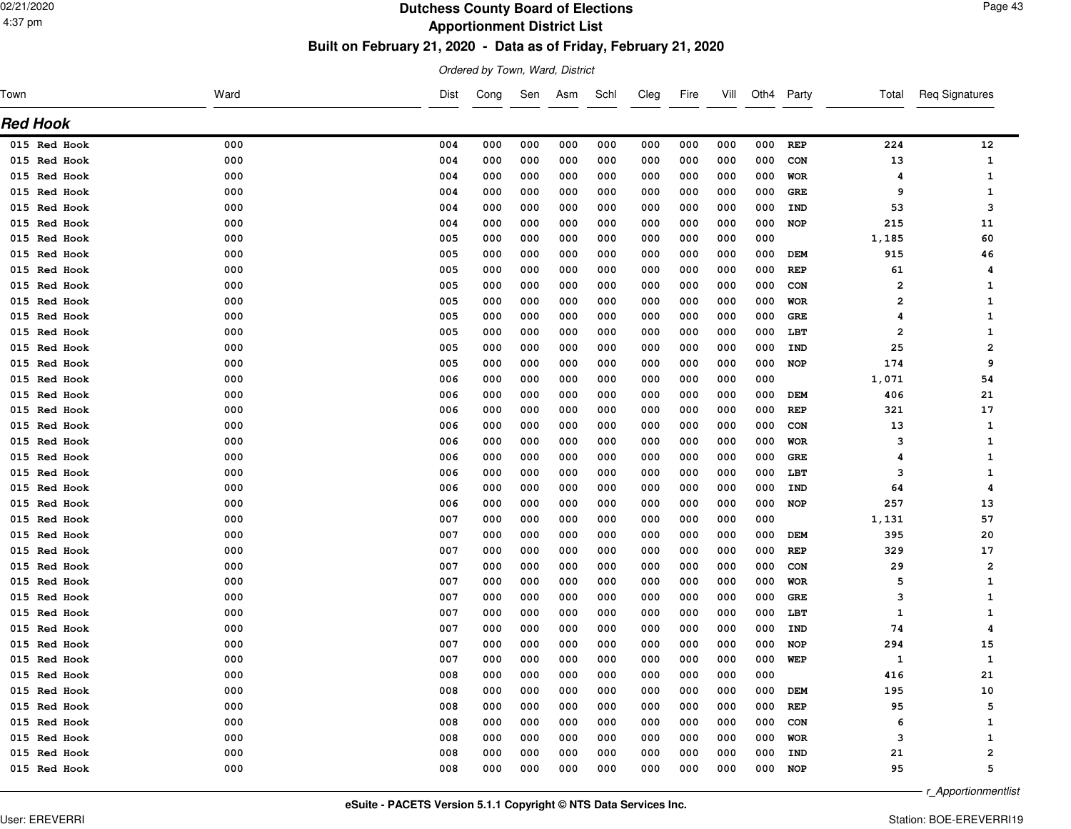# **Dutchess County Board of ElectionsApportionment District List**

### **Built on February 21, 2020 - Data as of Friday, February 21, 2020**

Ordered by Town, Ward, District

| -own            | Ward | Dist | Cong | Sen | Asm | Schl | Cleg | Fire | Vill | Oth4 | Party      | Total        | <b>Req Signatures</b>   |
|-----------------|------|------|------|-----|-----|------|------|------|------|------|------------|--------------|-------------------------|
| <b>Red Hook</b> |      |      |      |     |     |      |      |      |      |      |            |              |                         |
| 015 Red Hook    | 000  | 004  | 000  | 000 | 000 | 000  | 000  | 000  | 000  | 000  | <b>REP</b> | 224          | 12                      |
| 015 Red Hook    | 000  | 004  | 000  | 000 | 000 | 000  | 000  | 000  | 000  | 000  | CON        | 13           | 1                       |
| 015 Red Hook    | 000  | 004  | 000  | 000 | 000 | 000  | 000  | 000  | 000  | 000  | <b>WOR</b> | 4            | 1                       |
| 015 Red Hook    | 000  | 004  | 000  | 000 | 000 | 000  | 000  | 000  | 000  | 000  | <b>GRE</b> | 9            | 1                       |
| 015 Red Hook    | 000  | 004  | 000  | 000 | 000 | 000  | 000  | 000  | 000  | 000  | IND        | 53           | 3                       |
| 015<br>Red Hook | 000  | 004  | 000  | 000 | 000 | 000  | 000  | 000  | 000  | 000  | <b>NOP</b> | 215          | 11                      |
| 015<br>Red Hook | 000  | 005  | 000  | 000 | 000 | 000  | 000  | 000  | 000  | 000  |            | 1,185        | 60                      |
| 015 Red Hook    | 000  | 005  | 000  | 000 | 000 | 000  | 000  | 000  | 000  | 000  | DEM        | 915          | 46                      |
| 015 Red Hook    | 000  | 005  | 000  | 000 | 000 | 000  | 000  | 000  | 000  | 000  | <b>REP</b> | 61           | 4                       |
| 015 Red Hook    | 000  | 005  | 000  | 000 | 000 | 000  | 000  | 000  | 000  | 000  | CON        | $\mathbf{2}$ | 1                       |
| 015 Red Hook    | 000  | 005  | 000  | 000 | 000 | 000  | 000  | 000  | 000  | 000  | <b>WOR</b> | $\mathbf{2}$ | 1                       |
| 015 Red Hook    | 000  | 005  | 000  | 000 | 000 | 000  | 000  | 000  | 000  | 000  | <b>GRE</b> | 4            | 1                       |
| 015 Red Hook    | 000  | 005  | 000  | 000 | 000 | 000  | 000  | 000  | 000  | 000  | LBT        | 2            | 1                       |
| 015 Red Hook    | 000  | 005  | 000  | 000 | 000 | 000  | 000  | 000  | 000  | 000  | IND        | 25           | $\overline{\mathbf{2}}$ |
| Red Hook<br>015 | 000  | 005  | 000  | 000 | 000 | 000  | 000  | 000  | 000  | 000  | <b>NOP</b> | 174          | 9                       |
| Red Hook<br>015 | 000  | 006  | 000  | 000 | 000 | 000  | 000  | 000  | 000  | 000  |            | 1,071        | 54                      |
| 015 Red Hook    | 000  | 006  | 000  | 000 | 000 | 000  | 000  | 000  | 000  | 000  | DEM        | 406          | 21                      |
| 015<br>Red Hook | 000  | 006  | 000  | 000 | 000 | 000  | 000  | 000  | 000  | 000  | <b>REP</b> | 321          | 17                      |
| Red Hook<br>015 | 000  | 006  | 000  | 000 | 000 | 000  | 000  | 000  | 000  | 000  | CON        | 13           | 1                       |
| 015 Red Hook    | 000  | 006  | 000  | 000 | 000 | 000  | 000  | 000  | 000  | 000  | <b>WOR</b> | 3            | 1                       |
| 015 Red Hook    | 000  | 006  | 000  | 000 | 000 | 000  | 000  | 000  | 000  | 000  | GRE        | 4            | 1                       |
| 015<br>Red Hook | 000  | 006  | 000  | 000 | 000 | 000  | 000  | 000  | 000  | 000  | LBT        | 3            | 1                       |
| 015 Red Hook    | 000  | 006  | 000  | 000 | 000 | 000  | 000  | 000  | 000  | 000  | IND        | 64           | 4                       |
| 015 Red Hook    | 000  | 006  | 000  | 000 | 000 | 000  | 000  | 000  | 000  | 000  | <b>NOP</b> | 257          | 13                      |
| Red Hook<br>015 | 000  | 007  | 000  | 000 | 000 | 000  | 000  | 000  | 000  | 000  |            | 1,131        | 57                      |
| 015 Red Hook    | 000  | 007  | 000  | 000 | 000 | 000  | 000  | 000  | 000  | 000  | DEM        | 395          | 20                      |
| 015 Red Hook    | 000  | 007  | 000  | 000 | 000 | 000  | 000  | 000  | 000  | 000  | <b>REP</b> | 329          | 17                      |
| 015<br>Red Hook | 000  | 007  | 000  | 000 | 000 | 000  | 000  | 000  | 000  | 000  | <b>CON</b> | 29           | $\overline{2}$          |
| 015 Red Hook    | 000  | 007  | 000  | 000 | 000 | 000  | 000  | 000  | 000  | 000  | <b>WOR</b> | 5            | 1                       |
| 015 Red Hook    | 000  | 007  | 000  | 000 | 000 | 000  | 000  | 000  | 000  | 000  | <b>GRE</b> | 3            | 1                       |
| Red Hook<br>015 | 000  | 007  | 000  | 000 | 000 | 000  | 000  | 000  | 000  | 000  | LBT        | $\mathbf{1}$ | 1                       |
| 015 Red Hook    | 000  | 007  | 000  | 000 | 000 | 000  | 000  | 000  | 000  | 000  | IND        | 74           | 4                       |
| 015 Red Hook    | 000  | 007  | 000  | 000 | 000 | 000  | 000  | 000  | 000  | 000  | <b>NOP</b> | 294          | 15                      |
| 015 Red Hook    | 000  | 007  | 000  | 000 | 000 | 000  | 000  | 000  | 000  | 000  | <b>WEP</b> | 1            | 1                       |
| 015 Red Hook    | 000  | 008  | 000  | 000 | 000 | 000  | 000  | 000  | 000  | 000  |            | 416          | 21                      |
| 015 Red Hook    | 000  | 008  | 000  | 000 | 000 | 000  | 000  | 000  | 000  | 000  | <b>DEM</b> | 195          | 10                      |
| 015 Red Hook    | 000  | 008  | 000  | 000 | 000 | 000  | 000  | 000  | 000  | 000  | <b>REP</b> | 95           | 5                       |
| 015 Red Hook    | 000  | 008  | 000  | 000 | 000 | 000  | 000  | 000  | 000  | 000  | CON        | 6            | 1                       |
| 015 Red Hook    | 000  | 008  | 000  | 000 | 000 | 000  | 000  | 000  | 000  | 000  | <b>WOR</b> | 3            | 1                       |
| 015 Red Hook    | 000  | 008  | 000  | 000 | 000 | 000  | 000  | 000  | 000  | 000  | IND        | 21           | $\overline{\mathbf{2}}$ |
| 015 Red Hook    | 000  | 008  | 000  | 000 | 000 | 000  | 000  | 000  | 000  | 000  | <b>NOP</b> | 95           | 5                       |

**eSuite - PACETS Version 5.1.1 Copyright © NTS Data Services Inc.**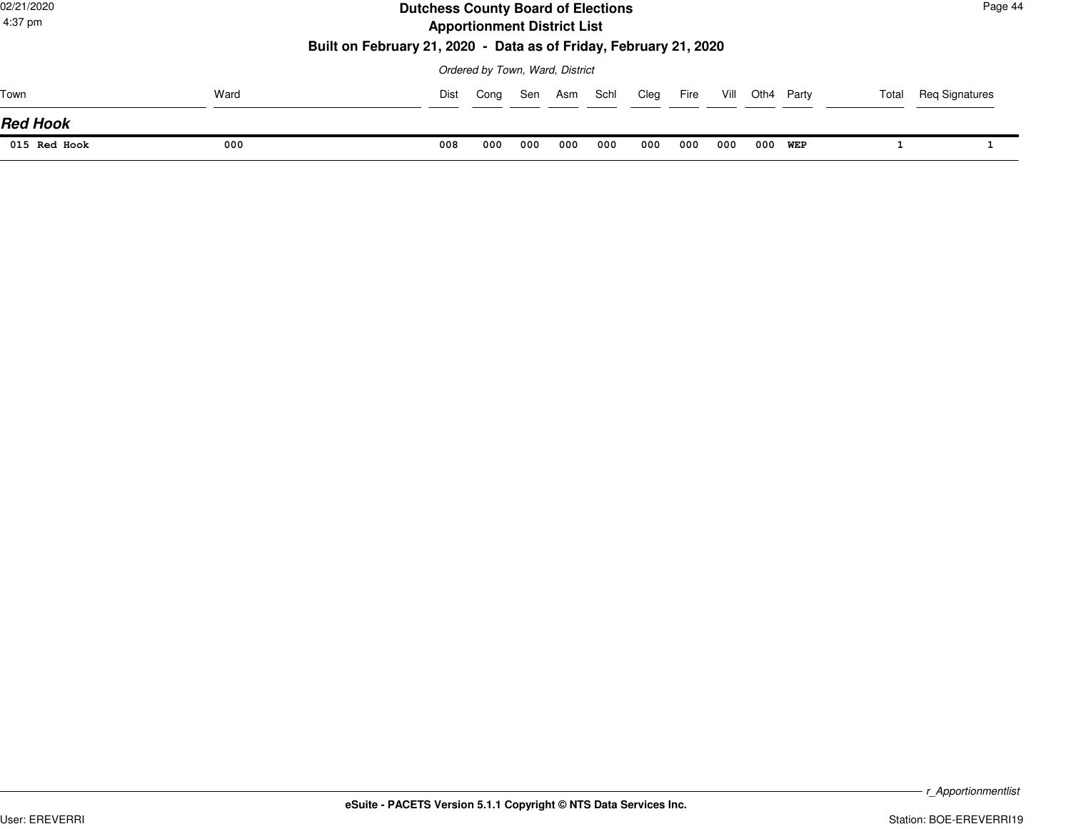| 02/21/2020<br>4:37 pm |      | <b>Dutchess County Board of Elections</b><br><b>Apportionment District List</b><br>Built on February 21, 2020 - Data as of Friday, February 21, 2020 |                                 |     |     |      |      |      |      |            |     |       | Page 44        |
|-----------------------|------|------------------------------------------------------------------------------------------------------------------------------------------------------|---------------------------------|-----|-----|------|------|------|------|------------|-----|-------|----------------|
|                       |      |                                                                                                                                                      | Ordered by Town, Ward, District |     |     |      |      |      |      |            |     |       |                |
| Town                  | Ward | Dist                                                                                                                                                 | Cong                            | Sen | Asm | Schl | Cleg | Fire | Vill | Oth4 Party |     | Total | Req Signatures |
| <b>Red Hook</b>       |      |                                                                                                                                                      |                                 |     |     |      |      |      |      |            |     |       |                |
| 015 Red Hook          | 000  | 008                                                                                                                                                  | 000                             | 000 | 000 | 000  | 000  | 000  | 000  | 000        | WEP |       |                |
|                       |      |                                                                                                                                                      |                                 |     |     |      |      |      |      |            |     |       |                |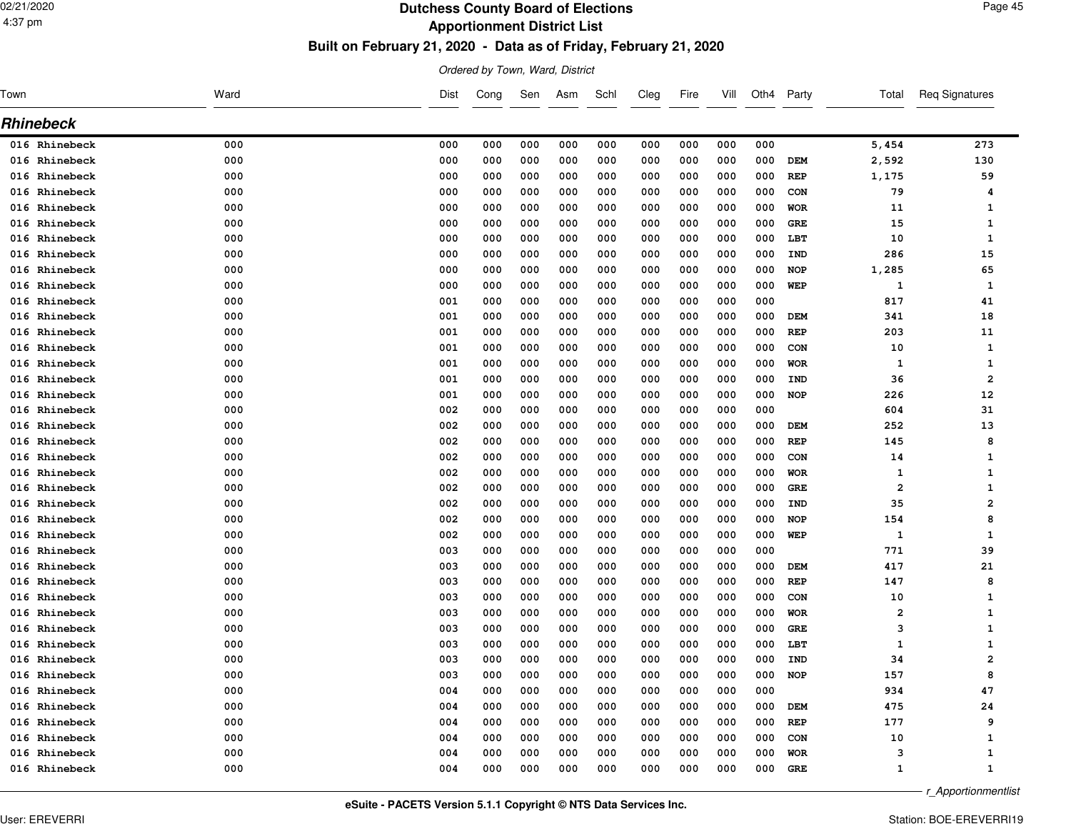# **Dutchess County Board of ElectionsApportionment District List**

### **Built on February 21, 2020 - Data as of Friday, February 21, 2020**

Ordered by Town, Ward, District

| -own |               | Ward | Dist | Cong | Sen | Asm | Schl | Cleg | Fire | Vill | Oth4 | Party      | Total                   | <b>Req Signatures</b> |
|------|---------------|------|------|------|-----|-----|------|------|------|------|------|------------|-------------------------|-----------------------|
|      | Rhinebeck     |      |      |      |     |     |      |      |      |      |      |            |                         |                       |
|      | 016 Rhinebeck | 000  | 000  | 000  | 000 | 000 | 000  | 000  | 000  | 000  | 000  |            | 5,454                   | 273                   |
|      | 016 Rhinebeck | 000  | 000  | 000  | 000 | 000 | 000  | 000  | 000  | 000  | 000  | <b>DEM</b> | 2,592                   | 130                   |
| 016  | Rhinebeck     | 000  | 000  | 000  | 000 | 000 | 000  | 000  | 000  | 000  | 000  | <b>REP</b> | 1,175                   | 59                    |
|      | 016 Rhinebeck | 000  | 000  | 000  | 000 | 000 | 000  | 000  | 000  | 000  | 000  | CON        | 79                      | 4                     |
| 016  | Rhinebeck     | 000  | 000  | 000  | 000 | 000 | 000  | 000  | 000  | 000  | 000  | <b>WOR</b> | 11                      | 1                     |
| 016  | Rhinebeck     | 000  | 000  | 000  | 000 | 000 | 000  | 000  | 000  | 000  | 000  | GRE        | 15                      | 1                     |
| 016  | Rhinebeck     | 000  | 000  | 000  | 000 | 000 | 000  | 000  | 000  | 000  | 000  | LBT        | 10                      | $\mathbf{1}$          |
|      | 016 Rhinebeck | 000  | 000  | 000  | 000 | 000 | 000  | 000  | 000  | 000  | 000  | <b>IND</b> | 286                     | 15                    |
| 016  | Rhinebeck     | 000  | 000  | 000  | 000 | 000 | 000  | 000  | 000  | 000  | 000  | <b>NOP</b> | 1,285                   | 65                    |
| 016  | Rhinebeck     | 000  | 000  | 000  | 000 | 000 | 000  | 000  | 000  | 000  | 000  | <b>WEP</b> | $\mathbf{1}$            | 1                     |
| 016  | Rhinebeck     | 000  | 001  | 000  | 000 | 000 | 000  | 000  | 000  | 000  | 000  |            | 817                     | 41                    |
| 016  | Rhinebeck     | 000  | 001  | 000  | 000 | 000 | 000  | 000  | 000  | 000  | 000  | <b>DEM</b> | 341                     | 18                    |
| 016  | Rhinebeck     | 000  | 001  | 000  | 000 | 000 | 000  | 000  | 000  | 000  | 000  | <b>REP</b> | 203                     | 11                    |
| 016  | Rhinebeck     | 000  | 001  | 000  | 000 | 000 | 000  | 000  | 000  | 000  | 000  | CON        | 10                      | 1                     |
| 016  | Rhinebeck     | 000  | 001  | 000  | 000 | 000 | 000  | 000  | 000  | 000  | 000  | <b>WOR</b> | $\mathbf{1}$            | 1                     |
| 016  | Rhinebeck     | 000  | 001  | 000  | 000 | 000 | 000  | 000  | 000  | 000  | 000  | <b>IND</b> | 36                      | $\mathbf{2}$          |
| 016  | Rhinebeck     | 000  | 001  | 000  | 000 | 000 | 000  | 000  | 000  | 000  | 000  | <b>NOP</b> | 226                     | 12                    |
| 016  | Rhinebeck     | 000  | 002  | 000  | 000 | 000 | 000  | 000  | 000  | 000  | 000  |            | 604                     | 31                    |
| 016  | Rhinebeck     | 000  | 002  | 000  | 000 | 000 | 000  | 000  | 000  | 000  | 000  | <b>DEM</b> | 252                     | 13                    |
| 016  | Rhinebeck     | 000  | 002  | 000  | 000 | 000 | 000  | 000  | 000  | 000  | 000  | <b>REP</b> | 145                     | 8                     |
| 016  | Rhinebeck     | 000  | 002  | 000  | 000 | 000 | 000  | 000  | 000  | 000  | 000  | CON        | 14                      | 1                     |
| 016  | Rhinebeck     | 000  | 002  | 000  | 000 | 000 | 000  | 000  | 000  | 000  | 000  | <b>WOR</b> | $\mathbf 1$             | 1                     |
| 016  | Rhinebeck     | 000  | 002  | 000  | 000 | 000 | 000  | 000  | 000  | 000  | 000  | <b>GRE</b> | $\overline{\mathbf{2}}$ | $\mathbf{1}$          |
| 016  | Rhinebeck     | 000  | 002  | 000  | 000 | 000 | 000  | 000  | 000  | 000  | 000  | <b>IND</b> | 35                      | $\overline{2}$        |
| 016  | Rhinebeck     | 000  | 002  | 000  | 000 | 000 | 000  | 000  | 000  | 000  | 000  | <b>NOP</b> | 154                     | 8                     |
| 016  | Rhinebeck     | 000  | 002  | 000  | 000 | 000 | 000  | 000  | 000  | 000  | 000  | <b>WEP</b> | $\mathbf{1}$            | 1                     |
|      | 016 Rhinebeck | 000  | 003  | 000  | 000 | 000 | 000  | 000  | 000  | 000  | 000  |            | 771                     | 39                    |
| 016  | Rhinebeck     | 000  | 003  | 000  | 000 | 000 | 000  | 000  | 000  | 000  | 000  | DEM        | 417                     | 21                    |
| 016  | Rhinebeck     | 000  | 003  | 000  | 000 | 000 | 000  | 000  | 000  | 000  | 000  | <b>REP</b> | 147                     | 8                     |
|      | 016 Rhinebeck | 000  | 003  | 000  | 000 | 000 | 000  | 000  | 000  | 000  | 000  | CON        | 10                      | 1                     |
| 016  | Rhinebeck     | 000  | 003  | 000  | 000 | 000 | 000  | 000  | 000  | 000  | 000  | <b>WOR</b> | $\overline{\mathbf{2}}$ | 1                     |
| 016  | Rhinebeck     | 000  | 003  | 000  | 000 | 000 | 000  | 000  | 000  | 000  | 000  | GRE        | 3                       | 1                     |
|      | 016 Rhinebeck | 000  | 003  | 000  | 000 | 000 | 000  | 000  | 000  | 000  | 000  | LBT        | $\mathbf{1}$            | 1                     |
| 016  | Rhinebeck     | 000  | 003  | 000  | 000 | 000 | 000  | 000  | 000  | 000  | 000  | <b>IND</b> | 34                      | $\overline{2}$        |
| 016  | Rhinebeck     | 000  | 003  | 000  | 000 | 000 | 000  | 000  | 000  | 000  | 000  | <b>NOP</b> | 157                     | 8                     |
|      | 016 Rhinebeck | 000  | 004  | 000  | 000 | 000 | 000  | 000  | 000  | 000  | 000  |            | 934                     | 47                    |
| 016  | Rhinebeck     | 000  | 004  | 000  | 000 | 000 | 000  | 000  | 000  | 000  | 000  | <b>DEM</b> | 475                     | 24                    |
| 016  | Rhinebeck     | 000  | 004  | 000  | 000 | 000 | 000  | 000  | 000  | 000  | 000  | <b>REP</b> | 177                     | 9                     |
|      | 016 Rhinebeck | 000  | 004  | 000  | 000 | 000 | 000  | 000  | 000  | 000  | 000  | CON        | 10                      | 1                     |
|      | 016 Rhinebeck | 000  | 004  | 000  | 000 | 000 | 000  | 000  | 000  | 000  | 000  | <b>WOR</b> | 3                       | $\mathbf{1}$          |
|      | 016 Rhinebeck | 000  | 004  | 000  | 000 | 000 | 000  | 000  | 000  | 000  | 000  | <b>GRE</b> | 1                       | 1                     |

**eSuite - PACETS Version 5.1.1 Copyright © NTS Data Services Inc.**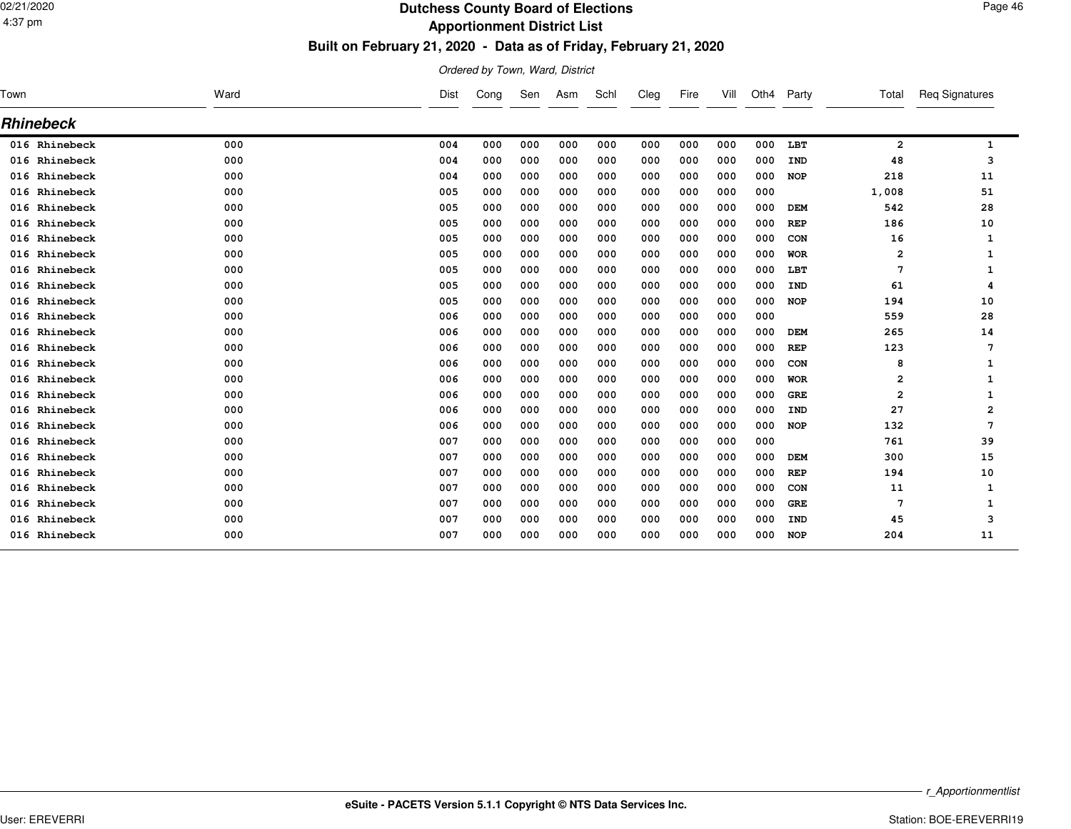#### **Dutchess County Board of Elections** $\mathbf S$ **Apportionment District List**

## **Built on February 21, 2020 - Data as of Friday, February 21, 2020**

Ordered by Town, Ward, District

| Town             | Ward | Dist | Cong | Sen | Asm | Schl | Cleg | Fire | Vill | Oth4 | Party      | Total | <b>Req Signatures</b> |
|------------------|------|------|------|-----|-----|------|------|------|------|------|------------|-------|-----------------------|
| <b>Rhinebeck</b> |      |      |      |     |     |      |      |      |      |      |            |       |                       |
| 016 Rhinebeck    | 000  | 004  | 000  | 000 | 000 | 000  | 000  | 000  | 000  | 000  | LBT        | 2     | 1                     |
| Rhinebeck<br>016 | 000  | 004  | 000  | 000 | 000 | 000  | 000  | 000  | 000  | 000  | <b>IND</b> | 48    | 3                     |
| 016<br>Rhinebeck | 000  | 004  | 000  | 000 | 000 | 000  | 000  | 000  | 000  | 000  | <b>NOP</b> | 218   | 11                    |
| Rhinebeck<br>016 | 000  | 005  | 000  | 000 | 000 | 000  | 000  | 000  | 000  | 000  |            | 1,008 | 51                    |
| 016<br>Rhinebeck | 000  | 005  | 000  | 000 | 000 | 000  | 000  | 000  | 000  | 000  | <b>DEM</b> | 542   | 28                    |
| Rhinebeck<br>016 | 000  | 005  | 000  | 000 | 000 | 000  | 000  | 000  | 000  | 000  | <b>REP</b> | 186   | 10                    |
| 016<br>Rhinebeck | 000  | 005  | 000  | 000 | 000 | 000  | 000  | 000  | 000  | 000  | CON        | 16    |                       |
| Rhinebeck<br>016 | 000  | 005  | 000  | 000 | 000 | 000  | 000  | 000  | 000  | 000  | <b>WOR</b> | 2     |                       |
| 016<br>Rhinebeck | 000  | 005  | 000  | 000 | 000 | 000  | 000  | 000  | 000  | 000  | LBT        | 7     |                       |
| 016<br>Rhinebeck | 000  | 005  | 000  | 000 | 000 | 000  | 000  | 000  | 000  | 000  | IND        | 61    | 4                     |
| 016<br>Rhinebeck | 000  | 005  | 000  | 000 | 000 | 000  | 000  | 000  | 000  | 000  | <b>NOP</b> | 194   | 10                    |
| Rhinebeck<br>016 | 000  | 006  | 000  | 000 | 000 | 000  | 000  | 000  | 000  | 000  |            | 559   | 28                    |
| Rhinebeck<br>016 | 000  | 006  | 000  | 000 | 000 | 000  | 000  | 000  | 000  | 000  | <b>DEM</b> | 265   | 14                    |
| Rhinebeck<br>016 | 000  | 006  | 000  | 000 | 000 | 000  | 000  | 000  | 000  | 000  | <b>REP</b> | 123   | 7                     |
| Rhinebeck<br>016 | 000  | 006  | 000  | 000 | 000 | 000  | 000  | 000  | 000  | 000  | CON        | 8     |                       |
| Rhinebeck<br>016 | 000  | 006  | 000  | 000 | 000 | 000  | 000  | 000  | 000  | 000  | <b>WOR</b> | 2     |                       |
| Rhinebeck<br>016 | 000  | 006  | 000  | 000 | 000 | 000  | 000  | 000  | 000  | 000  | <b>GRE</b> | 2     |                       |
| 016<br>Rhinebeck | 000  | 006  | 000  | 000 | 000 | 000  | 000  | 000  | 000  | 000  | <b>IND</b> | 27    | 2                     |
| 016<br>Rhinebeck | 000  | 006  | 000  | 000 | 000 | 000  | 000  | 000  | 000  | 000  | <b>NOP</b> | 132   |                       |
| Rhinebeck<br>016 | 000  | 007  | 000  | 000 | 000 | 000  | 000  | 000  | 000  | 000  |            | 761   | 39                    |
| 016<br>Rhinebeck | 000  | 007  | 000  | 000 | 000 | 000  | 000  | 000  | 000  | 000  | <b>DEM</b> | 300   | 15                    |
| Rhinebeck<br>016 | 000  | 007  | 000  | 000 | 000 | 000  | 000  | 000  | 000  | 000  | <b>REP</b> | 194   | 10                    |
| Rhinebeck<br>016 | 000  | 007  | 000  | 000 | 000 | 000  | 000  | 000  | 000  | 000  | <b>CON</b> | 11    | 1                     |
| 016<br>Rhinebeck | 000  | 007  | 000  | 000 | 000 | 000  | 000  | 000  | 000  | 000  | GRE        | 7     |                       |
| Rhinebeck<br>016 | 000  | 007  | 000  | 000 | 000 | 000  | 000  | 000  | 000  | 000  | IND        | 45    | 3                     |
| 016 Rhinebeck    | 000  | 007  | 000  | 000 | 000 | 000  | 000  | 000  | 000  | 000  | <b>NOP</b> | 204   | 11                    |

Station: BOE-EREVERRI19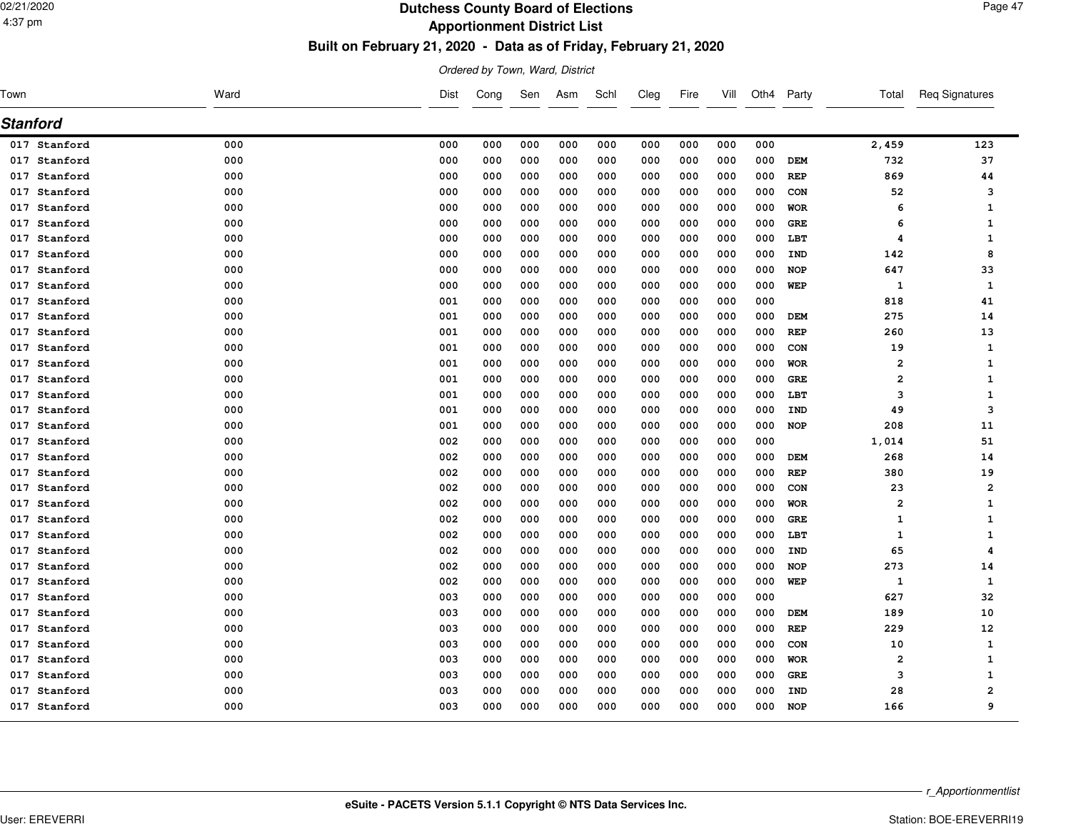# **Dutchess County Board of ElectionsApportionment District List**

## **Built on February 21, 2020 - Data as of Friday, February 21, 2020**

Ordered by Town, Ward, District

| Гоwn            |              | Ward | Dist | Cong | Sen | Asm | Schl | Cleg | Fire | Vill | Oth4 | Party      | Total          | <b>Req Signatures</b>   |
|-----------------|--------------|------|------|------|-----|-----|------|------|------|------|------|------------|----------------|-------------------------|
| <b>Stanford</b> |              |      |      |      |     |     |      |      |      |      |      |            |                |                         |
|                 | 017 Stanford | 000  | 000  | 000  | 000 | 000 | 000  | 000  | 000  | 000  | 000  |            | 2,459          | 123                     |
| 017             | Stanford     | 000  | 000  | 000  | 000 | 000 | 000  | 000  | 000  | 000  | 000  | <b>DEM</b> | 732            | 37                      |
| 017             | Stanford     | 000  | 000  | 000  | 000 | 000 | 000  | 000  | 000  | 000  | 000  | <b>REP</b> | 869            | 44                      |
| 017             | Stanford     | 000  | 000  | 000  | 000 | 000 | 000  | 000  | 000  | 000  | 000  | CON        | 52             | 3                       |
| 017             | Stanford     | 000  | 000  | 000  | 000 | 000 | 000  | 000  | 000  | 000  | 000  | <b>WOR</b> | 6              | 1                       |
| 017             | Stanford     | 000  | 000  | 000  | 000 | 000 | 000  | 000  | 000  | 000  | 000  | <b>GRE</b> | 6              | 1                       |
| 017             | Stanford     | 000  | 000  | 000  | 000 | 000 | 000  | 000  | 000  | 000  | 000  | LBT        | 4              | 1                       |
| 017             | Stanford     | 000  | 000  | 000  | 000 | 000 | 000  | 000  | 000  | 000  | 000  | <b>IND</b> | 142            | 8                       |
| 017             | Stanford     | 000  | 000  | 000  | 000 | 000 | 000  | 000  | 000  | 000  | 000  | <b>NOP</b> | 647            | 33                      |
| 017             | Stanford     | 000  | 000  | 000  | 000 | 000 | 000  | 000  | 000  | 000  | 000  | WEP        | 1              | 1                       |
| 017             | Stanford     | 000  | 001  | 000  | 000 | 000 | 000  | 000  | 000  | 000  | 000  |            | 818            | 41                      |
| 017             | Stanford     | 000  | 001  | 000  | 000 | 000 | 000  | 000  | 000  | 000  | 000  | <b>DEM</b> | 275            | 14                      |
| 017             | Stanford     | 000  | 001  | 000  | 000 | 000 | 000  | 000  | 000  | 000  | 000  | <b>REP</b> | 260            | 13                      |
| 017             | Stanford     | 000  | 001  | 000  | 000 | 000 | 000  | 000  | 000  | 000  | 000  | CON        | 19             | 1                       |
| 017             | Stanford     | 000  | 001  | 000  | 000 | 000 | 000  | 000  | 000  | 000  | 000  | <b>WOR</b> | 2              | 1                       |
| 017             | Stanford     | 000  | 001  | 000  | 000 | 000 | 000  | 000  | 000  | 000  | 000  | GRE        | $\overline{a}$ | 1                       |
| 017             | Stanford     | 000  | 001  | 000  | 000 | 000 | 000  | 000  | 000  | 000  | 000  | LBT        | 3              | 1                       |
| 017             | Stanford     | 000  | 001  | 000  | 000 | 000 | 000  | 000  | 000  | 000  | 000  | IND        | 49             | 3                       |
| 017             | Stanford     | 000  | 001  | 000  | 000 | 000 | 000  | 000  | 000  | 000  | 000  | <b>NOP</b> | 208            | 11                      |
| 017             | Stanford     | 000  | 002  | 000  | 000 | 000 | 000  | 000  | 000  | 000  | 000  |            | 1,014          | 51                      |
| 017             | Stanford     | 000  | 002  | 000  | 000 | 000 | 000  | 000  | 000  | 000  | 000  | <b>DEM</b> | 268            | 14                      |
| 017             | Stanford     | 000  | 002  | 000  | 000 | 000 | 000  | 000  | 000  | 000  | 000  | <b>REP</b> | 380            | 19                      |
| 017             | Stanford     | 000  | 002  | 000  | 000 | 000 | 000  | 000  | 000  | 000  | 000  | CON        | 23             | 2                       |
| 017             | Stanford     | 000  | 002  | 000  | 000 | 000 | 000  | 000  | 000  | 000  | 000  | <b>WOR</b> | 2              | 1                       |
| 017             | Stanford     | 000  | 002  | 000  | 000 | 000 | 000  | 000  | 000  | 000  | 000  | <b>GRE</b> | 1              | 1                       |
| 017             | Stanford     | 000  | 002  | 000  | 000 | 000 | 000  | 000  | 000  | 000  | 000  | LBT        | 1              | 1                       |
| 017             | Stanford     | 000  | 002  | 000  | 000 | 000 | 000  | 000  | 000  | 000  | 000  | IND        | 65             | 4                       |
| 017             | Stanford     | 000  | 002  | 000  | 000 | 000 | 000  | 000  | 000  | 000  | 000  | <b>NOP</b> | 273            | 14                      |
| 017             | Stanford     | 000  | 002  | 000  | 000 | 000 | 000  | 000  | 000  | 000  | 000  | WEP        | 1              | 1                       |
| 017             | Stanford     | 000  | 003  | 000  | 000 | 000 | 000  | 000  | 000  | 000  | 000  |            | 627            | 32                      |
| 017             | Stanford     | 000  | 003  | 000  | 000 | 000 | 000  | 000  | 000  | 000  | 000  | <b>DEM</b> | 189            | 10                      |
| 017             | Stanford     | 000  | 003  | 000  | 000 | 000 | 000  | 000  | 000  | 000  | 000  | <b>REP</b> | 229            | 12                      |
| 017             | Stanford     | 000  | 003  | 000  | 000 | 000 | 000  | 000  | 000  | 000  | 000  | CON        | 10             | 1                       |
| 017             | Stanford     | 000  | 003  | 000  | 000 | 000 | 000  | 000  | 000  | 000  | 000  | <b>WOR</b> | $\overline{2}$ | 1                       |
| 017             | Stanford     | 000  | 003  | 000  | 000 | 000 | 000  | 000  | 000  | 000  | 000  | GRE        | 3              | 1                       |
| 017             | Stanford     | 000  | 003  | 000  | 000 | 000 | 000  | 000  | 000  | 000  | 000  | <b>IND</b> | 28             | $\overline{\mathbf{2}}$ |
|                 | 017 Stanford | 000  | 003  | 000  | 000 | 000 | 000  | 000  | 000  | 000  | 000  | <b>NOP</b> | 166            | 9                       |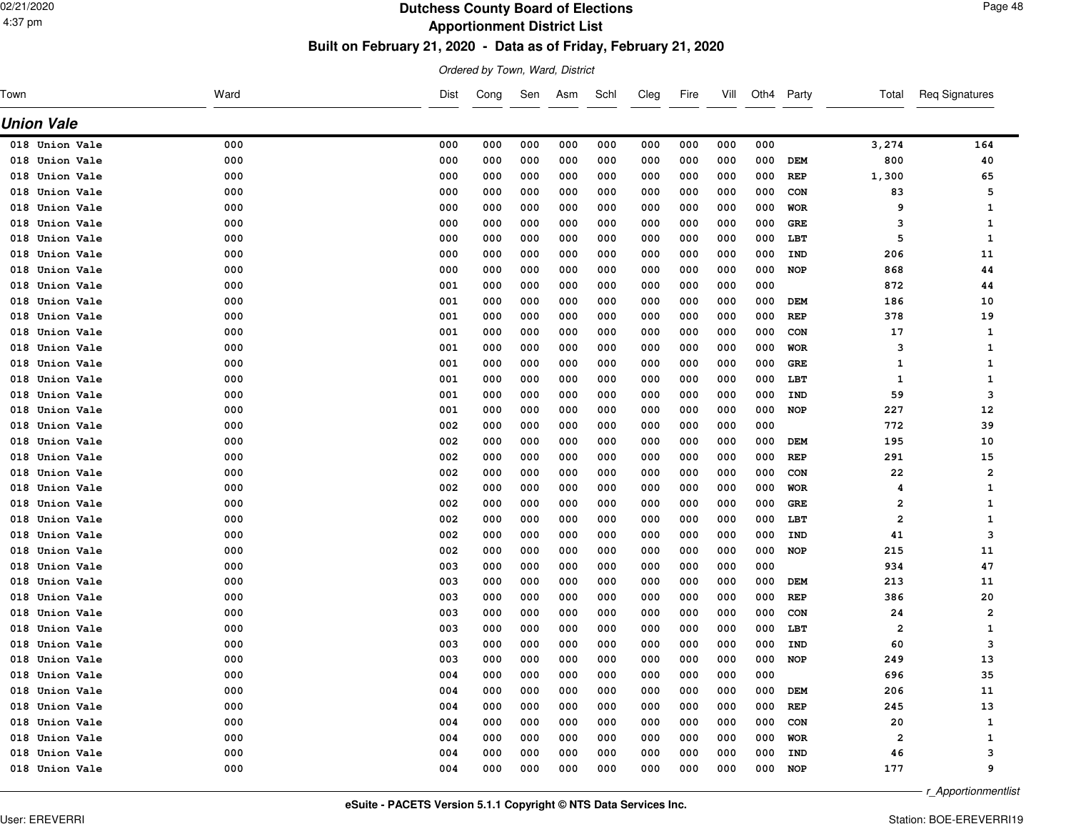#### **Dutchess County Board of Elections** $\mathbf S$ **Apportionment District List**

### **Built on February 21, 2020 - Data as of Friday, February 21, 2020**

Ordered by Town, Ward, District

| Гоwn              | Ward | Dist | Cong | Sen | Asm | Schl | Cleg | Fire | Vill | Oth4 | Party      | Total                   | <b>Req Signatures</b> |
|-------------------|------|------|------|-----|-----|------|------|------|------|------|------------|-------------------------|-----------------------|
| <b>Union Vale</b> |      |      |      |     |     |      |      |      |      |      |            |                         |                       |
| 018 Union Vale    | 000  | 000  | 000  | 000 | 000 | 000  | 000  | 000  | 000  | 000  |            | 3,274                   | 164                   |
| 018 Union Vale    | 000  | 000  | 000  | 000 | 000 | 000  | 000  | 000  | 000  | 000  | <b>DEM</b> | 800                     | 40                    |
| Union Vale<br>018 | 000  | 000  | 000  | 000 | 000 | 000  | 000  | 000  | 000  | 000  | <b>REP</b> | 1,300                   | 65                    |
| Union Vale<br>018 | 000  | 000  | 000  | 000 | 000 | 000  | 000  | 000  | 000  | 000  | CON        | 83                      | 5                     |
| 018 Union Vale    | 000  | 000  | 000  | 000 | 000 | 000  | 000  | 000  | 000  | 000  | <b>WOR</b> | 9                       | 1                     |
| 018<br>Union Vale | 000  | 000  | 000  | 000 | 000 | 000  | 000  | 000  | 000  | 000  | GRE        | 3                       | 1                     |
| Union Vale<br>018 | 000  | 000  | 000  | 000 | 000 | 000  | 000  | 000  | 000  | 000  | LBT        | 5                       | 1                     |
| 018 Union Vale    | 000  | 000  | 000  | 000 | 000 | 000  | 000  | 000  | 000  | 000  | <b>IND</b> | 206                     | 11                    |
| 018 Union Vale    | 000  | 000  | 000  | 000 | 000 | 000  | 000  | 000  | 000  | 000  | <b>NOP</b> | 868                     | 44                    |
| 018<br>Union Vale | 000  | 001  | 000  | 000 | 000 | 000  | 000  | 000  | 000  | 000  |            | 872                     | 44                    |
| 018<br>Union Vale | 000  | 001  | 000  | 000 | 000 | 000  | 000  | 000  | 000  | 000  | <b>DEM</b> | 186                     | 10                    |
| 018 Union Vale    | 000  | 001  | 000  | 000 | 000 | 000  | 000  | 000  | 000  | 000  | <b>REP</b> | 378                     | 19                    |
| Union Vale<br>018 | 000  | 001  | 000  | 000 | 000 | 000  | 000  | 000  | 000  | 000  | CON        | 17                      | $\mathbf{1}$          |
| 018 Union Vale    | 000  | 001  | 000  | 000 | 000 | 000  | 000  | 000  | 000  | 000  | <b>WOR</b> | 3                       | $\mathbf{1}$          |
| Union Vale<br>018 | 000  | 001  | 000  | 000 | 000 | 000  | 000  | 000  | 000  | 000  | <b>GRE</b> | $\mathbf{1}$            | 1                     |
| Union Vale<br>018 | 000  | 001  | 000  | 000 | 000 | 000  | 000  | 000  | 000  | 000  | LBT        | $\mathbf 1$             | 1                     |
| 018 Union Vale    | 000  | 001  | 000  | 000 | 000 | 000  | 000  | 000  | 000  | 000  | <b>IND</b> | 59                      | 3                     |
| Union Vale<br>018 | 000  | 001  | 000  | 000 | 000 | 000  | 000  | 000  | 000  | 000  | <b>NOP</b> | 227                     | 12                    |
| Union Vale<br>018 | 000  | 002  | 000  | 000 | 000 | 000  | 000  | 000  | 000  | 000  |            | 772                     | 39                    |
| 018 Union Vale    | 000  | 002  | 000  | 000 | 000 | 000  | 000  | 000  | 000  | 000  | <b>DEM</b> | 195                     | 10                    |
| 018<br>Union Vale | 000  | 002  | 000  | 000 | 000 | 000  | 000  | 000  | 000  | 000  | <b>REP</b> | 291                     | 15                    |
| 018<br>Union Vale | 000  | 002  | 000  | 000 | 000 | 000  | 000  | 000  | 000  | 000  | CON        | 22                      | $\mathbf{2}$          |
| 018 Union Vale    | 000  | 002  | 000  | 000 | 000 | 000  | 000  | 000  | 000  | 000  | <b>WOR</b> | 4                       | $\mathbf{1}$          |
| 018<br>Union Vale | 000  | 002  | 000  | 000 | 000 | 000  | 000  | 000  | 000  | 000  | GRE        | $\overline{\mathbf{c}}$ | 1                     |
| Union Vale<br>018 | 000  | 002  | 000  | 000 | 000 | 000  | 000  | 000  | 000  | 000  | LBT        | $\overline{2}$          | 1                     |
| 018 Union Vale    | 000  | 002  | 000  | 000 | 000 | 000  | 000  | 000  | 000  | 000  | <b>IND</b> | 41                      | 3                     |
| 018 Union Vale    | 000  | 002  | 000  | 000 | 000 | 000  | 000  | 000  | 000  | 000  | <b>NOP</b> | 215                     | 11                    |
| 018<br>Union Vale | 000  | 003  | 000  | 000 | 000 | 000  | 000  | 000  | 000  | 000  |            | 934                     | 47                    |
| 018<br>Union Vale | 000  | 003  | 000  | 000 | 000 | 000  | 000  | 000  | 000  | 000  | <b>DEM</b> | 213                     | 11                    |
| 018 Union Vale    | 000  | 003  | 000  | 000 | 000 | 000  | 000  | 000  | 000  | 000  | <b>REP</b> | 386                     | 20                    |
| Union Vale<br>018 | 000  | 003  | 000  | 000 | 000 | 000  | 000  | 000  | 000  | 000  | CON        | 24                      | $\overline{2}$        |
| Union Vale<br>018 | 000  | 003  | 000  | 000 | 000 | 000  | 000  | 000  | 000  | 000  | LBT        | $\overline{\mathbf{2}}$ | 1                     |
| 018 Union Vale    | 000  | 003  | 000  | 000 | 000 | 000  | 000  | 000  | 000  | 000  | <b>IND</b> | 60                      | 3                     |
| 018 Union Vale    | 000  | 003  | 000  | 000 | 000 | 000  | 000  | 000  | 000  | 000  | <b>NOP</b> | 249                     | 13                    |
| 018<br>Union Vale | 000  | 004  | 000  | 000 | 000 | 000  | 000  | 000  | 000  | 000  |            | 696                     | 35                    |
| Union Vale<br>018 | 000  | 004  | 000  | 000 | 000 | 000  | 000  | 000  | 000  | 000  | <b>DEM</b> | 206                     | 11                    |
| Union Vale<br>018 | 000  | 004  | 000  | 000 | 000 | 000  | 000  | 000  | 000  | 000  | <b>REP</b> | 245                     | 13                    |
| Union Vale<br>018 | 000  | 004  | 000  | 000 | 000 | 000  | 000  | 000  | 000  | 000  | CON        | 20                      | $\mathbf{1}$          |
| 018 Union Vale    | 000  | 004  | 000  | 000 | 000 | 000  | 000  | 000  | 000  | 000  | <b>WOR</b> | $\overline{\mathbf{2}}$ | 1                     |
| 018 Union Vale    | 000  | 004  | 000  | 000 | 000 | 000  | 000  | 000  | 000  | 000  | <b>IND</b> | 46                      | 3                     |
| 018 Union Vale    | 000  | 004  | 000  | 000 | 000 | 000  | 000  | 000  | 000  | 000  | <b>NOP</b> | 177                     | 9                     |

**eSuite - PACETS Version 5.1.1 Copyright © NTS Data Services Inc.**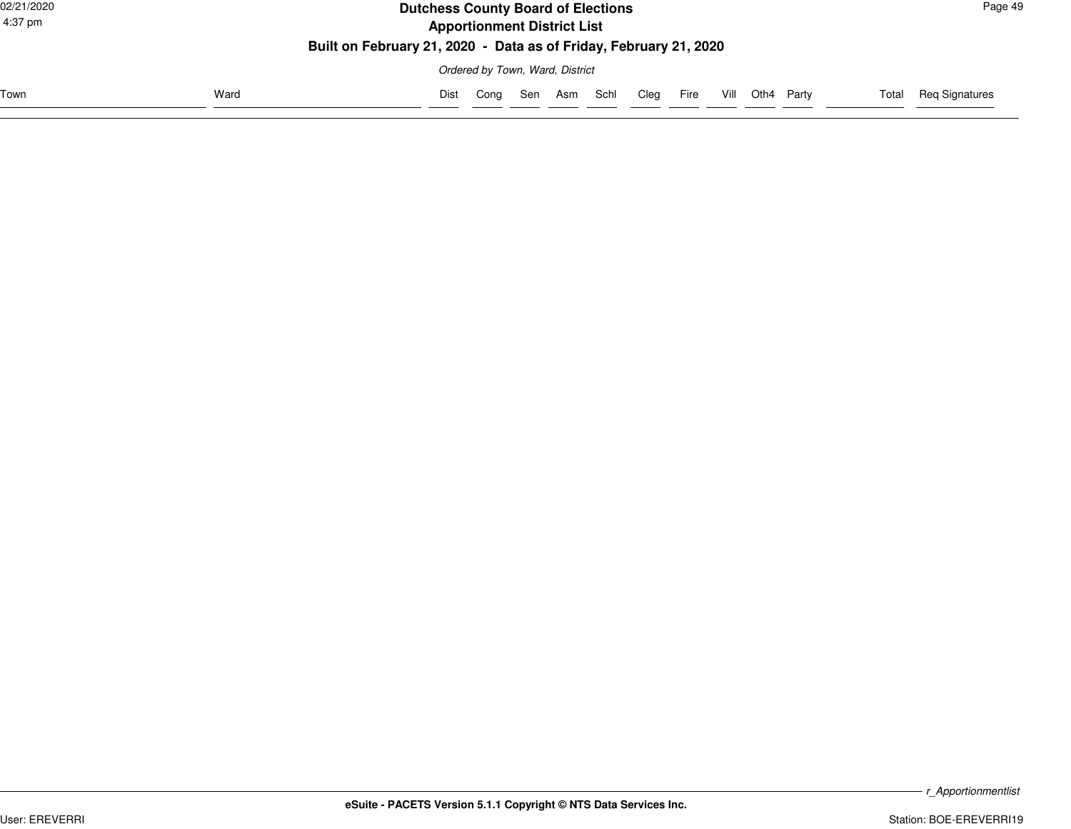| 02/21/2020<br>4:37 pm |      | <b>Dutchess County Board of Elections</b>                         |                                    |                                             |  |  |  |       | Page 49        |  |
|-----------------------|------|-------------------------------------------------------------------|------------------------------------|---------------------------------------------|--|--|--|-------|----------------|--|
|                       |      | Built on February 21, 2020 - Data as of Friday, February 21, 2020 | <b>Apportionment District List</b> |                                             |  |  |  |       |                |  |
|                       |      |                                                                   | Ordered by Town, Ward, District    |                                             |  |  |  |       |                |  |
| Town                  | Ward | Dist                                                              |                                    | Cong Sen Asm Schl Cleg Fire Vill Oth4 Party |  |  |  | Total | Reg Signatures |  |
|                       |      |                                                                   |                                    |                                             |  |  |  |       |                |  |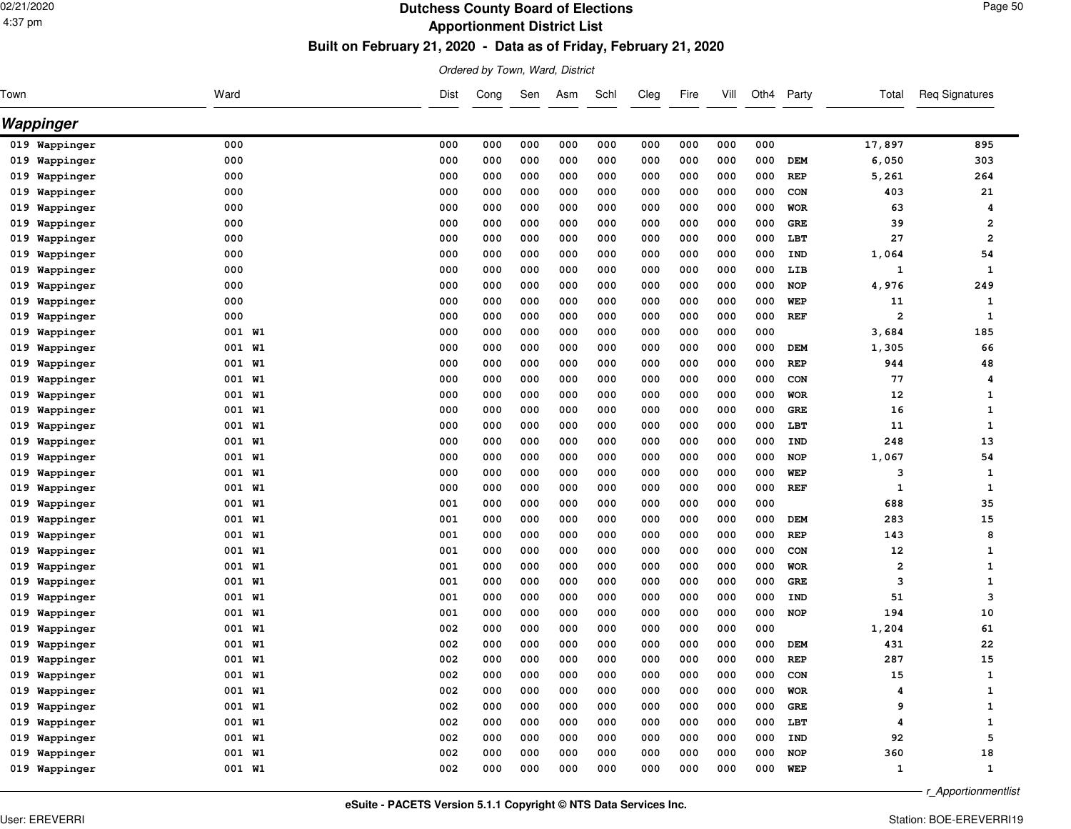#### **Dutchess County Board of Elections** $\mathbf S$ **Apportionment District List**

### **Built on February 21, 2020 - Data as of Friday, February 21, 2020**

Ordered by Town, Ward, District

| -own |               | Ward   |    | Dist | Cong | Sen | Asm | Schl | Cleg | Fire | Vill | Oth4 | Party      | Total                   | <b>Req Signatures</b> |
|------|---------------|--------|----|------|------|-----|-----|------|------|------|------|------|------------|-------------------------|-----------------------|
|      | Wappinger     |        |    |      |      |     |     |      |      |      |      |      |            |                         |                       |
|      | 019 Wappinger | 000    |    | 000  | 000  | 000 | 000 | 000  | 000  | 000  | 000  | 000  |            | 17,897                  | 895                   |
| 019  | Wappinger     | 000    |    | 000  | 000  | 000 | 000 | 000  | 000  | 000  | 000  | 000  | <b>DEM</b> | 6,050                   | 303                   |
| 019  | Wappinger     | 000    |    | 000  | 000  | 000 | 000 | 000  | 000  | 000  | 000  | 000  | <b>REP</b> | 5,261                   | 264                   |
| 019  | Wappinger     | 000    |    | 000  | 000  | 000 | 000 | 000  | 000  | 000  | 000  | 000  | CON        | 403                     | 21                    |
| 019  | Wappinger     | 000    |    | 000  | 000  | 000 | 000 | 000  | 000  | 000  | 000  | 000  | <b>WOR</b> | 63                      | 4                     |
| 019  | Wappinger     | 000    |    | 000  | 000  | 000 | 000 | 000  | 000  | 000  | 000  | 000  | <b>GRE</b> | 39                      | $\overline{2}$        |
| 019  | Wappinger     | 000    |    | 000  | 000  | 000 | 000 | 000  | 000  | 000  | 000  | 000  | LBT        | 27                      | $\overline{2}$        |
| 019  | Wappinger     | 000    |    | 000  | 000  | 000 | 000 | 000  | 000  | 000  | 000  | 000  | IND        | 1,064                   | 54                    |
| 019  | Wappinger     | 000    |    | 000  | 000  | 000 | 000 | 000  | 000  | 000  | 000  | 000  | LIB        | 1                       | 1                     |
| 019  | Wappinger     | 000    |    | 000  | 000  | 000 | 000 | 000  | 000  | 000  | 000  | 000  | <b>NOP</b> | 4,976                   | 249                   |
| 019  | Wappinger     | 000    |    | 000  | 000  | 000 | 000 | 000  | 000  | 000  | 000  | 000  | <b>WEP</b> | 11                      | $\mathbf{1}$          |
| 019  | Wappinger     | 000    |    | 000  | 000  | 000 | 000 | 000  | 000  | 000  | 000  | 000  | <b>REF</b> | $\overline{2}$          | $\mathbf{1}$          |
| 019  | Wappinger     | 001    | W1 | 000  | 000  | 000 | 000 | 000  | 000  | 000  | 000  | 000  |            | 3,684                   | 185                   |
| 019  | Wappinger     | 001    | W1 | 000  | 000  | 000 | 000 | 000  | 000  | 000  | 000  | 000  | <b>DEM</b> | 1,305                   | 66                    |
| 019  | Wappinger     | 001    | W1 | 000  | 000  | 000 | 000 | 000  | 000  | 000  | 000  | 000  | <b>REP</b> | 944                     | 48                    |
| 019  | Wappinger     | 001    | W1 | 000  | 000  | 000 | 000 | 000  | 000  | 000  | 000  | 000  | CON        | 77                      | 4                     |
| 019  | Wappinger     | 001    | W1 | 000  | 000  | 000 | 000 | 000  | 000  | 000  | 000  | 000  | <b>WOR</b> | 12                      | $\mathbf{1}$          |
| 019  | Wappinger     | 001    | W1 | 000  | 000  | 000 | 000 | 000  | 000  | 000  | 000  | 000  | <b>GRE</b> | 16                      | $\mathbf{1}$          |
| 019  | Wappinger     | 001    | W1 | 000  | 000  | 000 | 000 | 000  | 000  | 000  | 000  | 000  | LBT        | 11                      | 1                     |
| 019  | Wappinger     | 001    | W1 | 000  | 000  | 000 | 000 | 000  | 000  | 000  | 000  | 000  | <b>IND</b> | 248                     | 13                    |
| 019  | Wappinger     | 001    | W1 | 000  | 000  | 000 | 000 | 000  | 000  | 000  | 000  | 000  | <b>NOP</b> | 1,067                   | 54                    |
| 019  | Wappinger     | 001    | W1 | 000  | 000  | 000 | 000 | 000  | 000  | 000  | 000  | 000  | <b>WEP</b> | 3                       | $\mathbf{1}$          |
| 019  | Wappinger     | 001    | W1 | 000  | 000  | 000 | 000 | 000  | 000  | 000  | 000  | 000  | <b>REF</b> | 1                       | 1                     |
| 019  | Wappinger     | 001    | W1 | 001  | 000  | 000 | 000 | 000  | 000  | 000  | 000  | 000  |            | 688                     | 35                    |
| 019  | Wappinger     | 001    | W1 | 001  | 000  | 000 | 000 | 000  | 000  | 000  | 000  | 000  | <b>DEM</b> | 283                     | 15                    |
| 019  | Wappinger     | 001    | W1 | 001  | 000  | 000 | 000 | 000  | 000  | 000  | 000  | 000  | <b>REP</b> | 143                     | 8                     |
| 019  | Wappinger     | 001    | W1 | 001  | 000  | 000 | 000 | 000  | 000  | 000  | 000  | 000  | CON        | 12                      | 1                     |
| 019  | Wappinger     | 001    | W1 | 001  | 000  | 000 | 000 | 000  | 000  | 000  | 000  | 000  | <b>WOR</b> | $\overline{\mathbf{2}}$ | 1                     |
| 019  | Wappinger     | 001    | W1 | 001  | 000  | 000 | 000 | 000  | 000  | 000  | 000  | 000  | <b>GRE</b> | 3                       | $\mathbf{1}$          |
| 019  | Wappinger     | 001    | W1 | 001  | 000  | 000 | 000 | 000  | 000  | 000  | 000  | 000  | <b>IND</b> | 51                      | 3                     |
| 019  | Wappinger     | 001    | W1 | 001  | 000  | 000 | 000 | 000  | 000  | 000  | 000  | 000  | <b>NOP</b> | 194                     | 10                    |
| 019  | Wappinger     | 001    | W1 | 002  | 000  | 000 | 000 | 000  | 000  | 000  | 000  | 000  |            | 1,204                   | 61                    |
| 019  | Wappinger     | 001    | W1 | 002  | 000  | 000 | 000 | 000  | 000  | 000  | 000  | 000  | <b>DEM</b> | 431                     | 22                    |
| 019  | Wappinger     | 001    | W1 | 002  | 000  | 000 | 000 | 000  | 000  | 000  | 000  | 000  | <b>REP</b> | 287                     | 15                    |
| 019  | Wappinger     | 001    | W1 | 002  | 000  | 000 | 000 | 000  | 000  | 000  | 000  | 000  | CON        | 15                      | $\mathbf{1}$          |
| 019  | Wappinger     | 001    | W1 | 002  | 000  | 000 | 000 | 000  | 000  | 000  | 000  | 000  | <b>WOR</b> | 4                       | $\mathbf{1}$          |
| 019  | Wappinger     | 001    | W1 | 002  | 000  | 000 | 000 | 000  | 000  | 000  | 000  | 000  | <b>GRE</b> | 9                       | 1                     |
| 019  | Wappinger     | 001    | W1 | 002  | 000  | 000 | 000 | 000  | 000  | 000  | 000  | 000  | LBT        | 4                       | 1                     |
| 019  | Wappinger     | 001    | W1 | 002  | 000  | 000 | 000 | 000  | 000  | 000  | 000  | 000  | <b>IND</b> | 92                      | 5                     |
| 019  | Wappinger     | 001    | W1 | 002  | 000  | 000 | 000 | 000  | 000  | 000  | 000  | 000  | <b>NOP</b> | 360                     | 18                    |
|      | 019 Wappinger | 001 W1 |    | 002  | 000  | 000 | 000 | 000  | 000  | 000  | 000  | 000  | <b>WEP</b> | $\mathbf{1}$            | $\mathbf{1}$          |

r\_Apportionmentlist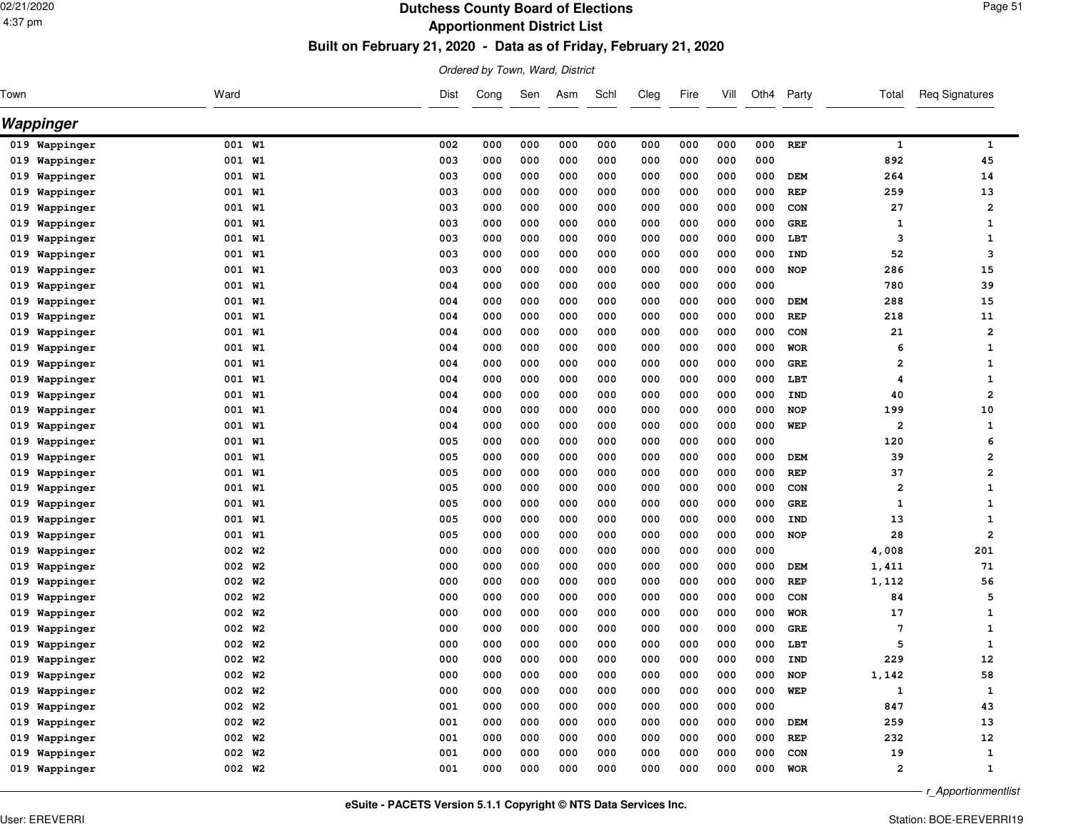## **Dutchess County Board of ElectionsApportionment District List**

### **Built on February 21, 2020 - Data as of Friday, February 21, 2020**

Ordered by Town, Ward, District

| ⊺own             | Ward                  | Dist | Cong | Sen | Asm | Schl | Cleg | Fire | Vill | Oth4 | Party      | Total                   | <b>Req Signatures</b> |
|------------------|-----------------------|------|------|-----|-----|------|------|------|------|------|------------|-------------------------|-----------------------|
| Wappinger        |                       |      |      |     |     |      |      |      |      |      |            |                         |                       |
| 019 Wappinger    | 001 W1                | 002  | 000  | 000 | 000 | 000  | 000  | 000  | 000  | 000  | <b>REF</b> | $\mathbf 1$             | $\mathbf{1}$          |
| 019<br>Wappinger | 001<br>W1             | 003  | 000  | 000 | 000 | 000  | 000  | 000  | 000  | 000  |            | 892                     | 45                    |
| Wappinger<br>019 | W1<br>001             | 003  | 000  | 000 | 000 | 000  | 000  | 000  | 000  | 000  | <b>DEM</b> | 264                     | 14                    |
| Wappinger<br>019 | 001<br>W1             | 003  | 000  | 000 | 000 | 000  | 000  | 000  | 000  | 000  | <b>REP</b> | 259                     | 13                    |
| 019<br>Wappinger | W1<br>001             | 003  | 000  | 000 | 000 | 000  | 000  | 000  | 000  | 000  | CON        | 27                      | $\mathbf{2}$          |
| 019<br>Wappinger | 001<br>W1             | 003  | 000  | 000 | 000 | 000  | 000  | 000  | 000  | 000  | GRE        | $\mathbf{1}$            | $\mathbf{1}$          |
| 019<br>Wappinger | 001<br>W1             | 003  | 000  | 000 | 000 | 000  | 000  | 000  | 000  | 000  | LBT        | 3                       | 1                     |
| 019<br>Wappinger | 001<br>W1             | 003  | 000  | 000 | 000 | 000  | 000  | 000  | 000  | 000  | <b>IND</b> | 52                      | 3                     |
| 019<br>Wappinger | W1<br>001             | 003  | 000  | 000 | 000 | 000  | 000  | 000  | 000  | 000  | <b>NOP</b> | 286                     | 15                    |
| Wappinger<br>019 | 001<br>W1             | 004  | 000  | 000 | 000 | 000  | 000  | 000  | 000  | 000  |            | 780                     | 39                    |
| 019<br>Wappinger | 001<br>W1             | 004  | 000  | 000 | 000 | 000  | 000  | 000  | 000  | 000  | <b>DEM</b> | 288                     | 15                    |
| 019<br>Wappinger | 001<br>W1             | 004  | 000  | 000 | 000 | 000  | 000  | 000  | 000  | 000  | <b>REP</b> | 218                     | 11                    |
| Wappinger<br>019 | W1<br>001             | 004  | 000  | 000 | 000 | 000  | 000  | 000  | 000  | 000  | CON        | 21                      | $\overline{2}$        |
| Wappinger<br>019 | W1<br>001             | 004  | 000  | 000 | 000 | 000  | 000  | 000  | 000  | 000  | <b>WOR</b> | 6                       | 1                     |
| 019<br>Wappinger | 001<br>W1             | 004  | 000  | 000 | 000 | 000  | 000  | 000  | 000  | 000  | <b>GRE</b> | $\overline{2}$          | $\mathbf{1}$          |
| Wappinger<br>019 | W1<br>001             | 004  | 000  | 000 | 000 | 000  | 000  | 000  | 000  | 000  | LBT        | 4                       | 1                     |
| 019<br>Wappinger | 001<br>W1             | 004  | 000  | 000 | 000 | 000  | 000  | 000  | 000  | 000  | IND        | 40                      | $\mathbf{2}$          |
| 019<br>Wappinger | 001<br>W1             | 004  | 000  | 000 | 000 | 000  | 000  | 000  | 000  | 000  | <b>NOP</b> | 199                     | 10                    |
| 019<br>Wappinger | 001<br>W1             | 004  | 000  | 000 | 000 | 000  | 000  | 000  | 000  | 000  | <b>WEP</b> | $\mathbf 2$             | 1                     |
| Wappinger<br>019 | 001<br>W1             | 005  | 000  | 000 | 000 | 000  | 000  | 000  | 000  | 000  |            | 120                     | 6                     |
| Wappinger<br>019 | W1<br>001             | 005  | 000  | 000 | 000 | 000  | 000  | 000  | 000  | 000  | <b>DEM</b> | 39                      | $\overline{2}$        |
| 019<br>Wappinger | W1<br>001             | 005  | 000  | 000 | 000 | 000  | 000  | 000  | 000  | 000  | <b>REP</b> | 37                      | $\overline{2}$        |
| Wappinger<br>019 | 001<br>W1             | 005  | 000  | 000 | 000 | 000  | 000  | 000  | 000  | 000  | CON        | $\overline{\mathbf{2}}$ | 1                     |
| 019<br>Wappinger | 001<br>W1             | 005  | 000  | 000 | 000 | 000  | 000  | 000  | 000  | 000  | <b>GRE</b> | $\mathbf{1}$            | 1                     |
| Wappinger<br>019 | W1<br>001             | 005  | 000  | 000 | 000 | 000  | 000  | 000  | 000  | 000  | IND        | 13                      | $\mathbf{1}$          |
| 019<br>Wappinger | 001<br>W1             | 005  | 000  | 000 | 000 | 000  | 000  | 000  | 000  | 000  | <b>NOP</b> | 28                      | $\overline{2}$        |
| 019<br>Wappinger | W <sub>2</sub><br>002 | 000  | 000  | 000 | 000 | 000  | 000  | 000  | 000  | 000  |            | 4,008                   | 201                   |
| 019<br>Wappinger | W <sub>2</sub><br>002 | 000  | 000  | 000 | 000 | 000  | 000  | 000  | 000  | 000  | <b>DEM</b> | 1,411                   | 71                    |
| Wappinger<br>019 | 002<br>W <sub>2</sub> | 000  | 000  | 000 | 000 | 000  | 000  | 000  | 000  | 000  | <b>REP</b> | 1,112                   | 56                    |
| 019<br>Wappinger | 002<br>W <sub>2</sub> | 000  | 000  | 000 | 000 | 000  | 000  | 000  | 000  | 000  | CON        | 84                      | 5                     |
| 019<br>Wappinger | W <sub>2</sub><br>002 | 000  | 000  | 000 | 000 | 000  | 000  | 000  | 000  | 000  | <b>WOR</b> | 17                      | $\mathbf{1}$          |
| Wappinger<br>019 | 002<br>W <sub>2</sub> | 000  | 000  | 000 | 000 | 000  | 000  | 000  | 000  | 000  | <b>GRE</b> | $7\phantom{.0}$         | 1                     |
| Wappinger<br>019 | W <sub>2</sub><br>002 | 000  | 000  | 000 | 000 | 000  | 000  | 000  | 000  | 000  | LBT        | 5                       | 1                     |
| Wappinger<br>019 | 002<br>W <sub>2</sub> | 000  | 000  | 000 | 000 | 000  | 000  | 000  | 000  | 000  | <b>IND</b> | 229                     | $12 \overline{ }$     |
| 019<br>Wappinger | W <sub>2</sub><br>002 | 000  | 000  | 000 | 000 | 000  | 000  | 000  | 000  | 000  | <b>NOP</b> | 1,142                   | 58                    |
| 019<br>Wappinger | W <sub>2</sub><br>002 | 000  | 000  | 000 | 000 | 000  | 000  | 000  | 000  | 000  | <b>WEP</b> | $\mathbf{1}$            | 1                     |
| 019<br>Wappinger | 002<br>W2             | 001  | 000  | 000 | 000 | 000  | 000  | 000  | 000  | 000  |            | 847                     | 43                    |
| Wappinger<br>019 | W <sub>2</sub><br>002 | 001  | 000  | 000 | 000 | 000  | 000  | 000  | 000  | 000  | <b>DEM</b> | 259                     | 13                    |
| Wappinger<br>019 | W <sub>2</sub><br>002 | 001  | 000  | 000 | 000 | 000  | 000  | 000  | 000  | 000  | <b>REP</b> | 232                     | 12                    |
| Wappinger<br>019 | W <sub>2</sub><br>002 | 001  | 000  | 000 | 000 | 000  | 000  | 000  | 000  | 000  | CON        | 19                      | $\mathbf{1}$          |
| 019 Wappinger    | 002 W2                | 001  | 000  | 000 | 000 | 000  | 000  | 000  | 000  | 000  | <b>WOR</b> | $\overline{a}$          | 1                     |

**eSuite - PACETS Version 5.1.1 Copyright © NTS Data Services Inc.**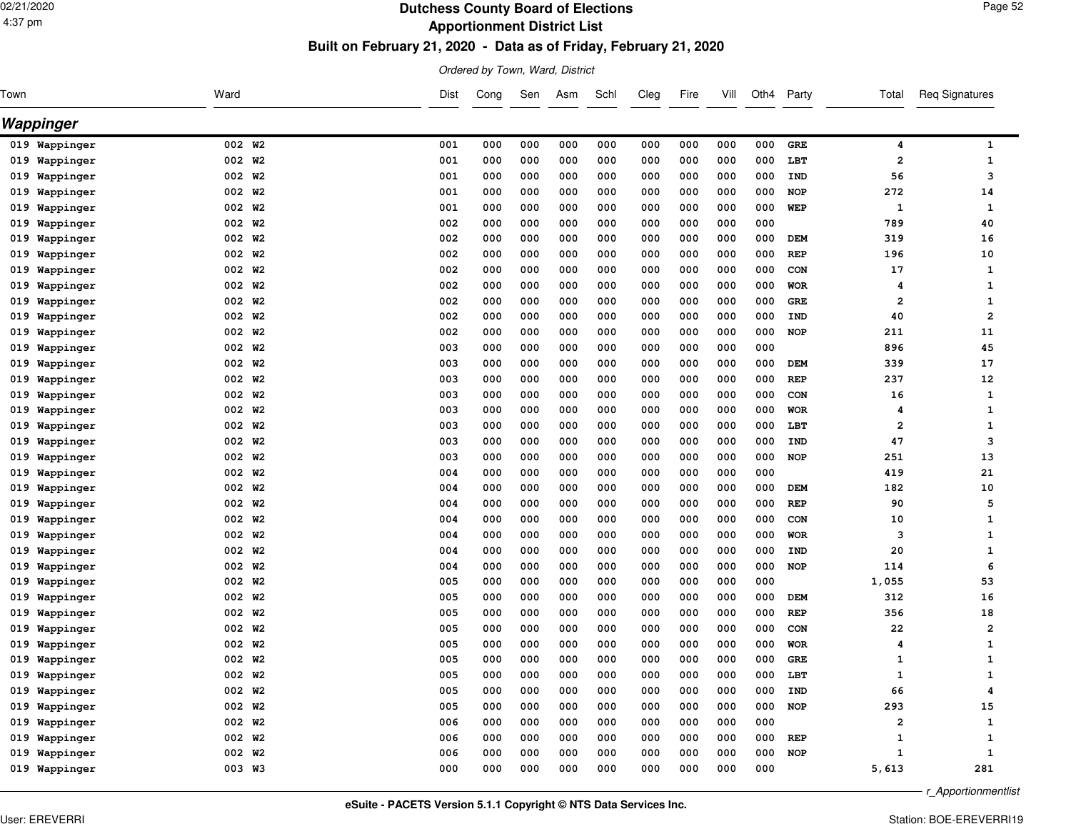#### **Dutchess County Board of Elections** $\mathbf S$  Page 52 **Apportionment District List**

### **Built on February 21, 2020 - Data as of Friday, February 21, 2020**

Ordered by Town, Ward, District

| own              | Ward                  | Dist | Cong | Sen | Asm | Schl | Cleg | Fire | Vill | Oth4 | Party      | Total                   | <b>Req Signatures</b>   |
|------------------|-----------------------|------|------|-----|-----|------|------|------|------|------|------------|-------------------------|-------------------------|
| Wappinger        |                       |      |      |     |     |      |      |      |      |      |            |                         |                         |
| 019 Wappinger    | 002 W2                | 001  | 000  | 000 | 000 | 000  | 000  | 000  | 000  | 000  | <b>GRE</b> | 4                       | $\mathbf{1}$            |
| 019<br>Wappinger | 002<br>W <sub>2</sub> | 001  | 000  | 000 | 000 | 000  | 000  | 000  | 000  | 000  | LBT        | $\overline{a}$          | 1                       |
| 019<br>Wappinger | 002<br>W2             | 001  | 000  | 000 | 000 | 000  | 000  | 000  | 000  | 000  | IND        | 56                      | 3                       |
| 019<br>Wappinger | 002 W2                | 001  | 000  | 000 | 000 | 000  | 000  | 000  | 000  | 000  | <b>NOP</b> | 272                     | 14                      |
| Wappinger<br>019 | W <sub>2</sub><br>002 | 001  | 000  | 000 | 000 | 000  | 000  | 000  | 000  | 000  | <b>WEP</b> | $\mathbf{1}$            | 1                       |
| 019<br>Wappinger | 002<br>W <sub>2</sub> | 002  | 000  | 000 | 000 | 000  | 000  | 000  | 000  | 000  |            | 789                     | 40                      |
| Wappinger<br>019 | 002 W2                | 002  | 000  | 000 | 000 | 000  | 000  | 000  | 000  | 000  | <b>DEM</b> | 319                     | 16                      |
| Wappinger<br>019 | 002<br>W2             | 002  | 000  | 000 | 000 | 000  | 000  | 000  | 000  | 000  | <b>REP</b> | 196                     | 10                      |
| 019<br>Wappinger | W2<br>002             | 002  | 000  | 000 | 000 | 000  | 000  | 000  | 000  | 000  | CON        | 17                      | 1                       |
| 019<br>Wappinger | 002 W2                | 002  | 000  | 000 | 000 | 000  | 000  | 000  | 000  | 000  | <b>WOR</b> | 4                       | $\mathbf{1}$            |
| Wappinger<br>019 | 002<br>W2             | 002  | 000  | 000 | 000 | 000  | 000  | 000  | 000  | 000  | <b>GRE</b> | $\mathbf{2}$            | 1                       |
| Wappinger<br>019 | 002 W2                | 002  | 000  | 000 | 000 | 000  | 000  | 000  | 000  | 000  | IND        | 40                      | $\overline{\mathbf{2}}$ |
| 019<br>Wappinger | 002<br>W2             | 002  | 000  | 000 | 000 | 000  | 000  | 000  | 000  | 000  | <b>NOP</b> | 211                     | 11                      |
| Wappinger<br>019 | 002<br>W2             | 003  | 000  | 000 | 000 | 000  | 000  | 000  | 000  | 000  |            | 896                     | 45                      |
| 019<br>Wappinger | 002 W2                | 003  | 000  | 000 | 000 | 000  | 000  | 000  | 000  | 000  | <b>DEM</b> | 339                     | 17                      |
| Wappinger<br>019 | 002<br>W2             | 003  | 000  | 000 | 000 | 000  | 000  | 000  | 000  | 000  | <b>REP</b> | 237                     | 12                      |
| Wappinger<br>019 | 002<br>W2             | 003  | 000  | 000 | 000 | 000  | 000  | 000  | 000  | 000  | CON        | 16                      | $\mathbf{1}$            |
| 019<br>Wappinger | 002 W2                | 003  | 000  | 000 | 000 | 000  | 000  | 000  | 000  | 000  | <b>WOR</b> | 4                       | 1                       |
| 019<br>Wappinger | 002<br>W <sub>2</sub> | 003  | 000  | 000 | 000 | 000  | 000  | 000  | 000  | 000  | LBT        | 2                       | 1                       |
| Wappinger<br>019 | 002<br>W <sub>2</sub> | 003  | 000  | 000 | 000 | 000  | 000  | 000  | 000  | 000  | IND        | 47                      | 3                       |
| Wappinger<br>019 | 002<br>W <sub>2</sub> | 003  | 000  | 000 | 000 | 000  | 000  | 000  | 000  | 000  | <b>NOP</b> | 251                     | 13                      |
| 019<br>Wappinger | 002<br>W2             | 004  | 000  | 000 | 000 | 000  | 000  | 000  | 000  | 000  |            | 419                     | 21                      |
| Wappinger<br>019 | 002 W2                | 004  | 000  | 000 | 000 | 000  | 000  | 000  | 000  | 000  | <b>DEM</b> | 182                     | 10                      |
| Wappinger<br>019 | W <sub>2</sub><br>002 | 004  | 000  | 000 | 000 | 000  | 000  | 000  | 000  | 000  | <b>REP</b> | 90                      | 5                       |
| 019<br>Wappinger | 002<br>W <sub>2</sub> | 004  | 000  | 000 | 000 | 000  | 000  | 000  | 000  | 000  | CON        | 10                      | $\mathbf{1}$            |
| Wappinger<br>019 | 002 W2                | 004  | 000  | 000 | 000 | 000  | 000  | 000  | 000  | 000  | <b>WOR</b> | 3                       | 1                       |
| Wappinger<br>019 | 002<br>W2             | 004  | 000  | 000 | 000 | 000  | 000  | 000  | 000  | 000  | IND        | 20                      | 1                       |
| Wappinger<br>019 | W2<br>002             | 004  | 000  | 000 | 000 | 000  | 000  | 000  | 000  | 000  | <b>NOP</b> | 114                     | 6                       |
| 019<br>Wappinger | 002 W2                | 005  | 000  | 000 | 000 | 000  | 000  | 000  | 000  | 000  |            | 1,055                   | 53                      |
| Wappinger<br>019 | 002<br>W2             | 005  | 000  | 000 | 000 | 000  | 000  | 000  | 000  | 000  | <b>DEM</b> | 312                     | 16                      |
| 019<br>Wappinger | 002<br>W2             | 005  | 000  | 000 | 000 | 000  | 000  | 000  | 000  | 000  | <b>REP</b> | 356                     | 18                      |
| 019<br>Wappinger | 002<br>W2             | 005  | 000  | 000 | 000 | 000  | 000  | 000  | 000  | 000  | CON        | 22                      | $\overline{\mathbf{2}}$ |
| 019<br>Wappinger | 002<br>W2             | 005  | 000  | 000 | 000 | 000  | 000  | 000  | 000  | 000  | <b>WOR</b> | 4                       | 1                       |
| 019<br>Wappinger | 002<br>W2             | 005  | 000  | 000 | 000 | 000  | 000  | 000  | 000  | 000  | <b>GRE</b> | $\mathbf{1}$            | 1                       |
| Wappinger<br>019 | 002<br>W <sub>2</sub> | 005  | 000  | 000 | 000 | 000  | 000  | 000  | 000  | 000  | LBT        | $\mathbf{1}$            | $\mathbf{1}$            |
| Wappinger<br>019 | 002<br>W2             | 005  | 000  | 000 | 000 | 000  | 000  | 000  | 000  | 000  | IND        | 66                      | 4                       |
| 019<br>Wappinger | 002 W2                | 005  | 000  | 000 | 000 | 000  | 000  | 000  | 000  | 000  | <b>NOP</b> | 293                     | 15                      |
| Wappinger<br>019 | 002<br>W2             | 006  | 000  | 000 | 000 | 000  | 000  | 000  | 000  | 000  |            | $\overline{\mathbf{2}}$ | 1                       |
| Wappinger<br>019 | 002<br>W2             | 006  | 000  | 000 | 000 | 000  | 000  | 000  | 000  | 000  | <b>REP</b> | $\mathbf{1}$            | $\mathbf{1}$            |
| Wappinger<br>019 | 002<br>W <sub>2</sub> | 006  | 000  | 000 | 000 | 000  | 000  | 000  | 000  | 000  | <b>NOP</b> | $\mathbf{1}$            | 1                       |
| 019 Wappinger    | 003 W3                | 000  | 000  | 000 | 000 | 000  | 000  | 000  | 000  | 000  |            | 5,613                   | 281                     |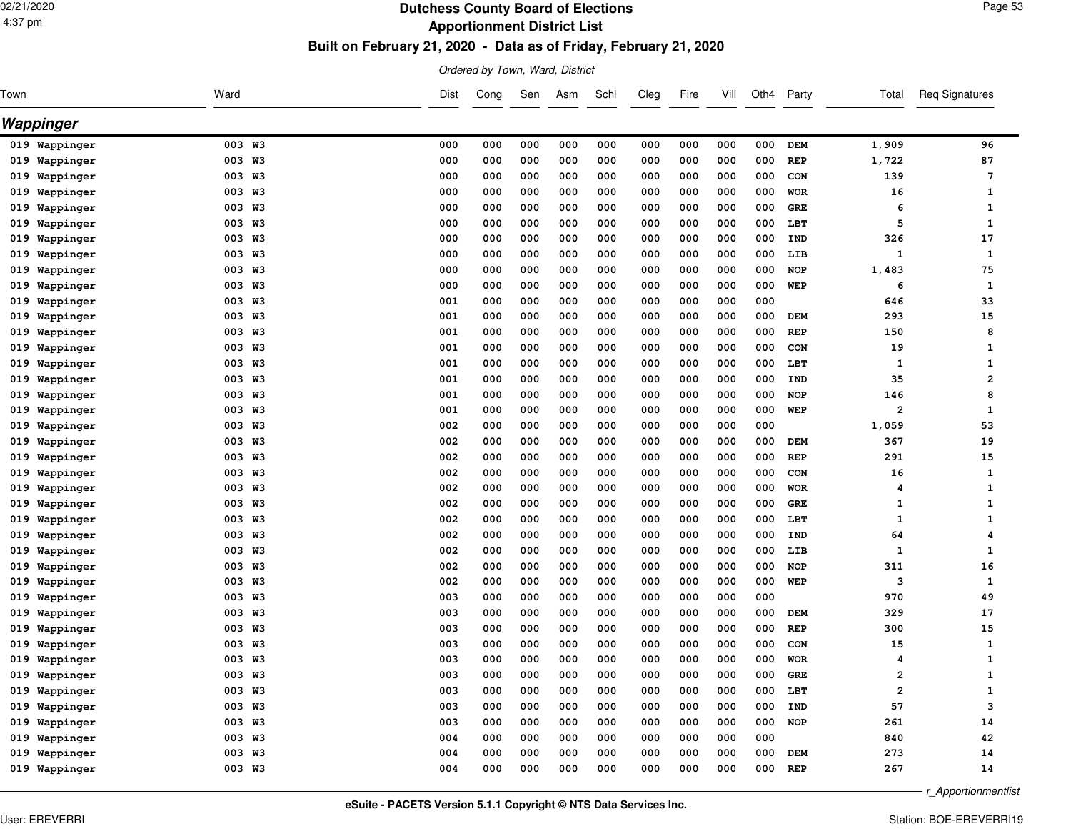## **Dutchess County Board of ElectionsApportionment District List**

### **Built on February 21, 2020 - Data as of Friday, February 21, 2020**

Ordered by Town, Ward, District

| ⊺own |               | Ward                  | Dist | Cong | Sen | Asm | Schl | Cleg | Fire | Vill |     | Oth4 Party | Total                   | <b>Req Signatures</b> |
|------|---------------|-----------------------|------|------|-----|-----|------|------|------|------|-----|------------|-------------------------|-----------------------|
|      | Wappinger     |                       |      |      |     |     |      |      |      |      |     |            |                         |                       |
|      | 019 Wappinger | 003 W3                | 000  | 000  | 000 | 000 | 000  | 000  | 000  | 000  | 000 | DEM        | 1,909                   | 96                    |
| 019  | Wappinger     | W3<br>003             | 000  | 000  | 000 | 000 | 000  | 000  | 000  | 000  | 000 | <b>REP</b> | 1,722                   | 87                    |
| 019  | Wappinger     | W3<br>003             | 000  | 000  | 000 | 000 | 000  | 000  | 000  | 000  | 000 | CON        | 139                     | $\overline{7}$        |
| 019  | Wappinger     | 003<br>WЗ             | 000  | 000  | 000 | 000 | 000  | 000  | 000  | 000  | 000 | <b>WOR</b> | 16                      | $\mathbf{1}$          |
| 019  | Wappinger     | 003<br>WЗ             | 000  | 000  | 000 | 000 | 000  | 000  | 000  | 000  | 000 | <b>GRE</b> | 6                       | 1                     |
| 019  | Wappinger     | 003<br>WЗ             | 000  | 000  | 000 | 000 | 000  | 000  | 000  | 000  | 000 | LBT        | 5                       | $\mathbf{1}$          |
| 019  | Wappinger     | 003<br>W3             | 000  | 000  | 000 | 000 | 000  | 000  | 000  | 000  | 000 | <b>IND</b> | 326                     | 17                    |
| 019  | Wappinger     | 003<br>W3             | 000  | 000  | 000 | 000 | 000  | 000  | 000  | 000  | 000 | LIB        | $\mathbf{1}$            | $\mathbf{1}$          |
| 019  | Wappinger     | 003<br>WЗ             | 000  | 000  | 000 | 000 | 000  | 000  | 000  | 000  | 000 | <b>NOP</b> | 1,483                   | 75                    |
| 019  | Wappinger     | 003<br>W3             | 000  | 000  | 000 | 000 | 000  | 000  | 000  | 000  | 000 | <b>WEP</b> | 6                       | 1                     |
| 019  | Wappinger     | 003<br>W <sub>3</sub> | 001  | 000  | 000 | 000 | 000  | 000  | 000  | 000  | 000 |            | 646                     | 33                    |
| 019  | Wappinger     | 003<br>W3             | 001  | 000  | 000 | 000 | 000  | 000  | 000  | 000  | 000 | <b>DEM</b> | 293                     | 15                    |
| 019  | Wappinger     | 003<br>WЗ             | 001  | 000  | 000 | 000 | 000  | 000  | 000  | 000  | 000 | <b>REP</b> | 150                     | 8                     |
| 019  | Wappinger     | 003<br>W3             | 001  | 000  | 000 | 000 | 000  | 000  | 000  | 000  | 000 | CON        | 19                      | 1                     |
| 019  | Wappinger     | 003<br>WЗ             | 001  | 000  | 000 | 000 | 000  | 000  | 000  | 000  | 000 | LBT        | 1                       | 1                     |
| 019  | Wappinger     | 003<br>WЗ             | 001  | 000  | 000 | 000 | 000  | 000  | 000  | 000  | 000 | IND        | 35                      | $\overline{2}$        |
| 019  | Wappinger     | 003<br>W3             | 001  | 000  | 000 | 000 | 000  | 000  | 000  | 000  | 000 | <b>NOP</b> | 146                     | 8                     |
| 019  | Wappinger     | W3<br>003             | 001  | 000  | 000 | 000 | 000  | 000  | 000  | 000  | 000 | <b>WEP</b> | $\overline{2}$          | $\mathbf{1}$          |
| 019  | Wappinger     | 003<br>WЗ             | 002  | 000  | 000 | 000 | 000  | 000  | 000  | 000  | 000 |            | 1,059                   | 53                    |
| 019  | Wappinger     | 003<br>WЗ             | 002  | 000  | 000 | 000 | 000  | 000  | 000  | 000  | 000 | <b>DEM</b> | 367                     | 19                    |
| 019  | Wappinger     | W3<br>003             | 002  | 000  | 000 | 000 | 000  | 000  | 000  | 000  | 000 | <b>REP</b> | 291                     | 15                    |
| 019  | Wappinger     | 003<br>W3             | 002  | 000  | 000 | 000 | 000  | 000  | 000  | 000  | 000 | CON        | 16                      | $\mathbf{1}$          |
| 019  | Wappinger     | 003<br>W3             | 002  | 000  | 000 | 000 | 000  | 000  | 000  | 000  | 000 | <b>WOR</b> | 4                       | $\mathbf{1}$          |
| 019  | Wappinger     | 003<br>W3             | 002  | 000  | 000 | 000 | 000  | 000  | 000  | 000  | 000 | <b>GRE</b> | $\mathbf{1}$            | $\mathbf{1}$          |
| 019  | Wappinger     | 003<br>W3             | 002  | 000  | 000 | 000 | 000  | 000  | 000  | 000  | 000 | LBT        | $\mathbf{1}$            | $\mathbf{1}$          |
| 019  | Wappinger     | 003<br>WЗ             | 002  | 000  | 000 | 000 | 000  | 000  | 000  | 000  | 000 | IND        | 64                      | 4                     |
| 019  | Wappinger     | W3<br>003             | 002  | 000  | 000 | 000 | 000  | 000  | 000  | 000  | 000 | LIB        | $\mathbf{1}$            | 1                     |
| 019  | Wappinger     | 003<br>W3             | 002  | 000  | 000 | 000 | 000  | 000  | 000  | 000  | 000 | <b>NOP</b> | 311                     | 16                    |
| 019  | Wappinger     | 003<br>W3             | 002  | 000  | 000 | 000 | 000  | 000  | 000  | 000  | 000 | <b>WEP</b> | 3                       | $\mathbf{1}$          |
| 019  | Wappinger     | 003<br>WЗ             | 003  | 000  | 000 | 000 | 000  | 000  | 000  | 000  | 000 |            | 970                     | 49                    |
| 019  | Wappinger     | 003<br>WЗ             | 003  | 000  | 000 | 000 | 000  | 000  | 000  | 000  | 000 | <b>DEM</b> | 329                     | 17                    |
| 019  | Wappinger     | 003<br>W3             | 003  | 000  | 000 | 000 | 000  | 000  | 000  | 000  | 000 | <b>REP</b> | 300                     | 15                    |
| 019  | Wappinger     | W3<br>003             | 003  | 000  | 000 | 000 | 000  | 000  | 000  | 000  | 000 | CON        | 15                      | $\mathbf{1}$          |
| 019  | Wappinger     | 003<br>WЗ             | 003  | 000  | 000 | 000 | 000  | 000  | 000  | 000  | 000 | <b>WOR</b> | 4                       | 1                     |
| 019  | Wappinger     | 003<br>WЗ             | 003  | 000  | 000 | 000 | 000  | 000  | 000  | 000  | 000 | <b>GRE</b> | $\overline{\mathbf{2}}$ | 1                     |
| 019  | Wappinger     | 003<br>W3             | 003  | 000  | 000 | 000 | 000  | 000  | 000  | 000  | 000 | LBT        | $\overline{2}$          | 1                     |
| 019  | Wappinger     | 003<br>WЗ             | 003  | 000  | 000 | 000 | 000  | 000  | 000  | 000  | 000 | IND        | 57                      | 3                     |
| 019  | Wappinger     | 003<br>WЗ             | 003  | 000  | 000 | 000 | 000  | 000  | 000  | 000  | 000 | <b>NOP</b> | 261                     | 14                    |
| 019  | Wappinger     | 003<br>W3             | 004  | 000  | 000 | 000 | 000  | 000  | 000  | 000  | 000 |            | 840                     | 42                    |
| 019  | Wappinger     | W3<br>003             | 004  | 000  | 000 | 000 | 000  | 000  | 000  | 000  | 000 | <b>DEM</b> | 273                     | 14                    |
|      | 019 Wappinger | 003 W3                | 004  | 000  | 000 | 000 | 000  | 000  | 000  | 000  | 000 | <b>REP</b> | 267                     | 14                    |

**eSuite - PACETS Version 5.1.1 Copyright © NTS Data Services Inc.**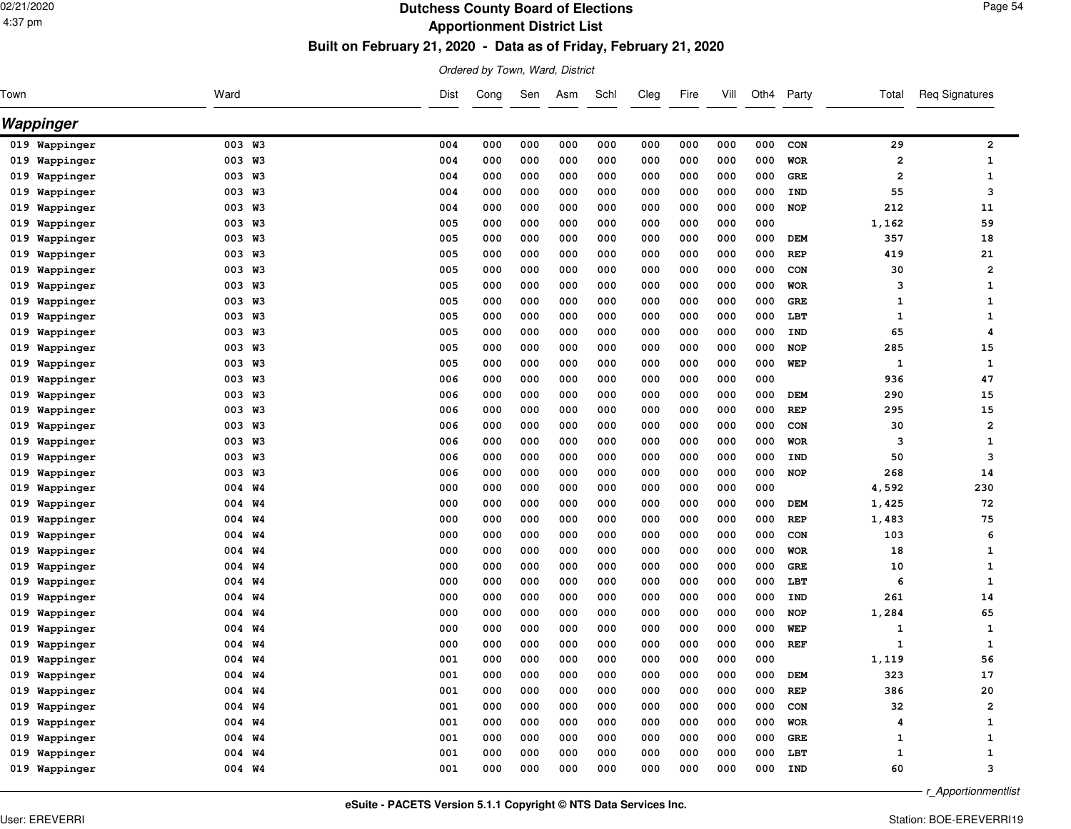#### **Dutchess County Board of Elections** $\mathbf S$ **Apportionment District List**

### **Built on February 21, 2020 - Data as of Friday, February 21, 2020**

Ordered by Town, Ward, District

| own              | Ward   |                | Dist | Cong | Sen | Asm | Schl | Cleg | Fire | Vill | Oth4 | Party      | Total          | <b>Req Signatures</b>   |
|------------------|--------|----------------|------|------|-----|-----|------|------|------|------|------|------------|----------------|-------------------------|
| Wappinger        |        |                |      |      |     |     |      |      |      |      |      |            |                |                         |
| 019 Wappinger    | 003 W3 |                | 004  | 000  | 000 | 000 | 000  | 000  | 000  | 000  | 000  | CON        | 29             | $\mathbf{2}$            |
| 019<br>Wappinger | 003    | WЗ             | 004  | 000  | 000 | 000 | 000  | 000  | 000  | 000  | 000  | <b>WOR</b> | $\overline{2}$ | 1                       |
| 019<br>Wappinger | 003    | WЗ             | 004  | 000  | 000 | 000 | 000  | 000  | 000  | 000  | 000  | <b>GRE</b> | $\mathbf{2}$   | 1                       |
| 019<br>Wappinger | 003    | WЗ             | 004  | 000  | 000 | 000 | 000  | 000  | 000  | 000  | 000  | IND        | 55             | 3                       |
| Wappinger<br>019 | 003    | W3             | 004  | 000  | 000 | 000 | 000  | 000  | 000  | 000  | 000  | <b>NOP</b> | 212            | 11                      |
| 019<br>Wappinger | 003    | W3             | 005  | 000  | 000 | 000 | 000  | 000  | 000  | 000  | 000  |            | 1,162          | 59                      |
| Wappinger<br>019 | 003    | WЗ             | 005  | 000  | 000 | 000 | 000  | 000  | 000  | 000  | 000  | <b>DEM</b> | 357            | 18                      |
| Wappinger<br>019 | 003    | WЗ             | 005  | 000  | 000 | 000 | 000  | 000  | 000  | 000  | 000  | <b>REP</b> | 419            | 21                      |
| 019<br>Wappinger | 003    | WЗ             | 005  | 000  | 000 | 000 | 000  | 000  | 000  | 000  | 000  | CON        | 30             | $\overline{\mathbf{2}}$ |
| 019<br>Wappinger | 003    | WЗ             | 005  | 000  | 000 | 000 | 000  | 000  | 000  | 000  | 000  | <b>WOR</b> | 3              | $\mathbf{1}$            |
| Wappinger<br>019 | 003    | WЗ             | 005  | 000  | 000 | 000 | 000  | 000  | 000  | 000  | 000  | <b>GRE</b> | $\mathbf 1$    | 1                       |
| Wappinger<br>019 | 003    | WЗ             | 005  | 000  | 000 | 000 | 000  | 000  | 000  | 000  | 000  | LBT        | $\mathbf{1}$   | $\mathbf{1}$            |
| 019<br>Wappinger | 003    | WЗ             | 005  | 000  | 000 | 000 | 000  | 000  | 000  | 000  | 000  | IND        | 65             | 4                       |
| Wappinger<br>019 | 003    | W3             | 005  | 000  | 000 | 000 | 000  | 000  | 000  | 000  | 000  | <b>NOP</b> | 285            | 15                      |
| 019<br>Wappinger | 003    | WЗ             | 005  | 000  | 000 | 000 | 000  | 000  | 000  | 000  | 000  | <b>WEP</b> | $\mathbf{1}$   | $\mathbf{1}$            |
| Wappinger<br>019 | 003    | WЗ             | 006  | 000  | 000 | 000 | 000  | 000  | 000  | 000  | 000  |            | 936            | 47                      |
| Wappinger<br>019 | 003    | WЗ             | 006  | 000  | 000 | 000 | 000  | 000  | 000  | 000  | 000  | <b>DEM</b> | 290            | 15                      |
| 019<br>Wappinger | 003    | WЗ             | 006  | 000  | 000 | 000 | 000  | 000  | 000  | 000  | 000  | <b>REP</b> | 295            | 15                      |
| 019<br>Wappinger | 003    | W3             | 006  | 000  | 000 | 000 | 000  | 000  | 000  | 000  | 000  | CON        | 30             | $\overline{2}$          |
| Wappinger<br>019 | 003    | WЗ             | 006  | 000  | 000 | 000 | 000  | 000  | 000  | 000  | 000  | <b>WOR</b> | 3              | $\mathbf{1}$            |
| Wappinger<br>019 | 003    | W3             | 006  | 000  | 000 | 000 | 000  | 000  | 000  | 000  | 000  | IND        | 50             | 3                       |
| 019<br>Wappinger | 003    | WЗ             | 006  | 000  | 000 | 000 | 000  | 000  | 000  | 000  | 000  | <b>NOP</b> | 268            | 14                      |
| Wappinger<br>019 | 004    | W4             | 000  | 000  | 000 | 000 | 000  | 000  | 000  | 000  | 000  |            | 4,592          | 230                     |
| Wappinger<br>019 | 004    | W4             | 000  | 000  | 000 | 000 | 000  | 000  | 000  | 000  | 000  | <b>DEM</b> | 1,425          | 72                      |
| 019<br>Wappinger | 004    | W4             | 000  | 000  | 000 | 000 | 000  | 000  | 000  | 000  | 000  | <b>REP</b> | 1,483          | 75                      |
| Wappinger<br>019 | 004    | W4             | 000  | 000  | 000 | 000 | 000  | 000  | 000  | 000  | 000  | CON        | 103            | 6                       |
| Wappinger<br>019 | 004    | W4             | 000  | 000  | 000 | 000 | 000  | 000  | 000  | 000  | 000  | <b>WOR</b> | 18             | 1                       |
| Wappinger<br>019 | 004    | W4             | 000  | 000  | 000 | 000 | 000  | 000  | 000  | 000  | 000  | <b>GRE</b> | 10             | 1                       |
| 019<br>Wappinger | 004    | W <sub>4</sub> | 000  | 000  | 000 | 000 | 000  | 000  | 000  | 000  | 000  | LBT        | 6              | $\mathbf{1}$            |
| Wappinger<br>019 | 004    | W4             | 000  | 000  | 000 | 000 | 000  | 000  | 000  | 000  | 000  | IND        | 261            | 14                      |
| 019<br>Wappinger | 004    | W4             | 000  | 000  | 000 | 000 | 000  | 000  | 000  | 000  | 000  | <b>NOP</b> | 1,284          | 65                      |
| 019<br>Wappinger | 004    | W4             | 000  | 000  | 000 | 000 | 000  | 000  | 000  | 000  | 000  | <b>WEP</b> | $\mathbf{1}$   | 1                       |
| 019<br>Wappinger | 004    | W4             | 000  | 000  | 000 | 000 | 000  | 000  | 000  | 000  | 000  | <b>REF</b> | $\mathbf{1}$   | 1                       |
| 019<br>Wappinger | 004    | W4             | 001  | 000  | 000 | 000 | 000  | 000  | 000  | 000  | 000  |            | 1,119          | 56                      |
| Wappinger<br>019 | 004    | W4             | 001  | 000  | 000 | 000 | 000  | 000  | 000  | 000  | 000  | <b>DEM</b> | 323            | 17                      |
| Wappinger<br>019 | 004    | W4             | 001  | 000  | 000 | 000 | 000  | 000  | 000  | 000  | 000  | <b>REP</b> | 386            | 20                      |
| 019<br>Wappinger | 004    | W4             | 001  | 000  | 000 | 000 | 000  | 000  | 000  | 000  | 000  | CON        | 32             | $\overline{\mathbf{2}}$ |
| Wappinger<br>019 | 004    | W4             | 001  | 000  | 000 | 000 | 000  | 000  | 000  | 000  | 000  | <b>WOR</b> | 4              | 1                       |
| Wappinger<br>019 | 004    | W4             | 001  | 000  | 000 | 000 | 000  | 000  | 000  | 000  | 000  | <b>GRE</b> | $\mathbf{1}$   | $\mathbf{1}$            |
| Wappinger<br>019 | 004    | W4             | 001  | 000  | 000 | 000 | 000  | 000  | 000  | 000  | 000  | LBT        | $\mathbf{1}$   | 1                       |
| 019 Wappinger    | 004 W4 |                | 001  | 000  | 000 | 000 | 000  | 000  | 000  | 000  | 000  | IND        | 60             | 3                       |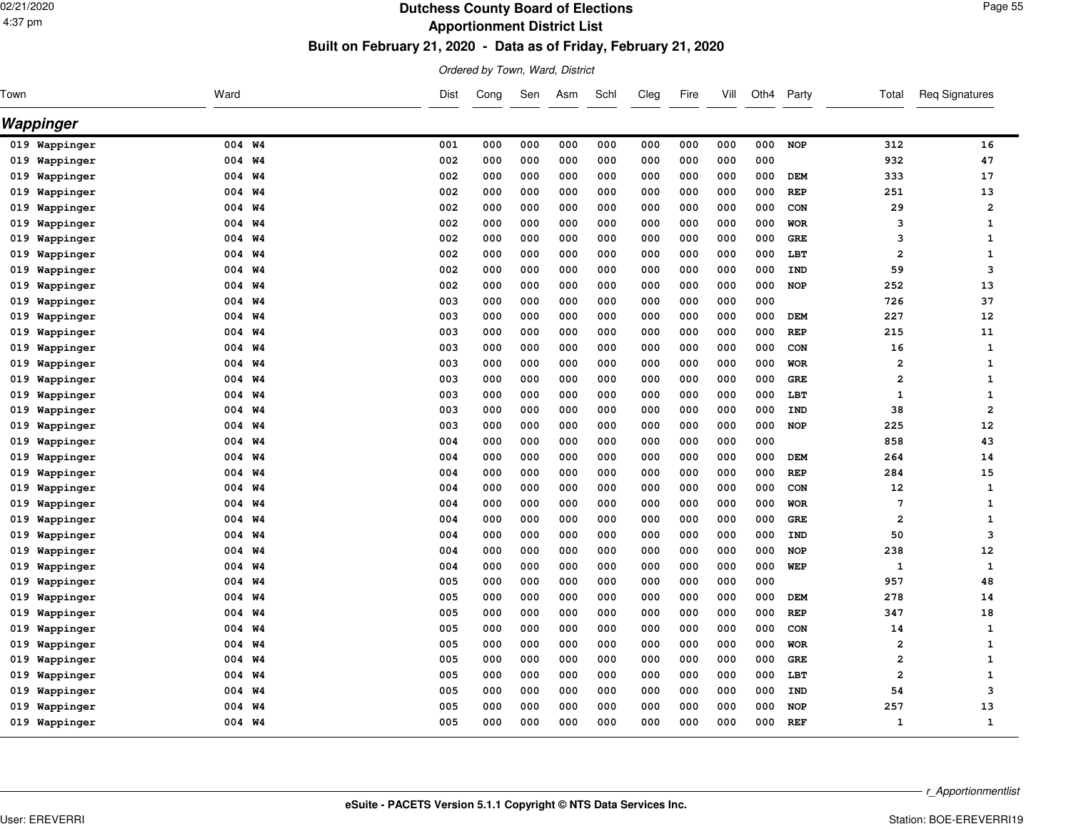#### **Dutchess County Board of Elections** $\mathbf{s}$  Page 55 **Apportionment District List**

### **Built on February 21, 2020 - Data as of Friday, February 21, 2020**

Ordered by Town, Ward, District

| -<br>own         | Ward                  | Dist | Cong | Sen | Asm | Schl | Cleg | Fire | Vill |     | Oth4 Party | Total                   | <b>Req Signatures</b> |
|------------------|-----------------------|------|------|-----|-----|------|------|------|------|-----|------------|-------------------------|-----------------------|
| Wappinger        |                       |      |      |     |     |      |      |      |      |     |            |                         |                       |
| 019 Wappinger    | 004<br>W <sub>4</sub> | 001  | 000  | 000 | 000 | 000  | 000  | 000  | 000  | 000 | <b>NOP</b> | 312                     | 16                    |
| 019<br>Wappinger | W <sub>4</sub><br>004 | 002  | 000  | 000 | 000 | 000  | 000  | 000  | 000  | 000 |            | 932                     | 47                    |
| Wappinger<br>019 | 004<br>W4             | 002  | 000  | 000 | 000 | 000  | 000  | 000  | 000  | 000 | <b>DEM</b> | 333                     | 17                    |
| 019<br>Wappinger | W4<br>004             | 002  | 000  | 000 | 000 | 000  | 000  | 000  | 000  | 000 | <b>REP</b> | 251                     | 13                    |
| 019<br>Wappinger | 004<br>W4             | 002  | 000  | 000 | 000 | 000  | 000  | 000  | 000  | 000 | CON        | 29                      | $\mathbf{2}$          |
| 019<br>Wappinger | 004<br>W4             | 002  | 000  | 000 | 000 | 000  | 000  | 000  | 000  | 000 | <b>WOR</b> | 3                       | $\mathbf{1}$          |
| Wappinger<br>019 | 004<br>W4             | 002  | 000  | 000 | 000 | 000  | 000  | 000  | 000  | 000 | <b>GRE</b> | 3                       | $\mathbf{1}$          |
| Wappinger<br>019 | 004<br>W4             | 002  | 000  | 000 | 000 | 000  | 000  | 000  | 000  | 000 | LBT        | $\overline{\mathbf{2}}$ | 1                     |
| 019<br>Wappinger | 004<br>W <sub>4</sub> | 002  | 000  | 000 | 000 | 000  | 000  | 000  | 000  | 000 | <b>IND</b> | 59                      | 3                     |
| 019<br>Wappinger | 004<br>W4             | 002  | 000  | 000 | 000 | 000  | 000  | 000  | 000  | 000 | <b>NOP</b> | 252                     | 13                    |
| 019<br>Wappinger | 004<br>W4             | 003  | 000  | 000 | 000 | 000  | 000  | 000  | 000  | 000 |            | 726                     | 37                    |
| Wappinger<br>019 | 004<br>W4             | 003  | 000  | 000 | 000 | 000  | 000  | 000  | 000  | 000 | <b>DEM</b> | 227                     | 12                    |
| Wappinger<br>019 | 004<br>W4             | 003  | 000  | 000 | 000 | 000  | 000  | 000  | 000  | 000 | <b>REP</b> | 215                     | 11                    |
| 019<br>Wappinger | 004<br>W4             | 003  | 000  | 000 | 000 | 000  | 000  | 000  | 000  | 000 | CON        | 16                      | 1                     |
| 019<br>Wappinger | 004<br>W4             | 003  | 000  | 000 | 000 | 000  | 000  | 000  | 000  | 000 | <b>WOR</b> | $\overline{\mathbf{2}}$ | $\mathbf{1}$          |
| 019<br>Wappinger | 004<br>W4             | 003  | 000  | 000 | 000 | 000  | 000  | 000  | 000  | 000 | <b>GRE</b> | $\overline{2}$          | $\mathbf{1}$          |
| Wappinger<br>019 | 004<br>W4             | 003  | 000  | 000 | 000 | 000  | 000  | 000  | 000  | 000 | LBT        | $\mathbf{1}$            | $\mathbf{1}$          |
| Wappinger<br>019 | 004<br>W4             | 003  | 000  | 000 | 000 | 000  | 000  | 000  | 000  | 000 | IND        | 38                      | $\mathbf{2}$          |
| 019<br>Wappinger | 004<br>W4             | 003  | 000  | 000 | 000 | 000  | 000  | 000  | 000  | 000 | <b>NOP</b> | 225                     | 12                    |
| 019<br>Wappinger | 004<br>W4             | 004  | 000  | 000 | 000 | 000  | 000  | 000  | 000  | 000 |            | 858                     | 43                    |
| Wappinger<br>019 | 004<br>W4             | 004  | 000  | 000 | 000 | 000  | 000  | 000  | 000  | 000 | <b>DEM</b> | 264                     | 14                    |
| 019<br>Wappinger | 004<br>W4             | 004  | 000  | 000 | 000 | 000  | 000  | 000  | 000  | 000 | <b>REP</b> | 284                     | 15                    |
| Wappinger<br>019 | 004<br>W4             | 004  | 000  | 000 | 000 | 000  | 000  | 000  | 000  | 000 | CON        | 12                      | 1                     |
| 019<br>Wappinger | W4<br>004             | 004  | 000  | 000 | 000 | 000  | 000  | 000  | 000  | 000 | <b>WOR</b> | 7                       | $\mathbf{1}$          |
| 019<br>Wappinger | 004<br>W4             | 004  | 000  | 000 | 000 | 000  | 000  | 000  | 000  | 000 | GRE        | $\overline{\mathbf{2}}$ | 1                     |
| Wappinger<br>019 | 004<br>W4             | 004  | 000  | 000 | 000 | 000  | 000  | 000  | 000  | 000 | IND        | 50                      | 3                     |
| 019<br>Wappinger | 004<br>W4             | 004  | 000  | 000 | 000 | 000  | 000  | 000  | 000  | 000 | <b>NOP</b> | 238                     | 12                    |
| Wappinger<br>019 | 004<br>W4             | 004  | 000  | 000 | 000 | 000  | 000  | 000  | 000  | 000 | <b>WEP</b> | 1                       | 1                     |
| 019<br>Wappinger | W4<br>004             | 005  | 000  | 000 | 000 | 000  | 000  | 000  | 000  | 000 |            | 957                     | 48                    |
| 019<br>Wappinger | 004<br>W4             | 005  | 000  | 000 | 000 | 000  | 000  | 000  | 000  | 000 | <b>DEM</b> | 278                     | 14                    |
| 019<br>Wappinger | W4<br>004             | 005  | 000  | 000 | 000 | 000  | 000  | 000  | 000  | 000 | <b>REP</b> | 347                     | 18                    |
| Wappinger<br>019 | 004<br>W4             | 005  | 000  | 000 | 000 | 000  | 000  | 000  | 000  | 000 | CON        | 14                      | 1                     |
| Wappinger<br>019 | W4<br>004             | 005  | 000  | 000 | 000 | 000  | 000  | 000  | 000  | 000 | <b>WOR</b> | $\overline{\mathbf{2}}$ | 1                     |
| Wappinger<br>019 | 004<br>W4             | 005  | 000  | 000 | 000 | 000  | 000  | 000  | 000  | 000 | <b>GRE</b> | $\overline{2}$          | $\mathbf{1}$          |
| Wappinger<br>019 | 004<br>W4             | 005  | 000  | 000 | 000 | 000  | 000  | 000  | 000  | 000 | LBT        | $\overline{2}$          | $\mathbf{1}$          |
| Wappinger<br>019 | 004<br>W4             | 005  | 000  | 000 | 000 | 000  | 000  | 000  | 000  | 000 | IND        | 54                      | 3                     |
| Wappinger<br>019 | 004<br>W4             | 005  | 000  | 000 | 000 | 000  | 000  | 000  | 000  | 000 | <b>NOP</b> | 257                     | 13                    |
| 019 Wappinger    | 004 W4                | 005  | 000  | 000 | 000 | 000  | 000  | 000  | 000  | 000 | <b>REF</b> | 1                       | $\mathbf{1}$          |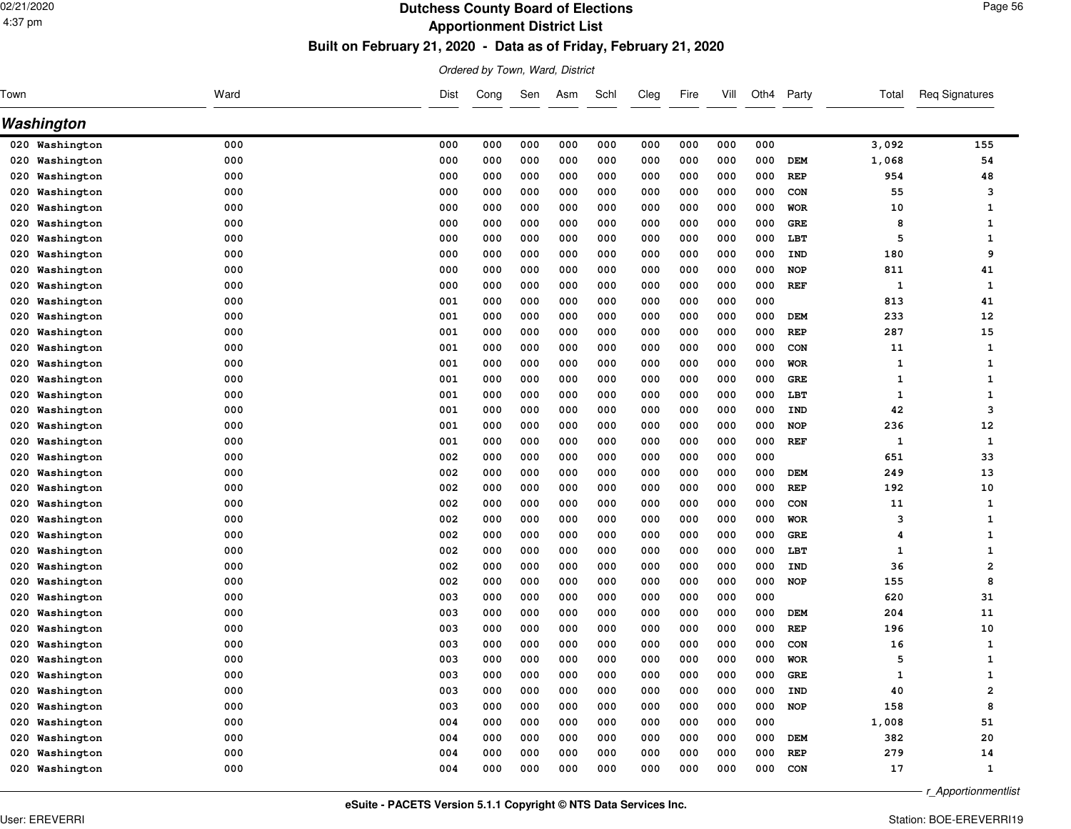# **Dutchess County Board of ElectionsApportionment District List**

### **Built on February 21, 2020 - Data as of Friday, February 21, 2020**

Ordered by Town, Ward, District

| -own |                | Ward | Dist | Cong | Sen | Asm | Schl | Cleg | Fire | Vill | Oth4 | Party      | Total            | Req Signatures |
|------|----------------|------|------|------|-----|-----|------|------|------|------|------|------------|------------------|----------------|
|      | Washington     |      |      |      |     |     |      |      |      |      |      |            |                  |                |
|      | 020 Washington | 000  | 000  | 000  | 000 | 000 | 000  | 000  | 000  | 000  | 000  |            | 3,092            | 155            |
| 020  | Washington     | 000  | 000  | 000  | 000 | 000 | 000  | 000  | 000  | 000  | 000  | <b>DEM</b> | 1,068            | 54             |
| 020  | Washington     | 000  | 000  | 000  | 000 | 000 | 000  | 000  | 000  | 000  | 000  | <b>REP</b> | 954              | 48             |
| 020  | Washington     | 000  | 000  | 000  | 000 | 000 | 000  | 000  | 000  | 000  | 000  | CON        | 55               | 3              |
| 020  | Washington     | 000  | 000  | 000  | 000 | 000 | 000  | 000  | 000  | 000  | 000  | <b>WOR</b> | 10               | 1              |
| 020  | Washington     | 000  | 000  | 000  | 000 | 000 | 000  | 000  | 000  | 000  | 000  | <b>GRE</b> | 8                | $\mathbf{1}$   |
| 020  | Washington     | 000  | 000  | 000  | 000 | 000 | 000  | 000  | 000  | 000  | 000  | LBT        | 5                | $\mathbf{1}$   |
| 020  | Washington     | 000  | 000  | 000  | 000 | 000 | 000  | 000  | 000  | 000  | 000  | <b>IND</b> | 180              | 9              |
| 020  | Washington     | 000  | 000  | 000  | 000 | 000 | 000  | 000  | 000  | 000  | 000  | <b>NOP</b> | 811              | 41             |
| 020  | Washington     | 000  | 000  | 000  | 000 | 000 | 000  | 000  | 000  | 000  | 000  | <b>REF</b> | $\mathbf{1}$     | $\mathbf{1}$   |
| 020  | Washington     | 000  | 001  | 000  | 000 | 000 | 000  | 000  | 000  | 000  | 000  |            | 813              | 41             |
| 020  | Washington     | 000  | 001  | 000  | 000 | 000 | 000  | 000  | 000  | 000  | 000  | <b>DEM</b> | 233              | 12             |
| 020  | Washington     | 000  | 001  | 000  | 000 | 000 | 000  | 000  | 000  | 000  | 000  | <b>REP</b> | 287              | 15             |
| 020  | Washington     | 000  | 001  | 000  | 000 | 000 | 000  | 000  | 000  | 000  | 000  | CON        | 11               | $\mathbf{1}$   |
| 020  | Washington     | 000  | 001  | 000  | 000 | 000 | 000  | 000  | 000  | 000  | 000  | <b>WOR</b> | 1                | $\mathbf{1}$   |
| 020  | Washington     | 000  | 001  | 000  | 000 | 000 | 000  | 000  | 000  | 000  | 000  | <b>GRE</b> | $\mathbf{1}$     | $\mathbf{1}$   |
| 020  | Washington     | 000  | 001  | 000  | 000 | 000 | 000  | 000  | 000  | 000  | 000  | LBT        | $\mathbf{1}$     | $\mathbf{1}$   |
| 020  | Washington     | 000  | 001  | 000  | 000 | 000 | 000  | 000  | 000  | 000  | 000  | <b>IND</b> | 42               | 3              |
| 020  | Washington     | 000  | 001  | 000  | 000 | 000 | 000  | 000  | 000  | 000  | 000  | <b>NOP</b> | 236              | 12             |
| 020  | Washington     | 000  | 001  | 000  | 000 | 000 | 000  | 000  | 000  | 000  | 000  | <b>REF</b> | $\mathbf{1}$     | $\mathbf{1}$   |
| 020  | Washington     | 000  | 002  | 000  | 000 | 000 | 000  | 000  | 000  | 000  | 000  |            | 651              | 33             |
| 020  | Washington     | 000  | 002  | 000  | 000 | 000 | 000  | 000  | 000  | 000  | 000  | <b>DEM</b> | 249              | 13             |
| 020  | Washington     | 000  | 002  | 000  | 000 | 000 | 000  | 000  | 000  | 000  | 000  | <b>REP</b> | 192              | 10             |
| 020  | Washington     | 000  | 002  | 000  | 000 | 000 | 000  | 000  | 000  | 000  | 000  | CON        | 11               | $\mathbf{1}$   |
| 020  | Washington     | 000  | 002  | 000  | 000 | 000 | 000  | 000  | 000  | 000  | 000  | <b>WOR</b> | 3                | $\mathbf{1}$   |
| 020  | Washington     | 000  | 002  | 000  | 000 | 000 | 000  | 000  | 000  | 000  | 000  | <b>GRE</b> | $\boldsymbol{A}$ | $\mathbf{1}$   |
| 020  | Washington     | 000  | 002  | 000  | 000 | 000 | 000  | 000  | 000  | 000  | 000  | LBT        | 1                | 1              |
| 020  | Washington     | 000  | 002  | 000  | 000 | 000 | 000  | 000  | 000  | 000  | 000  | <b>IND</b> | 36               | $\overline{2}$ |
| 020  | Washington     | 000  | 002  | 000  | 000 | 000 | 000  | 000  | 000  | 000  | 000  | <b>NOP</b> | 155              | 8              |
| 020  | Washington     | 000  | 003  | 000  | 000 | 000 | 000  | 000  | 000  | 000  | 000  |            | 620              | 31             |
| 020  | Washington     | 000  | 003  | 000  | 000 | 000 | 000  | 000  | 000  | 000  | 000  | <b>DEM</b> | 204              | 11             |
| 020  | Washington     | 000  | 003  | 000  | 000 | 000 | 000  | 000  | 000  | 000  | 000  | <b>REP</b> | 196              | 10             |
| 020  | Washington     | 000  | 003  | 000  | 000 | 000 | 000  | 000  | 000  | 000  | 000  | CON        | 16               | 1              |
| 020  | Washington     | 000  | 003  | 000  | 000 | 000 | 000  | 000  | 000  | 000  | 000  | <b>WOR</b> | 5                | 1              |
| 020  | Washington     | 000  | 003  | 000  | 000 | 000 | 000  | 000  | 000  | 000  | 000  | <b>GRE</b> | $\mathbf{1}$     | $\mathbf{1}$   |
| 020  | Washington     | 000  | 003  | 000  | 000 | 000 | 000  | 000  | 000  | 000  | 000  | <b>IND</b> | 40               | $\overline{2}$ |
| 020  | Washington     | 000  | 003  | 000  | 000 | 000 | 000  | 000  | 000  | 000  | 000  | <b>NOP</b> | 158              | 8              |
| 020  | Washington     | 000  | 004  | 000  | 000 | 000 | 000  | 000  | 000  | 000  | 000  |            | 1,008            | 51             |
| 020  | Washington     | 000  | 004  | 000  | 000 | 000 | 000  | 000  | 000  | 000  | 000  | <b>DEM</b> | 382              | 20             |
| 020  | Washington     | 000  | 004  | 000  | 000 | 000 | 000  | 000  | 000  | 000  | 000  | <b>REP</b> | 279              | 14             |
|      | 020 Washington | 000  | 004  | 000  | 000 | 000 | 000  | 000  | 000  | 000  | 000  | CON        | 17               | $\mathbf{1}$   |

**eSuite - PACETS Version 5.1.1 Copyright © NTS Data Services Inc.**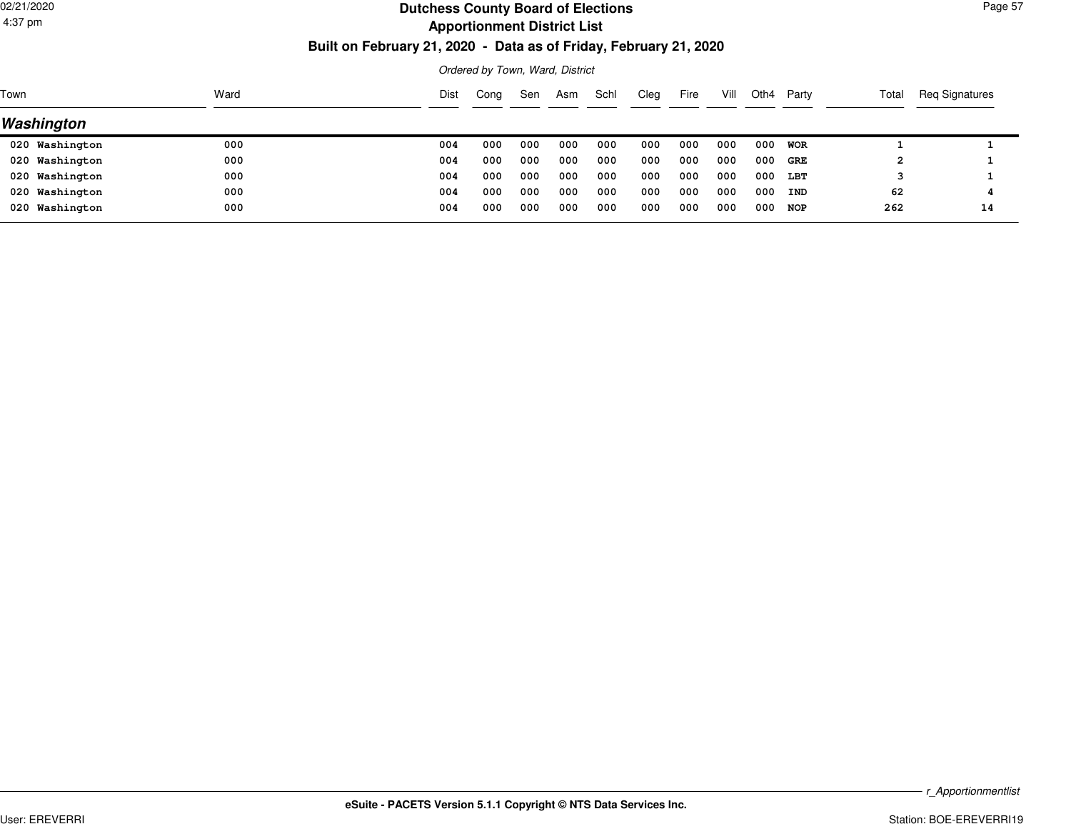#### **Dutchess County Board of Elections** $\mathbf S$ **Apportionment District List**

### **Built on February 21, 2020 - Data as of Friday, February 21, 2020**

Ordered by Town, Ward, District

| Town |                | Ward | Dist | Cong | Sen | Asm | Schl | Cleg | Fire | Vill | Oth4 | Party      | Total | <b>Reg Signatures</b> |
|------|----------------|------|------|------|-----|-----|------|------|------|------|------|------------|-------|-----------------------|
|      | Washington     |      |      |      |     |     |      |      |      |      |      |            |       |                       |
|      | 020 Washington | 000  | 004  | 000  | 000 | 000 | 000  | 000  | 000  | 000  | 000  | WOR        |       |                       |
|      | 020 Washington | 000  | 004  | 000  | 000 | 000 | 000  | 000  | 000  | 000  | 000  | GRE        | 2     |                       |
|      | 020 Washington | 000  | 004  | 000  | 000 | 000 | 000  | 000  | 000  | 000  | 000  | LBT        | د     |                       |
|      | 020 Washington | 000  | 004  | 000  | 000 | 000 | 000  | 000  | 000  | 000  | 000  | IND        | 62    |                       |
|      | 020 Washington | 000  | 004  | 000  | 000 | 000 | 000  | 000  | 000  | 000  | 000  | <b>NOP</b> | 262   | 14                    |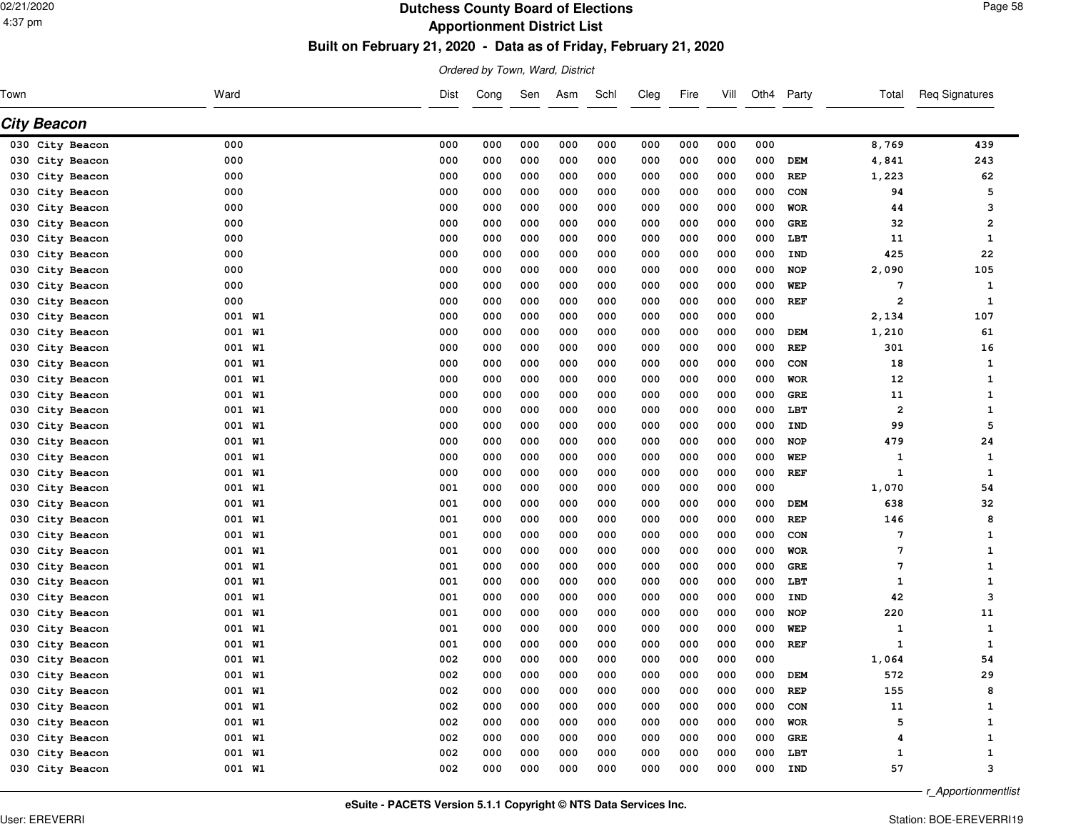#### **Dutchess County Board of Elections** $\mathbf S$ **Apportionment District List**

### **Built on February 21, 2020 - Data as of Friday, February 21, 2020**

Ordered by Town, Ward, District

| Town               | Ward      | Dist | Cong | Sen | Asm | Schl | Cleg | Fire | Vill |     | Oth4 Party | Total           | <b>Req Signatures</b> |
|--------------------|-----------|------|------|-----|-----|------|------|------|------|-----|------------|-----------------|-----------------------|
| <b>City Beacon</b> |           |      |      |     |     |      |      |      |      |     |            |                 |                       |
| 030 City Beacon    | 000       | 000  | 000  | 000 | 000 | 000  | 000  | 000  | 000  | 000 |            | 8,769           | 439                   |
| City Beacon<br>030 | 000       | 000  | 000  | 000 | 000 | 000  | 000  | 000  | 000  | 000 | <b>DEM</b> | 4,841           | 243                   |
| City Beacon<br>030 | 000       | 000  | 000  | 000 | 000 | 000  | 000  | 000  | 000  | 000 | <b>REP</b> | 1,223           | 62                    |
| City Beacon<br>030 | 000       | 000  | 000  | 000 | 000 | 000  | 000  | 000  | 000  | 000 | CON        | 94              | 5                     |
| City Beacon<br>030 | 000       | 000  | 000  | 000 | 000 | 000  | 000  | 000  | 000  | 000 | <b>WOR</b> | 44              | 3                     |
| 030<br>City Beacon | 000       | 000  | 000  | 000 | 000 | 000  | 000  | 000  | 000  | 000 | <b>GRE</b> | 32              | $\overline{2}$        |
| City Beacon<br>030 | 000       | 000  | 000  | 000 | 000 | 000  | 000  | 000  | 000  | 000 | LBT        | 11              | 1                     |
| 030<br>City Beacon | 000       | 000  | 000  | 000 | 000 | 000  | 000  | 000  | 000  | 000 | IND        | 425             | 22                    |
| 030<br>City Beacon | 000       | 000  | 000  | 000 | 000 | 000  | 000  | 000  | 000  | 000 | <b>NOP</b> | 2,090           | 105                   |
| City Beacon<br>030 | 000       | 000  | 000  | 000 | 000 | 000  | 000  | 000  | 000  | 000 | <b>WEP</b> | $7\phantom{.0}$ | 1                     |
| 030<br>City Beacon | 000       | 000  | 000  | 000 | 000 | 000  | 000  | 000  | 000  | 000 | <b>REF</b> | $\overline{2}$  | 1                     |
| City Beacon<br>030 | 001 W1    | 000  | 000  | 000 | 000 | 000  | 000  | 000  | 000  | 000 |            | 2,134           | 107                   |
| City Beacon<br>030 | 001<br>W1 | 000  | 000  | 000 | 000 | 000  | 000  | 000  | 000  | 000 | <b>DEM</b> | 1,210           | 61                    |
| City Beacon<br>030 | 001<br>W1 | 000  | 000  | 000 | 000 | 000  | 000  | 000  | 000  | 000 | <b>REP</b> | 301             | 16                    |
| 030<br>City Beacon | 001 W1    | 000  | 000  | 000 | 000 | 000  | 000  | 000  | 000  | 000 | CON        | 18              | 1                     |
| 030<br>City Beacon | W1<br>001 | 000  | 000  | 000 | 000 | 000  | 000  | 000  | 000  | 000 | <b>WOR</b> | 12              | $\mathbf{1}$          |
| City Beacon<br>030 | 001<br>W1 | 000  | 000  | 000 | 000 | 000  | 000  | 000  | 000  | 000 | <b>GRE</b> | 11              | $\mathbf{1}$          |
| City Beacon<br>030 | 001 W1    | 000  | 000  | 000 | 000 | 000  | 000  | 000  | 000  | 000 | LBT        | $\overline{2}$  | 1                     |
| 030<br>City Beacon | 001<br>W1 | 000  | 000  | 000 | 000 | 000  | 000  | 000  | 000  | 000 | <b>IND</b> | 99              | 5                     |
| City Beacon<br>030 | W1<br>001 | 000  | 000  | 000 | 000 | 000  | 000  | 000  | 000  | 000 | <b>NOP</b> | 479             | 24                    |
| City Beacon<br>030 | W1<br>001 | 000  | 000  | 000 | 000 | 000  | 000  | 000  | 000  | 000 | <b>WEP</b> | 1               | 1                     |
| City Beacon<br>030 | 001<br>W1 | 000  | 000  | 000 | 000 | 000  | 000  | 000  | 000  | 000 | <b>REF</b> | $\mathbf 1$     | 1                     |
| City Beacon<br>030 | 001 W1    | 001  | 000  | 000 | 000 | 000  | 000  | 000  | 000  | 000 |            | 1,070           | 54                    |
| City Beacon<br>030 | W1<br>001 | 001  | 000  | 000 | 000 | 000  | 000  | 000  | 000  | 000 | <b>DEM</b> | 638             | 32                    |
| 030<br>City Beacon | W1<br>001 | 001  | 000  | 000 | 000 | 000  | 000  | 000  | 000  | 000 | <b>REP</b> | 146             | 8                     |
| City Beacon<br>030 | 001 W1    | 001  | 000  | 000 | 000 | 000  | 000  | 000  | 000  | 000 | CON        | 7               | $\mathbf{1}$          |
| 030<br>City Beacon | 001<br>W1 | 001  | 000  | 000 | 000 | 000  | 000  | 000  | 000  | 000 | <b>WOR</b> | 7               | 1                     |
| City Beacon<br>030 | W1<br>001 | 001  | 000  | 000 | 000 | 000  | 000  | 000  | 000  | 000 | <b>GRE</b> | $\overline{7}$  | 1                     |
| City Beacon<br>030 | 001 W1    | 001  | 000  | 000 | 000 | 000  | 000  | 000  | 000  | 000 | LBT        | $\mathbf{1}$    | $\mathbf{1}$          |
| City Beacon<br>030 | W1<br>001 | 001  | 000  | 000 | 000 | 000  | 000  | 000  | 000  | 000 | <b>IND</b> | 42              | 3                     |
| 030<br>City Beacon | 001<br>W1 | 001  | 000  | 000 | 000 | 000  | 000  | 000  | 000  | 000 | <b>NOP</b> | 220             | 11                    |
| 030<br>City Beacon | 001 W1    | 001  | 000  | 000 | 000 | 000  | 000  | 000  | 000  | 000 | <b>WEP</b> | $\mathbf 1$     | 1                     |
| 030<br>City Beacon | 001 W1    | 001  | 000  | 000 | 000 | 000  | 000  | 000  | 000  | 000 | <b>REF</b> | $\mathbf 1$     | 1                     |
| City Beacon<br>030 | 001<br>W1 | 002  | 000  | 000 | 000 | 000  | 000  | 000  | 000  | 000 |            | 1,064           | 54                    |
| City Beacon<br>030 | W1<br>001 | 002  | 000  | 000 | 000 | 000  | 000  | 000  | 000  | 000 | <b>DEM</b> | 572             | 29                    |
| 030<br>City Beacon | 001 W1    | 002  | 000  | 000 | 000 | 000  | 000  | 000  | 000  | 000 | <b>REP</b> | 155             | 8                     |
| City Beacon<br>030 | 001 W1    | 002  | 000  | 000 | 000 | 000  | 000  | 000  | 000  | 000 | CON        | 11              | $\mathbf{1}$          |
| City Beacon<br>030 | 001<br>W1 | 002  | 000  | 000 | 000 | 000  | 000  | 000  | 000  | 000 | <b>WOR</b> | 5               | $\mathbf{1}$          |
| City Beacon<br>030 | 001<br>W1 | 002  | 000  | 000 | 000 | 000  | 000  | 000  | 000  | 000 | <b>GRE</b> | 4               | $\mathbf{1}$          |
| City Beacon<br>030 | 001<br>W1 | 002  | 000  | 000 | 000 | 000  | 000  | 000  | 000  | 000 | LBT        | 1               | 1                     |
| 030 City Beacon    | 001 W1    | 002  | 000  | 000 | 000 | 000  | 000  | 000  | 000  | 000 | <b>IND</b> | 57              | 3                     |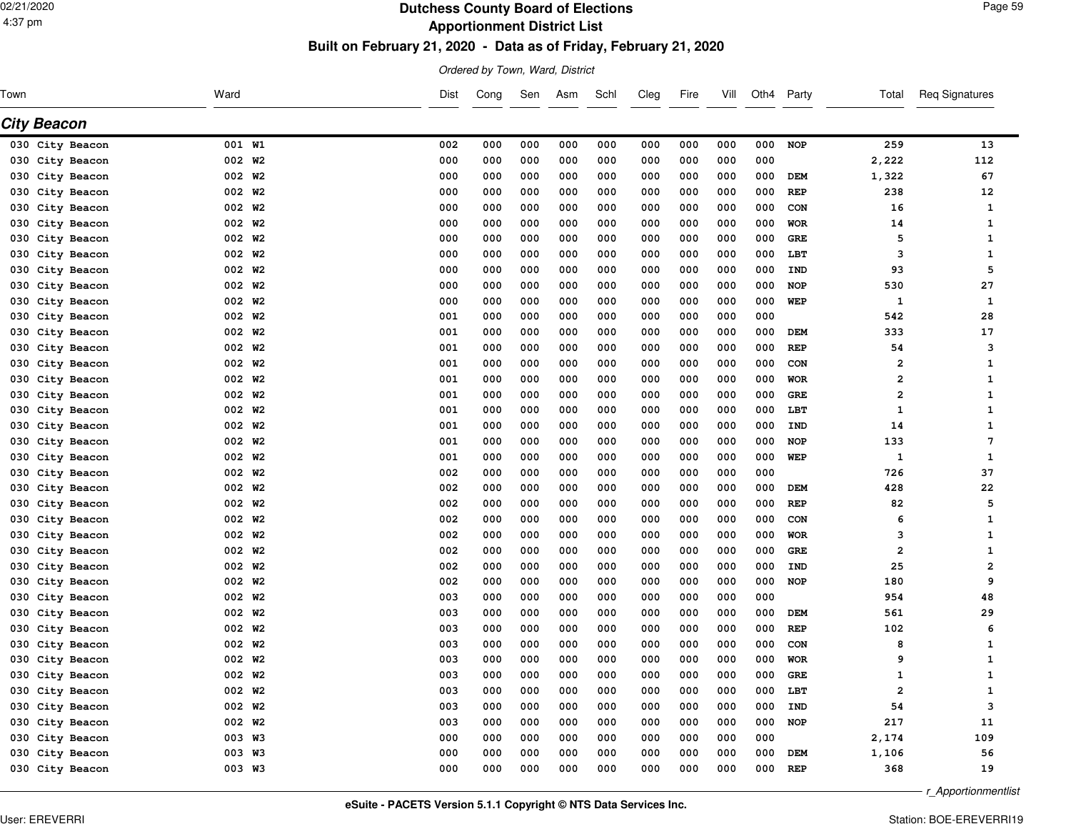# **Dutchess County Board of ElectionsApportionment District List**

### **Built on February 21, 2020 - Data as of Friday, February 21, 2020**

Ordered by Town, Ward, District

| Гоwn               | Ward                  | Dist | Cong | Sen | Asm | Schl | Cleg | Fire | Vill | Oth4 | Party      | Total                   | <b>Req Signatures</b> |
|--------------------|-----------------------|------|------|-----|-----|------|------|------|------|------|------------|-------------------------|-----------------------|
| City Beacon        |                       |      |      |     |     |      |      |      |      |      |            |                         |                       |
| 030 City Beacon    | 001 W1                | 002  | 000  | 000 | 000 | 000  | 000  | 000  | 000  | 000  | <b>NOP</b> | 259                     | 13                    |
| 030 City Beacon    | 002<br>W <sub>2</sub> | 000  | 000  | 000 | 000 | 000  | 000  | 000  | 000  | 000  |            | 2,222                   | 112                   |
| 030<br>City Beacon | 002<br>W <sub>2</sub> | 000  | 000  | 000 | 000 | 000  | 000  | 000  | 000  | 000  | <b>DEM</b> | 1,322                   | 67                    |
| 030<br>City Beacon | 002 W2                | 000  | 000  | 000 | 000 | 000  | 000  | 000  | 000  | 000  | <b>REP</b> | 238                     | 12                    |
| 030<br>City Beacon | 002<br>W2             | 000  | 000  | 000 | 000 | 000  | 000  | 000  | 000  | 000  | CON        | 16                      | 1                     |
| City Beacon<br>030 | 002<br>W2             | 000  | 000  | 000 | 000 | 000  | 000  | 000  | 000  | 000  | <b>WOR</b> | 14                      | 1                     |
| City Beacon<br>030 | 002<br>W2             | 000  | 000  | 000 | 000 | 000  | 000  | 000  | 000  | 000  | <b>GRE</b> | 5                       | $\mathbf{1}$          |
| 030<br>City Beacon | W <sub>2</sub><br>002 | 000  | 000  | 000 | 000 | 000  | 000  | 000  | 000  | 000  | LBT        | 3                       | 1                     |
| City Beacon<br>030 | 002<br>W2             | 000  | 000  | 000 | 000 | 000  | 000  | 000  | 000  | 000  | <b>IND</b> | 93                      | 5                     |
| City Beacon<br>030 | 002<br>W2             | 000  | 000  | 000 | 000 | 000  | 000  | 000  | 000  | 000  | <b>NOP</b> | 530                     | 27                    |
| City Beacon<br>030 | 002<br>W2             | 000  | 000  | 000 | 000 | 000  | 000  | 000  | 000  | 000  | <b>WEP</b> | $\mathbf{1}$            | 1                     |
| 030<br>City Beacon | W2<br>002             | 001  | 000  | 000 | 000 | 000  | 000  | 000  | 000  | 000  |            | 542                     | 28                    |
| 030<br>City Beacon | W2<br>002             | 001  | 000  | 000 | 000 | 000  | 000  | 000  | 000  | 000  | <b>DEM</b> | 333                     | 17                    |
| 030<br>City Beacon | W <sub>2</sub><br>002 | 001  | 000  | 000 | 000 | 000  | 000  | 000  | 000  | 000  | <b>REP</b> | 54                      | 3                     |
| City Beacon<br>030 | 002<br>W2             | 001  | 000  | 000 | 000 | 000  | 000  | 000  | 000  | 000  | CON        | $\overline{\mathbf{2}}$ | 1                     |
| 030<br>City Beacon | 002<br>W2             | 001  | 000  | 000 | 000 | 000  | 000  | 000  | 000  | 000  | <b>WOR</b> | $\overline{a}$          | 1                     |
| City Beacon<br>030 | W <sub>2</sub><br>002 | 001  | 000  | 000 | 000 | 000  | 000  | 000  | 000  | 000  | <b>GRE</b> | $\overline{2}$          | $\mathbf{1}$          |
| City Beacon<br>030 | 002<br>W2             | 001  | 000  | 000 | 000 | 000  | 000  | 000  | 000  | 000  | LBT        | $\mathbf{1}$            | $\mathbf{1}$          |
| City Beacon<br>030 | W <sub>2</sub><br>002 | 001  | 000  | 000 | 000 | 000  | 000  | 000  | 000  | 000  | <b>IND</b> | 14                      | 1                     |
| 030 City Beacon    | W2<br>002             | 001  | 000  | 000 | 000 | 000  | 000  | 000  | 000  | 000  | <b>NOP</b> | 133                     | $\overline{7}$        |
| City Beacon<br>030 | 002<br>W2             | 001  | 000  | 000 | 000 | 000  | 000  | 000  | 000  | 000  | <b>WEP</b> | 1                       | 1                     |
| 030<br>City Beacon | 002<br>W2             | 002  | 000  | 000 | 000 | 000  | 000  | 000  | 000  | 000  |            | 726                     | 37                    |
| 030 City Beacon    | 002<br>W2             | 002  | 000  | 000 | 000 | 000  | 000  | 000  | 000  | 000  | <b>DEM</b> | 428                     | 22                    |
| 030<br>City Beacon | 002<br>W2             | 002  | 000  | 000 | 000 | 000  | 000  | 000  | 000  | 000  | <b>REP</b> | 82                      | 5                     |
| 030<br>City Beacon | W2<br>002             | 002  | 000  | 000 | 000 | 000  | 000  | 000  | 000  | 000  | CON        | 6                       | $\mathbf{1}$          |
| 030<br>City Beacon | 002<br>W2             | 002  | 000  | 000 | 000 | 000  | 000  | 000  | 000  | 000  | <b>WOR</b> | 3                       | 1                     |
| 030 City Beacon    | W <sub>2</sub><br>002 | 002  | 000  | 000 | 000 | 000  | 000  | 000  | 000  | 000  | <b>GRE</b> | $\overline{\mathbf{2}}$ | 1                     |
| City Beacon<br>030 | W <sub>2</sub><br>002 | 002  | 000  | 000 | 000 | 000  | 000  | 000  | 000  | 000  | <b>IND</b> | 25                      | $\overline{2}$        |
| City Beacon<br>030 | 002<br>W2             | 002  | 000  | 000 | 000 | 000  | 000  | 000  | 000  | 000  | <b>NOP</b> | 180                     | 9                     |
| City Beacon<br>030 | 002<br>W2             | 003  | 000  | 000 | 000 | 000  | 000  | 000  | 000  | 000  |            | 954                     | 48                    |
| 030<br>City Beacon | 002<br>W2             | 003  | 000  | 000 | 000 | 000  | 000  | 000  | 000  | 000  | <b>DEM</b> | 561                     | 29                    |
| City Beacon<br>030 | 002<br>W2             | 003  | 000  | 000 | 000 | 000  | 000  | 000  | 000  | 000  | <b>REP</b> | 102                     | 6                     |
| City Beacon<br>030 | W2<br>002             | 003  | 000  | 000 | 000 | 000  | 000  | 000  | 000  | 000  | CON        | 8                       | 1                     |
| 030<br>City Beacon | W2<br>002             | 003  | 000  | 000 | 000 | 000  | 000  | 000  | 000  | 000  | <b>WOR</b> | 9                       | $\mathbf{1}$          |
| 030<br>City Beacon | 002<br>พ2             | 003  | 000  | 000 | 000 | 000  | 000  | 000  | 000  | 000  | <b>GRE</b> | $\mathbf{1}$            | 1                     |
| 030<br>City Beacon | 002<br>W <sub>2</sub> | 003  | 000  | 000 | 000 | 000  | 000  | 000  | 000  | 000  | LBT        | $\overline{\mathbf{2}}$ | 1                     |
| 030<br>City Beacon | 002 W2                | 003  | 000  | 000 | 000 | 000  | 000  | 000  | 000  | 000  | <b>IND</b> | 54                      | 3                     |
| 030 City Beacon    | W2<br>002             | 003  | 000  | 000 | 000 | 000  | 000  | 000  | 000  | 000  | <b>NOP</b> | 217                     | 11                    |
| 030 City Beacon    | 003<br>WЗ             | 000  | 000  | 000 | 000 | 000  | 000  | 000  | 000  | 000  |            | 2,174                   | 109                   |
| 030 City Beacon    | 003<br>WЗ             | 000  | 000  | 000 | 000 | 000  | 000  | 000  | 000  | 000  | <b>DEM</b> | 1,106                   | 56                    |
| 030 City Beacon    | 003 W3                | 000  | 000  | 000 | 000 | 000  | 000  | 000  | 000  | 000  | <b>REP</b> | 368                     | 19                    |

**eSuite - PACETS Version 5.1.1 Copyright © NTS Data Services Inc.**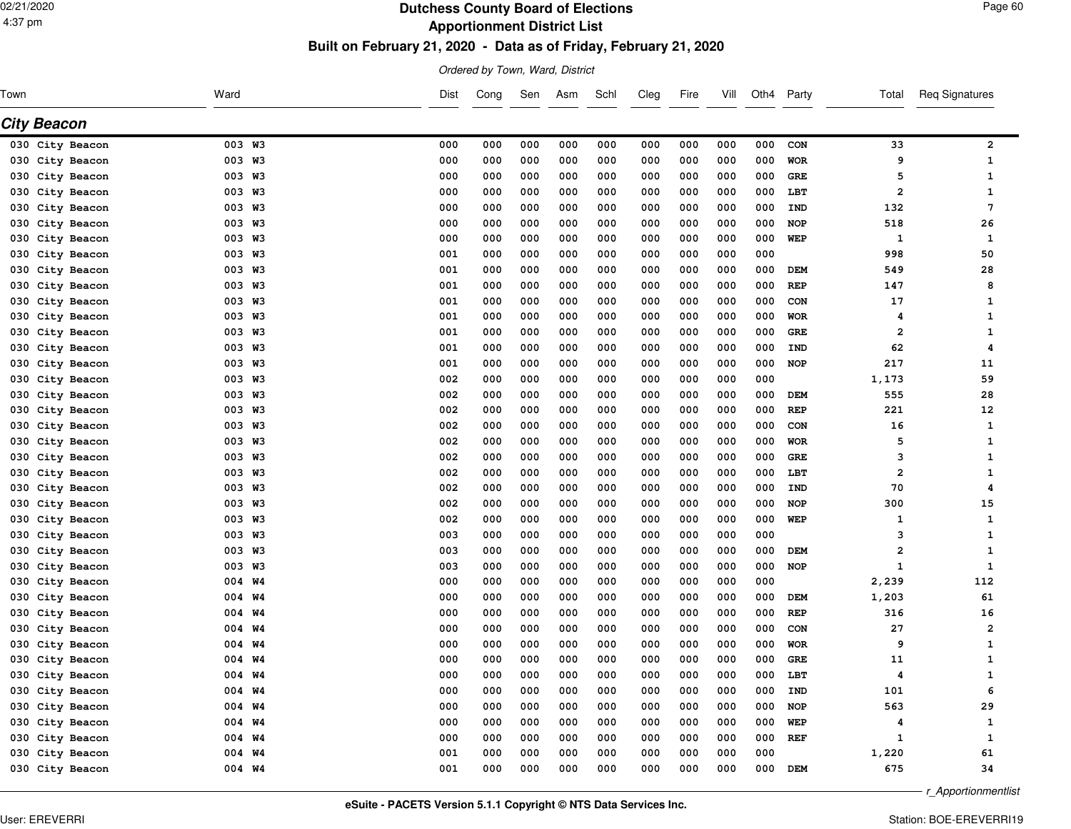#### **Dutchess County Board of Elections** $\mathbf S$ **Apportionment District List**

### **Built on February 21, 2020 - Data as of Friday, February 21, 2020**

Ordered by Town, Ward, District

| Гоwn               | Ward                  | Dist | Cong | Sen | Asm | Schl | Cleg | Fire | Vill |     | Oth4 Party | Total          | <b>Req Signatures</b> |
|--------------------|-----------------------|------|------|-----|-----|------|------|------|------|-----|------------|----------------|-----------------------|
| City Beacon        |                       |      |      |     |     |      |      |      |      |     |            |                |                       |
| 030 City Beacon    | 003 W3                | 000  | 000  | 000 | 000 | 000  | 000  | 000  | 000  | 000 | CON        | 33             | $\overline{2}$        |
| City Beacon<br>030 | WЗ<br>003             | 000  | 000  | 000 | 000 | 000  | 000  | 000  | 000  | 000 | <b>WOR</b> | 9              | 1                     |
| 030<br>City Beacon | WЗ<br>003             | 000  | 000  | 000 | 000 | 000  | 000  | 000  | 000  | 000 | <b>GRE</b> | 5              | 1                     |
| 030 City Beacon    | 003<br>WЗ             | 000  | 000  | 000 | 000 | 000  | 000  | 000  | 000  | 000 | LBT        | $\overline{a}$ | 1                     |
| City Beacon<br>030 | WЗ<br>003             | 000  | 000  | 000 | 000 | 000  | 000  | 000  | 000  | 000 | IND        | 132            | $7\phantom{.0}$       |
| 030<br>City Beacon | 003<br>WЗ             | 000  | 000  | 000 | 000 | 000  | 000  | 000  | 000  | 000 | <b>NOP</b> | 518            | 26                    |
| City Beacon<br>030 | 003 W3                | 000  | 000  | 000 | 000 | 000  | 000  | 000  | 000  | 000 | <b>WEP</b> | $\mathbf{1}$   | 1                     |
| City Beacon<br>030 | 003<br>WЗ             | 001  | 000  | 000 | 000 | 000  | 000  | 000  | 000  | 000 |            | 998            | 50                    |
| 030<br>City Beacon | 003<br>WЗ             | 001  | 000  | 000 | 000 | 000  | 000  | 000  | 000  | 000 | <b>DEM</b> | 549            | 28                    |
| City Beacon<br>030 | 003<br>WЗ             | 001  | 000  | 000 | 000 | 000  | 000  | 000  | 000  | 000 | <b>REP</b> | 147            | 8                     |
| City Beacon<br>030 | WЗ<br>003             | 001  | 000  | 000 | 000 | 000  | 000  | 000  | 000  | 000 | CON        | 17             | 1                     |
| City Beacon<br>030 | 003<br>WЗ             | 001  | 000  | 000 | 000 | 000  | 000  | 000  | 000  | 000 | <b>WOR</b> | 4              | 1                     |
| 030<br>City Beacon | 003<br>WЗ             | 001  | 000  | 000 | 000 | 000  | 000  | 000  | 000  | 000 | <b>GRE</b> | $\mathbf{2}$   | $\mathbf{1}$          |
| 030<br>City Beacon | 003<br>WЗ             | 001  | 000  | 000 | 000 | 000  | 000  | 000  | 000  | 000 | <b>IND</b> | 62             | 4                     |
| 030<br>City Beacon | 003<br>WЗ             | 001  | 000  | 000 | 000 | 000  | 000  | 000  | 000  | 000 | <b>NOP</b> | 217            | 11                    |
| City Beacon<br>030 | 003 W3                | 002  | 000  | 000 | 000 | 000  | 000  | 000  | 000  | 000 |            | 1,173          | 59                    |
| 030<br>City Beacon | WЗ<br>003             | 002  | 000  | 000 | 000 | 000  | 000  | 000  | 000  | 000 | <b>DEM</b> | 555            | 28                    |
| City Beacon<br>030 | 003<br>WЗ             | 002  | 000  | 000 | 000 | 000  | 000  | 000  | 000  | 000 | <b>REP</b> | 221            | 12                    |
| City Beacon<br>030 | 003<br>WЗ             | 002  | 000  | 000 | 000 | 000  | 000  | 000  | 000  | 000 | CON        | 16             | 1                     |
| City Beacon<br>030 | WЗ<br>003             | 002  | 000  | 000 | 000 | 000  | 000  | 000  | 000  | 000 | <b>WOR</b> | 5              | 1                     |
| 030<br>City Beacon | 003<br>WЗ             | 002  | 000  | 000 | 000 | 000  | 000  | 000  | 000  | 000 | <b>GRE</b> | 3              | 1                     |
| 030<br>City Beacon | WЗ<br>003             | 002  | 000  | 000 | 000 | 000  | 000  | 000  | 000  | 000 | LBT        | $\overline{a}$ | $\mathbf{1}$          |
| 030 City Beacon    | 003<br>WЗ             | 002  | 000  | 000 | 000 | 000  | 000  | 000  | 000  | 000 | IND        | 70             | 4                     |
| 030<br>City Beacon | 003<br>WЗ             | 002  | 000  | 000 | 000 | 000  | 000  | 000  | 000  | 000 | <b>NOP</b> | 300            | 15                    |
| 030<br>City Beacon | 003<br>WЗ             | 002  | 000  | 000 | 000 | 000  | 000  | 000  | 000  | 000 | <b>WEP</b> | 1              | 1                     |
| 030 City Beacon    | 003<br>WЗ             | 003  | 000  | 000 | 000 | 000  | 000  | 000  | 000  | 000 |            | 3              | 1                     |
| 030 City Beacon    | WЗ<br>003             | 003  | 000  | 000 | 000 | 000  | 000  | 000  | 000  | 000 | <b>DEM</b> | $\overline{a}$ | 1                     |
| 030<br>City Beacon | WЗ<br>003             | 003  | 000  | 000 | 000 | 000  | 000  | 000  | 000  | 000 | <b>NOP</b> | $\mathbf{1}$   | $\mathbf{1}$          |
| City Beacon<br>030 | 004<br>W4             | 000  | 000  | 000 | 000 | 000  | 000  | 000  | 000  | 000 |            | 2,239          | 112                   |
| 030<br>City Beacon | W4<br>004             | 000  | 000  | 000 | 000 | 000  | 000  | 000  | 000  | 000 | <b>DEM</b> | 1,203          | 61                    |
| City Beacon<br>030 | W4<br>004             | 000  | 000  | 000 | 000 | 000  | 000  | 000  | 000  | 000 | <b>REP</b> | 316            | 16                    |
| City Beacon<br>030 | W <sub>4</sub><br>004 | 000  | 000  | 000 | 000 | 000  | 000  | 000  | 000  | 000 | CON        | 27             | $\overline{2}$        |
| 030<br>City Beacon | W <sub>4</sub><br>004 | 000  | 000  | 000 | 000 | 000  | 000  | 000  | 000  | 000 | <b>WOR</b> | 9              | $\mathbf{1}$          |
| City Beacon<br>030 | 004<br>W4             | 000  | 000  | 000 | 000 | 000  | 000  | 000  | 000  | 000 | <b>GRE</b> | 11             | 1                     |
| 030<br>City Beacon | 004<br>W4             | 000  | 000  | 000 | 000 | 000  | 000  | 000  | 000  | 000 | LBT        | 4              | $\mathbf{1}$          |
| 030<br>City Beacon | W4<br>004             | 000  | 000  | 000 | 000 | 000  | 000  | 000  | 000  | 000 | <b>IND</b> | 101            | 6                     |
| 030<br>City Beacon | W4<br>004             | 000  | 000  | 000 | 000 | 000  | 000  | 000  | 000  | 000 | <b>NOP</b> | 563            | 29                    |
| City Beacon<br>030 | 004<br>W4             | 000  | 000  | 000 | 000 | 000  | 000  | 000  | 000  | 000 | <b>WEP</b> | 4              | 1                     |
| 030<br>City Beacon | W4<br>004             | 000  | 000  | 000 | 000 | 000  | 000  | 000  | 000  | 000 | <b>REF</b> | $\mathbf{1}$   | $\mathbf{1}$          |
| City Beacon<br>030 | 004<br>W4             | 001  | 000  | 000 | 000 | 000  | 000  | 000  | 000  | 000 |            | 1,220          | 61                    |
| 030 City Beacon    | 004 W4                | 001  | 000  | 000 | 000 | 000  | 000  | 000  | 000  | 000 | <b>DEM</b> | 675            | 34                    |
|                    |                       |      |      |     |     |      |      |      |      |     |            |                |                       |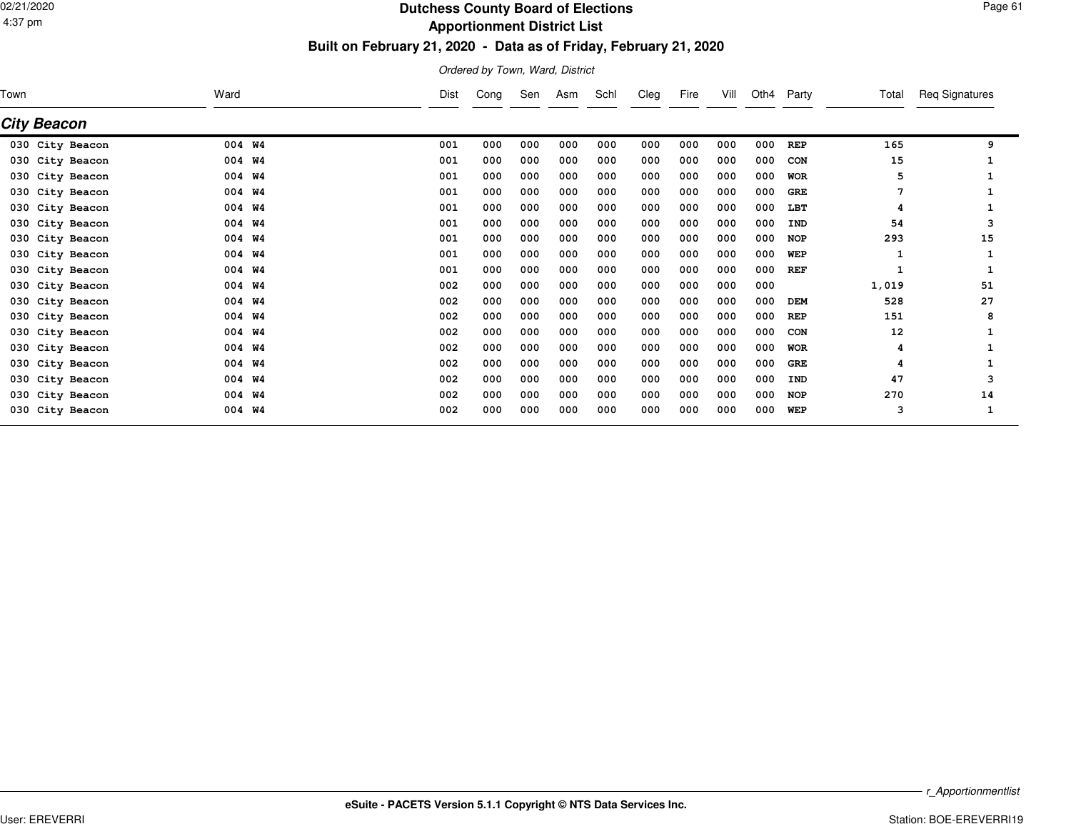#### **Dutchess County Board of Elections**S Page 61 **Apportionment District List**

## **Built on February 21, 2020 - Data as of Friday, February 21, 2020**

Ordered by Town, Ward, District

| Town |                    | Ward |        | Dist | Cong | Sen | Asm | Schl | Cleg | Fire | Vill |     | Oth4 Party | Total | <b>Req Signatures</b> |
|------|--------------------|------|--------|------|------|-----|-----|------|------|------|------|-----|------------|-------|-----------------------|
|      | <b>City Beacon</b> |      |        |      |      |     |     |      |      |      |      |     |            |       |                       |
|      | 030 City Beacon    |      | 004 W4 | 001  | 000  | 000 | 000 | 000  | 000  | 000  | 000  | 000 | <b>REP</b> | 165   |                       |
|      | 030 City Beacon    |      | 004 W4 | 001  | 000  | 000 | 000 | 000  | 000  | 000  | 000  | 000 | CON        | 15    |                       |
|      | 030 City Beacon    |      | 004 W4 | 001  | 000  | 000 | 000 | 000  | 000  | 000  | 000  | 000 | <b>WOR</b> | 5     |                       |
|      | 030 City Beacon    |      | 004 W4 | 001  | 000  | 000 | 000 | 000  | 000  | 000  | 000  | 000 | <b>GRE</b> |       |                       |
|      | 030 City Beacon    |      | 004 W4 | 001  | 000  | 000 | 000 | 000  | 000  | 000  | 000  | 000 | LBT        |       |                       |
|      | 030 City Beacon    |      | 004 W4 | 001  | 000  | 000 | 000 | 000  | 000  | 000  | 000  | 000 | <b>IND</b> | 54    |                       |
|      | 030 City Beacon    |      | 004 W4 | 001  | 000  | 000 | 000 | 000  | 000  | 000  | 000  | 000 | <b>NOP</b> | 293   | 15                    |
|      | 030 City Beacon    |      | 004 W4 | 001  | 000  | 000 | 000 | 000  | 000  | 000  | 000  | 000 | <b>WEP</b> |       |                       |
|      | 030 City Beacon    |      | 004 W4 | 001  | 000  | 000 | 000 | 000  | 000  | 000  | 000  | 000 | <b>REF</b> |       |                       |
|      | 030 City Beacon    |      | 004 W4 | 002  | 000  | 000 | 000 | 000  | 000  | 000  | 000  | 000 |            | 1,019 | 51                    |
|      | 030 City Beacon    |      | 004 W4 | 002  | 000  | 000 | 000 | 000  | 000  | 000  | 000  | 000 | <b>DEM</b> | 528   | 27                    |
|      | 030 City Beacon    |      | 004 W4 | 002  | 000  | 000 | 000 | 000  | 000  | 000  | 000  | 000 | <b>REP</b> | 151   |                       |
|      | 030 City Beacon    |      | 004 W4 | 002  | 000  | 000 | 000 | 000  | 000  | 000  | 000  | 000 | CON        | 12    |                       |
|      | 030 City Beacon    |      | 004 W4 | 002  | 000  | 000 | 000 | 000  | 000  | 000  | 000  | 000 | <b>WOR</b> |       |                       |
|      | 030 City Beacon    |      | 004 W4 | 002  | 000  | 000 | 000 | 000  | 000  | 000  | 000  | 000 | <b>GRE</b> |       |                       |
|      | 030 City Beacon    |      | 004 W4 | 002  | 000  | 000 | 000 | 000  | 000  | 000  | 000  | 000 | <b>IND</b> | 47    |                       |
|      | 030 City Beacon    |      | 004 W4 | 002  | 000  | 000 | 000 | 000  | 000  | 000  | 000  | 000 | <b>NOP</b> | 270   | 14                    |
|      | 030 City Beacon    |      | 004 W4 | 002  | 000  | 000 | 000 | 000  | 000  | 000  | 000  | 000 | <b>WEP</b> | 3     |                       |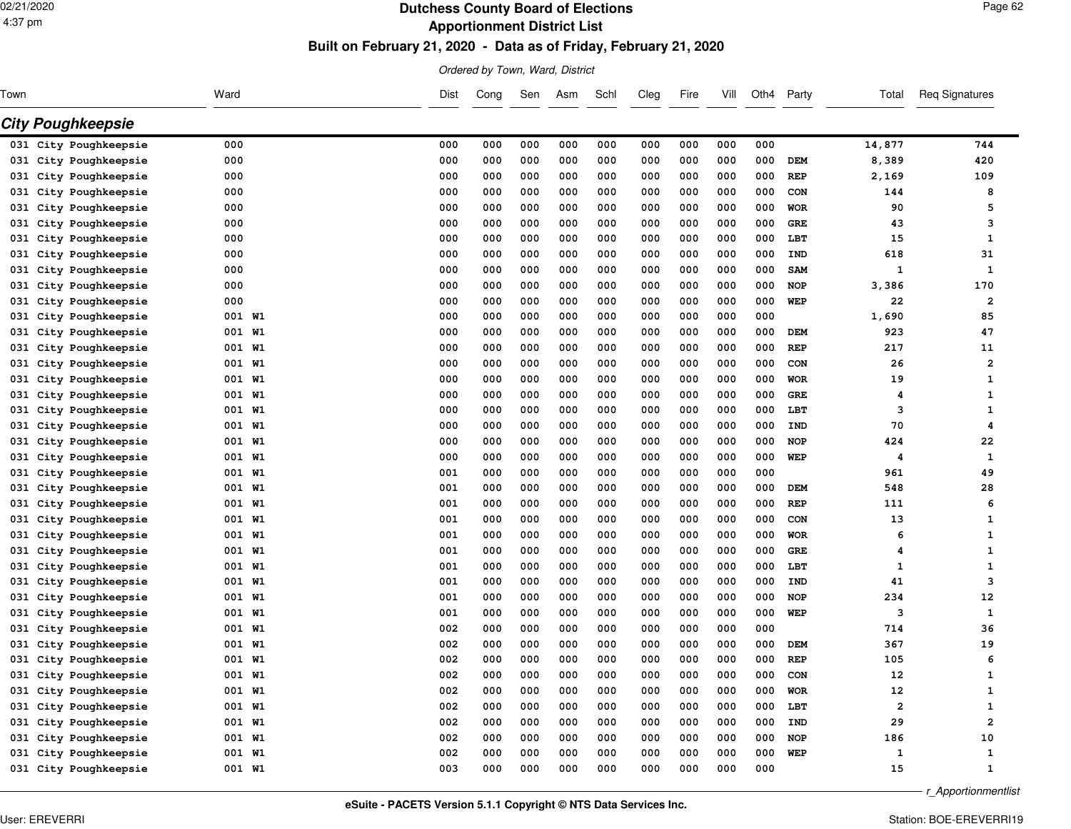#### **Dutchess County Board of Elections** $\mathbf S$  **Apportionment District ListBuilt on February 21, 2020 - Data as of Friday, February 21, 2020**

Ordered by Town, Ward, District

| Town                     | Ward      | Dist | Cong | Sen | Asm | Schl | Cleg | Fire |     | Vill Oth4 | Party      | Total          | <b>Req Signatures</b>   |
|--------------------------|-----------|------|------|-----|-----|------|------|------|-----|-----------|------------|----------------|-------------------------|
| <b>City Poughkeepsie</b> |           |      |      |     |     |      |      |      |     |           |            |                |                         |
| City Poughkeepsie<br>031 | 000       | 000  | 000  | 000 | 000 | 000  | 000  | 000  | 000 | 000       |            | 14,877         | 744                     |
| City Poughkeepsie<br>031 | 000       | 000  | 000  | 000 | 000 | 000  | 000  | 000  | 000 | 000       | <b>DEM</b> | 8,389          | 420                     |
| City Poughkeepsie<br>031 | 000       | 000  | 000  | 000 | 000 | 000  | 000  | 000  | 000 | 000       | <b>REP</b> | 2,169          | 109                     |
| 031<br>City Poughkeepsie | 000       | 000  | 000  | 000 | 000 | 000  | 000  | 000  | 000 | 000       | CON        | 144            | 8                       |
| City Poughkeepsie<br>031 | 000       | 000  | 000  | 000 | 000 | 000  | 000  | 000  | 000 | 000       | <b>WOR</b> | 90             | 5                       |
| 031<br>City Poughkeepsie | 000       | 000  | 000  | 000 | 000 | 000  | 000  | 000  | 000 | 000       | <b>GRE</b> | 43             | 3                       |
| City Poughkeepsie<br>031 | 000       | 000  | 000  | 000 | 000 | 000  | 000  | 000  | 000 | 000       | LBT        | 15             | $\mathbf{1}$            |
| City Poughkeepsie<br>031 | 000       | 000  | 000  | 000 | 000 | 000  | 000  | 000  | 000 | 000       | <b>IND</b> | 618            | 31                      |
| City Poughkeepsie<br>031 | 000       | 000  | 000  | 000 | 000 | 000  | 000  | 000  | 000 | 000       | <b>SAM</b> | $\mathbf{1}$   | $\mathbf{1}$            |
| 031<br>City Poughkeepsie | 000       | 000  | 000  | 000 | 000 | 000  | 000  | 000  | 000 | 000       | <b>NOP</b> | 3,386          | 170                     |
| City Poughkeepsie<br>031 | 000       | 000  | 000  | 000 | 000 | 000  | 000  | 000  | 000 | 000       | <b>WEP</b> | 22             | $\overline{\mathbf{2}}$ |
| City Poughkeepsie<br>031 | 001<br>W1 | 000  | 000  | 000 | 000 | 000  | 000  | 000  | 000 | 000       |            | 1,690          | 85                      |
| City Poughkeepsie<br>031 | 001<br>W1 | 000  | 000  | 000 | 000 | 000  | 000  | 000  | 000 | 000       | <b>DEM</b> | 923            | 47                      |
| City Poughkeepsie<br>031 | W1<br>001 | 000  | 000  | 000 | 000 | 000  | 000  | 000  | 000 | 000       | <b>REP</b> | 217            | 11                      |
| City Poughkeepsie<br>031 | W1<br>001 | 000  | 000  | 000 | 000 | 000  | 000  | 000  | 000 | 000       | CON        | 26             | $\overline{2}$          |
| City Poughkeepsie<br>031 | W1<br>001 | 000  | 000  | 000 | 000 | 000  | 000  | 000  | 000 | 000       | <b>WOR</b> | 19             | $\mathbf{1}$            |
| City Poughkeepsie<br>031 | W1<br>001 | 000  | 000  | 000 | 000 | 000  | 000  | 000  | 000 | 000       | <b>GRE</b> | 4              | $\mathbf{1}$            |
| City Poughkeepsie<br>031 | 001<br>W1 | 000  | 000  | 000 | 000 | 000  | 000  | 000  | 000 | 000       | LBT        | 3              | 1                       |
| City Poughkeepsie<br>031 | 001<br>W1 | 000  | 000  | 000 | 000 | 000  | 000  | 000  | 000 | 000       | <b>IND</b> | 70             | 4                       |
| 031<br>City Poughkeepsie | 001<br>W1 | 000  | 000  | 000 | 000 | 000  | 000  | 000  | 000 | 000       | <b>NOP</b> | 424            | 22                      |
| 031<br>City Poughkeepsie | W1<br>001 | 000  | 000  | 000 | 000 | 000  | 000  | 000  | 000 | 000       | <b>WEP</b> | 4              | $\mathbf{1}$            |
| City Poughkeepsie<br>031 | W1<br>001 | 001  | 000  | 000 | 000 | 000  | 000  | 000  | 000 | 000       |            | 961            | 49                      |
| City Poughkeepsie<br>031 | W1<br>001 | 001  | 000  | 000 | 000 | 000  | 000  | 000  | 000 | 000       | <b>DEM</b> | 548            | 28                      |
| City Poughkeepsie<br>031 | W1<br>001 | 001  | 000  | 000 | 000 | 000  | 000  | 000  | 000 | 000       | <b>REP</b> | 111            | 6                       |
| City Poughkeepsie<br>031 | 001<br>W1 | 001  | 000  | 000 | 000 | 000  | 000  | 000  | 000 | 000       | CON        | 13             | $\mathbf{1}$            |
| 031<br>City Poughkeepsie | 001<br>W1 | 001  | 000  | 000 | 000 | 000  | 000  | 000  | 000 | 000       | <b>WOR</b> | 6              | $\mathbf{1}$            |
| City Poughkeepsie<br>031 | 001<br>W1 | 001  | 000  | 000 | 000 | 000  | 000  | 000  | 000 | 000       | <b>GRE</b> | 4              | $\mathbf{1}$            |
| 031<br>City Poughkeepsie | 001<br>W1 | 001  | 000  | 000 | 000 | 000  | 000  | 000  | 000 | 000       | LBT        | $\mathbf{1}$   | $\mathbf{1}$            |
| City Poughkeepsie<br>031 | W1<br>001 | 001  | 000  | 000 | 000 | 000  | 000  | 000  | 000 | 000       | <b>IND</b> | 41             | 3                       |
| City Poughkeepsie<br>031 | W1<br>001 | 001  | 000  | 000 | 000 | 000  | 000  | 000  | 000 | 000       | <b>NOP</b> | 234            | 12                      |
| City Poughkeepsie<br>031 | 001<br>W1 | 001  | 000  | 000 | 000 | 000  | 000  | 000  | 000 | 000       | <b>WEP</b> | 3              | $\mathbf{1}$            |
| City Poughkeepsie<br>031 | 001<br>W1 | 002  | 000  | 000 | 000 | 000  | 000  | 000  | 000 | 000       |            | 714            | 36                      |
| City Poughkeepsie<br>031 | 001<br>W1 | 002  | 000  | 000 | 000 | 000  | 000  | 000  | 000 | 000       | <b>DEM</b> | 367            | 19                      |
| City Poughkeepsie<br>031 | W1<br>001 | 002  | 000  | 000 | 000 | 000  | 000  | 000  | 000 | 000       | <b>REP</b> | 105            | 6                       |
| 031<br>City Poughkeepsie | 001<br>W1 | 002  | 000  | 000 | 000 | 000  | 000  | 000  | 000 | 000       | CON        | 12             | 1                       |
| City Poughkeepsie<br>031 | W1<br>001 | 002  | 000  | 000 | 000 | 000  | 000  | 000  | 000 | 000       | <b>WOR</b> | 12             | $\mathbf{1}$            |
| City Poughkeepsie<br>031 | W1<br>001 | 002  | 000  | 000 | 000 | 000  | 000  | 000  | 000 | 000       | LBT        | $\overline{2}$ | $\mathbf{1}$            |
| City Poughkeepsie<br>031 | 001<br>W1 | 002  | 000  | 000 | 000 | 000  | 000  | 000  | 000 | 000       | <b>IND</b> | 29             | $\overline{a}$          |
| City Poughkeepsie<br>031 | 001<br>W1 | 002  | 000  | 000 | 000 | 000  | 000  | 000  | 000 | 000       | <b>NOP</b> | 186            | 10                      |
| City Poughkeepsie<br>031 | 001<br>W1 | 002  | 000  | 000 | 000 | 000  | 000  | 000  | 000 | 000       | <b>WEP</b> | $\mathbf{1}$   | 1                       |
| 031<br>City Poughkeepsie | 001<br>W1 | 003  | 000  | 000 | 000 | 000  | 000  | 000  | 000 | 000       |            | 15             | $\mathbf{1}$            |

**eSuite - PACETS Version 5.1.1 Copyright © NTS Data Services Inc.**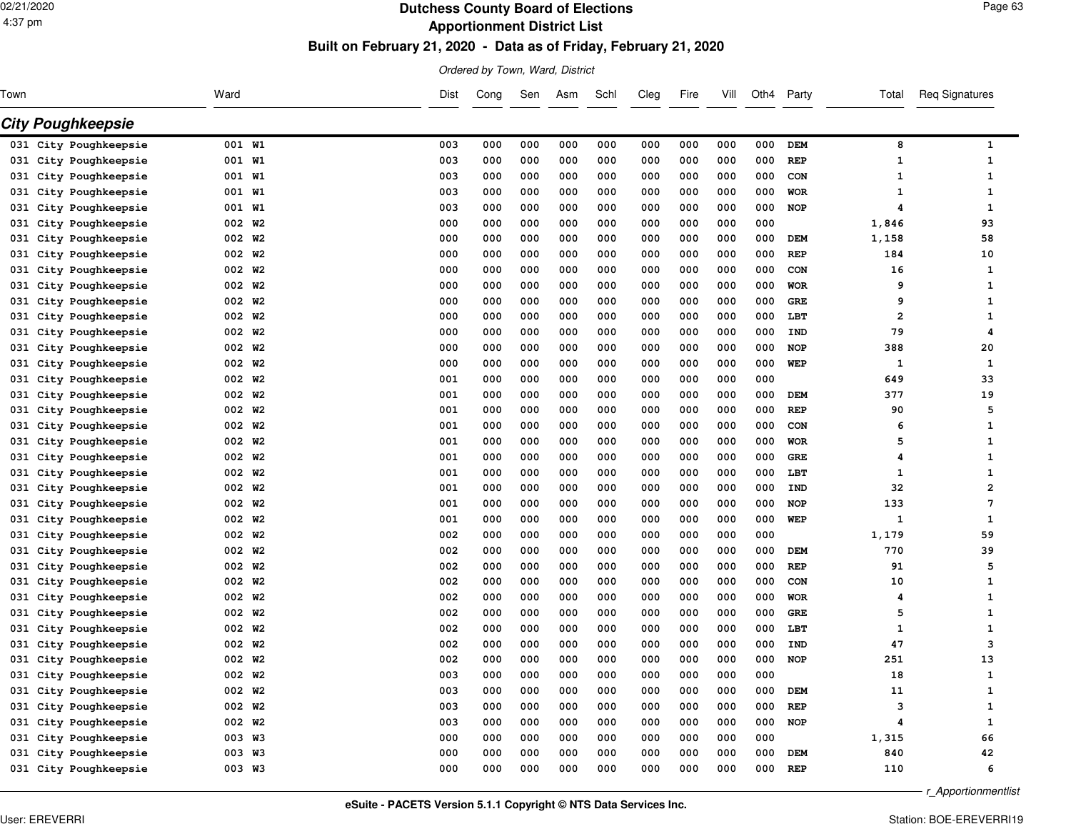#### **Dutchess County Board of Elections** $\mathbf S$ **Apportionment District List**

### **Built on February 21, 2020 - Data as of Friday, February 21, 2020**

Ordered by Town, Ward, District

| Town                     | Ward                  | Dist | Cong | Sen | Asm | Schl | Cleg | Fire | Vill | Oth4 | Party      | Total          | <b>Req Signatures</b> |
|--------------------------|-----------------------|------|------|-----|-----|------|------|------|------|------|------------|----------------|-----------------------|
| <b>City Poughkeepsie</b> |                       |      |      |     |     |      |      |      |      |      |            |                |                       |
| City Poughkeepsie<br>031 | 001 W1                | 003  | 000  | 000 | 000 | 000  | 000  | 000  | 000  | 000  | <b>DEM</b> | 8              | 1                     |
| 031 City Poughkeepsie    | 001<br>W1             | 003  | 000  | 000 | 000 | 000  | 000  | 000  | 000  | 000  | <b>REP</b> | $\mathbf{1}$   | 1                     |
| City Poughkeepsie<br>031 | 001<br>W1             | 003  | 000  | 000 | 000 | 000  | 000  | 000  | 000  | 000  | CON        | $\mathbf{1}$   | 1                     |
| City Poughkeepsie<br>031 | W1<br>001             | 003  | 000  | 000 | 000 | 000  | 000  | 000  | 000  | 000  | <b>WOR</b> | 1              | 1                     |
| City Poughkeepsie<br>031 | W1<br>001             | 003  | 000  | 000 | 000 | 000  | 000  | 000  | 000  | 000  | <b>NOP</b> | 4              | $\mathbf{1}$          |
| 031<br>City Poughkeepsie | 002<br>W2             | 000  | 000  | 000 | 000 | 000  | 000  | 000  | 000  | 000  |            | 1,846          | 93                    |
| City Poughkeepsie<br>031 | 002<br>W2             | 000  | 000  | 000 | 000 | 000  | 000  | 000  | 000  | 000  | <b>DEM</b> | 1,158          | 58                    |
| City Poughkeepsie<br>031 | W <sub>2</sub><br>002 | 000  | 000  | 000 | 000 | 000  | 000  | 000  | 000  | 000  | <b>REP</b> | 184            | 10                    |
| City Poughkeepsie<br>031 | 002<br>W2             | 000  | 000  | 000 | 000 | 000  | 000  | 000  | 000  | 000  | CON        | 16             | 1                     |
| City Poughkeepsie<br>031 | 002<br>W2             | 000  | 000  | 000 | 000 | 000  | 000  | 000  | 000  | 000  | <b>WOR</b> | 9              | 1                     |
| 031 City Poughkeepsie    | W2<br>002             | 000  | 000  | 000 | 000 | 000  | 000  | 000  | 000  | 000  | <b>GRE</b> | 9              | $\mathbf{1}$          |
| City Poughkeepsie<br>031 | W <sub>2</sub><br>002 | 000  | 000  | 000 | 000 | 000  | 000  | 000  | 000  | 000  | LBT        | $\overline{2}$ | $\mathbf{1}$          |
| 031<br>City Poughkeepsie | 002<br>W2             | 000  | 000  | 000 | 000 | 000  | 000  | 000  | 000  | 000  | <b>IND</b> | 79             | 4                     |
| City Poughkeepsie<br>031 | 002<br>W2             | 000  | 000  | 000 | 000 | 000  | 000  | 000  | 000  | 000  | <b>NOP</b> | 388            | 20                    |
| City Poughkeepsie<br>031 | W <sub>2</sub><br>002 | 000  | 000  | 000 | 000 | 000  | 000  | 000  | 000  | 000  | <b>WEP</b> | $\mathbf{1}$   | $\mathbf{1}$          |
| City Poughkeepsie<br>031 | 002<br>W <sub>2</sub> | 001  | 000  | 000 | 000 | 000  | 000  | 000  | 000  | 000  |            | 649            | 33                    |
| City Poughkeepsie<br>031 | 002<br>W2             | 001  | 000  | 000 | 000 | 000  | 000  | 000  | 000  | 000  | <b>DEM</b> | 377            | 19                    |
| City Poughkeepsie<br>031 | 002<br>W2             | 001  | 000  | 000 | 000 | 000  | 000  | 000  | 000  | 000  | <b>REP</b> | 90             | 5                     |
| 031<br>City Poughkeepsie | W <sub>2</sub><br>002 | 001  | 000  | 000 | 000 | 000  | 000  | 000  | 000  | 000  | CON        | 6              | $\mathbf{1}$          |
| 031<br>City Poughkeepsie | 002<br>W2             | 001  | 000  | 000 | 000 | 000  | 000  | 000  | 000  | 000  | <b>WOR</b> | 5              | 1                     |
| City Poughkeepsie<br>031 | 002<br>W2             | 001  | 000  | 000 | 000 | 000  | 000  | 000  | 000  | 000  | <b>GRE</b> | 4              | $\mathbf{1}$          |
| City Poughkeepsie<br>031 | W <sub>2</sub><br>002 | 001  | 000  | 000 | 000 | 000  | 000  | 000  | 000  | 000  | LBT        | $\mathbf{1}$   | $\mathbf{1}$          |
| City Poughkeepsie<br>031 | 002<br><b>W2</b>      | 001  | 000  | 000 | 000 | 000  | 000  | 000  | 000  | 000  | <b>IND</b> | 32             | $\overline{2}$        |
| City Poughkeepsie<br>031 | 002<br>W2             | 001  | 000  | 000 | 000 | 000  | 000  | 000  | 000  | 000  | <b>NOP</b> | 133            | $7\phantom{.0}$       |
| City Poughkeepsie<br>031 | 002<br>W2             | 001  | 000  | 000 | 000 | 000  | 000  | 000  | 000  | 000  | <b>WEP</b> | $\mathbf{1}$   | 1                     |
| City Poughkeepsie<br>031 | 002<br>W2             | 002  | 000  | 000 | 000 | 000  | 000  | 000  | 000  | 000  |            | 1,179          | 59                    |
| City Poughkeepsie<br>031 | 002<br>W2             | 002  | 000  | 000 | 000 | 000  | 000  | 000  | 000  | 000  | <b>DEM</b> | 770            | 39                    |
| City Poughkeepsie<br>031 | W <sub>2</sub><br>002 | 002  | 000  | 000 | 000 | 000  | 000  | 000  | 000  | 000  | <b>REP</b> | 91             | 5                     |
| City Poughkeepsie<br>031 | 002<br><b>W2</b>      | 002  | 000  | 000 | 000 | 000  | 000  | 000  | 000  | 000  | CON        | 10             | $\mathbf{1}$          |
| City Poughkeepsie<br>031 | 002<br>W2             | 002  | 000  | 000 | 000 | 000  | 000  | 000  | 000  | 000  | <b>WOR</b> | 4              | $\mathbf{1}$          |
| City Poughkeepsie<br>031 | 002<br>W2             | 002  | 000  | 000 | 000 | 000  | 000  | 000  | 000  | 000  | <b>GRE</b> | 5              | $\mathbf{1}$          |
| City Poughkeepsie<br>031 | W2<br>002             | 002  | 000  | 000 | 000 | 000  | 000  | 000  | 000  | 000  | LBT        | $\mathbf{1}$   | $\mathbf{1}$          |
| City Poughkeepsie<br>031 | W <sub>2</sub><br>002 | 002  | 000  | 000 | 000 | 000  | 000  | 000  | 000  | 000  | IND        | 47             | 3                     |
| City Poughkeepsie<br>031 | 002<br>W2             | 002  | 000  | 000 | 000 | 000  | 000  | 000  | 000  | 000  | <b>NOP</b> | 251            | 13                    |
| City Poughkeepsie<br>031 | 002<br>W2             | 003  | 000  | 000 | 000 | 000  | 000  | 000  | 000  | 000  |            | 18             | 1                     |
| City Poughkeepsie<br>031 | W <sub>2</sub><br>002 | 003  | 000  | 000 | 000 | 000  | 000  | 000  | 000  | 000  | <b>DEM</b> | 11             | $\mathbf{1}$          |
| 031<br>City Poughkeepsie | 002<br><b>W2</b>      | 003  | 000  | 000 | 000 | 000  | 000  | 000  | 000  | 000  | <b>REP</b> | 3              | $\mathbf{1}$          |
| City Poughkeepsie<br>031 | 002<br>W2             | 003  | 000  | 000 | 000 | 000  | 000  | 000  | 000  | 000  | <b>NOP</b> | 4              | 1                     |
| 031 City Poughkeepsie    | WЗ<br>003             | 000  | 000  | 000 | 000 | 000  | 000  | 000  | 000  | 000  |            | 1,315          | 66                    |
| City Poughkeepsie<br>031 | 003<br>WЗ             | 000  | 000  | 000 | 000 | 000  | 000  | 000  | 000  | 000  | <b>DEM</b> | 840            | 42                    |
| 031 City Poughkeepsie    | 003<br>WЗ             | 000  | 000  | 000 | 000 | 000  | 000  | 000  | 000  | 000  | <b>REP</b> | 110            | 6                     |
|                          |                       |      |      |     |     |      |      |      |      |      |            |                |                       |

**eSuite - PACETS Version 5.1.1 Copyright © NTS Data Services Inc.**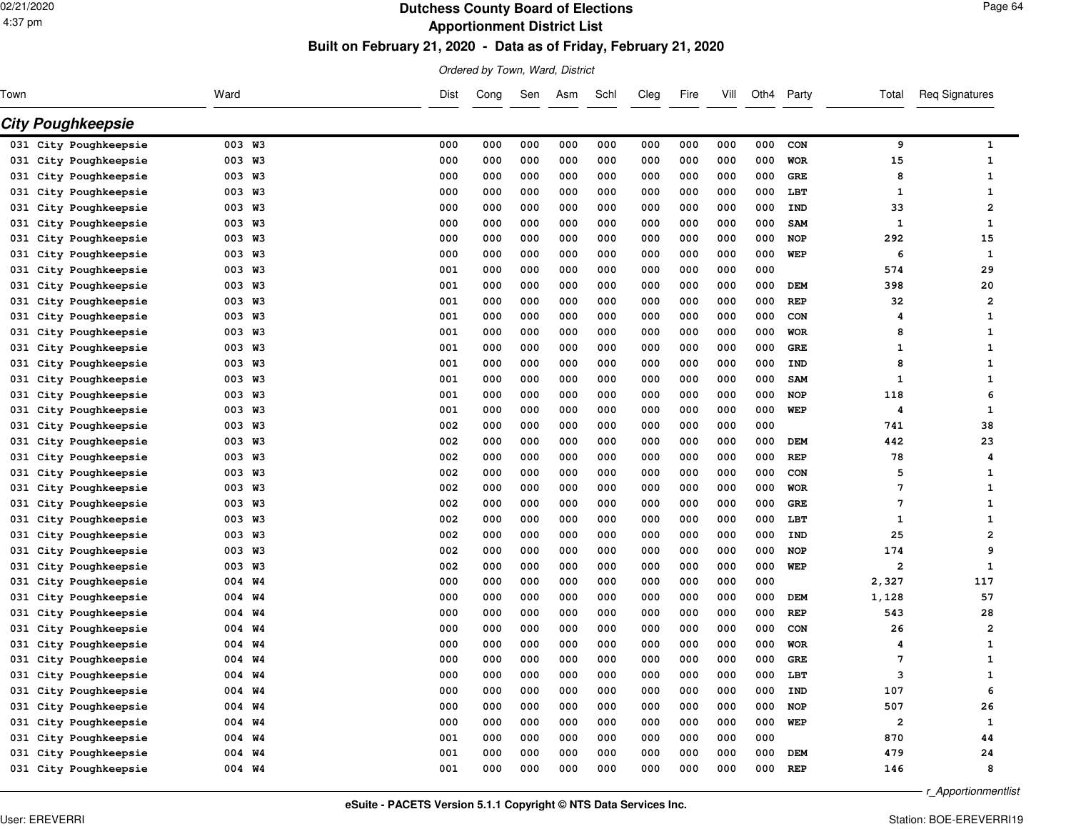#### **Dutchess County Board of Elections** $\mathbf S$ **Apportionment District List**

### **Built on February 21, 2020 - Data as of Friday, February 21, 2020**

Ordered by Town, Ward, District

| Town                     | Ward                  | Dist | Cong | Sen | Asm | Schl | Cleg | Fire | Vill | Oth4 | Party      | Total                   | Req Signatures |
|--------------------------|-----------------------|------|------|-----|-----|------|------|------|------|------|------------|-------------------------|----------------|
| <b>City Poughkeepsie</b> |                       |      |      |     |     |      |      |      |      |      |            |                         |                |
| City Poughkeepsie<br>031 | 003 W3                | 000  | 000  | 000 | 000 | 000  | 000  | 000  | 000  | 000  | CON        | 9                       | $\mathbf{1}$   |
| City Poughkeepsie<br>031 | 003<br>W3             | 000  | 000  | 000 | 000 | 000  | 000  | 000  | 000  | 000  | <b>WOR</b> | 15                      | $\mathbf{1}$   |
| City Poughkeepsie<br>031 | 003<br>WЗ             | 000  | 000  | 000 | 000 | 000  | 000  | 000  | 000  | 000  | <b>GRE</b> | 8                       | $\mathbf{1}$   |
| City Poughkeepsie<br>031 | 003<br>WЗ             | 000  | 000  | 000 | 000 | 000  | 000  | 000  | 000  | 000  | LBT        | 1                       | $\mathbf{1}$   |
| City Poughkeepsie<br>031 | 003<br>WЗ             | 000  | 000  | 000 | 000 | 000  | 000  | 000  | 000  | 000  | IND        | 33                      | $\overline{2}$ |
| 031<br>City Poughkeepsie | 003<br>WЗ             | 000  | 000  | 000 | 000 | 000  | 000  | 000  | 000  | 000  | <b>SAM</b> | $\mathbf{1}$            | $\mathbf{1}$   |
| City Poughkeepsie<br>031 | WЗ<br>003             | 000  | 000  | 000 | 000 | 000  | 000  | 000  | 000  | 000  | <b>NOP</b> | 292                     | 15             |
| City Poughkeepsie<br>031 | W3<br>003             | 000  | 000  | 000 | 000 | 000  | 000  | 000  | 000  | 000  | <b>WEP</b> | 6                       | $\mathbf{1}$   |
| City Poughkeepsie<br>031 | 003<br>W3             | 001  | 000  | 000 | 000 | 000  | 000  | 000  | 000  | 000  |            | 574                     | 29             |
| 031<br>City Poughkeepsie | 003<br>WЗ             | 001  | 000  | 000 | 000 | 000  | 000  | 000  | 000  | 000  | <b>DEM</b> | 398                     | 20             |
| City Poughkeepsie<br>031 | 003<br>WЗ             | 001  | 000  | 000 | 000 | 000  | 000  | 000  | 000  | 000  | <b>REP</b> | 32                      | $\overline{2}$ |
| City Poughkeepsie<br>031 | 003<br>WЗ             | 001  | 000  | 000 | 000 | 000  | 000  | 000  | 000  | 000  | CON        | 4                       | $\mathbf{1}$   |
| 031<br>City Poughkeepsie | 003<br>WЗ             | 001  | 000  | 000 | 000 | 000  | 000  | 000  | 000  | 000  | <b>WOR</b> | 8                       | $\mathbf{1}$   |
| City Poughkeepsie<br>031 | WЗ<br>003             | 001  | 000  | 000 | 000 | 000  | 000  | 000  | 000  | 000  | <b>GRE</b> | $\mathbf{1}$            | $\mathbf{1}$   |
| 031<br>City Poughkeepsie | 003<br>WЗ             | 001  | 000  | 000 | 000 | 000  | 000  | 000  | 000  | 000  | IND        | 8                       | $\mathbf{1}$   |
| 031<br>City Poughkeepsie | 003<br>W3             | 001  | 000  | 000 | 000 | 000  | 000  | 000  | 000  | 000  | <b>SAM</b> | $\mathbf{1}$            | $\mathbf{1}$   |
| City Poughkeepsie<br>031 | 003<br>WЗ             | 001  | 000  | 000 | 000 | 000  | 000  | 000  | 000  | 000  | <b>NOP</b> | 118                     | 6              |
| City Poughkeepsie<br>031 | W3<br>003             | 001  | 000  | 000 | 000 | 000  | 000  | 000  | 000  | 000  | <b>WEP</b> | 4                       | $\mathbf{1}$   |
| City Poughkeepsie<br>031 | 003<br>WЗ             | 002  | 000  | 000 | 000 | 000  | 000  | 000  | 000  | 000  |            | 741                     | 38             |
| City Poughkeepsie<br>031 | 003<br>WЗ             | 002  | 000  | 000 | 000 | 000  | 000  | 000  | 000  | 000  | <b>DEM</b> | 442                     | 23             |
| 031<br>City Poughkeepsie | WЗ<br>003             | 002  | 000  | 000 | 000 | 000  | 000  | 000  | 000  | 000  | <b>REP</b> | 78                      | 4              |
| 031<br>City Poughkeepsie | W3<br>003             | 002  | 000  | 000 | 000 | 000  | 000  | 000  | 000  | 000  | CON        | 5                       | $\mathbf{1}$   |
| City Poughkeepsie<br>031 | 003<br>WЗ             | 002  | 000  | 000 | 000 | 000  | 000  | 000  | 000  | 000  | <b>WOR</b> | 7                       | $\mathbf{1}$   |
| City Poughkeepsie<br>031 | WЗ<br>003             | 002  | 000  | 000 | 000 | 000  | 000  | 000  | 000  | 000  | <b>GRE</b> | 7                       | $\mathbf{1}$   |
| City Poughkeepsie<br>031 | W3<br>003             | 002  | 000  | 000 | 000 | 000  | 000  | 000  | 000  | 000  | LBT        | $\mathbf{1}$            | $\mathbf{1}$   |
| City Poughkeepsie<br>031 | 003<br>WЗ             | 002  | 000  | 000 | 000 | 000  | 000  | 000  | 000  | 000  | IND        | 25                      | $\overline{2}$ |
| City Poughkeepsie<br>031 | W3<br>003             | 002  | 000  | 000 | 000 | 000  | 000  | 000  | 000  | 000  | <b>NOP</b> | 174                     | 9              |
| City Poughkeepsie<br>031 | W3<br>003             | 002  | 000  | 000 | 000 | 000  | 000  | 000  | 000  | 000  | <b>WEP</b> | $\overline{a}$          | $\mathbf{1}$   |
| City Poughkeepsie<br>031 | 004<br>W4             | 000  | 000  | 000 | 000 | 000  | 000  | 000  | 000  | 000  |            | 2,327                   | 117            |
| 031<br>City Poughkeepsie | 004<br>W4             | 000  | 000  | 000 | 000 | 000  | 000  | 000  | 000  | 000  | <b>DEM</b> | 1,128                   | 57             |
| City Poughkeepsie<br>031 | W4<br>004             | 000  | 000  | 000 | 000 | 000  | 000  | 000  | 000  | 000  | <b>REP</b> | 543                     | 28             |
| City Poughkeepsie<br>031 | 004<br>W4             | 000  | 000  | 000 | 000 | 000  | 000  | 000  | 000  | 000  | CON        | 26                      | $\overline{2}$ |
| 031<br>City Poughkeepsie | 004<br>W4             | 000  | 000  | 000 | 000 | 000  | 000  | 000  | 000  | 000  | <b>WOR</b> | 4                       | $\mathbf{1}$   |
| 031<br>City Poughkeepsie | 004<br>W4             | 000  | 000  | 000 | 000 | 000  | 000  | 000  | 000  | 000  | <b>GRE</b> | 7                       | $\mathbf{1}$   |
| City Poughkeepsie<br>031 | 004<br>W4             | 000  | 000  | 000 | 000 | 000  | 000  | 000  | 000  | 000  | LBT        | 3                       | $\mathbf{1}$   |
| 031<br>City Poughkeepsie | W <sub>4</sub><br>004 | 000  | 000  | 000 | 000 | 000  | 000  | 000  | 000  | 000  | <b>IND</b> | 107                     | 6              |
| City Poughkeepsie<br>031 | 004<br>W4             | 000  | 000  | 000 | 000 | 000  | 000  | 000  | 000  | 000  | <b>NOP</b> | 507                     | 26             |
| 031<br>City Poughkeepsie | 004<br>W4             | 000  | 000  | 000 | 000 | 000  | 000  | 000  | 000  | 000  | <b>WEP</b> | $\overline{\mathbf{2}}$ | 1              |
| City Poughkeepsie<br>031 | W4<br>004             | 001  | 000  | 000 | 000 | 000  | 000  | 000  | 000  | 000  |            | 870                     | 44             |
| City Poughkeepsie<br>031 | 004<br>W4             | 001  | 000  | 000 | 000 | 000  | 000  | 000  | 000  | 000  | <b>DEM</b> | 479                     | 24             |
| 031 City Poughkeepsie    | 004<br>W4             | 001  | 000  | 000 | 000 | 000  | 000  | 000  | 000  | 000  | <b>REP</b> | 146                     | 8              |
|                          |                       |      |      |     |     |      |      |      |      |      |            |                         |                |

**eSuite - PACETS Version 5.1.1 Copyright © NTS Data Services Inc.**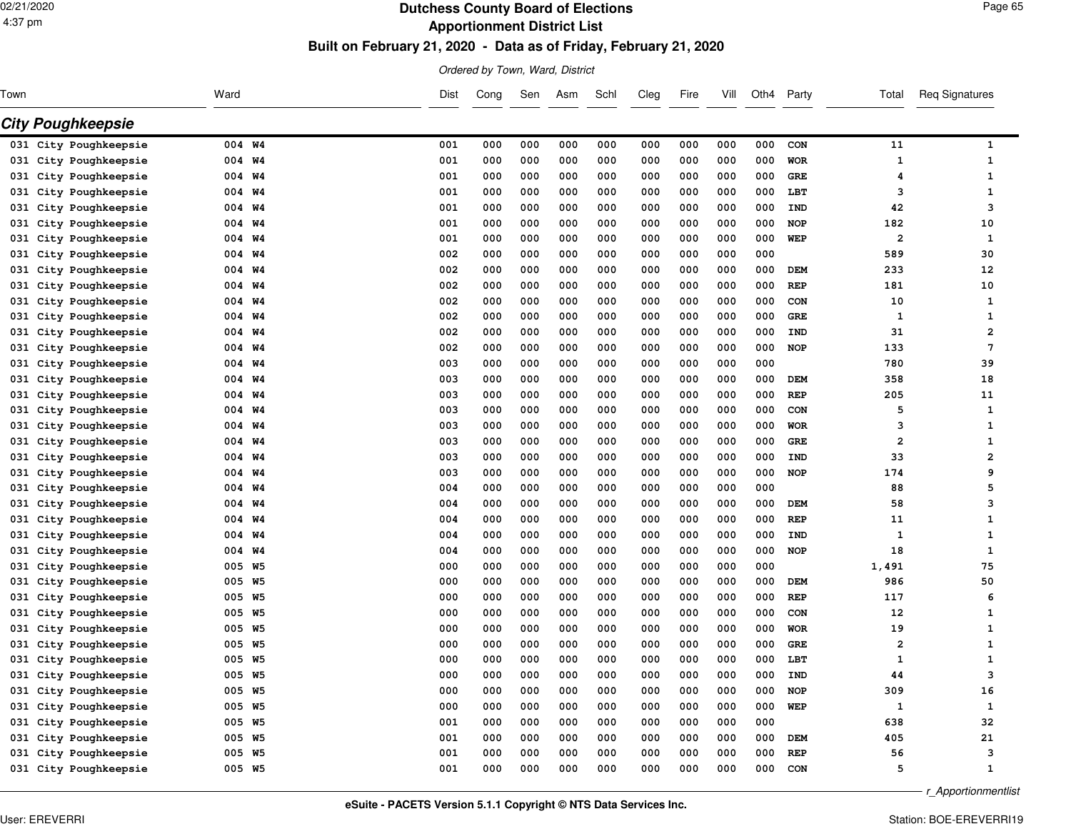#### **Dutchess County Board of Elections** $\mathbf S$ **Apportionment District List**

### **Built on February 21, 2020 - Data as of Friday, February 21, 2020**

Ordered by Town, Ward, District

| <b>City Poughkeepsie</b><br>004 W4<br>001<br>000<br>000<br>000<br>031 City Poughkeepsie<br>000<br>000<br>000<br>000<br>000<br>CON<br>004<br>W4<br>001<br>000<br>000<br>000<br>000<br>000<br>000<br>031 City Poughkeepsie<br>000<br>000<br><b>WOR</b><br>City Poughkeepsie<br>004<br>W4<br>001<br>000<br>000<br>000<br>000<br>000<br>000<br>000<br>000<br><b>GRE</b><br>031<br>W4<br>001<br>000<br>000<br>000<br>000<br>000<br>000<br>City Poughkeepsie<br>004<br>000<br>000<br>LBT<br>031 | 11<br>$\mathbf{1}$<br>4<br>3<br>42<br>182 | 1<br>1<br>1     |
|-------------------------------------------------------------------------------------------------------------------------------------------------------------------------------------------------------------------------------------------------------------------------------------------------------------------------------------------------------------------------------------------------------------------------------------------------------------------------------------------|-------------------------------------------|-----------------|
|                                                                                                                                                                                                                                                                                                                                                                                                                                                                                           |                                           |                 |
|                                                                                                                                                                                                                                                                                                                                                                                                                                                                                           |                                           |                 |
|                                                                                                                                                                                                                                                                                                                                                                                                                                                                                           |                                           |                 |
|                                                                                                                                                                                                                                                                                                                                                                                                                                                                                           |                                           |                 |
|                                                                                                                                                                                                                                                                                                                                                                                                                                                                                           |                                           | 1               |
| 001<br>000<br>000<br>000<br>000<br><b>IND</b><br>City Poughkeepsie<br>004<br>W4<br>000<br>000<br>000<br>000<br>031                                                                                                                                                                                                                                                                                                                                                                        |                                           | $\overline{3}$  |
| W4<br>000<br>000<br>000<br>000<br>000<br>000<br>000<br><b>NOP</b><br>031<br>City Poughkeepsie<br>004<br>001<br>000                                                                                                                                                                                                                                                                                                                                                                        |                                           | 10              |
| 000<br>City Poughkeepsie<br>004<br>W4<br>001<br>000<br>000<br>000<br>000<br>000<br>000<br>000<br><b>WEP</b><br>031                                                                                                                                                                                                                                                                                                                                                                        | 2                                         | 1               |
| 000<br>031 City Poughkeepsie<br>004<br>W4<br>002<br>000<br>000<br>000<br>000<br>000<br>000<br>000                                                                                                                                                                                                                                                                                                                                                                                         | 589                                       | 30              |
| 002<br>000<br>000<br>000<br>000<br>000<br>000<br>City Poughkeepsie<br>004<br>W4<br>000<br>000<br><b>DEM</b><br>031                                                                                                                                                                                                                                                                                                                                                                        | 233                                       | 12              |
| City Poughkeepsie<br>004<br>W4<br>002<br>000<br>000<br>000<br>000<br>000<br>000<br>000<br>000<br><b>REP</b><br>031                                                                                                                                                                                                                                                                                                                                                                        | 181                                       | 10              |
| 031 City Poughkeepsie<br>000<br>000<br>000<br>004<br>W4<br>002<br>000<br>000<br>000<br>000<br>000<br>CON                                                                                                                                                                                                                                                                                                                                                                                  | 10                                        | 1               |
| 000<br>000<br>000<br>000<br>000<br>City Poughkeepsie<br>004<br>W4<br>002<br>000<br>000<br>000<br><b>GRE</b><br>031                                                                                                                                                                                                                                                                                                                                                                        | 1                                         | 1               |
| W4<br>002<br>000<br>000<br>000<br>000<br>000<br>000<br><b>IND</b><br>City Poughkeepsie<br>004<br>000<br>000<br>031                                                                                                                                                                                                                                                                                                                                                                        | 31                                        | $\overline{2}$  |
| City Poughkeepsie<br>004<br>W4<br>002<br>000<br>000<br>000<br>000<br>000<br>000<br>000<br>000<br><b>NOP</b><br>031                                                                                                                                                                                                                                                                                                                                                                        | 133                                       | $7\phantom{.0}$ |
| 000<br>000<br>000<br>000<br>000<br>City Poughkeepsie<br>004<br>W4<br>003<br>000<br>000<br>000<br>031                                                                                                                                                                                                                                                                                                                                                                                      | 780                                       | 39              |
| 003<br>000<br>000<br>000<br>000<br>000<br>000<br><b>DEM</b><br>City Poughkeepsie<br>004<br>W4<br>000<br>000<br>031                                                                                                                                                                                                                                                                                                                                                                        | 358                                       | 18              |
| 031 City Poughkeepsie<br>004<br>W4<br>003<br>000<br>000<br>000<br>000<br>000<br>000<br>000<br>000<br><b>REP</b>                                                                                                                                                                                                                                                                                                                                                                           | 205                                       | 11              |
| City Poughkeepsie<br>004<br>W4<br>003<br>000<br>000<br>000<br>000<br>000<br>000<br>000<br>CON<br>031<br>000                                                                                                                                                                                                                                                                                                                                                                               | 5                                         | 1               |
| 000<br>000<br>004<br>W4<br>003<br>000<br>000<br>000<br>000<br>000<br><b>WOR</b><br>031<br>City Poughkeepsie<br>000                                                                                                                                                                                                                                                                                                                                                                        | 3                                         | $\mathbf{1}$    |
| W <sub>4</sub><br>003<br>000<br>000<br>000<br>000<br>000<br>000<br>000<br><b>GRE</b><br>031<br>City Poughkeepsie<br>004<br>000                                                                                                                                                                                                                                                                                                                                                            | $\overline{2}$                            | $\mathbf{1}$    |
| 000<br>000<br>000<br>City Poughkeepsie<br>004<br>W4<br>003<br>000<br>000<br>000<br>000<br>000<br>IND<br>031                                                                                                                                                                                                                                                                                                                                                                               | 33                                        | $\overline{2}$  |
| 003<br>000<br>000<br>000<br>000<br>City Poughkeepsie<br>004<br>W4<br>000<br>000<br>000<br>000<br><b>NOP</b><br>031                                                                                                                                                                                                                                                                                                                                                                        | 174                                       | 9               |
| 004<br>000<br>000<br>000<br>000<br>000<br>000<br>000<br>City Poughkeepsie<br>004<br>W4<br>000<br>031                                                                                                                                                                                                                                                                                                                                                                                      | 88                                        | 5               |
| City Poughkeepsie<br>004<br>W4<br>004<br>000<br>000<br>000<br>000<br>000<br>000<br>000<br>000<br><b>DEM</b><br>031                                                                                                                                                                                                                                                                                                                                                                        | 58                                        | 3               |
| 000<br>City Poughkeepsie<br>004<br>W4<br>004<br>000<br>000<br>000<br>000<br>000<br>000<br><b>REP</b><br>031<br>000                                                                                                                                                                                                                                                                                                                                                                        | 11                                        | $\mathbf{1}$    |
| 000<br>000<br>000<br>000<br>000<br>City Poughkeepsie<br>004<br>W4<br>004<br>000<br>000<br>000<br>IND<br>031                                                                                                                                                                                                                                                                                                                                                                               | 1                                         | $\mathbf{1}$    |
| 031 City Poughkeepsie<br>004<br>W4<br>004<br>000<br>000<br>000<br>000<br>000<br>000<br>000<br>000<br><b>NOP</b>                                                                                                                                                                                                                                                                                                                                                                           | 18                                        | 1               |
| W <sub>5</sub><br>000<br>000<br>000<br>000<br>City Poughkeepsie<br>005<br>000<br>000<br>000<br>000<br>000<br>031                                                                                                                                                                                                                                                                                                                                                                          | 1,491                                     | 75              |
| W <sub>5</sub><br>000<br>000<br>000<br>000<br>000<br>000<br>City Poughkeepsie<br>005<br>000<br>000<br>000<br><b>DEM</b><br>031                                                                                                                                                                                                                                                                                                                                                            | 986                                       | 50              |
| W <sub>5</sub><br>000<br>000<br>000<br>000<br>000<br>000<br>000<br><b>REP</b><br>City Poughkeepsie<br>005<br>000<br>000<br>031                                                                                                                                                                                                                                                                                                                                                            | 117                                       | 6               |
| 000<br>City Poughkeepsie<br>005<br>W5<br>000<br>000<br>000<br>000<br>000<br>000<br>000<br>000<br>CON<br>031                                                                                                                                                                                                                                                                                                                                                                               | 12                                        | $\mathbf{1}$    |
| W <sub>5</sub><br>City Poughkeepsie<br>005<br>000<br>000<br>000<br>000<br>000<br>000<br>000<br>000<br><b>WOR</b><br>031<br>000                                                                                                                                                                                                                                                                                                                                                            | 19                                        | $\mathbf{1}$    |
| 000<br>City Poughkeepsie<br>005<br>W5<br>000<br>000<br>000<br>000<br>000<br>000<br>000<br>000<br><b>GRE</b><br>031                                                                                                                                                                                                                                                                                                                                                                        | $\overline{a}$                            | 1               |
| 000<br>000<br>000<br>City Poughkeepsie<br>005<br>W5<br>000<br>000<br>000<br>000<br>000<br>000<br>LBT<br>031                                                                                                                                                                                                                                                                                                                                                                               | $\mathbf{1}$                              | 1               |
| W5<br>000<br>000<br>000<br>000<br>000<br>IND<br>City Poughkeepsie<br>005<br>000<br>000<br>000<br>000<br>031                                                                                                                                                                                                                                                                                                                                                                               | 44                                        | 3               |
| W <sub>5</sub><br>000<br>000<br>000<br>000<br>000<br>000<br>City Poughkeepsie<br>005<br>000<br>000<br>000<br><b>NOP</b><br>031                                                                                                                                                                                                                                                                                                                                                            | 309                                       | 16              |
| 005<br>W <sub>5</sub><br>000<br>000<br>000<br>000<br>000<br>000<br>000<br>000<br>000<br><b>WEP</b><br>031<br>City Poughkeepsie                                                                                                                                                                                                                                                                                                                                                            | $\mathbf{1}$                              | $\mathbf{1}$    |
| 000<br>City Poughkeepsie<br>005<br>W5<br>001<br>000<br>000<br>000<br>000<br>000<br>000<br>000<br>031                                                                                                                                                                                                                                                                                                                                                                                      | 638                                       | 32              |
| 031 City Poughkeepsie<br>W5<br>001<br>000<br>000<br>000<br>000<br>000<br>000<br>000<br>005<br>000<br><b>DEM</b>                                                                                                                                                                                                                                                                                                                                                                           | 405                                       | 21              |
| W <sub>5</sub><br>001<br>000<br>000<br>000<br>000<br>000<br>031 City Poughkeepsie<br>005<br>000<br>000<br>000<br><b>REP</b>                                                                                                                                                                                                                                                                                                                                                               | 56                                        | 3               |
| 001<br>000<br>000<br>000<br>031 City Poughkeepsie<br>005<br>W5<br>000<br>000<br>000<br>000<br>000<br>CON                                                                                                                                                                                                                                                                                                                                                                                  | 5                                         | $\mathbf{1}$    |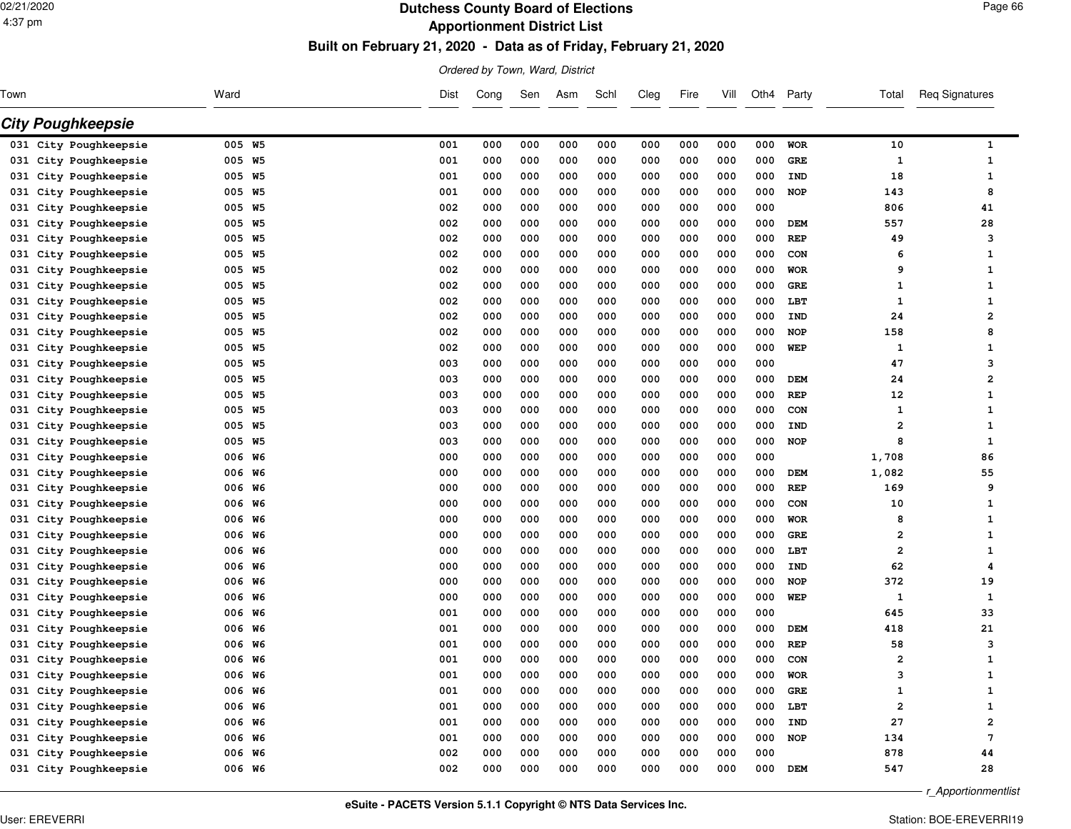#### **Dutchess County Board of Elections** $\mathbf S$ **Apportionment District List**

### **Built on February 21, 2020 - Data as of Friday, February 21, 2020**

Ordered by Town, Ward, District

| Town                     | Ward                  | Dist | Cong | Sen | Asm | Schl | Cleg | Fire | Vill |     | Oth4 Party | Total          | <b>Req Signatures</b> |
|--------------------------|-----------------------|------|------|-----|-----|------|------|------|------|-----|------------|----------------|-----------------------|
| <b>City Poughkeepsie</b> |                       |      |      |     |     |      |      |      |      |     |            |                |                       |
| 031 City Poughkeepsie    | 005 W5                | 001  | 000  | 000 | 000 | 000  | 000  | 000  | 000  | 000 | <b>WOR</b> | 10             | $\mathbf{1}$          |
| 031 City Poughkeepsie    | 005<br>W5             | 001  | 000  | 000 | 000 | 000  | 000  | 000  | 000  | 000 | <b>GRE</b> | $\mathbf{1}$   | $\mathbf{1}$          |
| City Poughkeepsie<br>031 | 005<br>W5             | 001  | 000  | 000 | 000 | 000  | 000  | 000  | 000  | 000 | IND        | 18             | $\mathbf{1}$          |
| City Poughkeepsie<br>031 | 005<br>W5             | 001  | 000  | 000 | 000 | 000  | 000  | 000  | 000  | 000 | <b>NOP</b> | 143            | 8                     |
| City Poughkeepsie<br>031 | W <sub>5</sub><br>005 | 002  | 000  | 000 | 000 | 000  | 000  | 000  | 000  | 000 |            | 806            | 41                    |
| City Poughkeepsie<br>031 | 005<br>W5             | 002  | 000  | 000 | 000 | 000  | 000  | 000  | 000  | 000 | <b>DEM</b> | 557            | 28                    |
| City Poughkeepsie<br>031 | 005<br>W5             | 002  | 000  | 000 | 000 | 000  | 000  | 000  | 000  | 000 | <b>REP</b> | 49             | 3                     |
| City Poughkeepsie<br>031 | W5<br>005             | 002  | 000  | 000 | 000 | 000  | 000  | 000  | 000  | 000 | CON        | 6              | $\mathbf{1}$          |
| City Poughkeepsie<br>031 | 005<br>W <sub>5</sub> | 002  | 000  | 000 | 000 | 000  | 000  | 000  | 000  | 000 | <b>WOR</b> | 9              | $\mathbf{1}$          |
| City Poughkeepsie<br>031 | W5<br>005             | 002  | 000  | 000 | 000 | 000  | 000  | 000  | 000  | 000 | <b>GRE</b> | $\mathbf{1}$   | $\mathbf{1}$          |
| City Poughkeepsie<br>031 | W <sub>5</sub><br>005 | 002  | 000  | 000 | 000 | 000  | 000  | 000  | 000  | 000 | LBT        | $\mathbf{1}$   | $\mathbf{1}$          |
| 031<br>City Poughkeepsie | 005<br>W <sub>5</sub> | 002  | 000  | 000 | 000 | 000  | 000  | 000  | 000  | 000 | <b>IND</b> | 24             | $\overline{2}$        |
| City Poughkeepsie<br>031 | 005<br>W5             | 002  | 000  | 000 | 000 | 000  | 000  | 000  | 000  | 000 | <b>NOP</b> | 158            | 8                     |
| 031 City Poughkeepsie    | 005<br>W5             | 002  | 000  | 000 | 000 | 000  | 000  | 000  | 000  | 000 | <b>WEP</b> | $\mathbf{1}$   | $\mathbf{1}$          |
| City Poughkeepsie<br>031 | W <sub>5</sub><br>005 | 003  | 000  | 000 | 000 | 000  | 000  | 000  | 000  | 000 |            | 47             | 3                     |
| City Poughkeepsie<br>031 | 005<br>W5             | 003  | 000  | 000 | 000 | 000  | 000  | 000  | 000  | 000 | <b>DEM</b> | 24             | $\overline{2}$        |
| City Poughkeepsie<br>031 | W5<br>005             | 003  | 000  | 000 | 000 | 000  | 000  | 000  | 000  | 000 | <b>REP</b> | 12             | $\mathbf{1}$          |
| City Poughkeepsie<br>031 | 005<br>W5             | 003  | 000  | 000 | 000 | 000  | 000  | 000  | 000  | 000 | CON        | 1              | $\mathbf{1}$          |
| City Poughkeepsie<br>031 | 005<br>W5             | 003  | 000  | 000 | 000 | 000  | 000  | 000  | 000  | 000 | <b>IND</b> | $\overline{a}$ | $\mathbf{1}$          |
| City Poughkeepsie<br>031 | 005<br>W5             | 003  | 000  | 000 | 000 | 000  | 000  | 000  | 000  | 000 | <b>NOP</b> | 8              | $\mathbf{1}$          |
| City Poughkeepsie<br>031 | 006<br>W6             | 000  | 000  | 000 | 000 | 000  | 000  | 000  | 000  | 000 |            | 1,708          | 86                    |
| City Poughkeepsie<br>031 | 006<br>W6             | 000  | 000  | 000 | 000 | 000  | 000  | 000  | 000  | 000 | <b>DEM</b> | 1,082          | 55                    |
| City Poughkeepsie<br>031 | 006<br>W6             | 000  | 000  | 000 | 000 | 000  | 000  | 000  | 000  | 000 | <b>REP</b> | 169            | 9                     |
| City Poughkeepsie<br>031 | 006<br>W6             | 000  | 000  | 000 | 000 | 000  | 000  | 000  | 000  | 000 | CON        | 10             | $\mathbf{1}$          |
| City Poughkeepsie<br>031 | 006<br>W6             | 000  | 000  | 000 | 000 | 000  | 000  | 000  | 000  | 000 | <b>WOR</b> | 8              | $\mathbf{1}$          |
| City Poughkeepsie<br>031 | 006<br>W6             | 000  | 000  | 000 | 000 | 000  | 000  | 000  | 000  | 000 | <b>GRE</b> | $\overline{a}$ | $\mathbf{1}$          |
| City Poughkeepsie<br>031 | 006<br>W6             | 000  | 000  | 000 | 000 | 000  | 000  | 000  | 000  | 000 | LBT        | 2              | 1                     |
| 031<br>City Poughkeepsie | 006<br>W6             | 000  | 000  | 000 | 000 | 000  | 000  | 000  | 000  | 000 | <b>IND</b> | 62             | 4                     |
| City Poughkeepsie<br>031 | 006<br>W6             | 000  | 000  | 000 | 000 | 000  | 000  | 000  | 000  | 000 | <b>NOP</b> | 372            | 19                    |
| 031<br>City Poughkeepsie | W6<br>006             | 000  | 000  | 000 | 000 | 000  | 000  | 000  | 000  | 000 | <b>WEP</b> | 1              | 1                     |
| City Poughkeepsie<br>031 | 006<br>W6             | 001  | 000  | 000 | 000 | 000  | 000  | 000  | 000  | 000 |            | 645            | 33                    |
| City Poughkeepsie<br>031 | 006<br>W6             | 001  | 000  | 000 | 000 | 000  | 000  | 000  | 000  | 000 | <b>DEM</b> | 418            | 21                    |
| 031<br>City Poughkeepsie | W6<br>006             | 001  | 000  | 000 | 000 | 000  | 000  | 000  | 000  | 000 | <b>REP</b> | 58             | 3                     |
| City Poughkeepsie<br>031 | 006<br>W6             | 001  | 000  | 000 | 000 | 000  | 000  | 000  | 000  | 000 | CON        | $\overline{2}$ | $\mathbf{1}$          |
| City Poughkeepsie<br>031 | 006<br>W6             | 001  | 000  | 000 | 000 | 000  | 000  | 000  | 000  | 000 | <b>WOR</b> | 3              | $\mathbf{1}$          |
| City Poughkeepsie<br>031 | 006<br>W6             | 001  | 000  | 000 | 000 | 000  | 000  | 000  | 000  | 000 | <b>GRE</b> | 1              | $\mathbf{1}$          |
| City Poughkeepsie<br>031 | 006<br>W6             | 001  | 000  | 000 | 000 | 000  | 000  | 000  | 000  | 000 | LBT        | $\overline{a}$ | $\mathbf{1}$          |
| City Poughkeepsie<br>031 | 006<br>W6             | 001  | 000  | 000 | 000 | 000  | 000  | 000  | 000  | 000 | IND        | 27             | $\overline{2}$        |
| 031 City Poughkeepsie    | 006<br>W6             | 001  | 000  | 000 | 000 | 000  | 000  | 000  | 000  | 000 | <b>NOP</b> | 134            | 7                     |
| 031 City Poughkeepsie    | 006<br>W6             | 002  | 000  | 000 | 000 | 000  | 000  | 000  | 000  | 000 |            | 878            | 44                    |
| 031 City Poughkeepsie    | 006 W6                | 002  | 000  | 000 | 000 | 000  | 000  | 000  | 000  | 000 | <b>DEM</b> | 547            | 28                    |

**eSuite - PACETS Version 5.1.1 Copyright © NTS Data Services Inc.**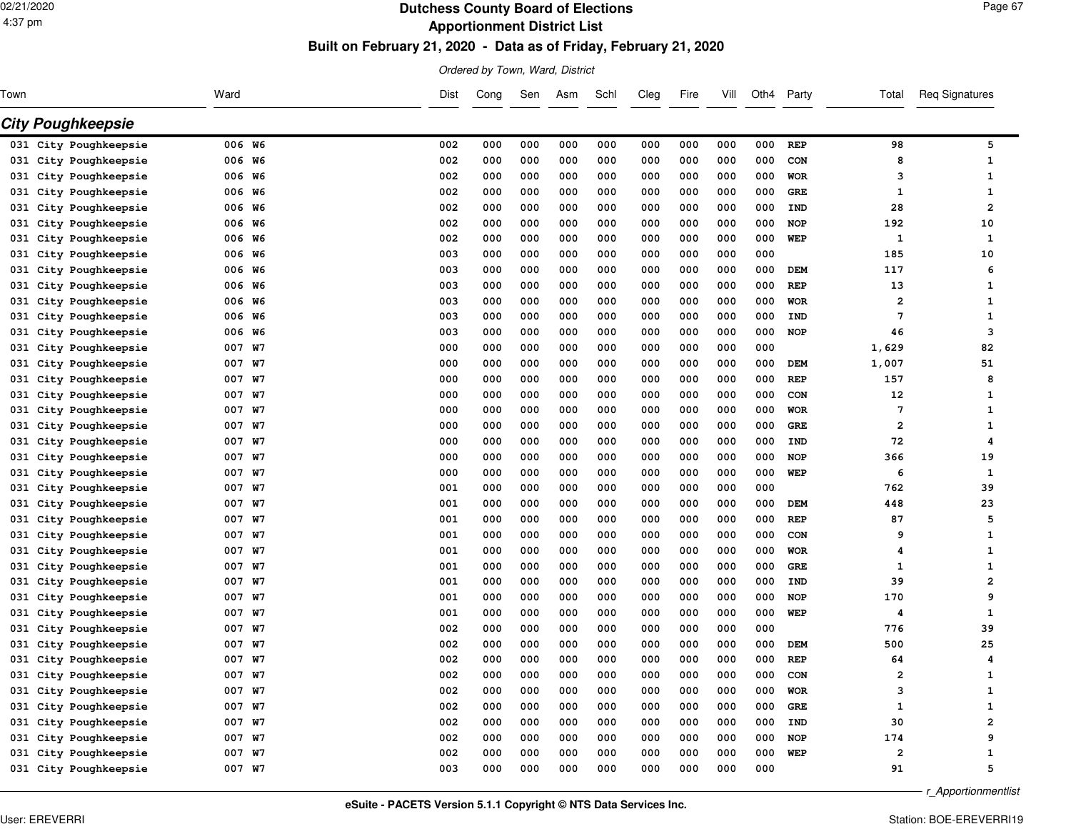#### **Dutchess County Board of Elections** $\mathbf S$ **Apportionment District List**

### **Built on February 21, 2020 - Data as of Friday, February 21, 2020**

Ordered by Town, Ward, District

| Town                     | Ward                  | Dist | Cong | Sen | Asm | Schl | Cleg | Fire | Vill | Oth4 | Party      | Total          | <b>Req Signatures</b> |
|--------------------------|-----------------------|------|------|-----|-----|------|------|------|------|------|------------|----------------|-----------------------|
| City Poughkeepsie        |                       |      |      |     |     |      |      |      |      |      |            |                |                       |
| City Poughkeepsie<br>031 | 006 W6                | 002  | 000  | 000 | 000 | 000  | 000  | 000  | 000  | 000  | <b>REP</b> | 98             | 5                     |
| City Poughkeepsie<br>031 | 006<br>W6             | 002  | 000  | 000 | 000 | 000  | 000  | 000  | 000  | 000  | CON        | 8              | 1                     |
| 031<br>City Poughkeepsie | 006<br>W6             | 002  | 000  | 000 | 000 | 000  | 000  | 000  | 000  | 000  | <b>WOR</b> | 3              | 1                     |
| City Poughkeepsie<br>031 | W6<br>006             | 002  | 000  | 000 | 000 | 000  | 000  | 000  | 000  | 000  | <b>GRE</b> | 1              | 1                     |
| City Poughkeepsie<br>031 | 006<br>W6             | 002  | 000  | 000 | 000 | 000  | 000  | 000  | 000  | 000  | IND        | 28             | $\overline{2}$        |
| 031<br>City Poughkeepsie | 006<br>W6             | 002  | 000  | 000 | 000 | 000  | 000  | 000  | 000  | 000  | <b>NOP</b> | 192            | 10                    |
| 031<br>City Poughkeepsie | 006<br>W6             | 002  | 000  | 000 | 000 | 000  | 000  | 000  | 000  | 000  | <b>WEP</b> | $\mathbf{1}$   | 1                     |
| 031<br>City Poughkeepsie | W6<br>006             | 003  | 000  | 000 | 000 | 000  | 000  | 000  | 000  | 000  |            | 185            | 10                    |
| 031<br>City Poughkeepsie | 006<br>W6             | 003  | 000  | 000 | 000 | 000  | 000  | 000  | 000  | 000  | <b>DEM</b> | 117            | 6                     |
| 031<br>City Poughkeepsie | 006<br>W6             | 003  | 000  | 000 | 000 | 000  | 000  | 000  | 000  | 000  | <b>REP</b> | 13             | 1                     |
| City Poughkeepsie<br>031 | 006<br>W6             | 003  | 000  | 000 | 000 | 000  | 000  | 000  | 000  | 000  | <b>WOR</b> | $\overline{a}$ | $\mathbf{1}$          |
| 031<br>City Poughkeepsie | 006<br>W6             | 003  | 000  | 000 | 000 | 000  | 000  | 000  | 000  | 000  | <b>IND</b> | $\overline{7}$ | $\mathbf{1}$          |
| 031<br>City Poughkeepsie | 006<br>W6             | 003  | 000  | 000 | 000 | 000  | 000  | 000  | 000  | 000  | <b>NOP</b> | 46             | 3                     |
| City Poughkeepsie<br>031 | 007<br><b>W7</b>      | 000  | 000  | 000 | 000 | 000  | 000  | 000  | 000  | 000  |            | 1,629          | 82                    |
| 031<br>City Poughkeepsie | W <sub>7</sub><br>007 | 000  | 000  | 000 | 000 | 000  | 000  | 000  | 000  | 000  | <b>DEM</b> | 1,007          | 51                    |
| 031<br>City Poughkeepsie | W7<br>007             | 000  | 000  | 000 | 000 | 000  | 000  | 000  | 000  | 000  | <b>REP</b> | 157            | 8                     |
| 031<br>City Poughkeepsie | 007<br>W7             | 000  | 000  | 000 | 000 | 000  | 000  | 000  | 000  | 000  | CON        | 12             | $\mathbf{1}$          |
| 031<br>City Poughkeepsie | W7<br>007             | 000  | 000  | 000 | 000 | 000  | 000  | 000  | 000  | 000  | <b>WOR</b> | 7              | 1                     |
| 031<br>City Poughkeepsie | 007<br>W7             | 000  | 000  | 000 | 000 | 000  | 000  | 000  | 000  | 000  | <b>GRE</b> | $\overline{a}$ | $\mathbf{1}$          |
| 031<br>City Poughkeepsie | W7<br>007             | 000  | 000  | 000 | 000 | 000  | 000  | 000  | 000  | 000  | <b>IND</b> | 72             | 4                     |
| City Poughkeepsie<br>031 | 007<br><b>W7</b>      | 000  | 000  | 000 | 000 | 000  | 000  | 000  | 000  | 000  | <b>NOP</b> | 366            | 19                    |
| 031<br>City Poughkeepsie | W7<br>007             | 000  | 000  | 000 | 000 | 000  | 000  | 000  | 000  | 000  | <b>WEP</b> | 6              | $\mathbf{1}$          |
| City Poughkeepsie<br>031 | 007<br>W7             | 001  | 000  | 000 | 000 | 000  | 000  | 000  | 000  | 000  |            | 762            | 39                    |
| 031<br>City Poughkeepsie | 007<br>W7             | 001  | 000  | 000 | 000 | 000  | 000  | 000  | 000  | 000  | <b>DEM</b> | 448            | 23                    |
| 031<br>City Poughkeepsie | W7<br>007             | 001  | 000  | 000 | 000 | 000  | 000  | 000  | 000  | 000  | <b>REP</b> | 87             | 5                     |
| 031<br>City Poughkeepsie | 007<br>W7             | 001  | 000  | 000 | 000 | 000  | 000  | 000  | 000  | 000  | CON        | 9              | $\mathbf{1}$          |
| 031<br>City Poughkeepsie | 007<br>W7             | 001  | 000  | 000 | 000 | 000  | 000  | 000  | 000  | 000  | <b>WOR</b> | 4              | 1                     |
| City Poughkeepsie<br>031 | 007<br>W7             | 001  | 000  | 000 | 000 | 000  | 000  | 000  | 000  | 000  | <b>GRE</b> | 1              | $\mathbf{1}$          |
| 031<br>City Poughkeepsie | W <sub>7</sub><br>007 | 001  | 000  | 000 | 000 | 000  | 000  | 000  | 000  | 000  | <b>IND</b> | 39             | $\overline{2}$        |
| City Poughkeepsie<br>031 | W7<br>007             | 001  | 000  | 000 | 000 | 000  | 000  | 000  | 000  | 000  | <b>NOP</b> | 170            | 9                     |
| 031<br>City Poughkeepsie | 007<br>W7             | 001  | 000  | 000 | 000 | 000  | 000  | 000  | 000  | 000  | <b>WEP</b> | 4              | 1                     |
| 031<br>City Poughkeepsie | 007<br>W7             | 002  | 000  | 000 | 000 | 000  | 000  | 000  | 000  | 000  |            | 776            | 39                    |
| 031<br>City Poughkeepsie | 007<br>W7             | 002  | 000  | 000 | 000 | 000  | 000  | 000  | 000  | 000  | <b>DEM</b> | 500            | 25                    |
| 031<br>City Poughkeepsie | 007<br>W7             | 002  | 000  | 000 | 000 | 000  | 000  | 000  | 000  | 000  | <b>REP</b> | 64             | 4                     |
| City Poughkeepsie<br>031 | W7<br>007             | 002  | 000  | 000 | 000 | 000  | 000  | 000  | 000  | 000  | CON        | $\overline{2}$ | 1                     |
| City Poughkeepsie<br>031 | W <sub>7</sub><br>007 | 002  | 000  | 000 | 000 | 000  | 000  | 000  | 000  | 000  | <b>WOR</b> | 3              | $\mathbf{1}$          |
| 031<br>City Poughkeepsie | 007<br>W7             | 002  | 000  | 000 | 000 | 000  | 000  | 000  | 000  | 000  | <b>GRE</b> | $\mathbf{1}$   | $\mathbf{1}$          |
| 031<br>City Poughkeepsie | 007<br>W7             | 002  | 000  | 000 | 000 | 000  | 000  | 000  | 000  | 000  | <b>IND</b> | 30             | $\overline{2}$        |
| 031<br>City Poughkeepsie | พ7<br>007             | 002  | 000  | 000 | 000 | 000  | 000  | 000  | 000  | 000  | <b>NOP</b> | 174            | 9                     |
| 031<br>City Poughkeepsie | 007<br>พ7             | 002  | 000  | 000 | 000 | 000  | 000  | 000  | 000  | 000  | <b>WEP</b> | $\overline{2}$ | $\mathbf{1}$          |
| 031 City Poughkeepsie    | 007<br>W7             | 003  | 000  | 000 | 000 | 000  | 000  | 000  | 000  | 000  |            | 91             | 5                     |

**eSuite - PACETS Version 5.1.1 Copyright © NTS Data Services Inc.**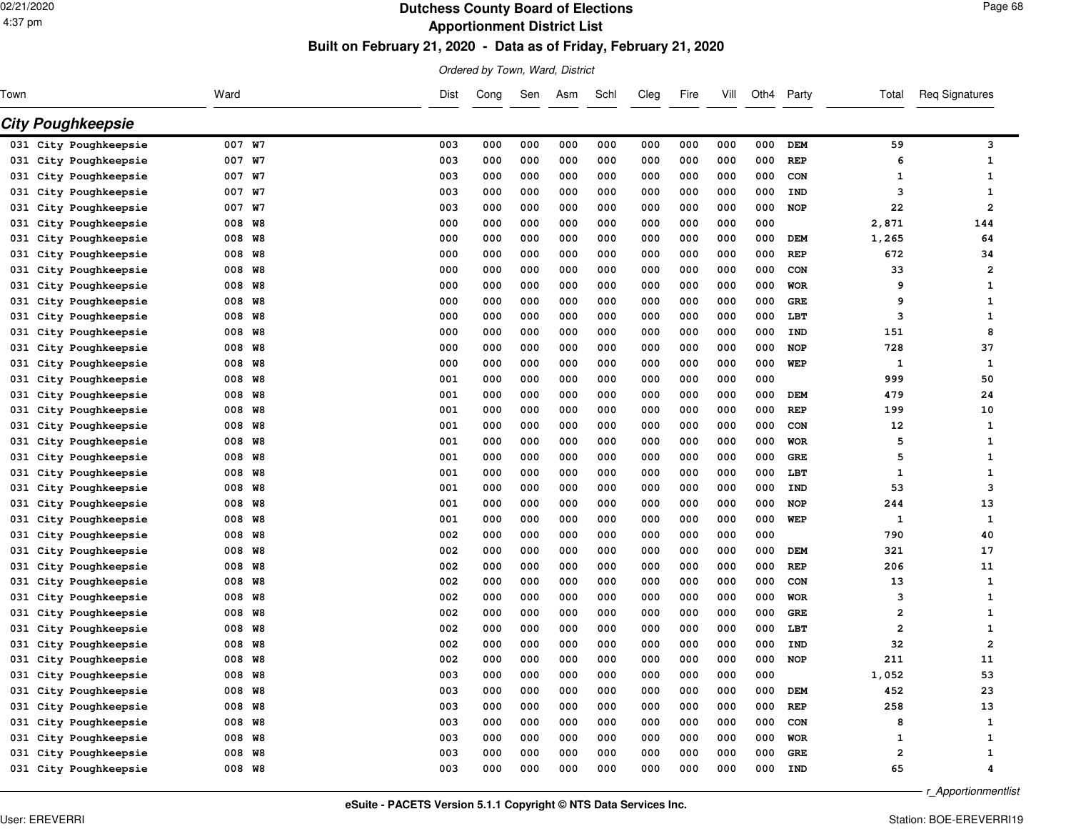#### **Dutchess County Board of Elections** $\mathbf S$ **Apportionment District List**

### **Built on February 21, 2020 - Data as of Friday, February 21, 2020**

Ordered by Town, Ward, District

| Town                     | Ward             | Dist | Cong | Sen | Asm | Schl | Cleg | Fire | Vill | Oth4 | Party      | Total          | <b>Req Signatures</b>   |
|--------------------------|------------------|------|------|-----|-----|------|------|------|------|------|------------|----------------|-------------------------|
| City Poughkeepsie        |                  |      |      |     |     |      |      |      |      |      |            |                |                         |
| City Poughkeepsie<br>031 | 007<br>W7        | 003  | 000  | 000 | 000 | 000  | 000  | 000  | 000  | 000  | <b>DEM</b> | 59             | 3                       |
| City Poughkeepsie<br>031 | 007<br>W7        | 003  | 000  | 000 | 000 | 000  | 000  | 000  | 000  | 000  | <b>REP</b> | 6              | 1                       |
| 031<br>City Poughkeepsie | 007<br>W7        | 003  | 000  | 000 | 000 | 000  | 000  | 000  | 000  | 000  | CON        | $\mathbf{1}$   | 1                       |
| City Poughkeepsie<br>031 | W7<br>007        | 003  | 000  | 000 | 000 | 000  | 000  | 000  | 000  | 000  | <b>IND</b> | 3              | $\mathbf{1}$            |
| City Poughkeepsie<br>031 | W7<br>007        | 003  | 000  | 000 | 000 | 000  | 000  | 000  | 000  | 000  | <b>NOP</b> | 22             | $\overline{2}$          |
| 031<br>City Poughkeepsie | W8<br>008        | 000  | 000  | 000 | 000 | 000  | 000  | 000  | 000  | 000  |            | 2,871          | 144                     |
| 031<br>City Poughkeepsie | 008<br><b>W8</b> | 000  | 000  | 000 | 000 | 000  | 000  | 000  | 000  | 000  | <b>DEM</b> | 1,265          | 64                      |
| 031<br>City Poughkeepsie | W8<br>008        | 000  | 000  | 000 | 000 | 000  | 000  | 000  | 000  | 000  | <b>REP</b> | 672            | 34                      |
| 031<br>City Poughkeepsie | W8<br>008        | 000  | 000  | 000 | 000 | 000  | 000  | 000  | 000  | 000  | CON        | 33             | $\overline{\mathbf{2}}$ |
| 031<br>City Poughkeepsie | 008<br>W8        | 000  | 000  | 000 | 000 | 000  | 000  | 000  | 000  | 000  | <b>WOR</b> | 9              | 1                       |
| City Poughkeepsie<br>031 | W8<br>008        | 000  | 000  | 000 | 000 | 000  | 000  | 000  | 000  | 000  | <b>GRE</b> | 9              | $\mathbf{1}$            |
| 031<br>City Poughkeepsie | 008<br>W8        | 000  | 000  | 000 | 000 | 000  | 000  | 000  | 000  | 000  | LBT        | 3              | $\mathbf{1}$            |
| 031<br>City Poughkeepsie | W8<br>008        | 000  | 000  | 000 | 000 | 000  | 000  | 000  | 000  | 000  | <b>IND</b> | 151            | 8                       |
| City Poughkeepsie<br>031 | 008<br><b>W8</b> | 000  | 000  | 000 | 000 | 000  | 000  | 000  | 000  | 000  | <b>NOP</b> | 728            | 37                      |
| 031<br>City Poughkeepsie | W8<br>008        | 000  | 000  | 000 | 000 | 000  | 000  | 000  | 000  | 000  | <b>WEP</b> | 1              | $\mathbf{1}$            |
| 031<br>City Poughkeepsie | W8<br>008        | 001  | 000  | 000 | 000 | 000  | 000  | 000  | 000  | 000  |            | 999            | 50                      |
| 031<br>City Poughkeepsie | 008<br>W8        | 001  | 000  | 000 | 000 | 000  | 000  | 000  | 000  | 000  | <b>DEM</b> | 479            | 24                      |
| 031<br>City Poughkeepsie | W8<br>008        | 001  | 000  | 000 | 000 | 000  | 000  | 000  | 000  | 000  | <b>REP</b> | 199            | 10                      |
| 031<br>City Poughkeepsie | W8<br>008        | 001  | 000  | 000 | 000 | 000  | 000  | 000  | 000  | 000  | CON        | 12             | $\mathbf{1}$            |
| 031<br>City Poughkeepsie | W8<br>008        | 001  | 000  | 000 | 000 | 000  | 000  | 000  | 000  | 000  | <b>WOR</b> | 5              | 1                       |
| City Poughkeepsie<br>031 | 008<br><b>W8</b> | 001  | 000  | 000 | 000 | 000  | 000  | 000  | 000  | 000  | <b>GRE</b> | 5              | $\mathbf{1}$            |
| 031<br>City Poughkeepsie | W8<br>008        | 001  | 000  | 000 | 000 | 000  | 000  | 000  | 000  | 000  | LBT        | $\mathbf{1}$   | $\mathbf{1}$            |
| City Poughkeepsie<br>031 | 008<br>W8        | 001  | 000  | 000 | 000 | 000  | 000  | 000  | 000  | 000  | <b>IND</b> | 53             | 3                       |
| 031<br>City Poughkeepsie | 008<br>W8        | 001  | 000  | 000 | 000 | 000  | 000  | 000  | 000  | 000  | <b>NOP</b> | 244            | 13                      |
| 031<br>City Poughkeepsie | W8<br>008        | 001  | 000  | 000 | 000 | 000  | 000  | 000  | 000  | 000  | <b>WEP</b> | 1              | $\mathbf{1}$            |
| 031<br>City Poughkeepsie | 008<br>W8        | 002  | 000  | 000 | 000 | 000  | 000  | 000  | 000  | 000  |            | 790            | 40                      |
| 031<br>City Poughkeepsie | 008<br>W8        | 002  | 000  | 000 | 000 | 000  | 000  | 000  | 000  | 000  | <b>DEM</b> | 321            | 17                      |
| City Poughkeepsie<br>031 | W8<br>008        | 002  | 000  | 000 | 000 | 000  | 000  | 000  | 000  | 000  | <b>REP</b> | 206            | 11                      |
| 031<br>City Poughkeepsie | W8<br>008        | 002  | 000  | 000 | 000 | 000  | 000  | 000  | 000  | 000  | CON        | 13             | $\mathbf{1}$            |
| City Poughkeepsie<br>031 | W8<br>008        | 002  | 000  | 000 | 000 | 000  | 000  | 000  | 000  | 000  | <b>WOR</b> | 3              | $\mathbf{1}$            |
| 031<br>City Poughkeepsie | 008<br><b>W8</b> | 002  | 000  | 000 | 000 | 000  | 000  | 000  | 000  | 000  | <b>GRE</b> | $\overline{a}$ | $\mathbf{1}$            |
| 031<br>City Poughkeepsie | W8<br>008        | 002  | 000  | 000 | 000 | 000  | 000  | 000  | 000  | 000  | LBT        | $\overline{2}$ | $\mathbf{1}$            |
| 031<br>City Poughkeepsie | 008<br>W8        | 002  | 000  | 000 | 000 | 000  | 000  | 000  | 000  | 000  | <b>IND</b> | 32             | $\overline{2}$          |
| City Poughkeepsie<br>031 | 008<br>W8        | 002  | 000  | 000 | 000 | 000  | 000  | 000  | 000  | 000  | <b>NOP</b> | 211            | 11                      |
| City Poughkeepsie<br>031 | W8<br>008        | 003  | 000  | 000 | 000 | 000  | 000  | 000  | 000  | 000  |            | 1,052          | 53                      |
| City Poughkeepsie<br>031 | W8<br>008        | 003  | 000  | 000 | 000 | 000  | 000  | 000  | 000  | 000  | <b>DEM</b> | 452            | 23                      |
| 031<br>City Poughkeepsie | 008<br>W8        | 003  | 000  | 000 | 000 | 000  | 000  | 000  | 000  | 000  | <b>REP</b> | 258            | 13                      |
| 031<br>City Poughkeepsie | 008<br>W8        | 003  | 000  | 000 | 000 | 000  | 000  | 000  | 000  | 000  | CON        | 8              | $\mathbf{1}$            |
| 031<br>City Poughkeepsie | W8<br>008        | 003  | 000  | 000 | 000 | 000  | 000  | 000  | 000  | 000  | <b>WOR</b> | $\mathbf{1}$   | $\mathbf{1}$            |
| 031<br>City Poughkeepsie | 008<br>W8        | 003  | 000  | 000 | 000 | 000  | 000  | 000  | 000  | 000  | <b>GRE</b> | $\overline{2}$ | 1                       |
| 031 City Poughkeepsie    | 008<br>W8        | 003  | 000  | 000 | 000 | 000  | 000  | 000  | 000  | 000  | <b>IND</b> | 65             | 4                       |

**eSuite - PACETS Version 5.1.1 Copyright © NTS Data Services Inc.**